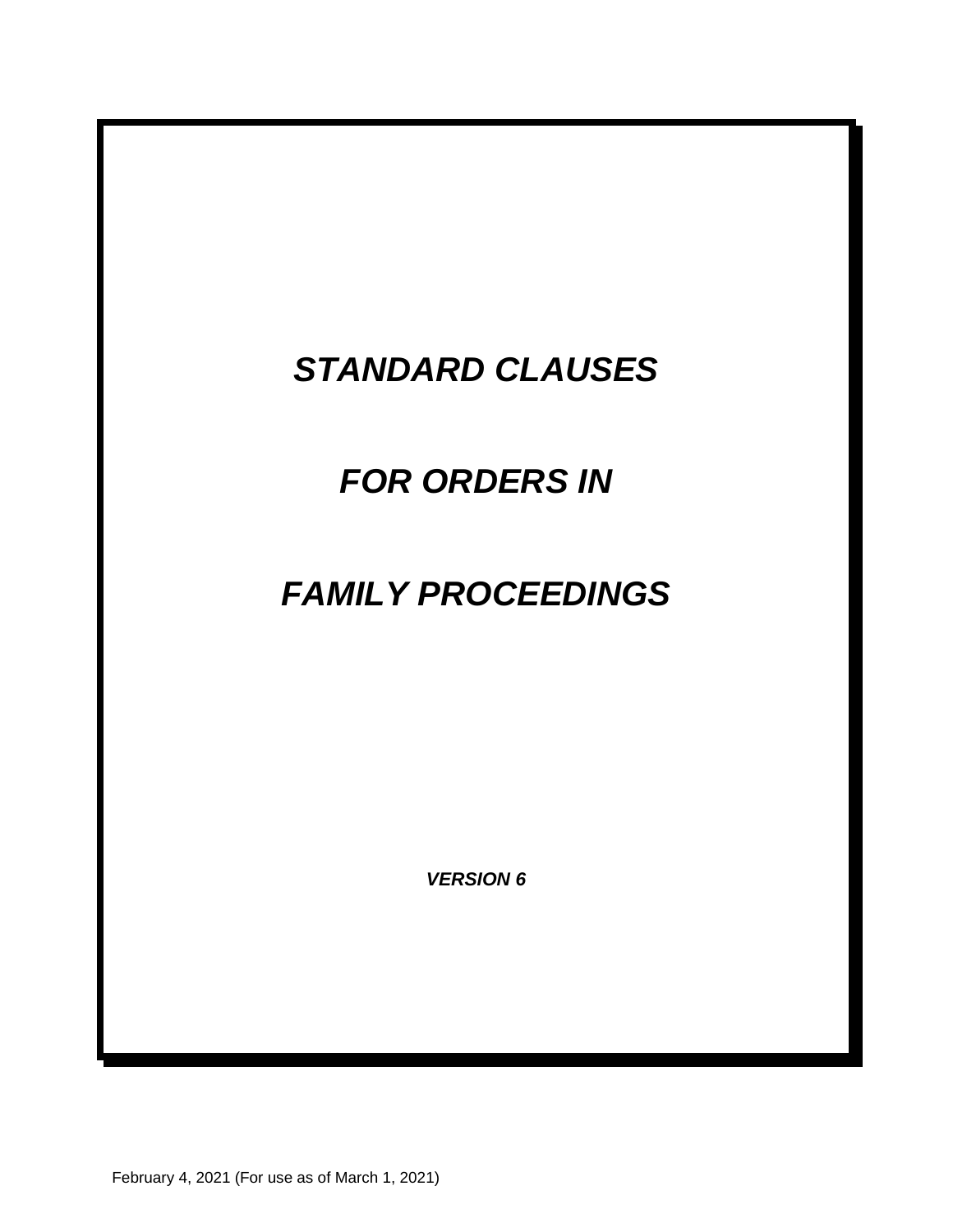# *STANDARD CLAUSES*

# *FOR ORDERS IN*

# *FAMILY PROCEEDINGS*

*VERSION 6* 

February 4, 2021 (For use as of March 1, 2021)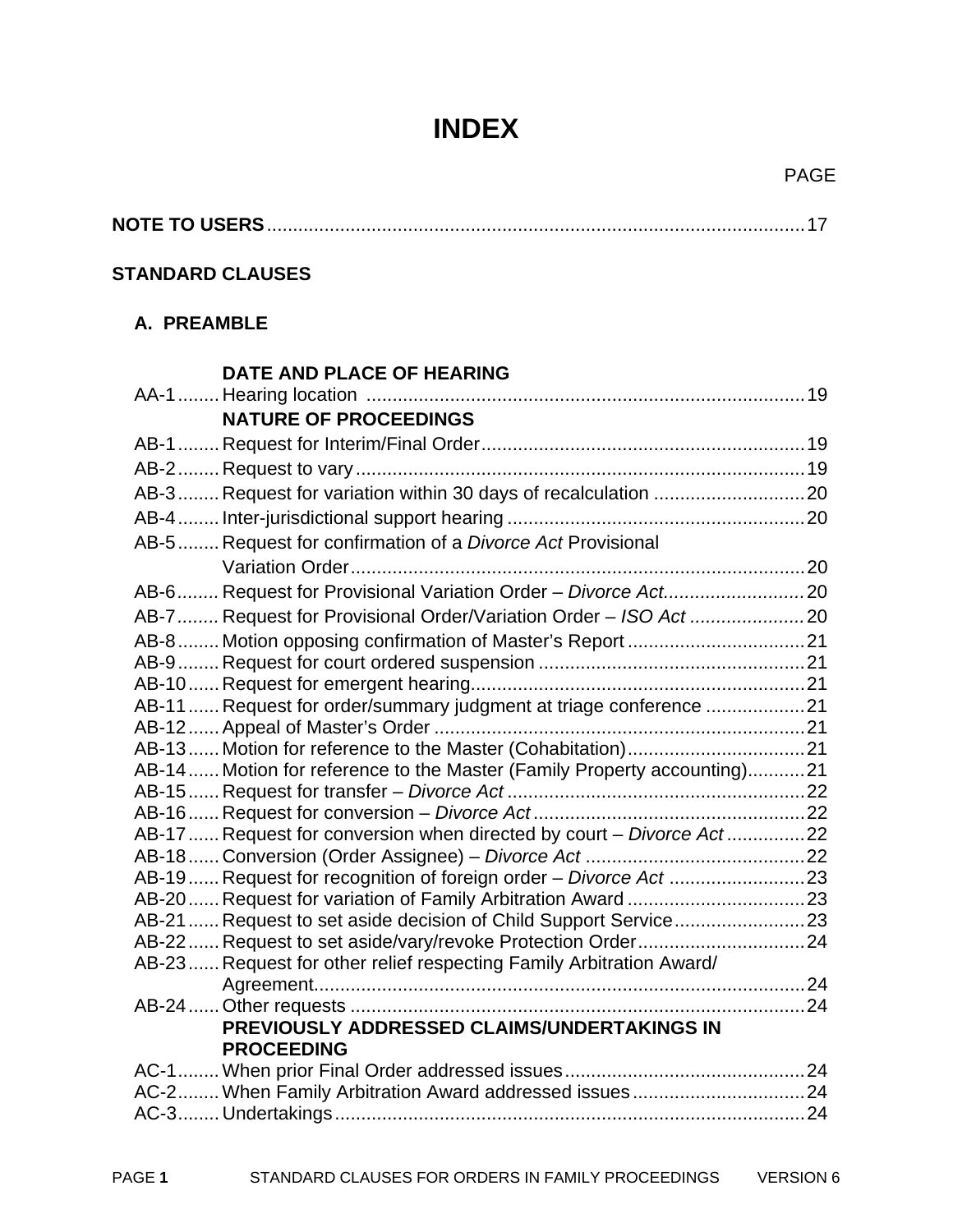# **INDEX**

# **NOTE TO USERS** ....................................................................................................... 17

#### **STANDARD CLAUSES**

#### **A. PREAMBLE**

| DATE AND PLACE OF HEARING                                               |  |
|-------------------------------------------------------------------------|--|
|                                                                         |  |
| <b>NATURE OF PROCEEDINGS</b>                                            |  |
|                                                                         |  |
|                                                                         |  |
| AB-3 Request for variation within 30 days of recalculation  20          |  |
|                                                                         |  |
| AB-5 Request for confirmation of a Divorce Act Provisional              |  |
|                                                                         |  |
| AB-6 Request for Provisional Variation Order - Divorce Act20            |  |
| AB-7  Request for Provisional Order/Variation Order - ISO Act 20        |  |
|                                                                         |  |
|                                                                         |  |
|                                                                         |  |
| AB-11  Request for order/summary judgment at triage conference 21       |  |
|                                                                         |  |
|                                                                         |  |
| AB-14 Motion for reference to the Master (Family Property accounting)21 |  |
|                                                                         |  |
| AB-17  Request for conversion when directed by court - Divorce Act 22   |  |
|                                                                         |  |
| AB-19  Request for recognition of foreign order - Divorce Act 23        |  |
|                                                                         |  |
| AB-21  Request to set aside decision of Child Support Service 23        |  |
|                                                                         |  |
| AB-23 Request for other relief respecting Family Arbitration Award/     |  |
|                                                                         |  |
|                                                                         |  |
| PREVIOUSLY ADDRESSED CLAIMS/UNDERTAKINGS IN<br><b>PROCEEDING</b>        |  |
|                                                                         |  |
|                                                                         |  |
|                                                                         |  |
|                                                                         |  |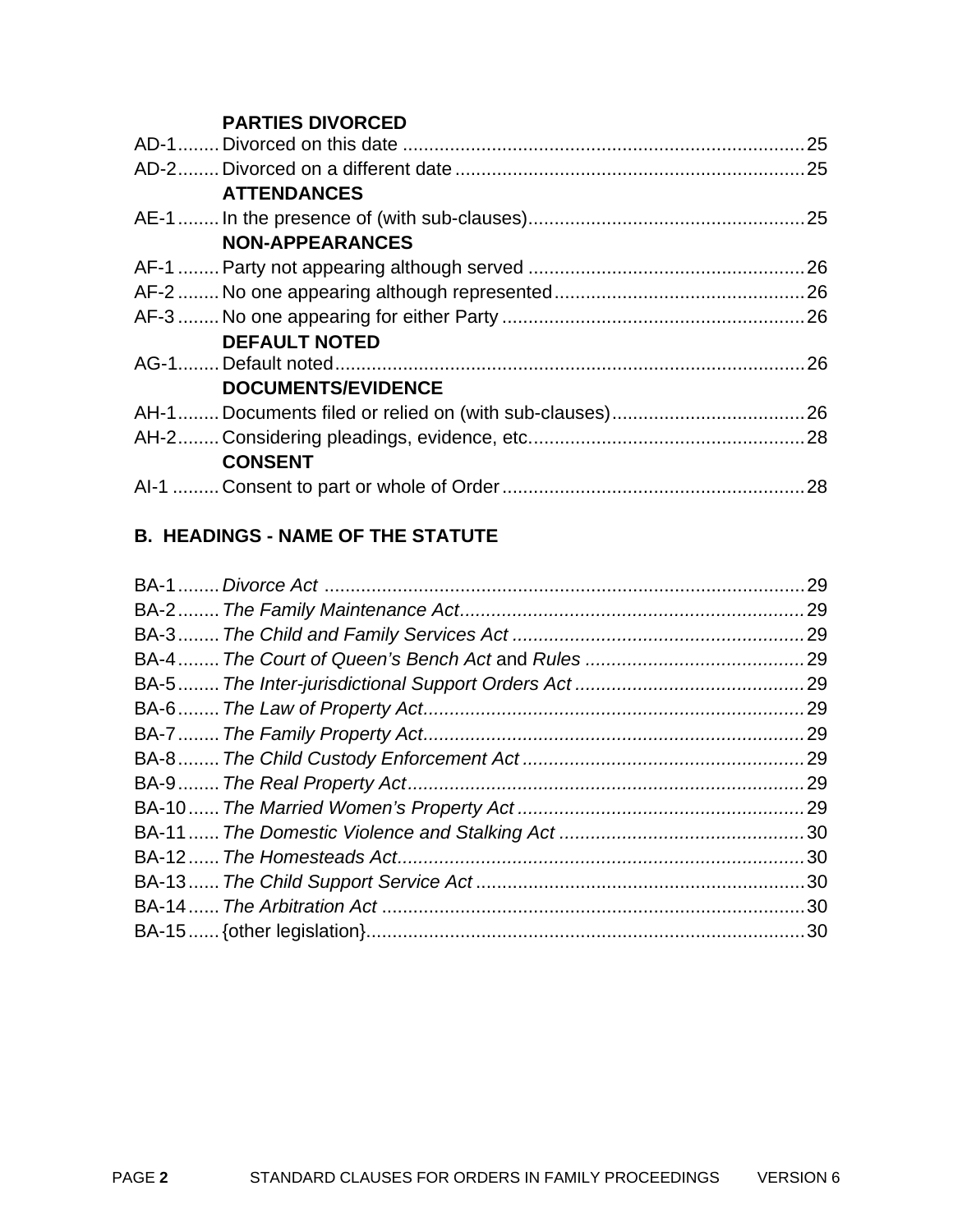#### **PARTIES DIVORCED**

| <b>ATTENDANCES</b>        |  |
|---------------------------|--|
|                           |  |
| <b>NON-APPEARANCES</b>    |  |
|                           |  |
|                           |  |
|                           |  |
| <b>DEFAULT NOTED</b>      |  |
|                           |  |
| <b>DOCUMENTS/EVIDENCE</b> |  |
|                           |  |
|                           |  |
| <b>CONSENT</b>            |  |
|                           |  |
|                           |  |

# **B. HEADINGS - NAME OF THE STATUTE**

| .29 |
|-----|
|     |
| .29 |
|     |
|     |
|     |
|     |
|     |
|     |
|     |
|     |
|     |
|     |
|     |
|     |
|     |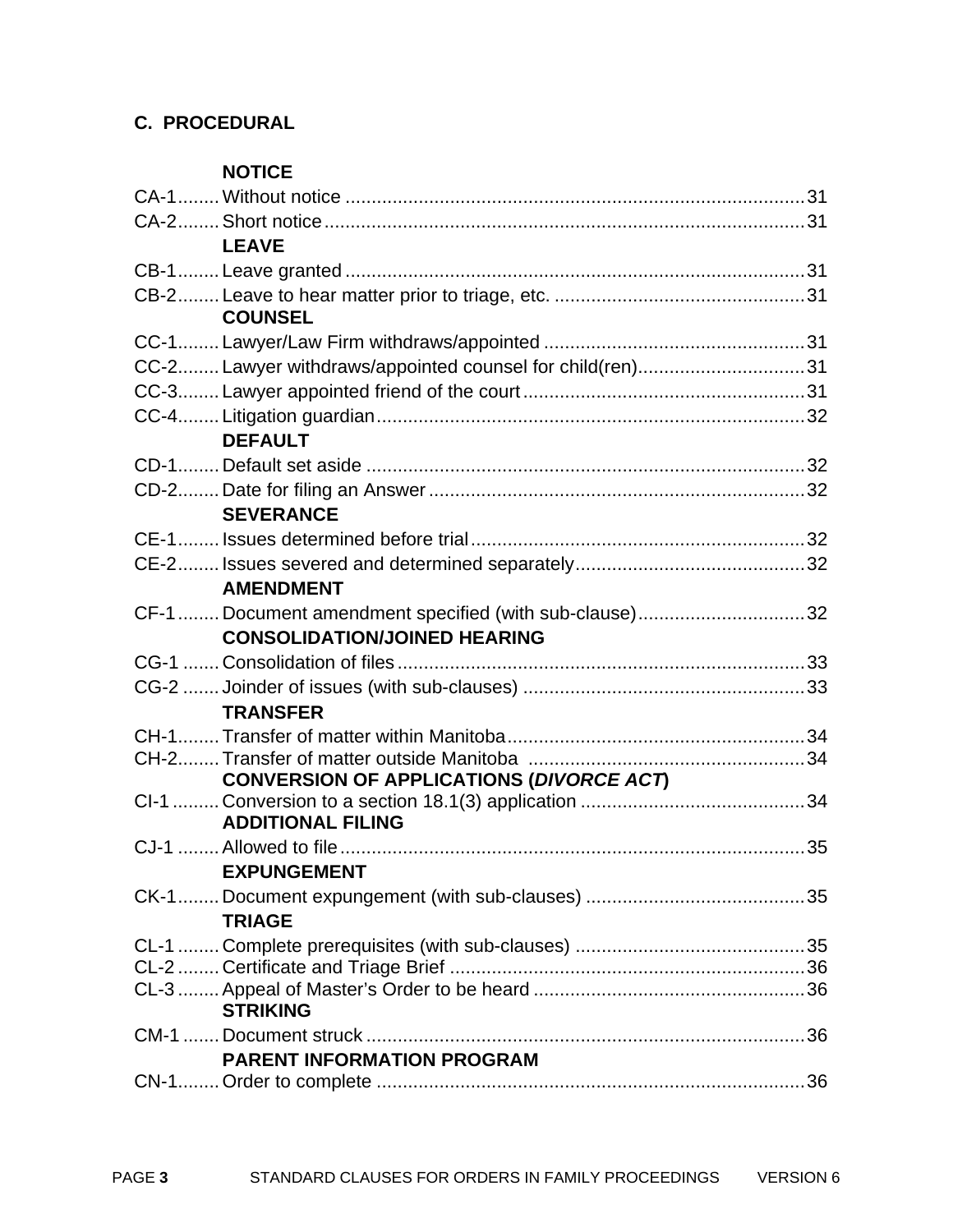# **C. PROCEDURAL**

#### **NOTICE**

| <b>LEAVE</b>                                             |  |
|----------------------------------------------------------|--|
|                                                          |  |
|                                                          |  |
| <b>COUNSEL</b>                                           |  |
|                                                          |  |
| CC-2 Lawyer withdraws/appointed counsel for child(ren)31 |  |
|                                                          |  |
|                                                          |  |
| <b>DEFAULT</b>                                           |  |
|                                                          |  |
|                                                          |  |
| <b>SEVERANCE</b>                                         |  |
|                                                          |  |
|                                                          |  |
| <b>AMENDMENT</b>                                         |  |
| CF-1  Document amendment specified (with sub-clause)32   |  |
| <b>CONSOLIDATION/JOINED HEARING</b>                      |  |
|                                                          |  |
|                                                          |  |
| <b>TRANSFER</b>                                          |  |
|                                                          |  |
|                                                          |  |
| CONVERSION OF APPLICATIONS (DIVORCE ACT)                 |  |
| <b>ADDITIONAL FILING</b>                                 |  |
|                                                          |  |
| <b>EXPUNGEMENT</b>                                       |  |
|                                                          |  |
| <b>TRIAGE</b>                                            |  |
|                                                          |  |
|                                                          |  |
|                                                          |  |
| <b>STRIKING</b>                                          |  |
|                                                          |  |
| <b>PARENT INFORMATION PROGRAM</b>                        |  |
|                                                          |  |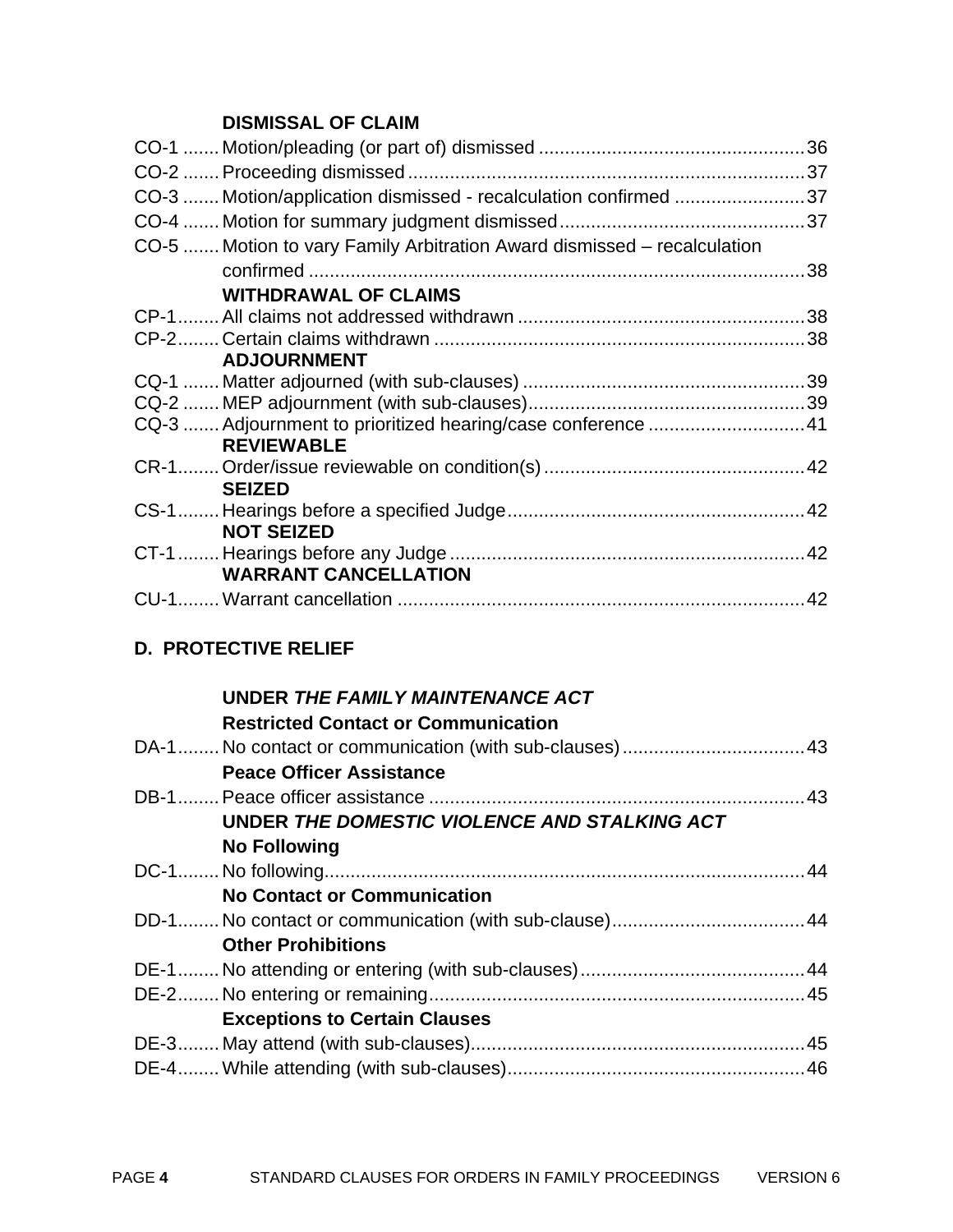# **DISMISSAL OF CLAIM**

| CO-3  Motion/application dismissed - recalculation confirmed 37         |  |
|-------------------------------------------------------------------------|--|
|                                                                         |  |
| CO-5  Motion to vary Family Arbitration Award dismissed – recalculation |  |
|                                                                         |  |
| <b>WITHDRAWAL OF CLAIMS</b>                                             |  |
|                                                                         |  |
|                                                                         |  |
| <b>ADJOURNMENT</b>                                                      |  |
|                                                                         |  |
|                                                                         |  |
|                                                                         |  |
| <b>REVIEWABLE</b>                                                       |  |
|                                                                         |  |
| <b>SEIZED</b>                                                           |  |
|                                                                         |  |
| <b>NOT SEIZED</b>                                                       |  |
|                                                                         |  |
| <b>WARRANT CANCELLATION</b>                                             |  |
|                                                                         |  |

# **D. PROTECTIVE RELIEF**

| UNDER THE FAMILY MAINTENANCE ACT             |  |
|----------------------------------------------|--|
| <b>Restricted Contact or Communication</b>   |  |
|                                              |  |
| <b>Peace Officer Assistance</b>              |  |
|                                              |  |
| UNDER THE DOMESTIC VIOLENCE AND STALKING ACT |  |
| <b>No Following</b>                          |  |
|                                              |  |
| <b>No Contact or Communication</b>           |  |
|                                              |  |
| <b>Other Prohibitions</b>                    |  |
|                                              |  |
|                                              |  |
| <b>Exceptions to Certain Clauses</b>         |  |
|                                              |  |
|                                              |  |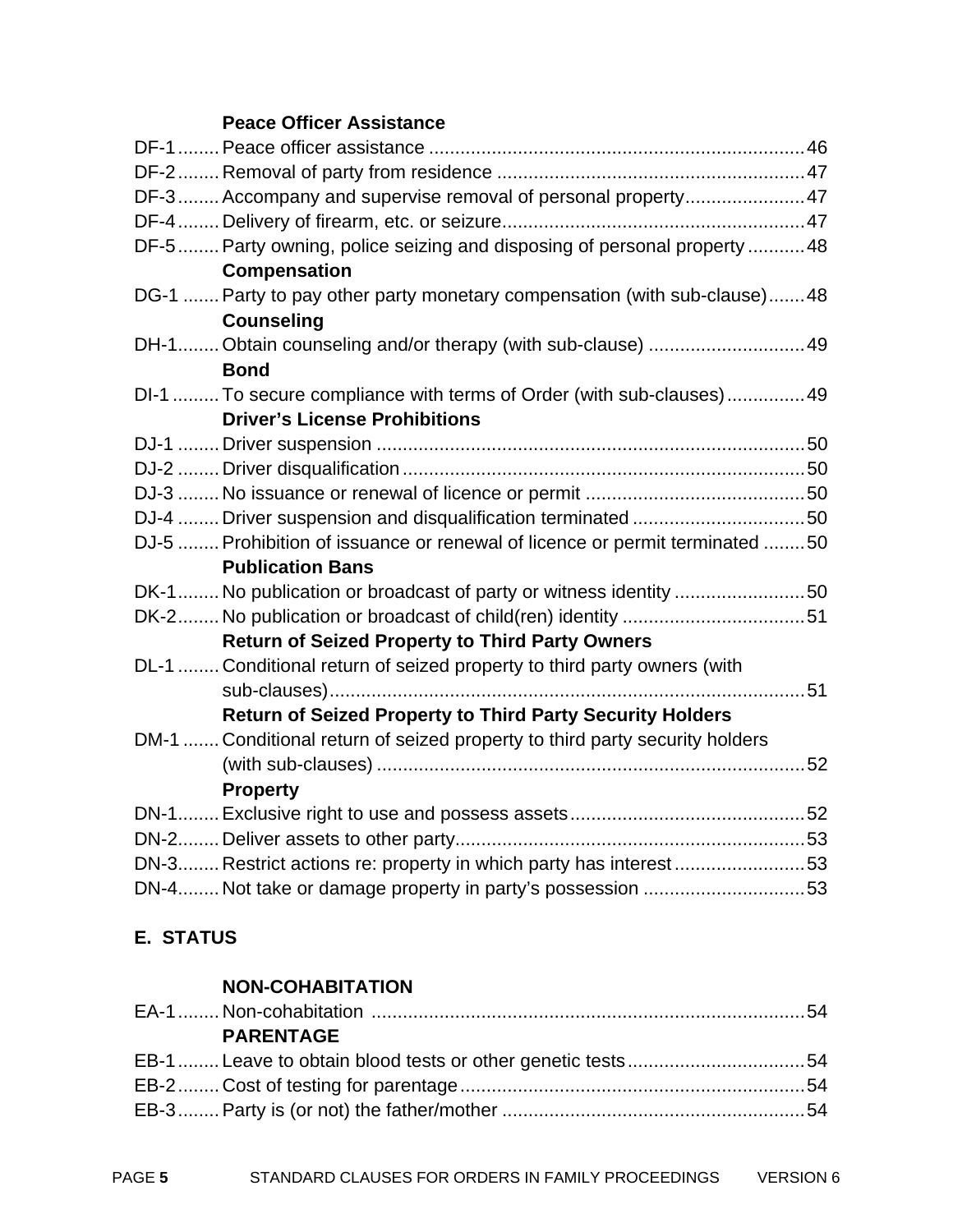#### **Peace Officer Assistance**

| DF-3 Accompany and supervise removal of personal property47                 |
|-----------------------------------------------------------------------------|
|                                                                             |
| DF-5  Party owning, police seizing and disposing of personal property  48   |
| <b>Compensation</b>                                                         |
| DG-1  Party to pay other party monetary compensation (with sub-clause)48    |
| <b>Counseling</b>                                                           |
| DH-1Obtain counseling and/or therapy (with sub-clause) 49                   |
| <b>Bond</b>                                                                 |
| DI-1  To secure compliance with terms of Order (with sub-clauses) 49        |
| <b>Driver's License Prohibitions</b>                                        |
|                                                                             |
|                                                                             |
|                                                                             |
| DJ-4  Driver suspension and disqualification terminated 50                  |
| DJ-5  Prohibition of issuance or renewal of licence or permit terminated 50 |
| <b>Publication Bans</b>                                                     |
| DK-1 No publication or broadcast of party or witness identity 50            |
|                                                                             |
| <b>Return of Seized Property to Third Party Owners</b>                      |
| DL-1  Conditional return of seized property to third party owners (with     |
|                                                                             |
| <b>Return of Seized Property to Third Party Security Holders</b>            |
| DM-1  Conditional return of seized property to third party security holders |
|                                                                             |
| <b>Property</b>                                                             |
|                                                                             |
|                                                                             |
| DN-3 Restrict actions re: property in which party has interest53            |
| DN-4 Not take or damage property in party's possession 53                   |

# **E. STATUS**

### **NON-COHABITATION**

| <b>PARENTAGE</b> |  |
|------------------|--|
|                  |  |
|                  |  |
|                  |  |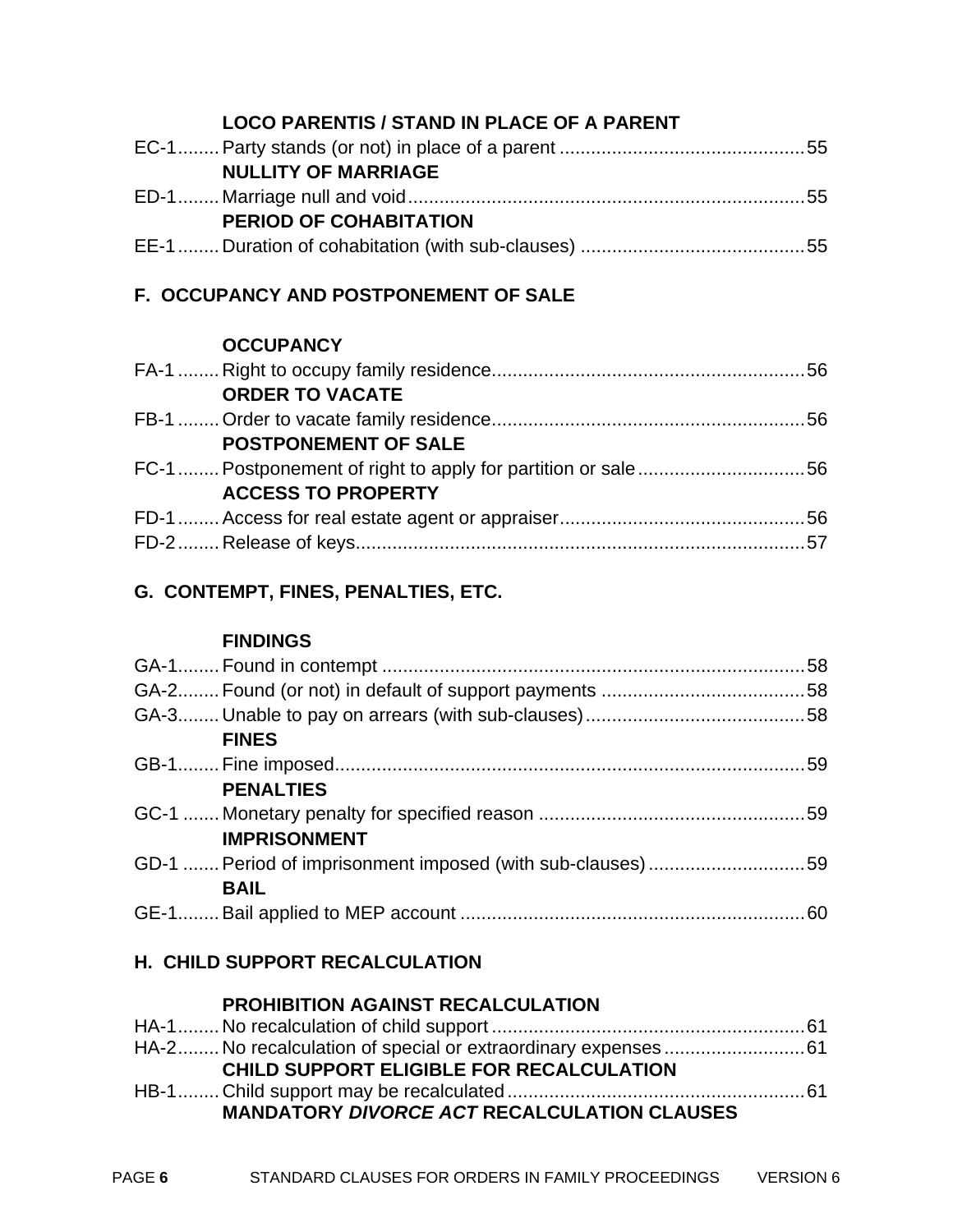#### **LOCO PARENTIS / STAND IN PLACE OF A PARENT**

| <b>NULLITY OF MARRIAGE</b>    |  |
|-------------------------------|--|
|                               |  |
| <b>PERIOD OF COHABITATION</b> |  |
|                               |  |

## **F. OCCUPANCY AND POSTPONEMENT OF SALE**

#### **OCCUPANCY**

| <b>ORDER TO VACATE</b>      |  |
|-----------------------------|--|
|                             |  |
| <b>POSTPONEMENT OF SALE</b> |  |
|                             |  |
| <b>ACCESS TO PROPERTY</b>   |  |
|                             |  |
|                             |  |

## **G. CONTEMPT, FINES, PENALTIES, ETC.**

#### **FINDINGS**

| <b>FINES</b>                                               |  |
|------------------------------------------------------------|--|
|                                                            |  |
| <b>PENALTIES</b>                                           |  |
|                                                            |  |
| <b>IMPRISONMENT</b>                                        |  |
| GD-1  Period of imprisonment imposed (with sub-clauses) 59 |  |
| <b>BAIL</b>                                                |  |
|                                                            |  |

## **H. CHILD SUPPORT RECALCULATION**

#### **PROHIBITION AGAINST RECALCULATION**

| <b>CHILD SUPPORT ELIGIBLE FOR RECALCULATION</b>    |  |
|----------------------------------------------------|--|
|                                                    |  |
| <b>MANDATORY DIVORCE ACT RECALCULATION CLAUSES</b> |  |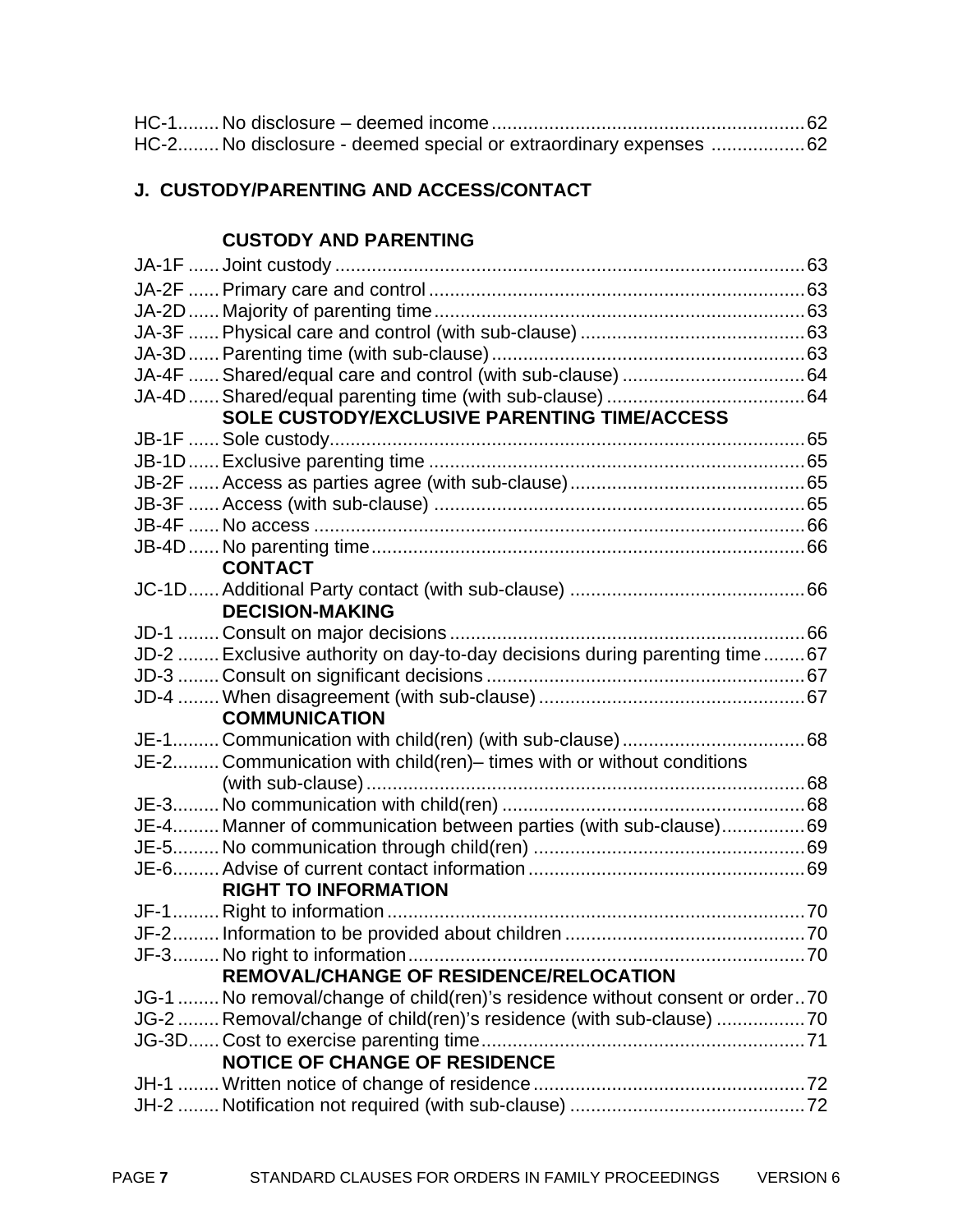| HC-2 No disclosure - deemed special or extraordinary expenses 62 |  |
|------------------------------------------------------------------|--|

# **J. CUSTODY/PARENTING AND ACCESS/CONTACT**

# **CUSTODY AND PARENTING**

| SOLE CUSTODY/EXCLUSIVE PARENTING TIME/ACCESS                                 |  |
|------------------------------------------------------------------------------|--|
|                                                                              |  |
|                                                                              |  |
|                                                                              |  |
|                                                                              |  |
|                                                                              |  |
|                                                                              |  |
| <b>CONTACT</b>                                                               |  |
|                                                                              |  |
| <b>DECISION-MAKING</b>                                                       |  |
|                                                                              |  |
| JD-2  Exclusive authority on day-to-day decisions during parenting time 67   |  |
|                                                                              |  |
|                                                                              |  |
| <b>COMMUNICATION</b>                                                         |  |
|                                                                              |  |
| JE-2 Communication with child(ren)- times with or without conditions         |  |
|                                                                              |  |
|                                                                              |  |
| JE-4 Manner of communication between parties (with sub-clause)69             |  |
|                                                                              |  |
|                                                                              |  |
| <b>RIGHT TO INFORMATION</b>                                                  |  |
|                                                                              |  |
|                                                                              |  |
|                                                                              |  |
| REMOVAL/CHANGE OF RESIDENCE/RELOCATION                                       |  |
| JG-1  No removal/change of child(ren)'s residence without consent or order70 |  |
| JG-2  Removal/change of child(ren)'s residence (with sub-clause) 70          |  |
|                                                                              |  |
|                                                                              |  |
| <b>NOTICE OF CHANGE OF RESIDENCE</b>                                         |  |
|                                                                              |  |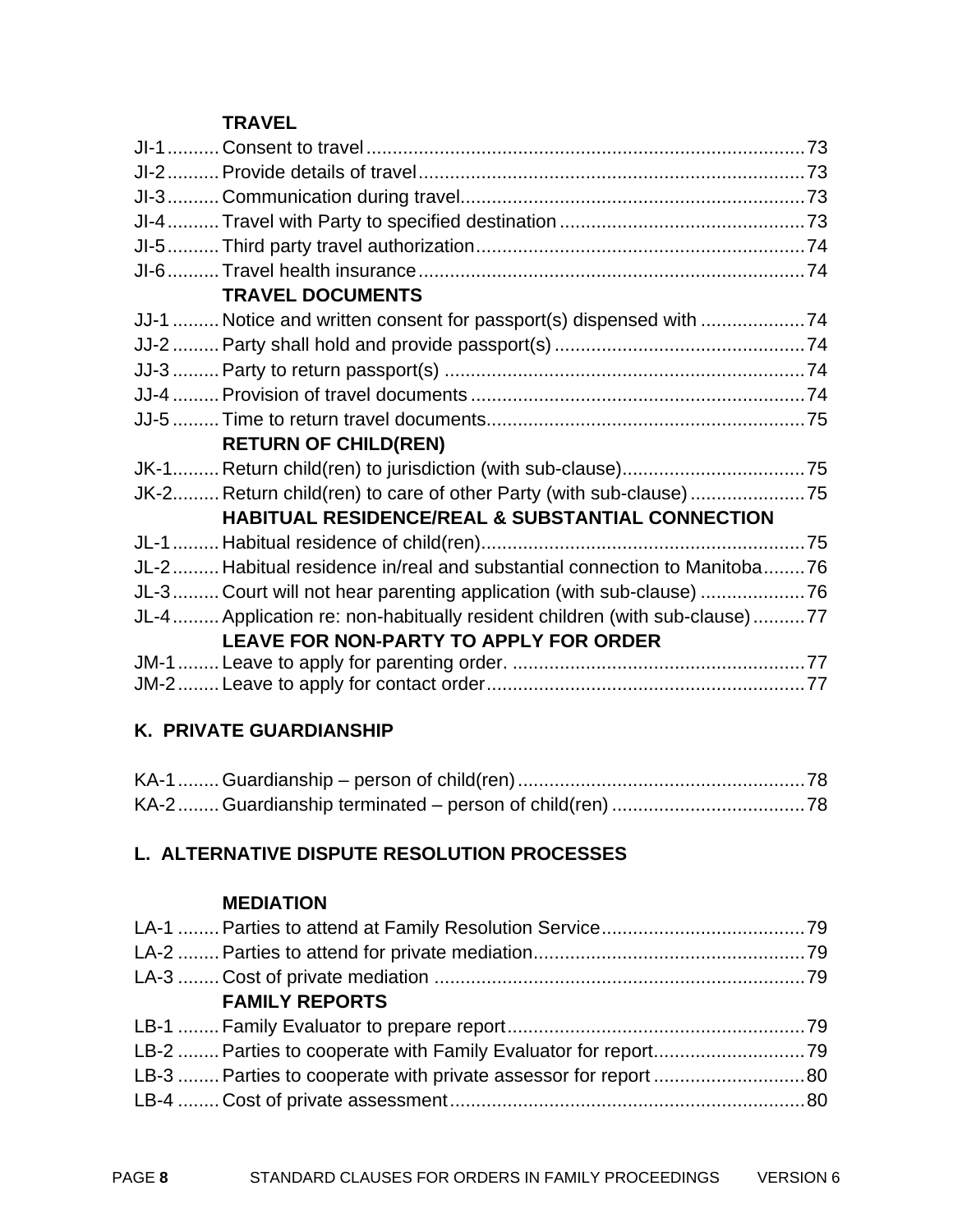#### **TRAVEL**

| <b>TRAVEL DOCUMENTS</b>                                                   |  |
|---------------------------------------------------------------------------|--|
| JJ-1  Notice and written consent for passport(s) dispensed with 74        |  |
|                                                                           |  |
|                                                                           |  |
|                                                                           |  |
|                                                                           |  |
| <b>RETURN OF CHILD(REN)</b>                                               |  |
|                                                                           |  |
| JK-2 Return child(ren) to care of other Party (with sub-clause)75         |  |
| <b>HABITUAL RESIDENCE/REAL &amp; SUBSTANTIAL CONNECTION</b>               |  |
|                                                                           |  |
| JL-2 Habitual residence in/real and substantial connection to Manitoba76  |  |
| JL-3Court will not hear parenting application (with sub-clause) 76        |  |
| JL-4 Application re: non-habitually resident children (with sub-clause)77 |  |
| LEAVE FOR NON-PARTY TO APPLY FOR ORDER                                    |  |
|                                                                           |  |
|                                                                           |  |

#### **K. PRIVATE GUARDIANSHIP**

## **L. ALTERNATIVE DISPUTE RESOLUTION PROCESSES**

#### **MEDIATION**

| <b>FAMILY REPORTS</b> |  |
|-----------------------|--|
|                       |  |
|                       |  |
|                       |  |
|                       |  |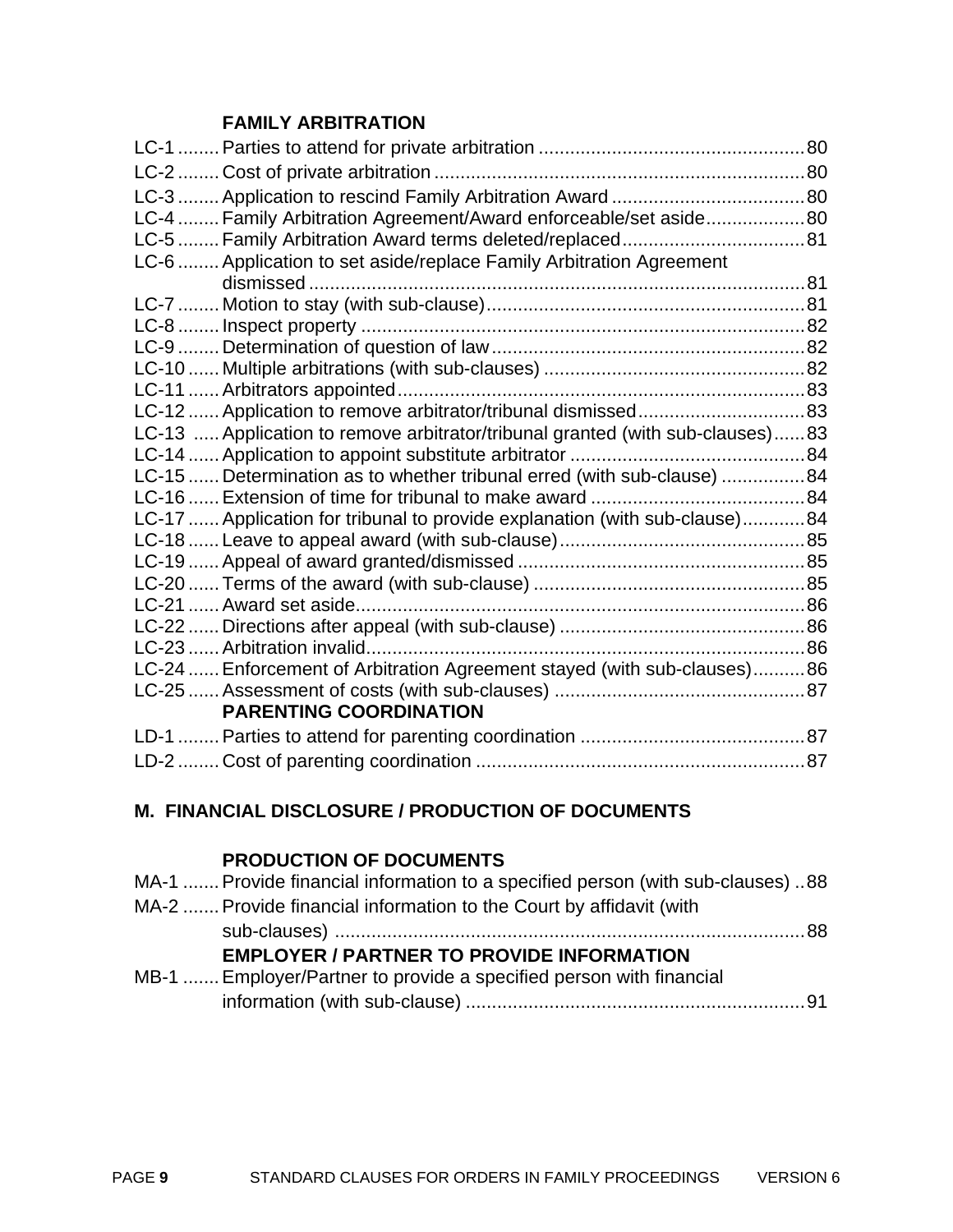### **FAMILY ARBITRATION**

| LC-4  Family Arbitration Agreement/Award enforceable/set aside80              |  |
|-------------------------------------------------------------------------------|--|
|                                                                               |  |
| LC-6  Application to set aside/replace Family Arbitration Agreement           |  |
|                                                                               |  |
|                                                                               |  |
|                                                                               |  |
|                                                                               |  |
|                                                                               |  |
|                                                                               |  |
| LC-12  Application to remove arbitrator/tribunal dismissed83                  |  |
| LC-13  Application to remove arbitrator/tribunal granted (with sub-clauses)83 |  |
|                                                                               |  |
| LC-15  Determination as to whether tribunal erred (with sub-clause) 84        |  |
|                                                                               |  |
| LC-17  Application for tribunal to provide explanation (with sub-clause)84    |  |
|                                                                               |  |
|                                                                               |  |
|                                                                               |  |
|                                                                               |  |
|                                                                               |  |
|                                                                               |  |
| LC-24  Enforcement of Arbitration Agreement stayed (with sub-clauses)86       |  |
|                                                                               |  |
| <b>PARENTING COORDINATION</b>                                                 |  |
|                                                                               |  |
|                                                                               |  |

#### **M. FINANCIAL DISCLOSURE / PRODUCTION OF DOCUMENTS**

## **PRODUCTION OF DOCUMENTS**

| MA-1  Provide financial information to a specified person (with sub-clauses) 88 |
|---------------------------------------------------------------------------------|
| MA-2  Provide financial information to the Court by affidavit (with             |
|                                                                                 |
| <b>EMPLOYER / PARTNER TO PROVIDE INFORMATION</b>                                |
| MB-1  Employer/Partner to provide a specified person with financial             |
|                                                                                 |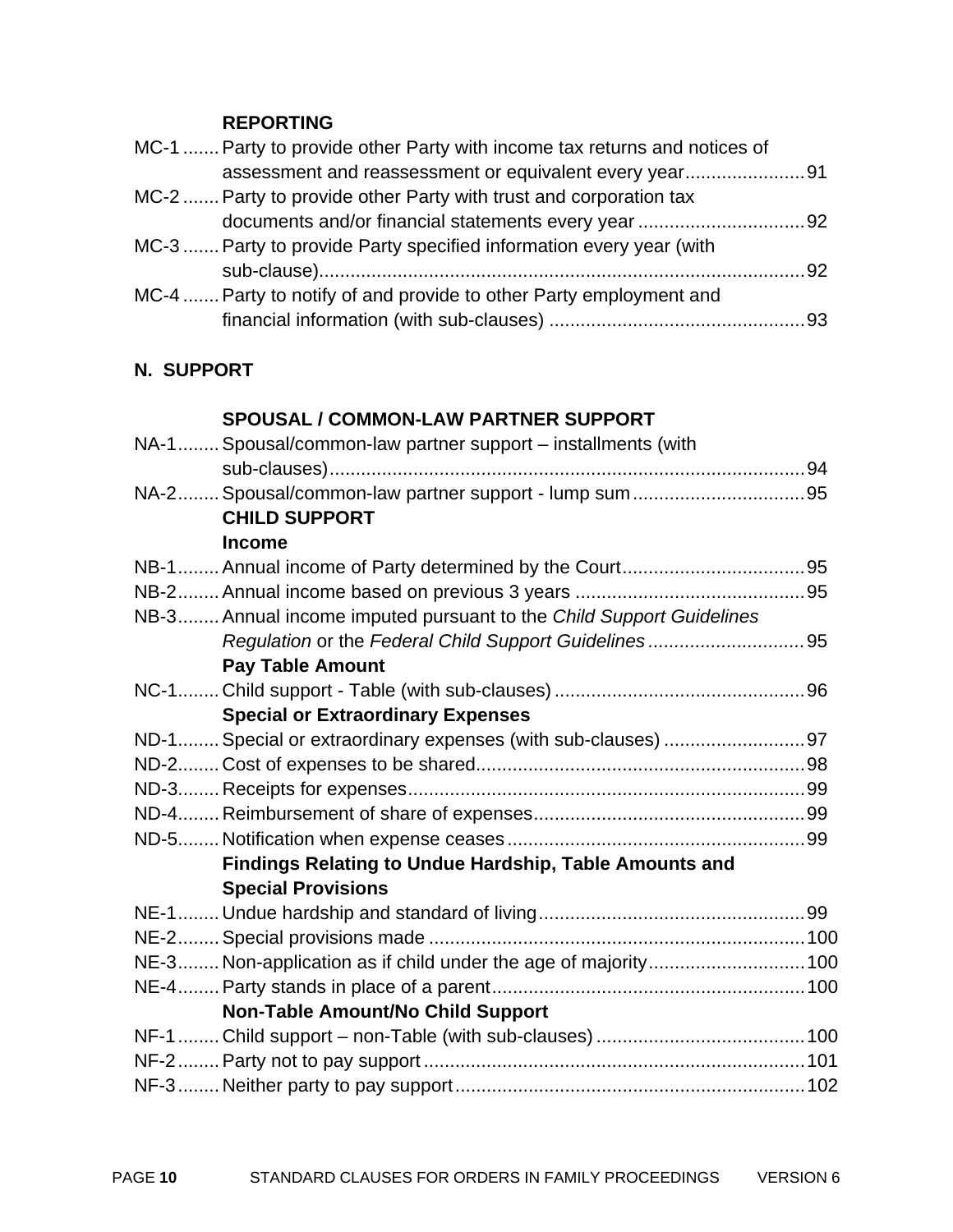#### **REPORTING**

| assessment and reassessment or equivalent every year91 |
|--------------------------------------------------------|
|                                                        |
|                                                        |
|                                                        |
|                                                        |
|                                                        |
|                                                        |
|                                                        |

# **N. SUPPORT**

#### **SPOUSAL / COMMON-LAW PARTNER SUPPORT**

| NA-1 Spousal/common-law partner support – installments (with        |  |
|---------------------------------------------------------------------|--|
|                                                                     |  |
|                                                                     |  |
| <b>CHILD SUPPORT</b>                                                |  |
| <b>Income</b>                                                       |  |
|                                                                     |  |
|                                                                     |  |
| NB-3 Annual income imputed pursuant to the Child Support Guidelines |  |
|                                                                     |  |
| <b>Pay Table Amount</b>                                             |  |
|                                                                     |  |
| <b>Special or Extraordinary Expenses</b>                            |  |
| ND-1 Special or extraordinary expenses (with sub-clauses)  97       |  |
|                                                                     |  |
|                                                                     |  |
|                                                                     |  |
|                                                                     |  |
| Findings Relating to Undue Hardship, Table Amounts and              |  |
| <b>Special Provisions</b>                                           |  |
|                                                                     |  |
|                                                                     |  |
| NE-3 Non-application as if child under the age of majority 100      |  |
|                                                                     |  |
| <b>Non-Table Amount/No Child Support</b>                            |  |
|                                                                     |  |
|                                                                     |  |
|                                                                     |  |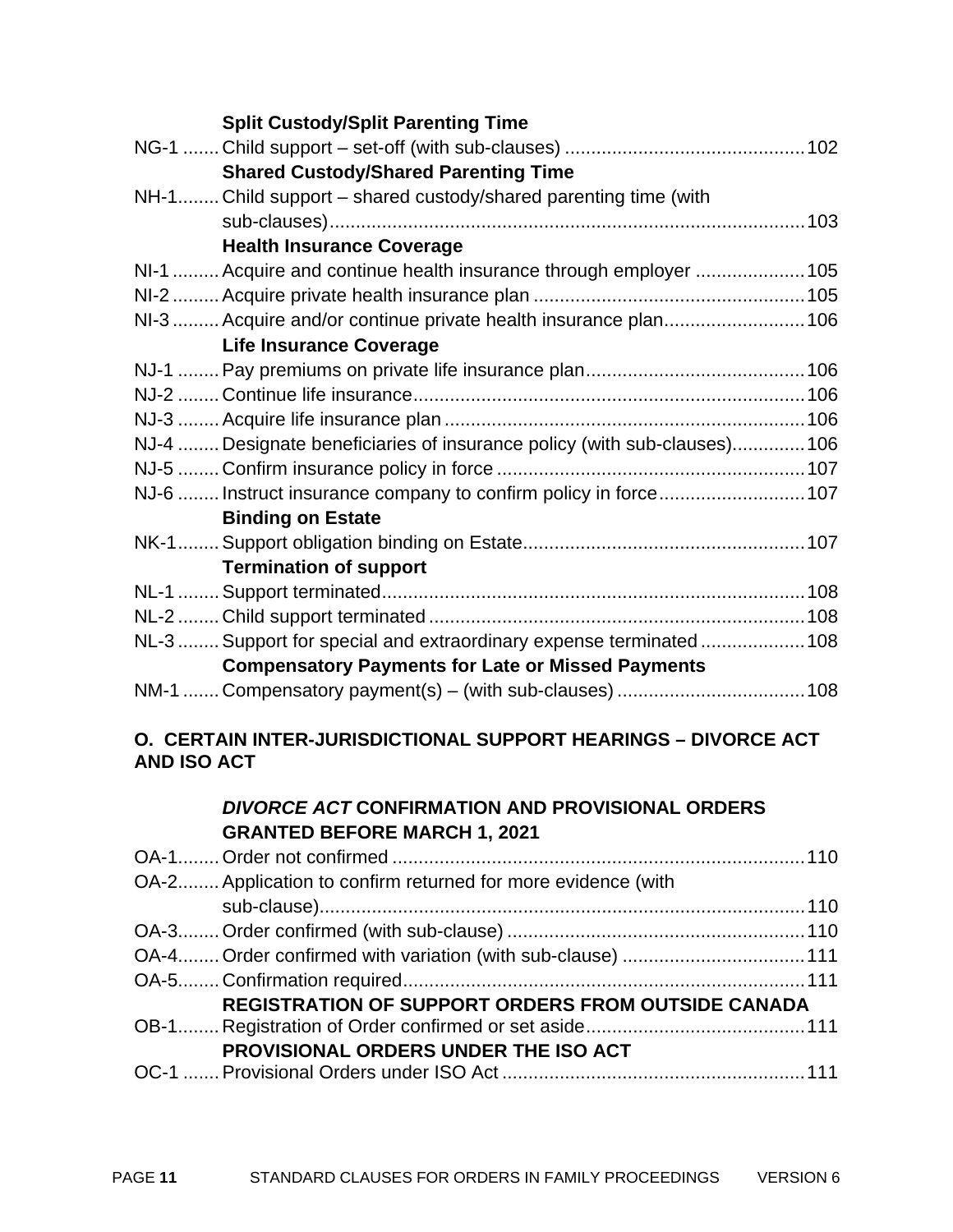| <b>Split Custody/Split Parenting Time</b>                                |  |
|--------------------------------------------------------------------------|--|
|                                                                          |  |
| <b>Shared Custody/Shared Parenting Time</b>                              |  |
| NH-1 Child support – shared custody/shared parenting time (with          |  |
|                                                                          |  |
| <b>Health Insurance Coverage</b>                                         |  |
| NI-1  Acquire and continue health insurance through employer  105        |  |
|                                                                          |  |
| NI-3  Acquire and/or continue private health insurance plan 106          |  |
| <b>Life Insurance Coverage</b>                                           |  |
|                                                                          |  |
|                                                                          |  |
|                                                                          |  |
| NJ-4  Designate beneficiaries of insurance policy (with sub-clauses) 106 |  |
|                                                                          |  |
| NJ-6  Instruct insurance company to confirm policy in force 107          |  |
| <b>Binding on Estate</b>                                                 |  |
|                                                                          |  |
| <b>Termination of support</b>                                            |  |
|                                                                          |  |
|                                                                          |  |
| NL-3  Support for special and extraordinary expense terminated  108      |  |
| <b>Compensatory Payments for Late or Missed Payments</b>                 |  |
|                                                                          |  |
|                                                                          |  |

#### **O. CERTAIN INTER-JURISDICTIONAL SUPPORT HEARINGS – DIVORCE ACT AND ISO ACT**

#### *DIVORCE ACT* **CONFIRMATION AND PROVISIONAL ORDERS GRANTED BEFORE MARCH 1, 2021**

| OA-2 Application to confirm returned for more evidence (with |  |
|--------------------------------------------------------------|--|
|                                                              |  |
|                                                              |  |
|                                                              |  |
|                                                              |  |
| <b>REGISTRATION OF SUPPORT ORDERS FROM OUTSIDE CANADA</b>    |  |
|                                                              |  |
| PROVISIONAL ORDERS UNDER THE ISO ACT                         |  |
|                                                              |  |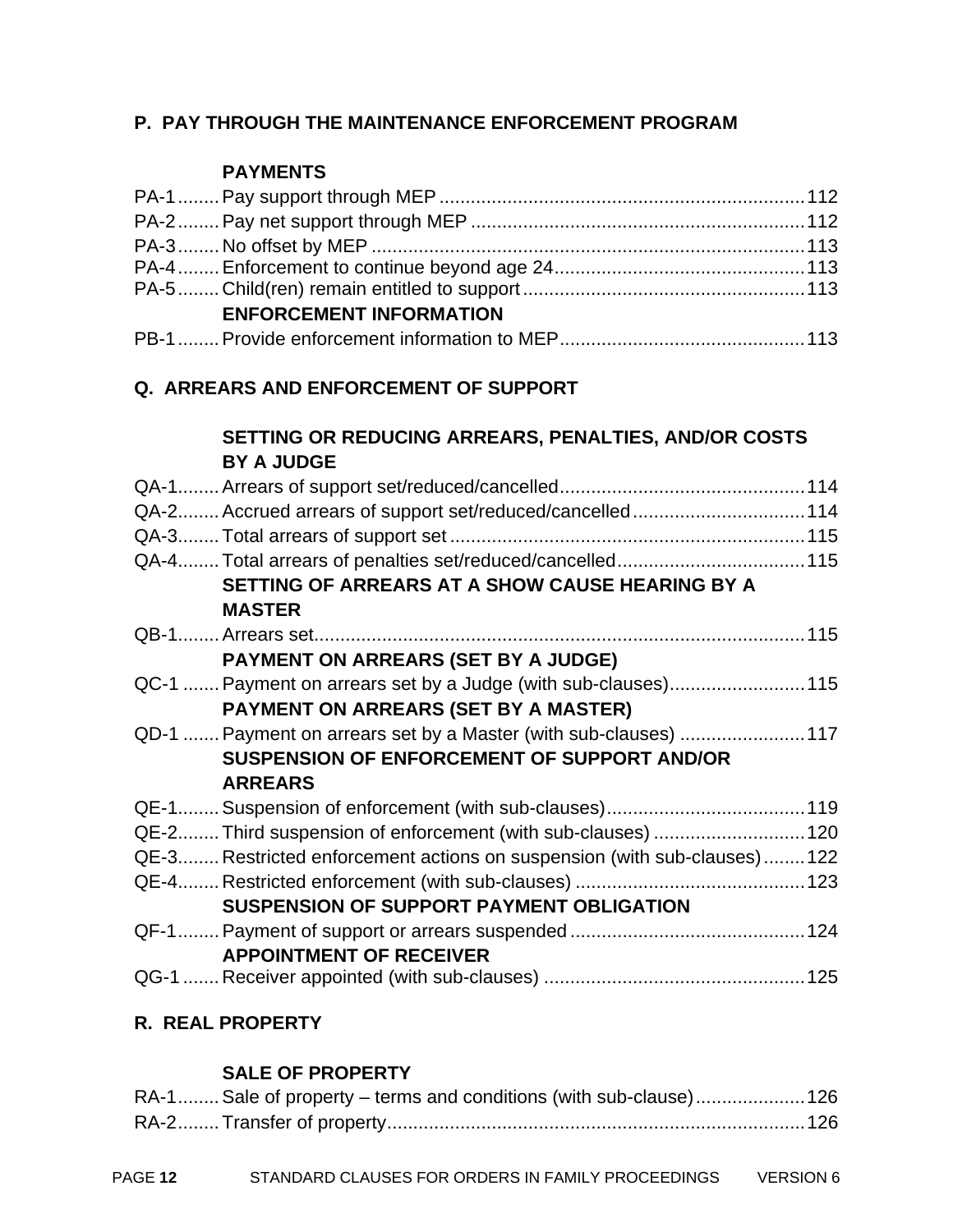#### **P. PAY THROUGH THE MAINTENANCE ENFORCEMENT PROGRAM**

#### **PAYMENTS**

| <b>ENFORCEMENT INFORMATION</b> |  |
|--------------------------------|--|
|                                |  |

#### **Q. ARREARS AND ENFORCEMENT OF SUPPORT**

#### **SETTING OR REDUCING ARREARS, PENALTIES, AND/OR COSTS BY A JUDGE**

|                      | QA-2 Accrued arrears of support set/reduced/cancelled114                 |  |
|----------------------|--------------------------------------------------------------------------|--|
|                      |                                                                          |  |
|                      |                                                                          |  |
|                      | SETTING OF ARREARS AT A SHOW CAUSE HEARING BY A                          |  |
|                      | <b>MASTER</b>                                                            |  |
|                      |                                                                          |  |
|                      | PAYMENT ON ARREARS (SET BY A JUDGE)                                      |  |
|                      | QC-1  Payment on arrears set by a Judge (with sub-clauses)115            |  |
|                      | PAYMENT ON ARREARS (SET BY A MASTER)                                     |  |
|                      | QD-1  Payment on arrears set by a Master (with sub-clauses)  117         |  |
|                      | <b>SUSPENSION OF ENFORCEMENT OF SUPPORT AND/OR</b>                       |  |
|                      | <b>ARREARS</b>                                                           |  |
|                      |                                                                          |  |
|                      | QE-2 Third suspension of enforcement (with sub-clauses)  120             |  |
|                      | QE-3 Restricted enforcement actions on suspension (with sub-clauses) 122 |  |
|                      |                                                                          |  |
|                      | SUSPENSION OF SUPPORT PAYMENT OBLIGATION                                 |  |
|                      |                                                                          |  |
|                      | <b>APPOINTMENT OF RECEIVER</b>                                           |  |
| $\sim$ $\sim$ $\sim$ |                                                                          |  |

# QG-1 ....... Receiver appointed (with sub-clauses) .................................................. 125

## **R. REAL PROPERTY**

#### **SALE OF PROPERTY**

| RA-1 Sale of property – terms and conditions (with sub-clause) 126 |  |
|--------------------------------------------------------------------|--|
|                                                                    |  |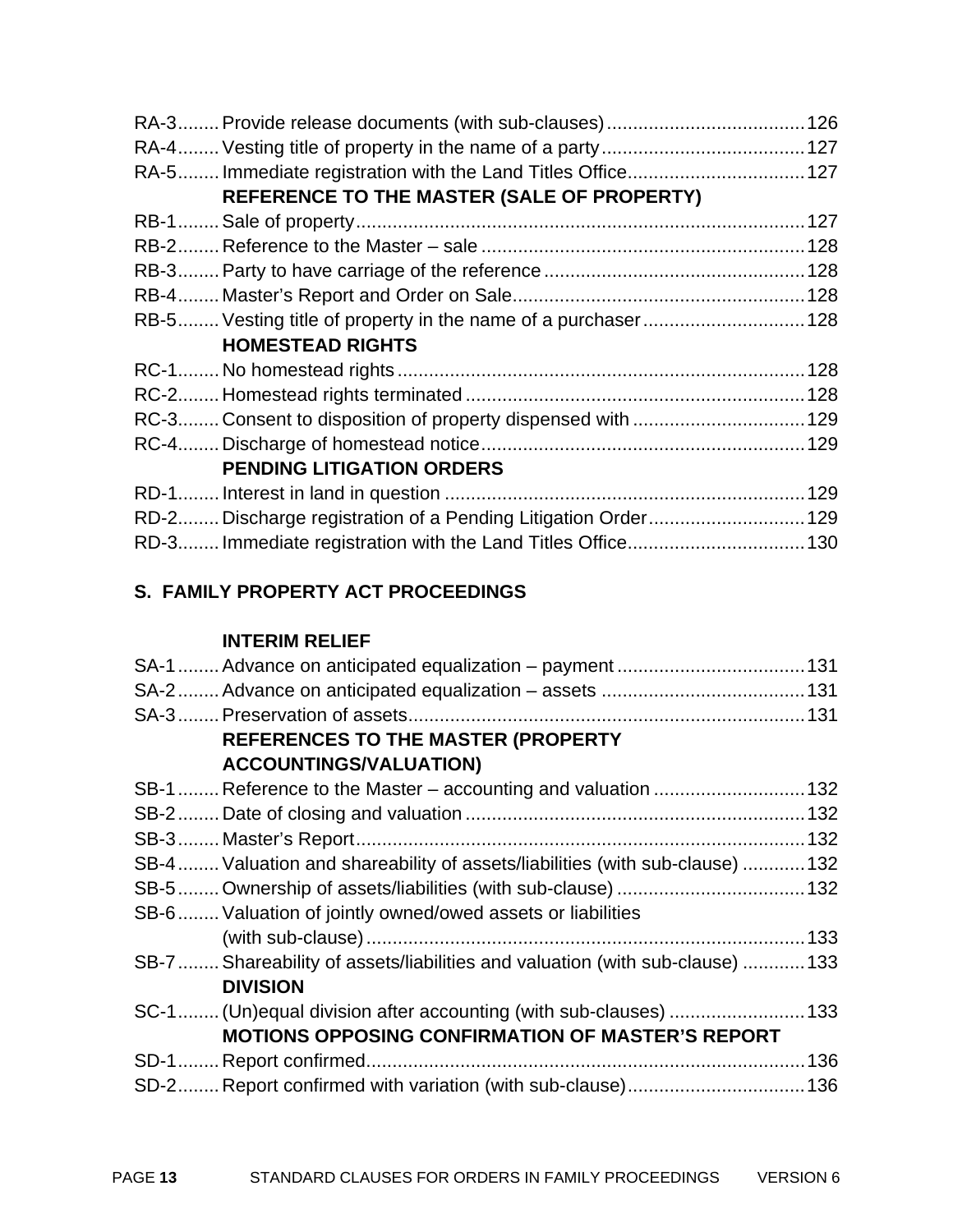| REFERENCE TO THE MASTER (SALE OF PROPERTY)                    |  |
|---------------------------------------------------------------|--|
|                                                               |  |
|                                                               |  |
|                                                               |  |
|                                                               |  |
| RB-5 Vesting title of property in the name of a purchaser 128 |  |
| <b>HOMESTEAD RIGHTS</b>                                       |  |
|                                                               |  |
|                                                               |  |
| RC-3 Consent to disposition of property dispensed with  129   |  |
|                                                               |  |
| <b>PENDING LITIGATION ORDERS</b>                              |  |
|                                                               |  |
| RD-2 Discharge registration of a Pending Litigation Order 129 |  |
|                                                               |  |

# **S. FAMILY PROPERTY ACT PROCEEDINGS**

### **INTERIM RELIEF**

| REFERENCES TO THE MASTER (PROPERTY                                            |
|-------------------------------------------------------------------------------|
| <b>ACCOUNTINGS/VALUATION)</b>                                                 |
| SB-1  Reference to the Master – accounting and valuation  132                 |
|                                                                               |
|                                                                               |
| SB-4 Valuation and shareability of assets/liabilities (with sub-clause)  132  |
|                                                                               |
| SB-6 Valuation of jointly owned/owed assets or liabilities                    |
|                                                                               |
| SB-7  Shareability of assets/liabilities and valuation (with sub-clause)  133 |
| <b>DIVISION</b>                                                               |
| SC-1 (Un)equal division after accounting (with sub-clauses)  133              |
| <b>MOTIONS OPPOSING CONFIRMATION OF MASTER'S REPORT</b>                       |
|                                                                               |
|                                                                               |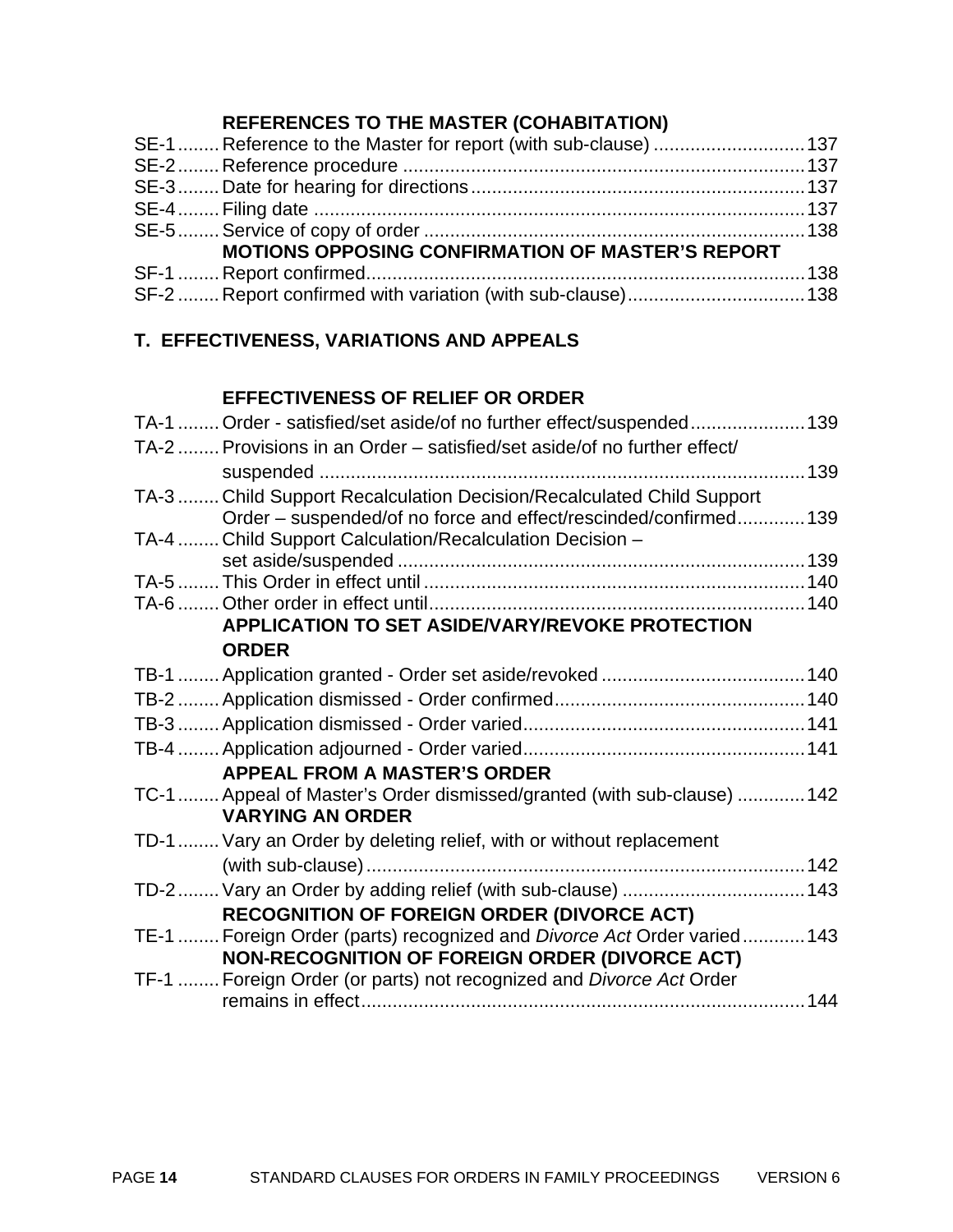# **REFERENCES TO THE MASTER (COHABITATION)**

|                                                         | SE-1  Reference to the Master for report (with sub-clause)  137 |  |  |
|---------------------------------------------------------|-----------------------------------------------------------------|--|--|
|                                                         |                                                                 |  |  |
|                                                         |                                                                 |  |  |
|                                                         |                                                                 |  |  |
|                                                         |                                                                 |  |  |
| <b>MOTIONS OPPOSING CONFIRMATION OF MASTER'S REPORT</b> |                                                                 |  |  |
|                                                         |                                                                 |  |  |
|                                                         |                                                                 |  |  |

# **T. EFFECTIVENESS, VARIATIONS AND APPEALS**

# **EFFECTIVENESS OF RELIEF OR ORDER**

| TA-1  Order - satisfied/set aside/of no further effect/suspended139      |  |
|--------------------------------------------------------------------------|--|
| TA-2  Provisions in an Order – satisfied/set aside/of no further effect/ |  |
|                                                                          |  |
| TA-3  Child Support Recalculation Decision/Recalculated Child Support    |  |
| Order – suspended/of no force and effect/rescinded/confirmed 139         |  |
| TA-4  Child Support Calculation/Recalculation Decision -                 |  |
|                                                                          |  |
|                                                                          |  |
|                                                                          |  |
| APPLICATION TO SET ASIDE/VARY/REVOKE PROTECTION                          |  |
| <b>ORDER</b>                                                             |  |
|                                                                          |  |
|                                                                          |  |
|                                                                          |  |
|                                                                          |  |
| <b>APPEAL FROM A MASTER'S ORDER</b>                                      |  |
| TC-1  Appeal of Master's Order dismissed/granted (with sub-clause)  142  |  |
| <b>VARYING AN ORDER</b>                                                  |  |
| TD-1  Vary an Order by deleting relief, with or without replacement      |  |
|                                                                          |  |
| TD-2  Vary an Order by adding relief (with sub-clause) 143               |  |
| <b>RECOGNITION OF FOREIGN ORDER (DIVORCE ACT)</b>                        |  |
| TE-1  Foreign Order (parts) recognized and Divorce Act Order varied  143 |  |
| NON-RECOGNITION OF FOREIGN ORDER (DIVORCE ACT)                           |  |
| TF-1  Foreign Order (or parts) not recognized and Divorce Act Order      |  |
|                                                                          |  |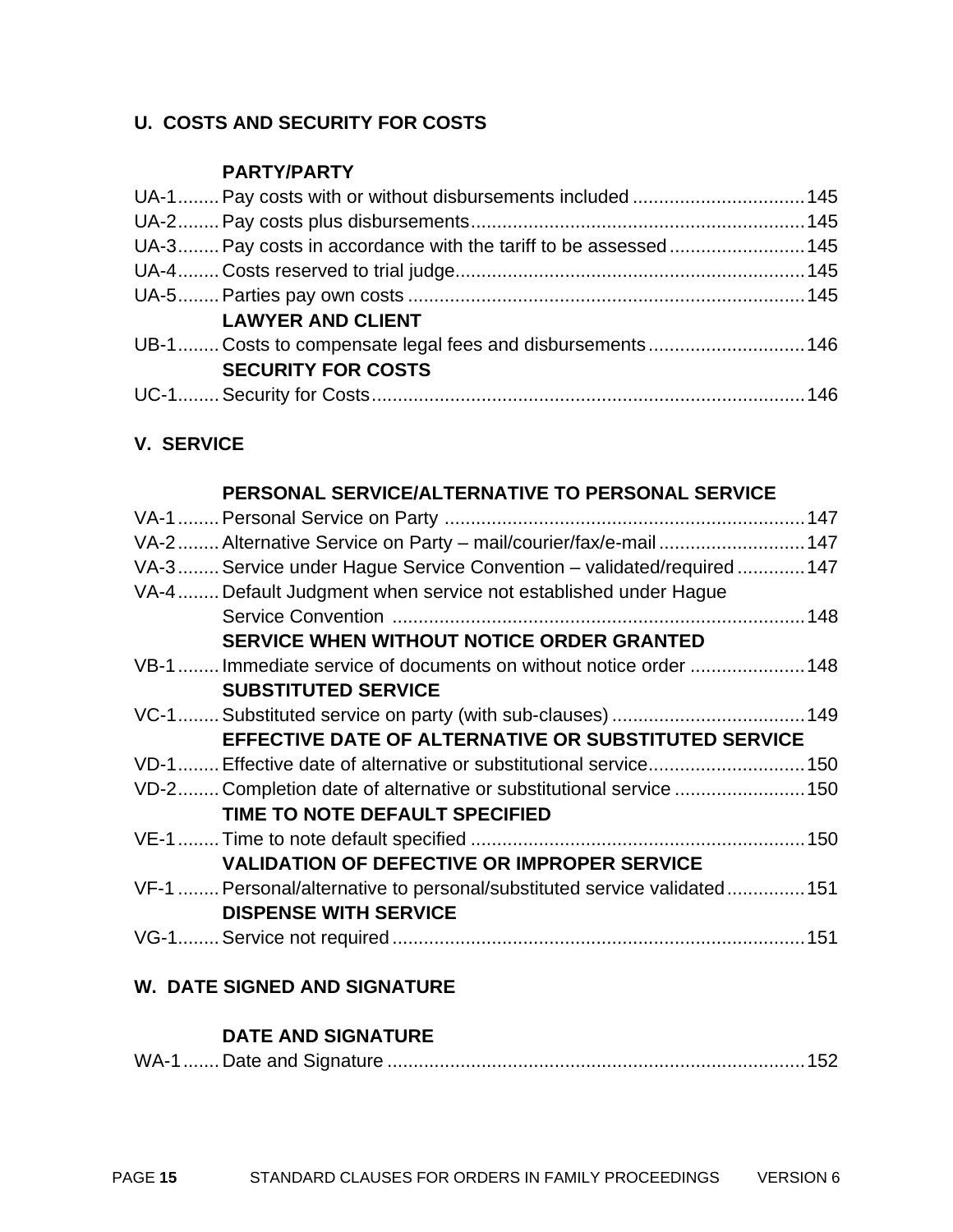## **U. COSTS AND SECURITY FOR COSTS**

#### **PARTY/PARTY**

| <b>LAWYER AND CLIENT</b>  |  |
|---------------------------|--|
|                           |  |
| <b>SECURITY FOR COSTS</b> |  |
|                           |  |

#### **V. SERVICE**

#### **PERSONAL SERVICE/ALTERNATIVE TO PERSONAL SERVICE**

## **W. DATE SIGNED AND SIGNATURE**

#### **DATE AND SIGNATURE**

|--|--|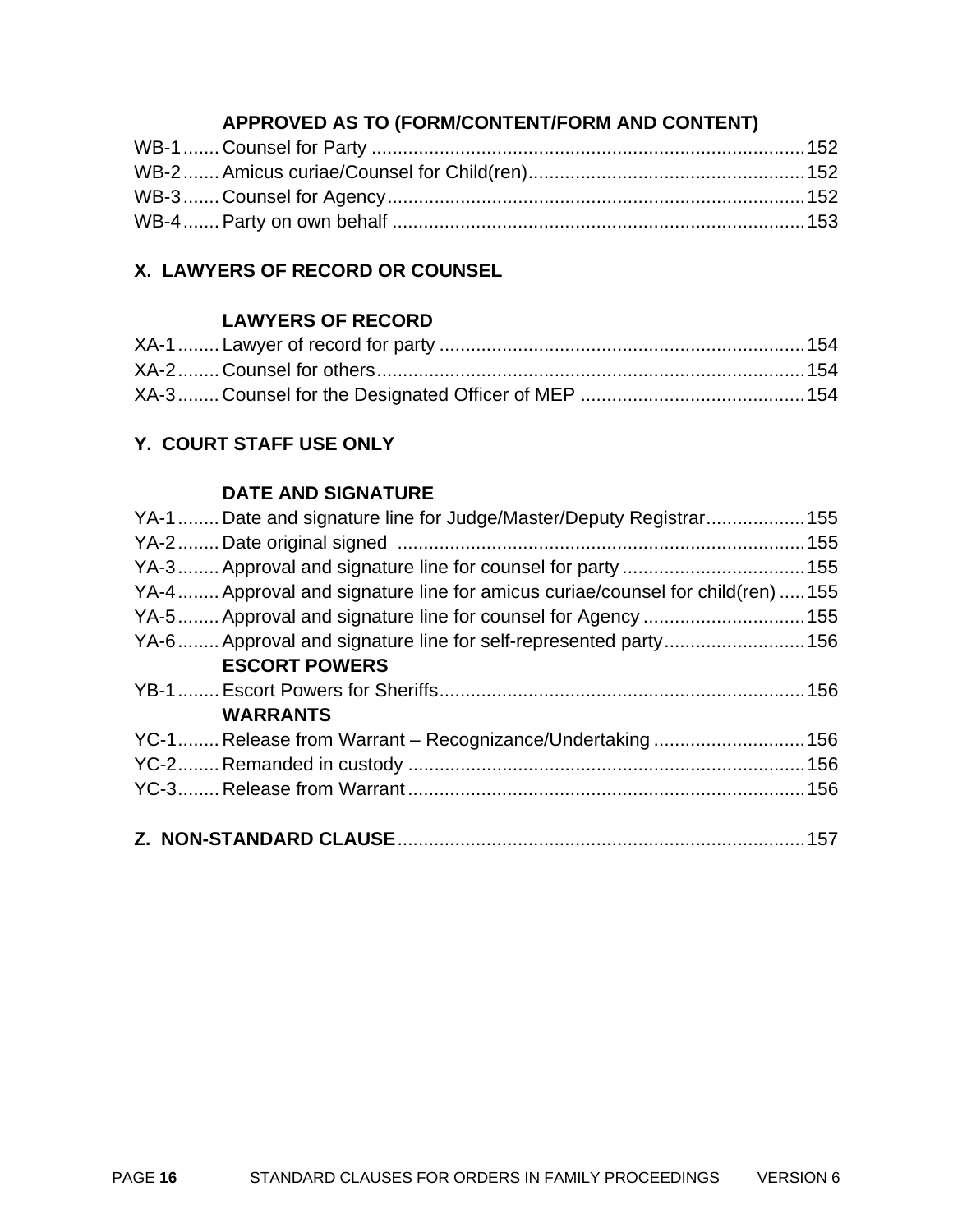# **APPROVED AS TO (FORM/CONTENT/FORM AND CONTENT)**

# **X. LAWYERS OF RECORD OR COUNSEL**

#### **LAWYERS OF RECORD**

# **Y. COURT STAFF USE ONLY**

#### **DATE AND SIGNATURE**

| YA-1 Date and signature line for Judge/Master/Deputy Registrar155              |  |
|--------------------------------------------------------------------------------|--|
|                                                                                |  |
|                                                                                |  |
| YA-4 Approval and signature line for amicus curiae/counsel for child(ren)  155 |  |
|                                                                                |  |
| YA-6  Approval and signature line for self-represented party  156              |  |
| <b>ESCORT POWERS</b>                                                           |  |
|                                                                                |  |
| <b>WARRANTS</b>                                                                |  |
|                                                                                |  |
|                                                                                |  |
|                                                                                |  |
|                                                                                |  |
|                                                                                |  |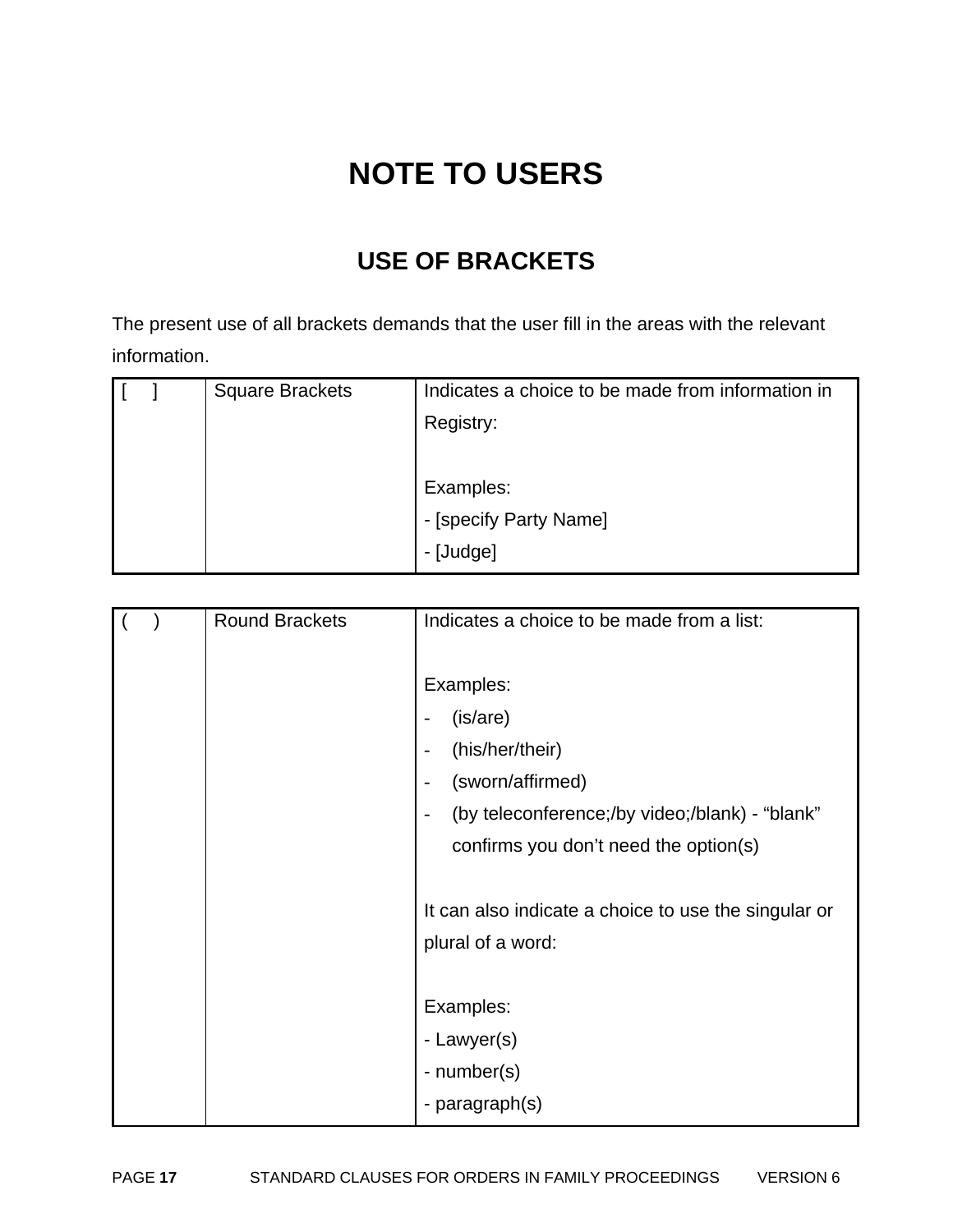# **NOTE TO USERS**

# **USE OF BRACKETS**

The present use of all brackets demands that the user fill in the areas with the relevant information.

|  | <b>Square Brackets</b> | Indicates a choice to be made from information in |
|--|------------------------|---------------------------------------------------|
|  |                        | Registry:                                         |
|  |                        |                                                   |
|  |                        | Examples:                                         |
|  |                        | - [specify Party Name]                            |
|  |                        | - [Judge]                                         |

|  | <b>Round Brackets</b> | Indicates a choice to be made from a list:                                 |
|--|-----------------------|----------------------------------------------------------------------------|
|  |                       |                                                                            |
|  |                       | Examples:                                                                  |
|  |                       | (is/are)                                                                   |
|  |                       | (his/her/their)<br>$\overline{\phantom{a}}$                                |
|  |                       | (sworn/affirmed)<br>$\overline{\phantom{a}}$                               |
|  |                       | (by teleconference;/by video;/blank) - "blank"<br>$\overline{\phantom{a}}$ |
|  |                       | confirms you don't need the option(s)                                      |
|  |                       |                                                                            |
|  |                       | It can also indicate a choice to use the singular or                       |
|  |                       | plural of a word:                                                          |
|  |                       |                                                                            |
|  |                       | Examples:                                                                  |
|  |                       | - Lawyer(s)                                                                |
|  |                       | - number(s)                                                                |
|  |                       | - paragraph(s)                                                             |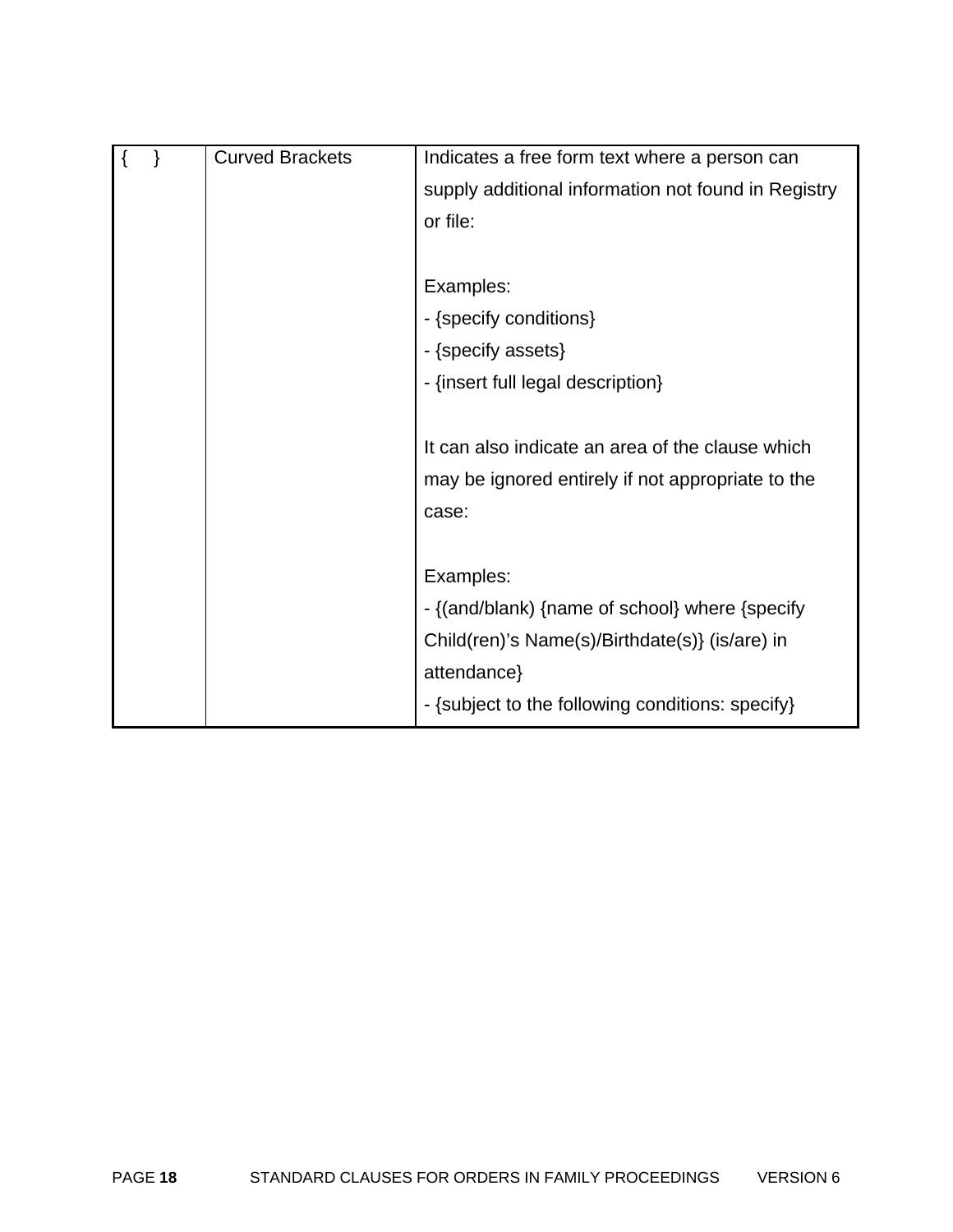|  | <b>Curved Brackets</b> | Indicates a free form text where a person can       |
|--|------------------------|-----------------------------------------------------|
|  |                        | supply additional information not found in Registry |
|  |                        | or file:                                            |
|  |                        |                                                     |
|  |                        | Examples:                                           |
|  |                        | - {specify conditions}                              |
|  |                        | - {specify assets}                                  |
|  |                        | - {insert full legal description}                   |
|  |                        |                                                     |
|  |                        | It can also indicate an area of the clause which    |
|  |                        | may be ignored entirely if not appropriate to the   |
|  |                        | case:                                               |
|  |                        |                                                     |
|  |                        | Examples:                                           |
|  |                        | - {(and/blank) {name of school} where {specify      |
|  |                        | Child(ren)'s Name(s)/Birthdate(s)} (is/are) in      |
|  |                        | attendance}                                         |
|  |                        | - {subject to the following conditions: specify}    |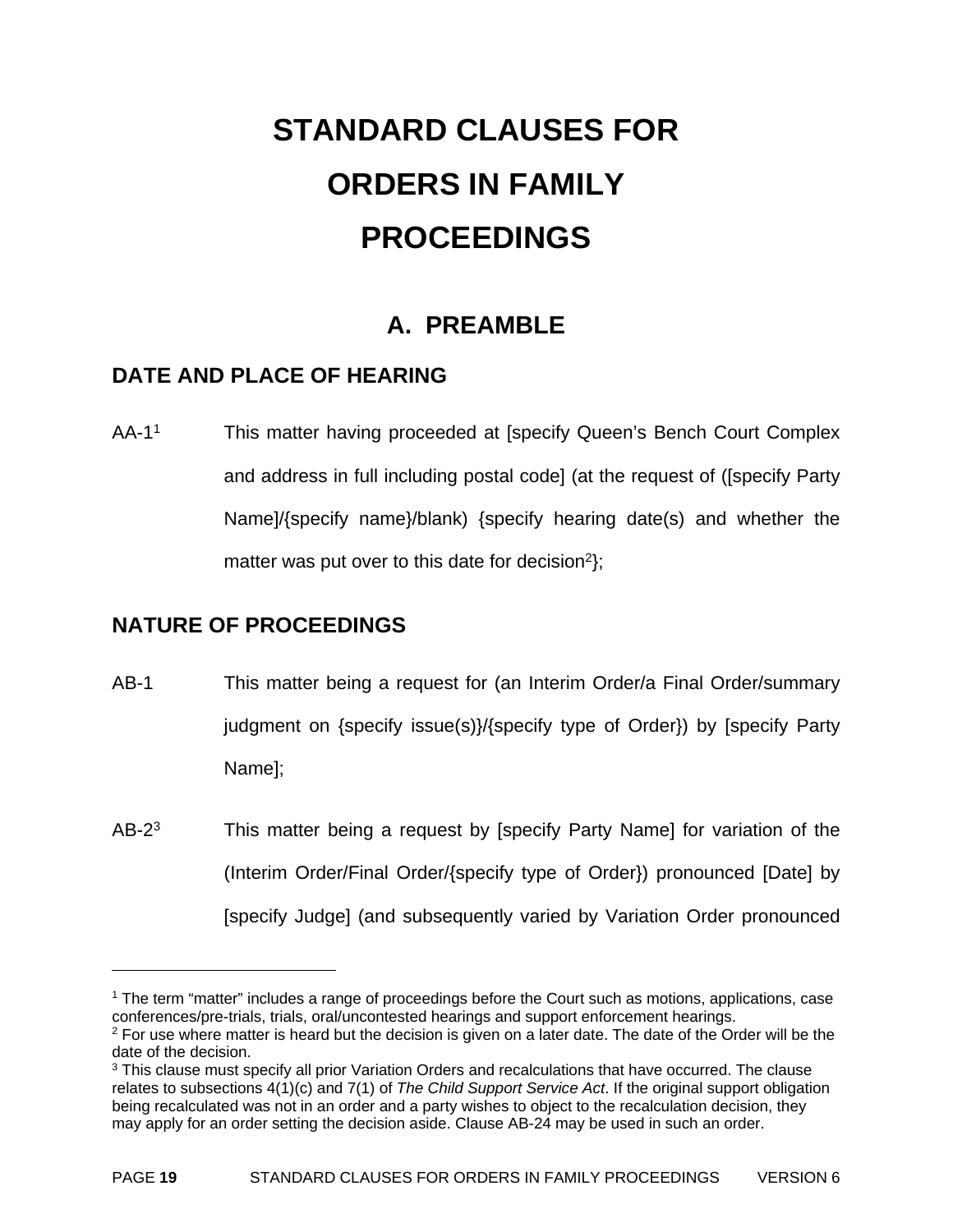# **STANDARD CLAUSES FOR ORDERS IN FAMILY PROCEEDINGS**

# **A. PREAMBLE**

# **DATE AND PLACE OF HEARING**

AA-1<sup>1</sup> This matter having proceeded at [specify Queen's Bench Court Complex and address in full including postal code] (at the request of ([specify Party Name]/{specify name}/blank) {specify hearing date(s) and whether the matter was put over to this date for decision<sup>2</sup>);

# **NATURE OF PROCEEDINGS**

- AB-1 This matter being a request for (an Interim Order/a Final Order/summary judgment on {specify issue(s)}/{specify type of Order}) by [specify Party Name];
- AB-2<sup>3</sup> This matter being a request by [specify Party Name] for variation of the (Interim Order/Final Order/{specify type of Order}) pronounced [Date] by [specify Judge] (and subsequently varied by Variation Order pronounced

1

<sup>1</sup> The term "matter" includes a range of proceedings before the Court such as motions, applications, case conferences/pre-trials, trials, oral/uncontested hearings and support enforcement hearings.

 $2$  For use where matter is heard but the decision is given on a later date. The date of the Order will be the date of the decision.

<sup>&</sup>lt;sup>3</sup> This clause must specify all prior Variation Orders and recalculations that have occurred. The clause relates to subsections 4(1)(c) and 7(1) of *The Child Support Service Act*. If the original support obligation being recalculated was not in an order and a party wishes to object to the recalculation decision, they may apply for an order setting the decision aside. Clause AB-24 may be used in such an order.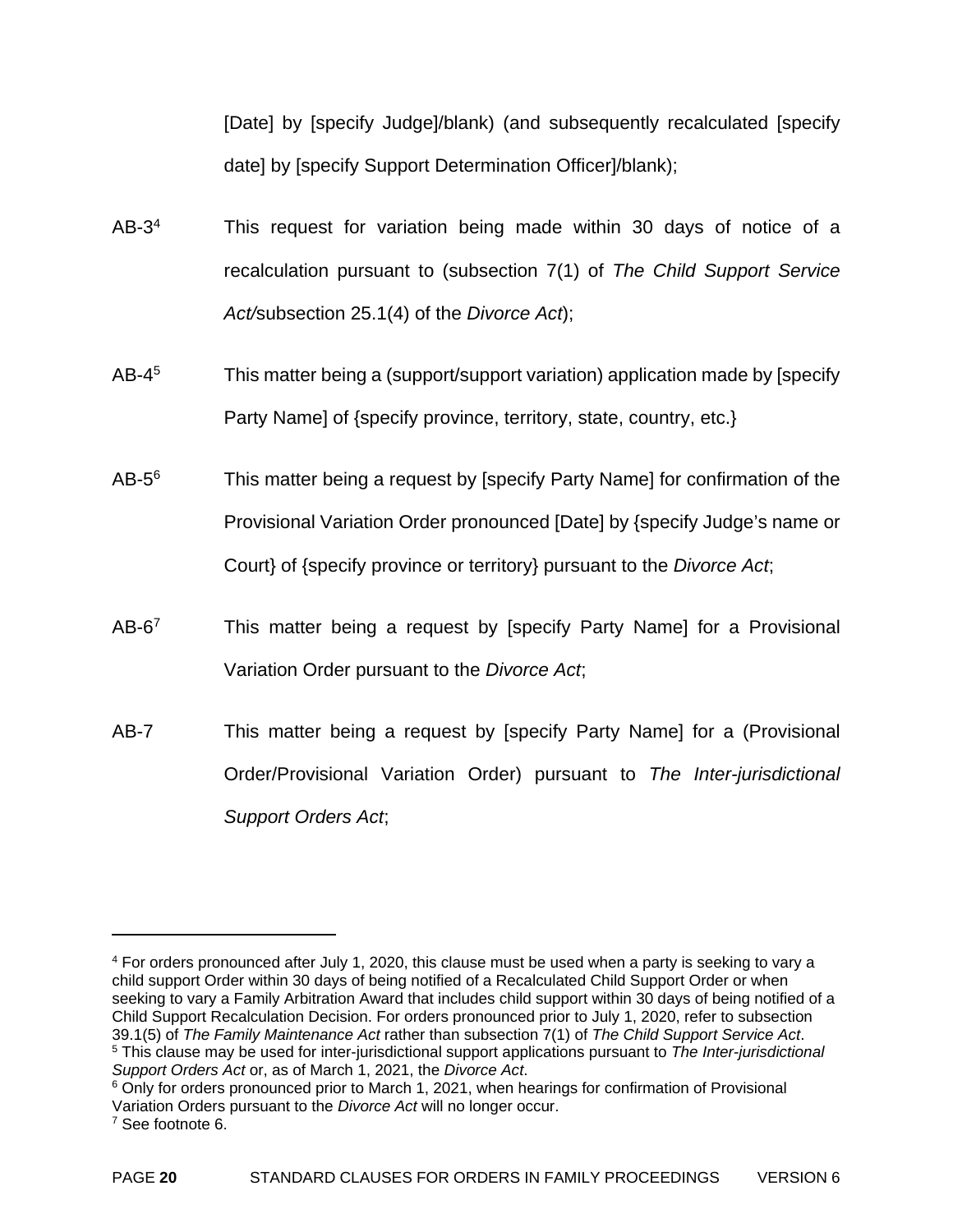[Date] by [specify Judge]/blank) (and subsequently recalculated [specify date] by [specify Support Determination Officer]/blank);

- AB-3<sup>4</sup> This request for variation being made within 30 days of notice of a recalculation pursuant to (subsection 7(1) of *The Child Support Service Act/*subsection 25.1(4) of the *Divorce Act*);
- AB-4<sup>5</sup> This matter being a (support/support variation) application made by [specify Party Name] of {specify province, territory, state, country, etc.}
- $AB-5<sup>6</sup>$  This matter being a request by [specify Party Name] for confirmation of the Provisional Variation Order pronounced [Date] by {specify Judge's name or Court} of {specify province or territory} pursuant to the *Divorce Act*;
- $AB-6<sup>7</sup>$  This matter being a request by [specify Party Name] for a Provisional Variation Order pursuant to the *Divorce Act*;
- AB-7 This matter being a request by [specify Party Name] for a (Provisional Order/Provisional Variation Order) pursuant to *The Inter-jurisdictional Support Orders Act*;

 $\overline{a}$ 

<sup>4</sup> For orders pronounced after July 1, 2020, this clause must be used when a party is seeking to vary a child support Order within 30 days of being notified of a Recalculated Child Support Order or when seeking to vary a Family Arbitration Award that includes child support within 30 days of being notified of a Child Support Recalculation Decision. For orders pronounced prior to July 1, 2020, refer to subsection 39.1(5) of The Family Maintenance Act rather than subsection 7(1) of The Child Support Service Act.<br><sup>5</sup> This clause may be used for inter-jurisdictional support applications pursuant to The Inter-jurisdictional Support Ord

<sup>&</sup>lt;sup>6</sup> Only for orders pronounced prior to March 1, 2021, when hearings for confirmation of Provisional Variation Orders pursuant to the *Divorce Act* will no longer occur. 7 See footnote 6.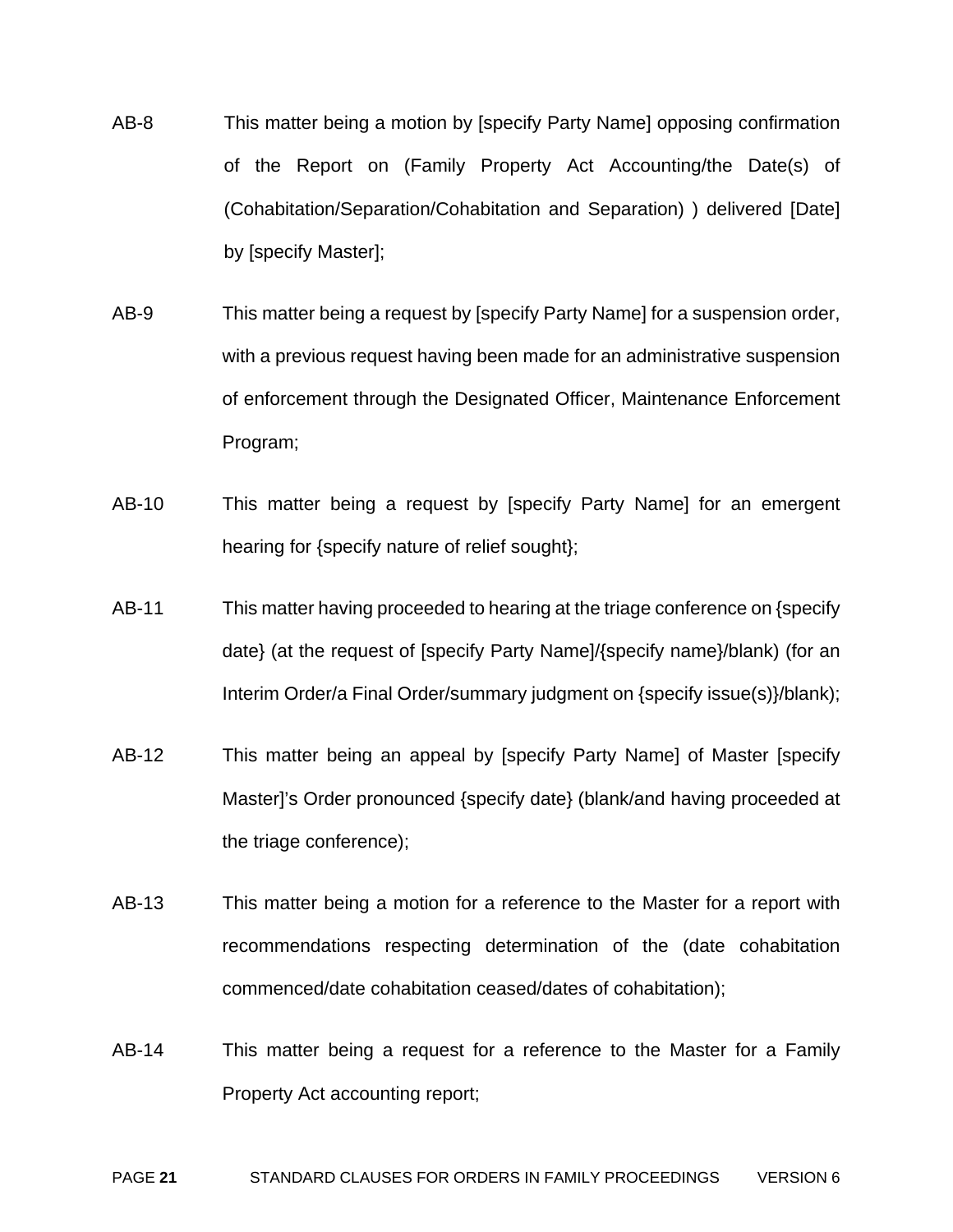- AB-8 This matter being a motion by [specify Party Name] opposing confirmation of the Report on (Family Property Act Accounting/the Date(s) of (Cohabitation/Separation/Cohabitation and Separation) ) delivered [Date] by [specify Master];
- AB-9 This matter being a request by [specify Party Name] for a suspension order, with a previous request having been made for an administrative suspension of enforcement through the Designated Officer, Maintenance Enforcement Program;
- AB-10 This matter being a request by [specify Party Name] for an emergent hearing for {specify nature of relief sought};
- AB-11 This matter having proceeded to hearing at the triage conference on {specify date} (at the request of [specify Party Name]/{specify name}/blank) (for an Interim Order/a Final Order/summary judgment on {specify issue(s)}/blank);
- AB-12 This matter being an appeal by [specify Party Name] of Master [specify Master]'s Order pronounced {specify date} (blank/and having proceeded at the triage conference);
- AB-13 This matter being a motion for a reference to the Master for a report with recommendations respecting determination of the (date cohabitation commenced/date cohabitation ceased/dates of cohabitation);
- AB-14 This matter being a request for a reference to the Master for a Family Property Act accounting report;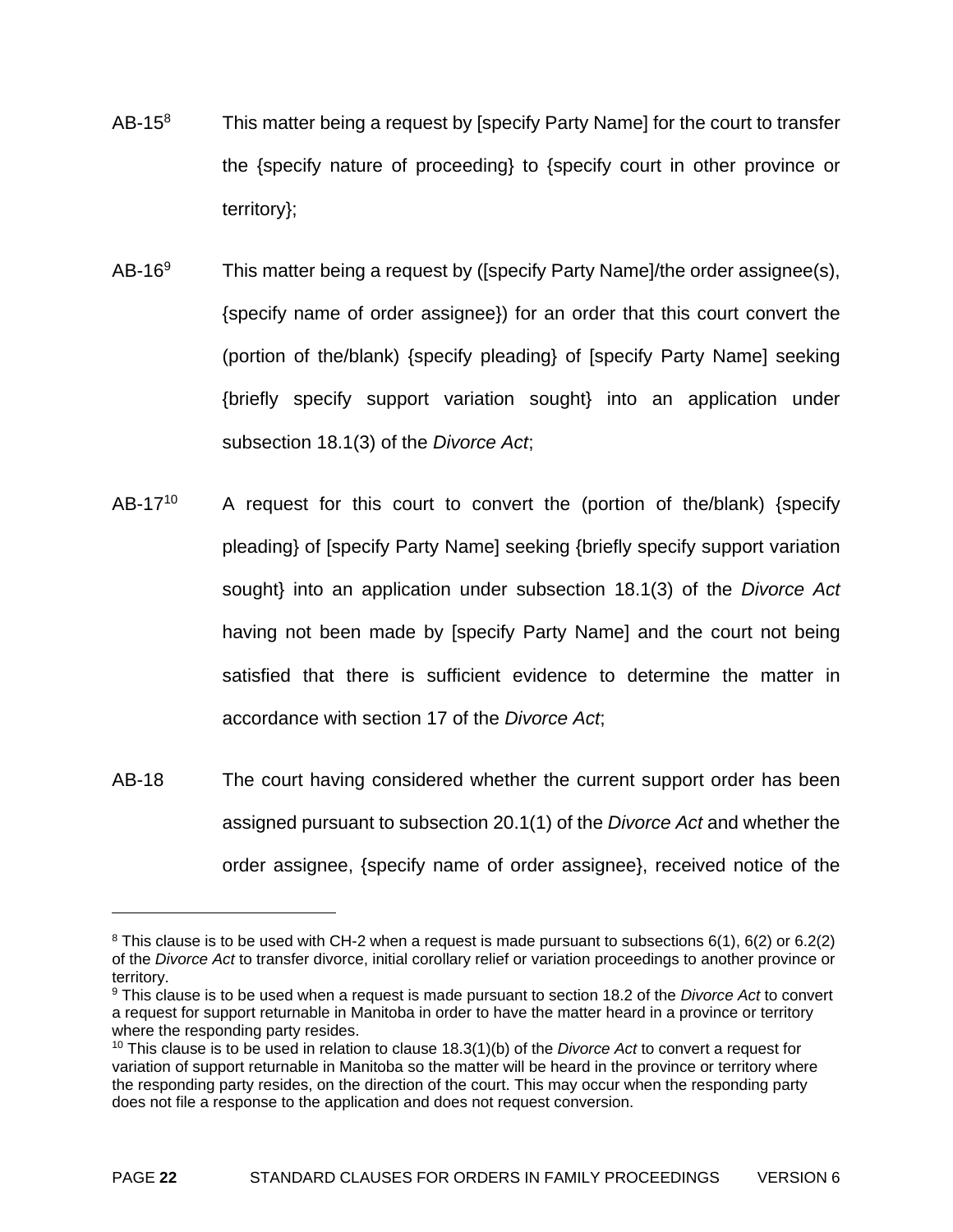- $AB-15<sup>8</sup>$  This matter being a request by [specify Party Name] for the court to transfer the {specify nature of proceeding} to {specify court in other province or territory};
- AB-16<sup>9</sup> This matter being a request by ([specify Party Name]/the order assignee(s), {specify name of order assignee}) for an order that this court convert the (portion of the/blank) {specify pleading} of [specify Party Name] seeking {briefly specify support variation sought} into an application under subsection 18.1(3) of the *Divorce Act*;
- AB-17<sup>10</sup> A request for this court to convert the (portion of the/blank) {specify pleading} of [specify Party Name] seeking {briefly specify support variation sought} into an application under subsection 18.1(3) of the *Divorce Act*  having not been made by [specify Party Name] and the court not being satisfied that there is sufficient evidence to determine the matter in accordance with section 17 of the *Divorce Act*;
- AB-18 The court having considered whether the current support order has been assigned pursuant to subsection 20.1(1) of the *Divorce Act* and whether the order assignee, {specify name of order assignee}, received notice of the

 $\overline{a}$ 

<sup>8</sup> This clause is to be used with CH-2 when a request is made pursuant to subsections 6(1), 6(2) or 6.2(2) of the *Divorce Act* to transfer divorce, initial corollary relief or variation proceedings to another province or territory.

<sup>9</sup> This clause is to be used when a request is made pursuant to section 18.2 of the *Divorce Act* to convert a request for support returnable in Manitoba in order to have the matter heard in a province or territory where the responding party resides.

<sup>10</sup> This clause is to be used in relation to clause 18.3(1)(b) of the *Divorce Act* to convert a request for variation of support returnable in Manitoba so the matter will be heard in the province or territory where the responding party resides, on the direction of the court. This may occur when the responding party does not file a response to the application and does not request conversion.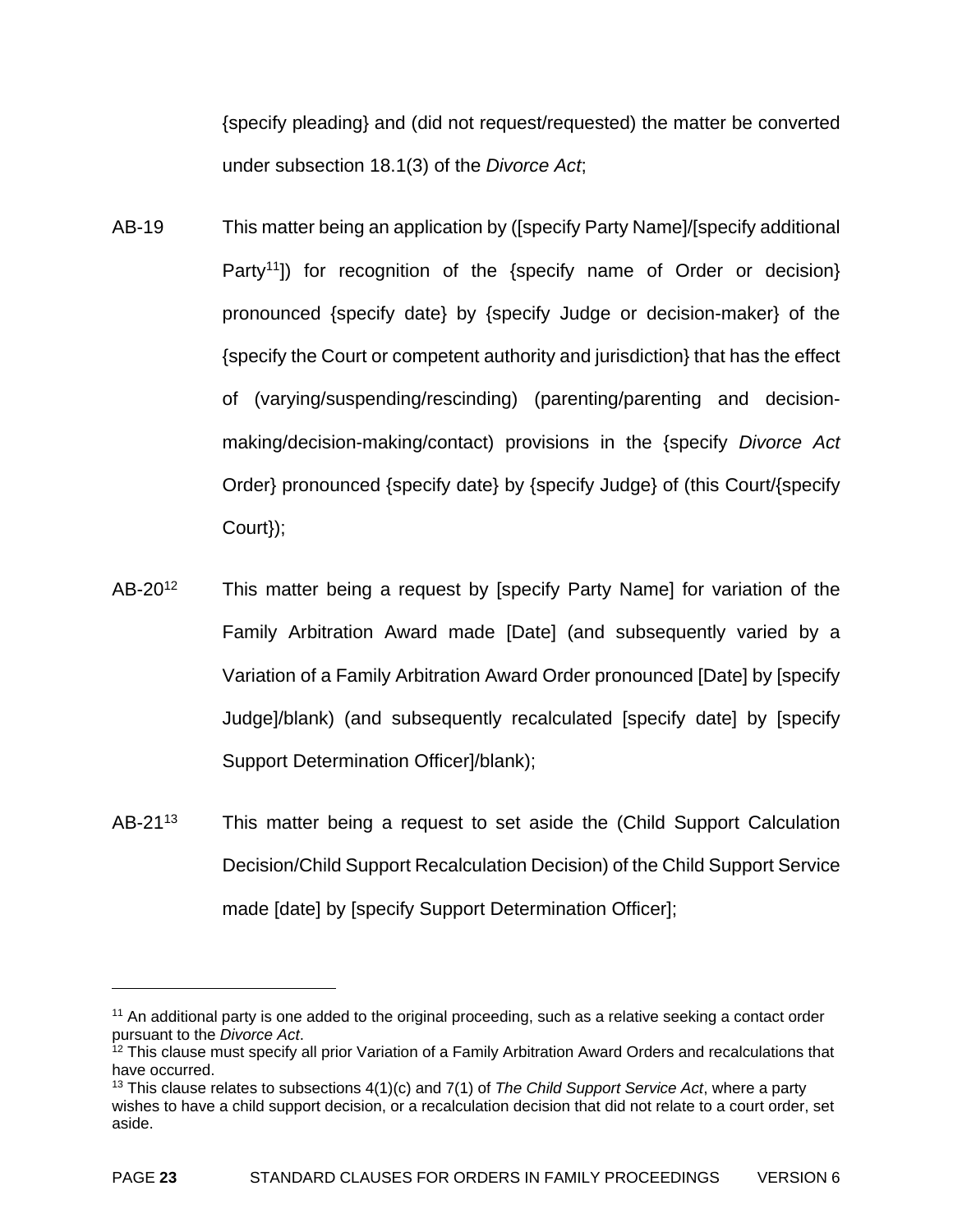{specify pleading} and (did not request/requested) the matter be converted under subsection 18.1(3) of the *Divorce Act*;

- AB-19 This matter being an application by ([specify Party Name]/[specify additional Party<sup>11</sup>) for recognition of the {specify name of Order or decision} pronounced {specify date} by {specify Judge or decision-maker} of the {specify the Court or competent authority and jurisdiction} that has the effect of (varying/suspending/rescinding) (parenting/parenting and decisionmaking/decision-making/contact) provisions in the {specify *Divorce Act*  Order} pronounced {specify date} by {specify Judge} of (this Court/{specify Court});
- AB-20<sup>12</sup> This matter being a request by [specify Party Name] for variation of the Family Arbitration Award made [Date] (and subsequently varied by a Variation of a Family Arbitration Award Order pronounced [Date] by [specify Judge]/blank) (and subsequently recalculated [specify date] by [specify Support Determination Officer]/blank);
- AB-21<sup>13</sup> This matter being a request to set aside the (Child Support Calculation Decision/Child Support Recalculation Decision) of the Child Support Service made [date] by [specify Support Determination Officer];

1

<sup>&</sup>lt;sup>11</sup> An additional party is one added to the original proceeding, such as a relative seeking a contact order pursuant to the *Divorce Act*.<br><sup>12</sup> This clause must specify all prior Variation of a Family Arbitration Award Orders and recalculations that

have occurred.

<sup>13</sup> This clause relates to subsections 4(1)(c) and 7(1) of *The Child Support Service Act*, where a party wishes to have a child support decision, or a recalculation decision that did not relate to a court order, set aside.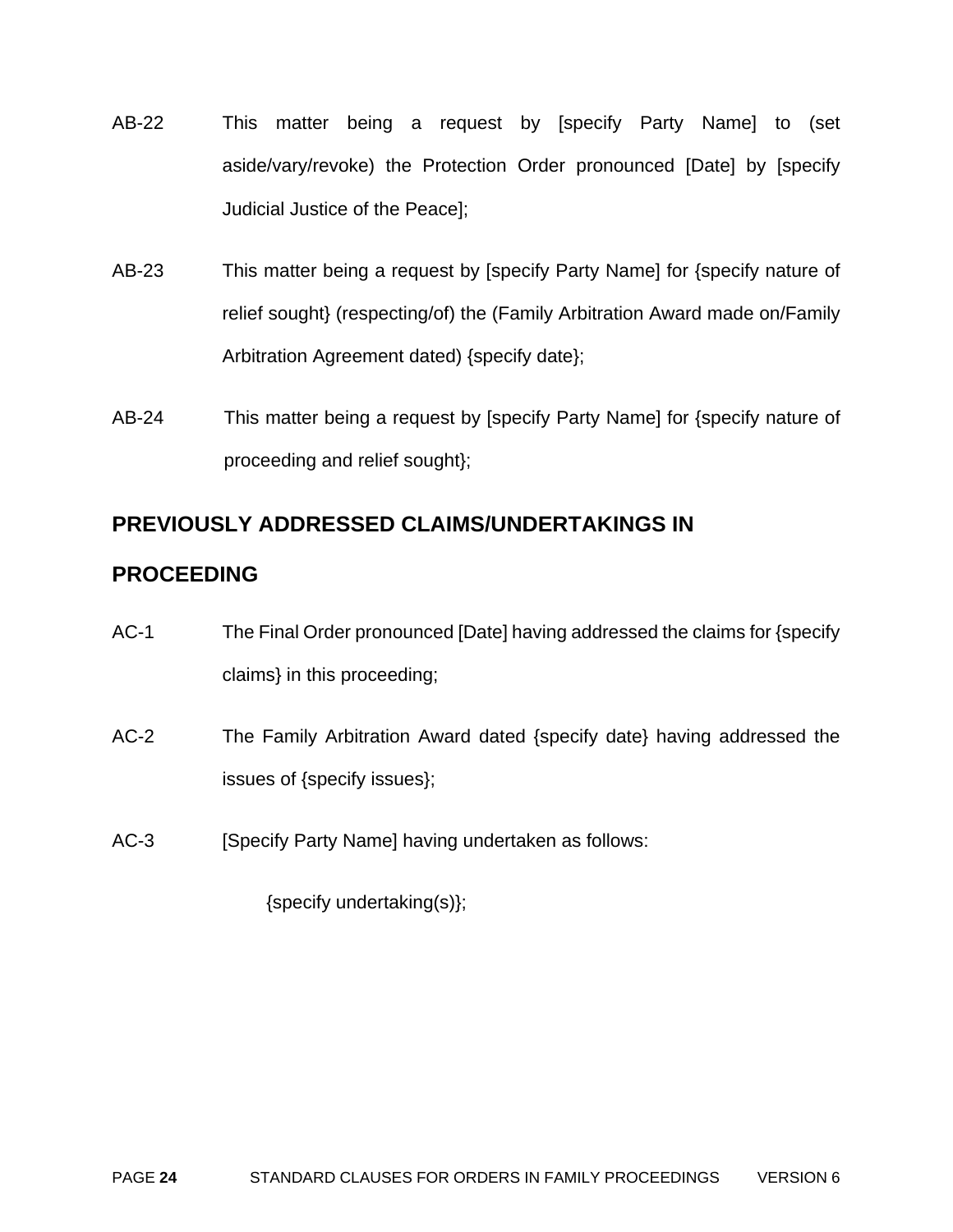- AB-22 This matter being a request by [specify Party Name] to (set aside/vary/revoke) the Protection Order pronounced [Date] by [specify Judicial Justice of the Peace];
- AB-23 This matter being a request by [specify Party Name] for {specify nature of relief sought} (respecting/of) the (Family Arbitration Award made on/Family Arbitration Agreement dated) {specify date};
- AB-24 This matter being a request by [specify Party Name] for {specify nature of proceeding and relief sought};

# **PREVIOUSLY ADDRESSED CLAIMS/UNDERTAKINGS IN**

# **PROCEEDING**

- AC-1 The Final Order pronounced [Date] having addressed the claims for {specify claims} in this proceeding;
- AC-2 The Family Arbitration Award dated {specify date} having addressed the issues of {specify issues};
- AC-3 [Specify Party Name] having undertaken as follows:

{specify undertaking(s)};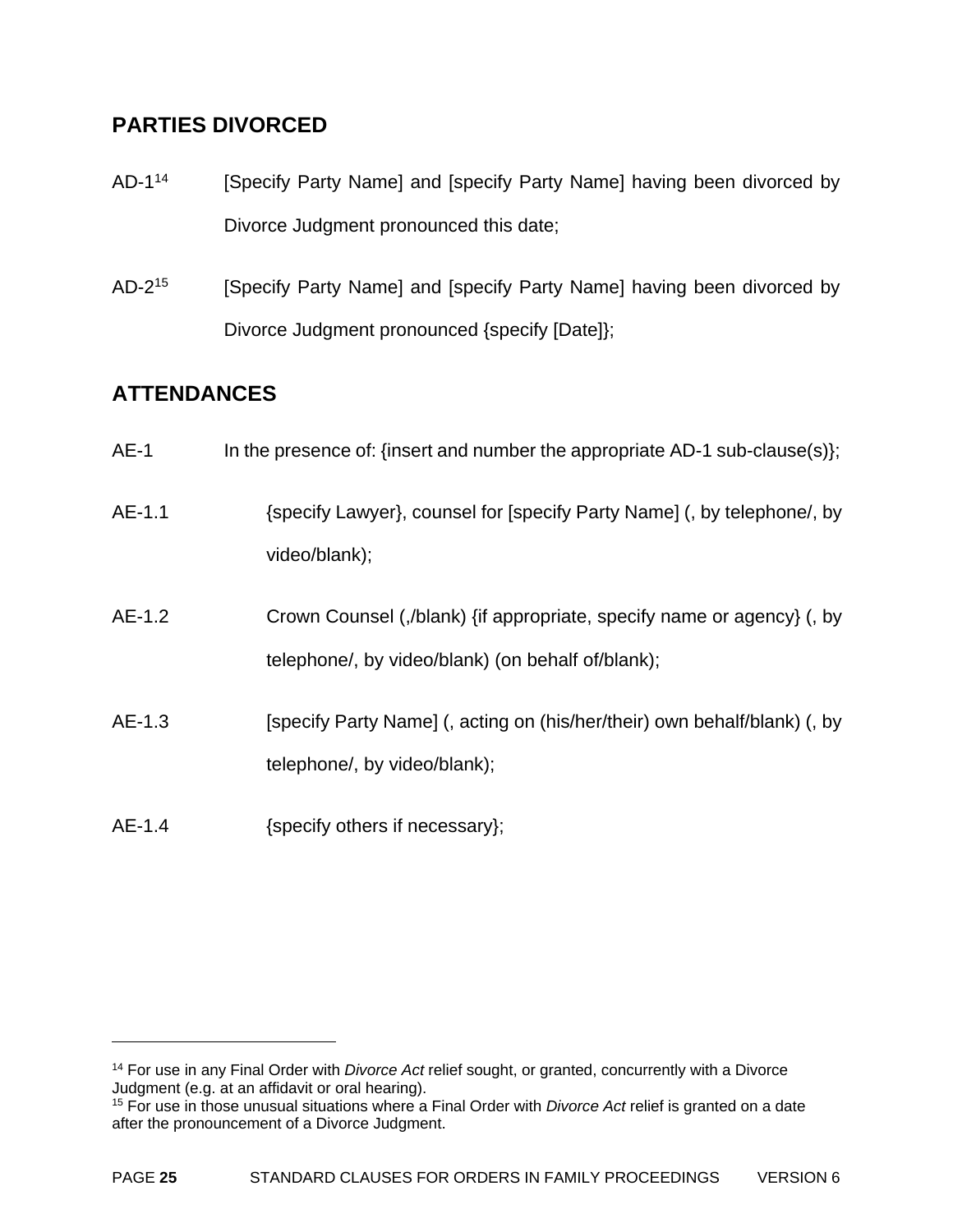# **PARTIES DIVORCED**

- AD-1<sup>14</sup> [Specify Party Name] and [specify Party Name] having been divorced by Divorce Judgment pronounced this date;
- AD-2<sup>15</sup> [Specify Party Name] and [specify Party Name] having been divorced by Divorce Judgment pronounced {specify [Date]};

# **ATTENDANCES**

1

| $AE-1$   | In the presence of: {insert and number the appropriate AD-1 sub-clause(s)};                                                 |
|----------|-----------------------------------------------------------------------------------------------------------------------------|
| $AE-1.1$ | {specify Lawyer}, counsel for [specify Party Name] (, by telephone/, by<br>video/blank);                                    |
| $AE-1.2$ | Crown Counsel (,/blank) {if appropriate, specify name or agency} (, by<br>telephone/, by video/blank) (on behalf of/blank); |
| $AE-1.3$ | [specify Party Name] (, acting on (his/her/their) own behalf/blank) (, by<br>telephone/, by video/blank);                   |
| $AE-1.4$ | {specify others if necessary};                                                                                              |

<sup>14</sup> For use in any Final Order with *Divorce Act* relief sought, or granted, concurrently with a Divorce Judgment (e.g. at an affidavit or oral hearing).

<sup>15</sup> For use in those unusual situations where a Final Order with *Divorce Act* relief is granted on a date after the pronouncement of a Divorce Judgment.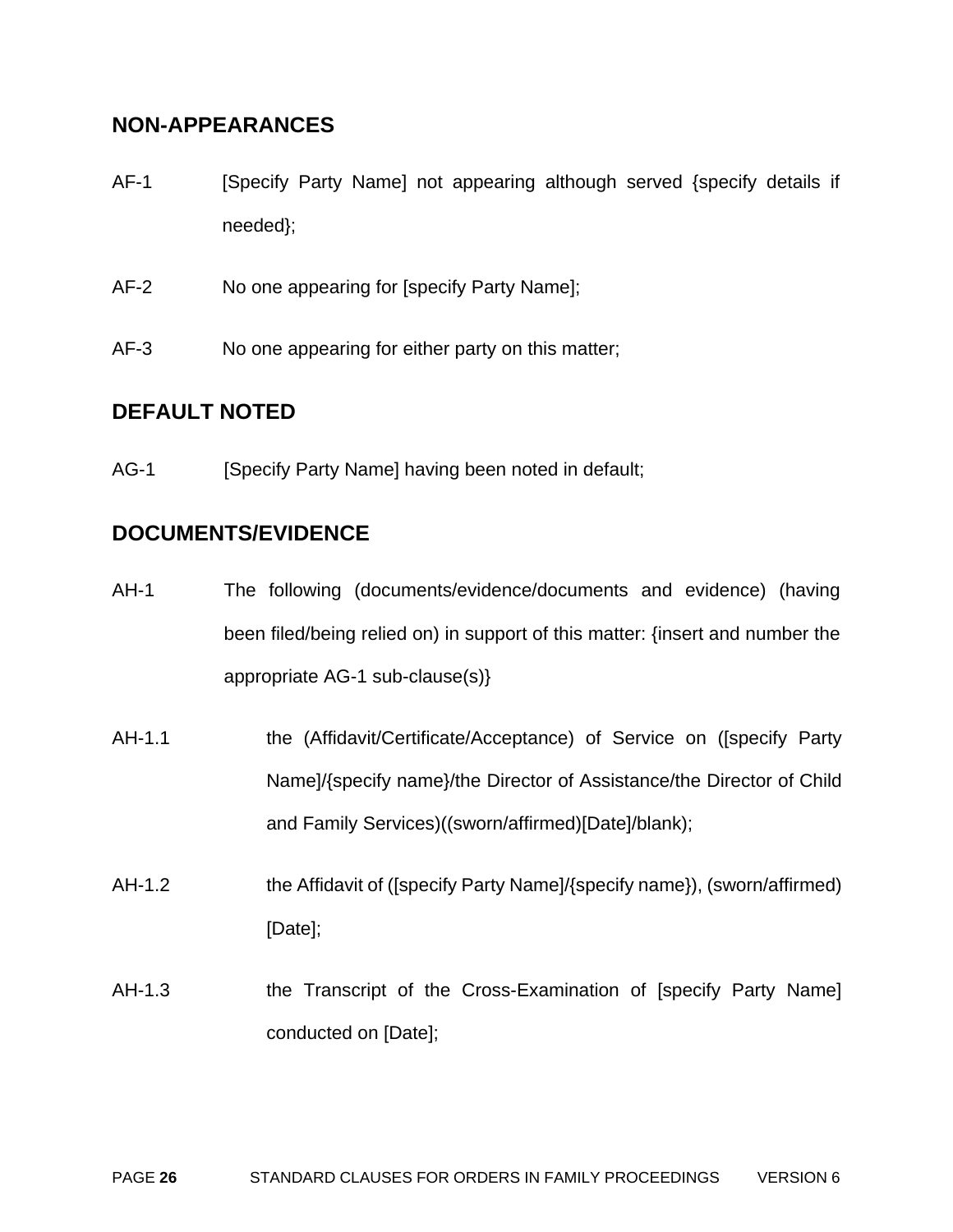## **NON-APPEARANCES**

- AF-1 [Specify Party Name] not appearing although served {specify details if needed};
- AF-2 No one appearing for [specify Party Name];
- AF-3 No one appearing for either party on this matter;

# **DEFAULT NOTED**

AG-1 [Specify Party Name] having been noted in default;

# **DOCUMENTS/EVIDENCE**

- AH-1 The following (documents/evidence/documents and evidence) (having been filed/being relied on) in support of this matter: {insert and number the appropriate AG-1 sub-clause(s)}
- AH-1.1 the (Affidavit/Certificate/Acceptance) of Service on ([specify Party Name]/{specify name}/the Director of Assistance/the Director of Child and Family Services)((sworn/affirmed)[Date]/blank);
- AH-1.2 the Affidavit of ([specify Party Name]/{specify name}), (sworn/affirmed) [Date];
- AH-1.3 the Transcript of the Cross-Examination of [specify Party Name] conducted on [Date];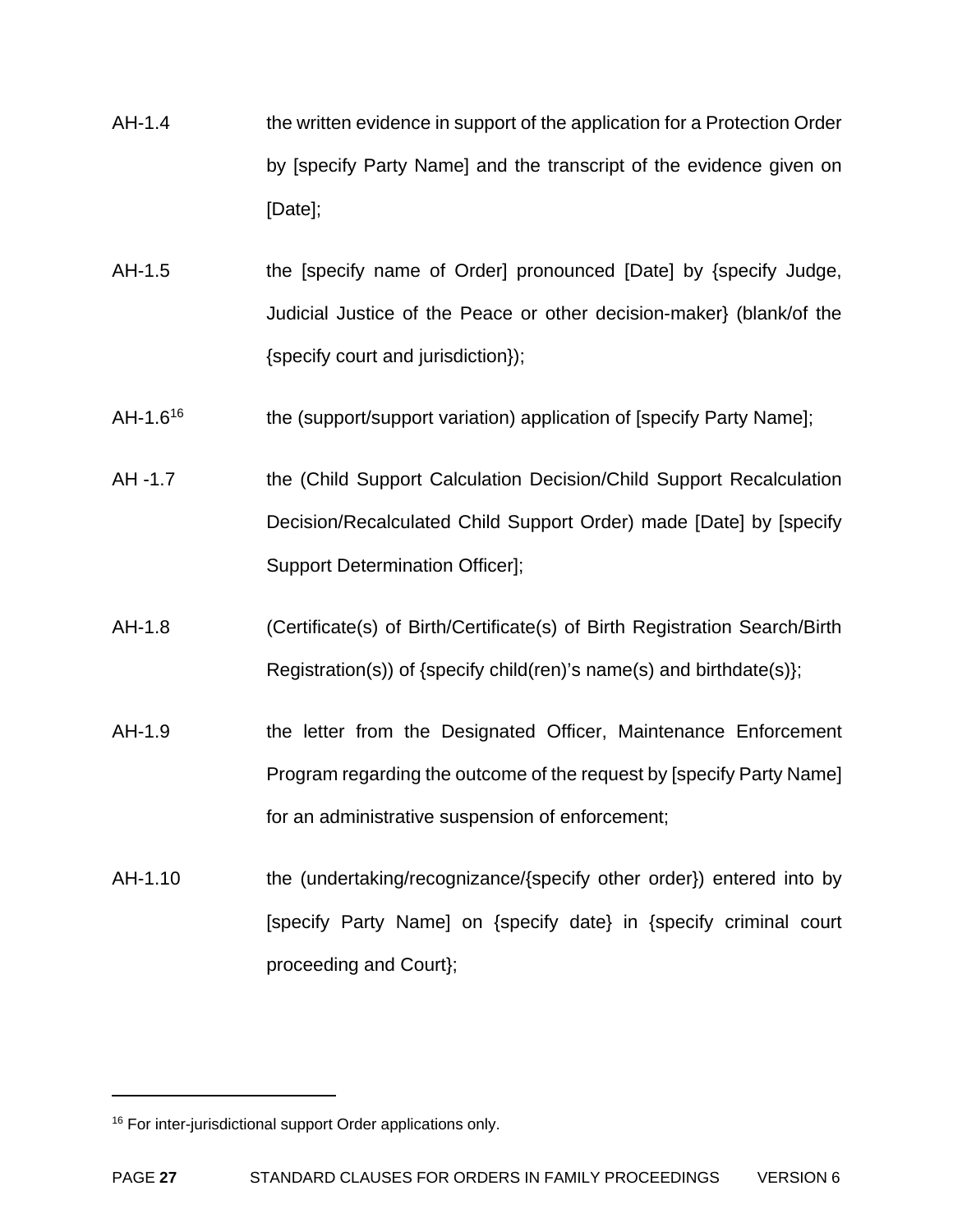- AH-1.4 the written evidence in support of the application for a Protection Order by [specify Party Name] and the transcript of the evidence given on [Date];
- AH-1.5 the [specify name of Order] pronounced [Date] by {specify Judge, Judicial Justice of the Peace or other decision-maker} (blank/of the {specify court and jurisdiction});
- AH-1.6<sup>16</sup> the (support/support variation) application of [specify Party Name];
- AH -1.7 the (Child Support Calculation Decision/Child Support Recalculation Decision/Recalculated Child Support Order) made [Date] by [specify Support Determination Officer];
- AH-1.8 (Certificate(s) of Birth/Certificate(s) of Birth Registration Search/Birth Registration(s)) of {specify child(ren)'s name(s) and birthdate(s)};
- AH-1.9 the letter from the Designated Officer, Maintenance Enforcement Program regarding the outcome of the request by [specify Party Name] for an administrative suspension of enforcement;
- AH-1.10 the (undertaking/recognizance/{specify other order}) entered into by [specify Party Name] on {specify date} in {specify criminal court proceeding and Court};

 $\overline{a}$ 

<sup>&</sup>lt;sup>16</sup> For inter-jurisdictional support Order applications only.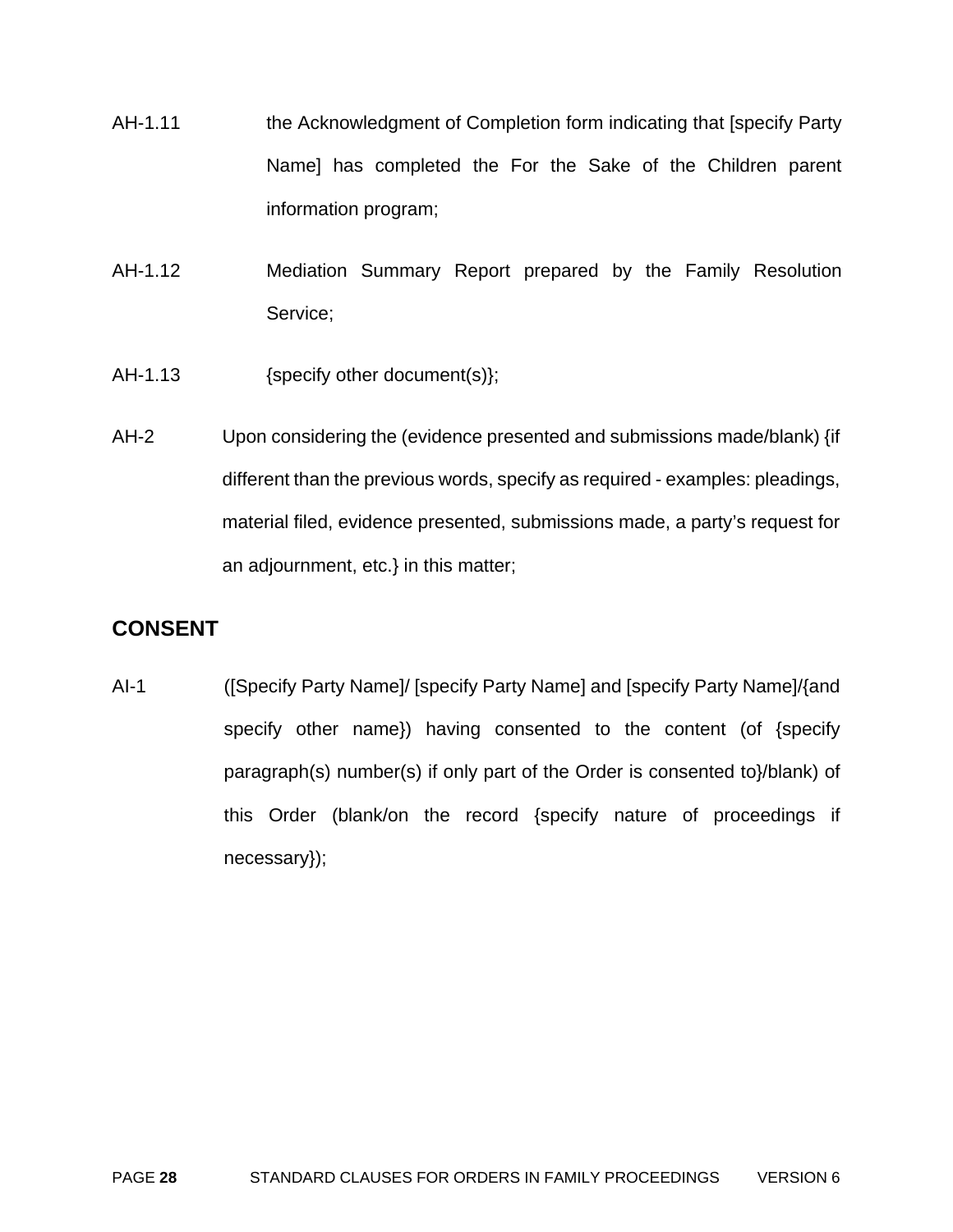- AH-1.11 the Acknowledgment of Completion form indicating that [specify Party Name] has completed the For the Sake of the Children parent information program;
- AH-1.12 Mediation Summary Report prepared by the Family Resolution Service;
- AH-1.13 {specify other document(s)};
- AH-2 Upon considering the (evidence presented and submissions made/blank) {if different than the previous words, specify as required - examples: pleadings, material filed, evidence presented, submissions made, a party's request for an adjournment, etc.} in this matter;

# **CONSENT**

AI-1 ([Specify Party Name]/ [specify Party Name] and [specify Party Name]/{and specify other name}) having consented to the content (of {specify paragraph(s) number(s) if only part of the Order is consented to}/blank) of this Order (blank/on the record {specify nature of proceedings if necessary});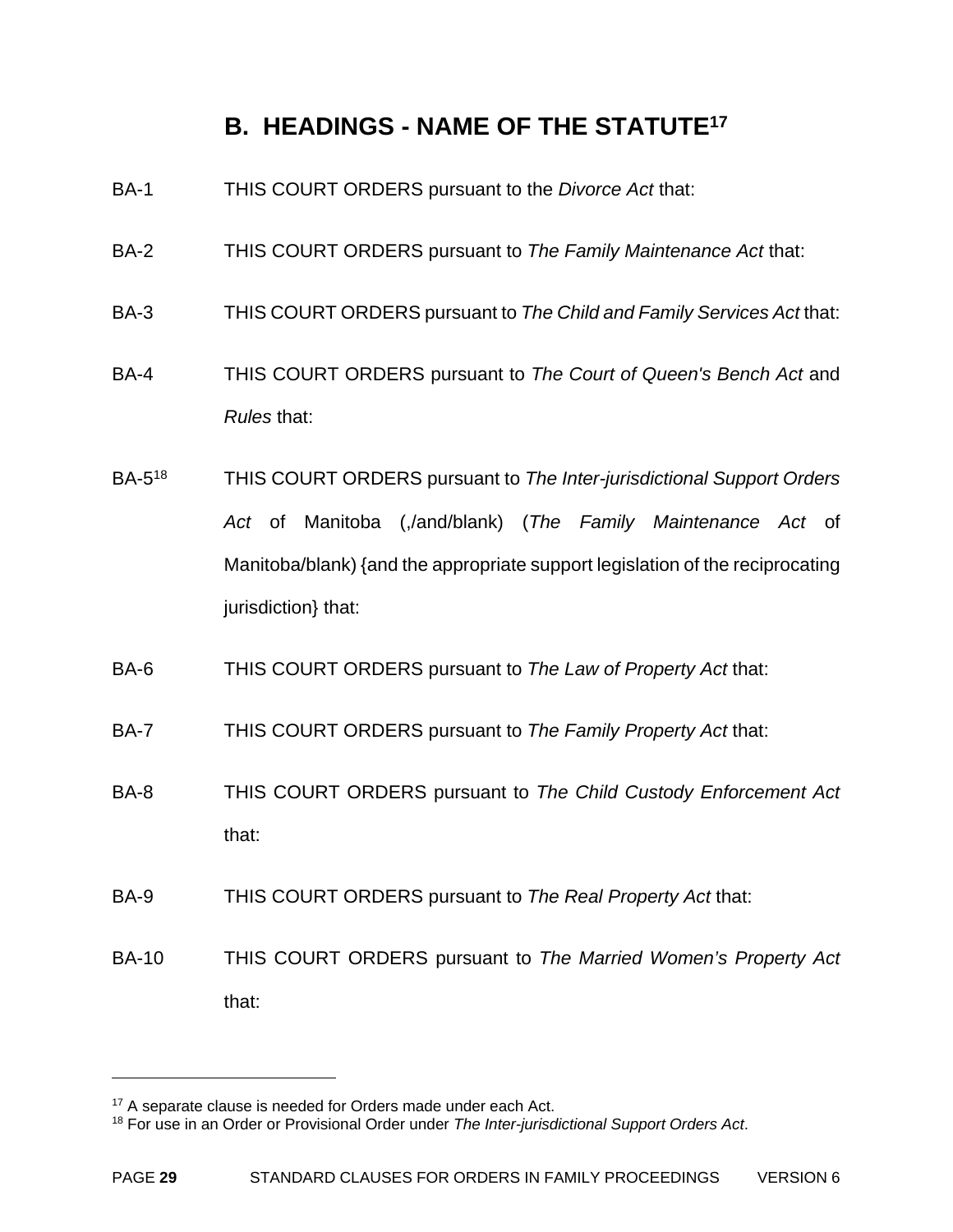# **B. HEADINGS - NAME OF THE STATUTE17**

- BA-1 THIS COURT ORDERS pursuant to the *Divorce Act* that:
- BA-2 THIS COURT ORDERS pursuant to *The Family Maintenance Act* that:
- BA-3 THIS COURT ORDERS pursuant to *The Child and Family Services Act* that:
- BA-4 THIS COURT ORDERS pursuant to *The Court of Queen's Bench Act* and *Rules* that:
- BA-518 THIS COURT ORDERS pursuant to *The Inter-jurisdictional Support Orders Act* of Manitoba (,/and/blank) (*The Family Maintenance Act* of Manitoba/blank) {and the appropriate support legislation of the reciprocating jurisdiction} that:
- BA-6 THIS COURT ORDERS pursuant to *The Law of Property Act* that:
- BA-7 THIS COURT ORDERS pursuant to *The Family Property Act* that:
- BA-8 THIS COURT ORDERS pursuant to *The Child Custody Enforcement Act* that:
- BA-9 THIS COURT ORDERS pursuant to *The Real Property Act* that:
- BA-10 THIS COURT ORDERS pursuant to *The Married Women's Property Act* that:

1

<sup>&</sup>lt;sup>17</sup> A separate clause is needed for Orders made under each Act.

<sup>18</sup> For use in an Order or Provisional Order under *The Inter-jurisdictional Support Orders Act*.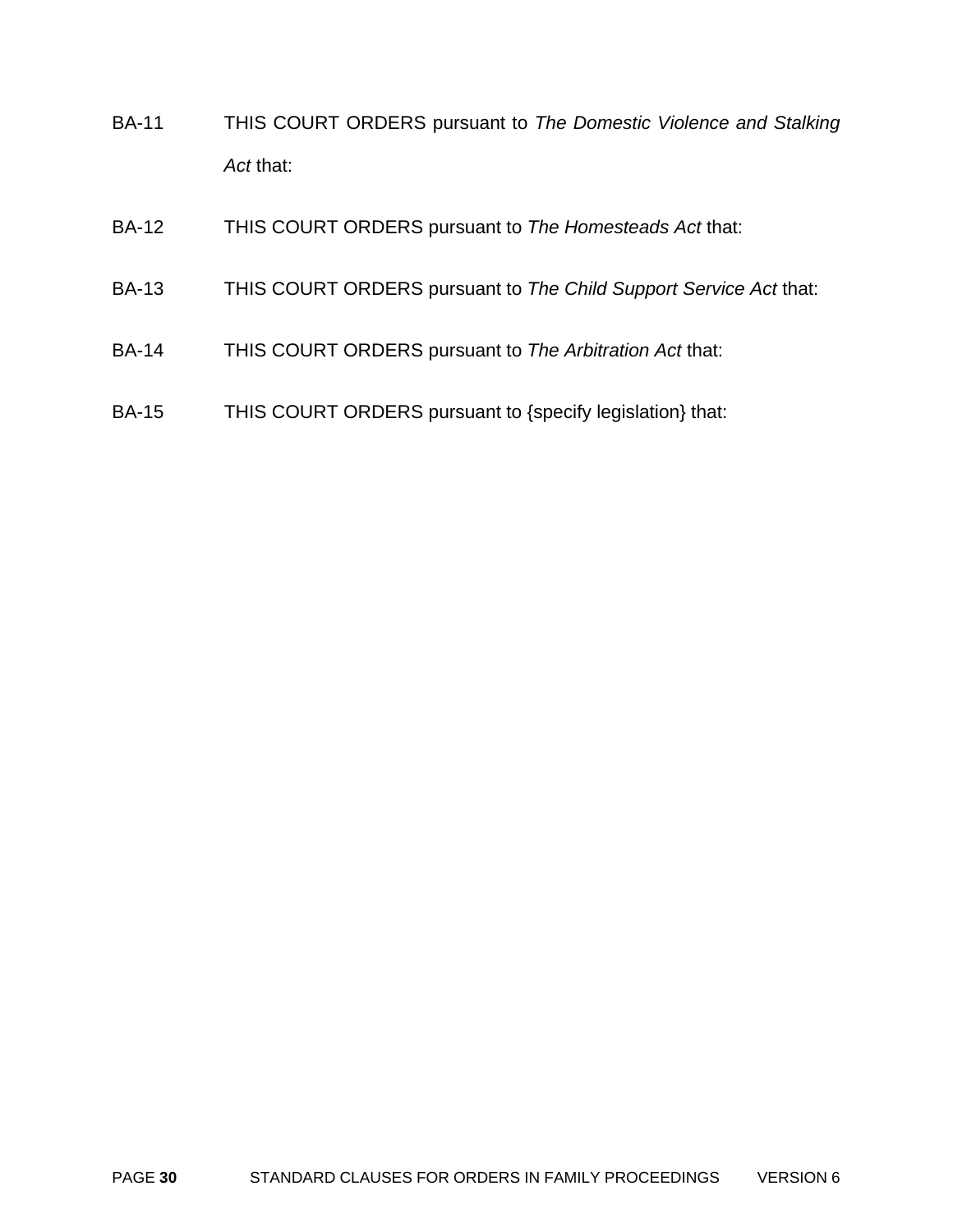- BA-11 THIS COURT ORDERS pursuant to *The Domestic Violence and Stalking Act* that:
- BA-12 THIS COURT ORDERS pursuant to *The Homesteads Act* that:
- BA-13 THIS COURT ORDERS pursuant to *The Child Support Service Act* that:
- BA-14 THIS COURT ORDERS pursuant to *The Arbitration Act* that:
- BA-15 THIS COURT ORDERS pursuant to {specify legislation} that: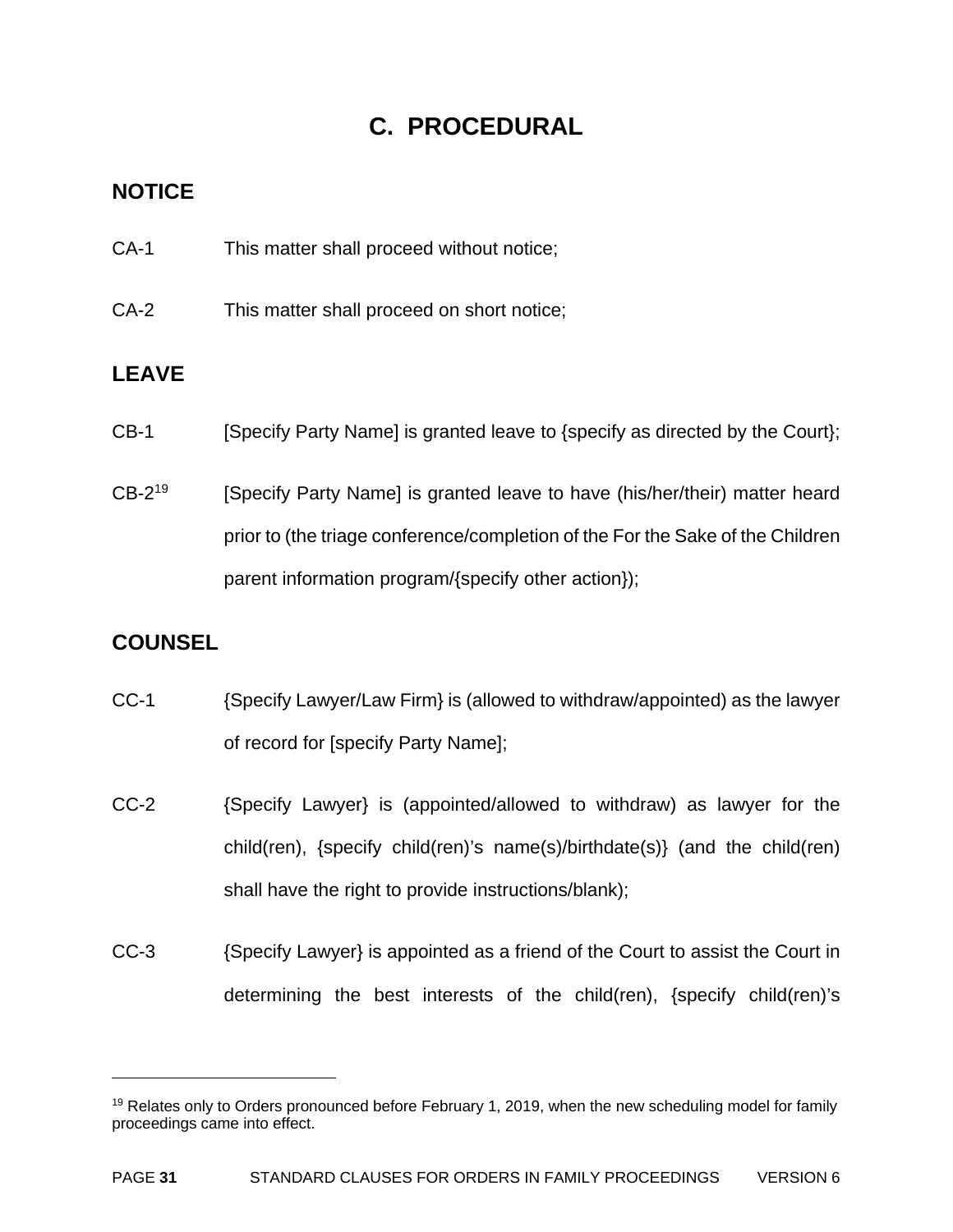# **C. PROCEDURAL**

# **NOTICE**

- CA-1 This matter shall proceed without notice;
- CA-2 This matter shall proceed on short notice;

# **LEAVE**

- CB-1 [Specify Party Name] is granted leave to {specify as directed by the Court};
- CB-2<sup>19</sup> [Specify Party Name] is granted leave to have (his/her/their) matter heard prior to (the triage conference/completion of the For the Sake of the Children parent information program/{specify other action});

# **COUNSEL**

1

- CC-1 {Specify Lawyer/Law Firm} is (allowed to withdraw/appointed) as the lawyer of record for [specify Party Name];
- CC-2 {Specify Lawyer} is (appointed/allowed to withdraw) as lawyer for the child(ren), {specify child(ren)'s name(s)/birthdate(s)} (and the child(ren) shall have the right to provide instructions/blank);
- CC-3 {Specify Lawyer} is appointed as a friend of the Court to assist the Court in determining the best interests of the child(ren), {specify child(ren)'s

 $19$  Relates only to Orders pronounced before February 1, 2019, when the new scheduling model for family proceedings came into effect.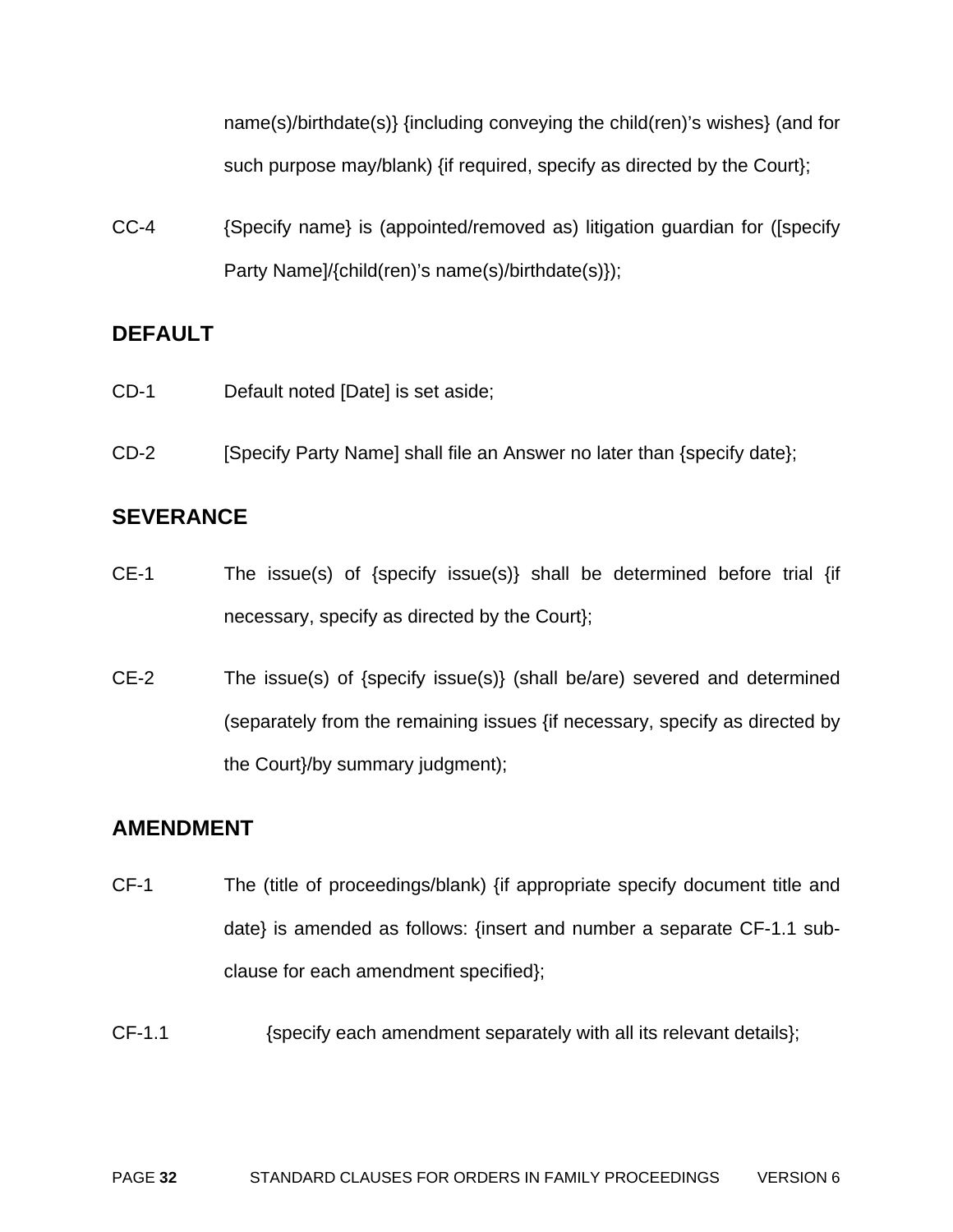name(s)/birthdate(s)} {including conveying the child(ren)'s wishes} (and for such purpose may/blank) {if required, specify as directed by the Court};

CC-4 {Specify name} is (appointed/removed as) litigation guardian for ([specify Party Name]/{child(ren)'s name(s)/birthdate(s)});

# **DEFAULT**

- CD-1 Default noted [Date] is set aside;
- CD-2 [Specify Party Name] shall file an Answer no later than {specify date};

# **SEVERANCE**

- CE-1 The issue(s) of {specify issue(s)} shall be determined before trial {if necessary, specify as directed by the Court};
- CE-2 The issue(s) of {specify issue(s)} (shall be/are) severed and determined (separately from the remaining issues {if necessary, specify as directed by the Court}/by summary judgment);

## **AMENDMENT**

- CF-1 The (title of proceedings/blank) {if appropriate specify document title and date} is amended as follows: {insert and number a separate CF-1.1 subclause for each amendment specified};
- CF-1.1 {specify each amendment separately with all its relevant details};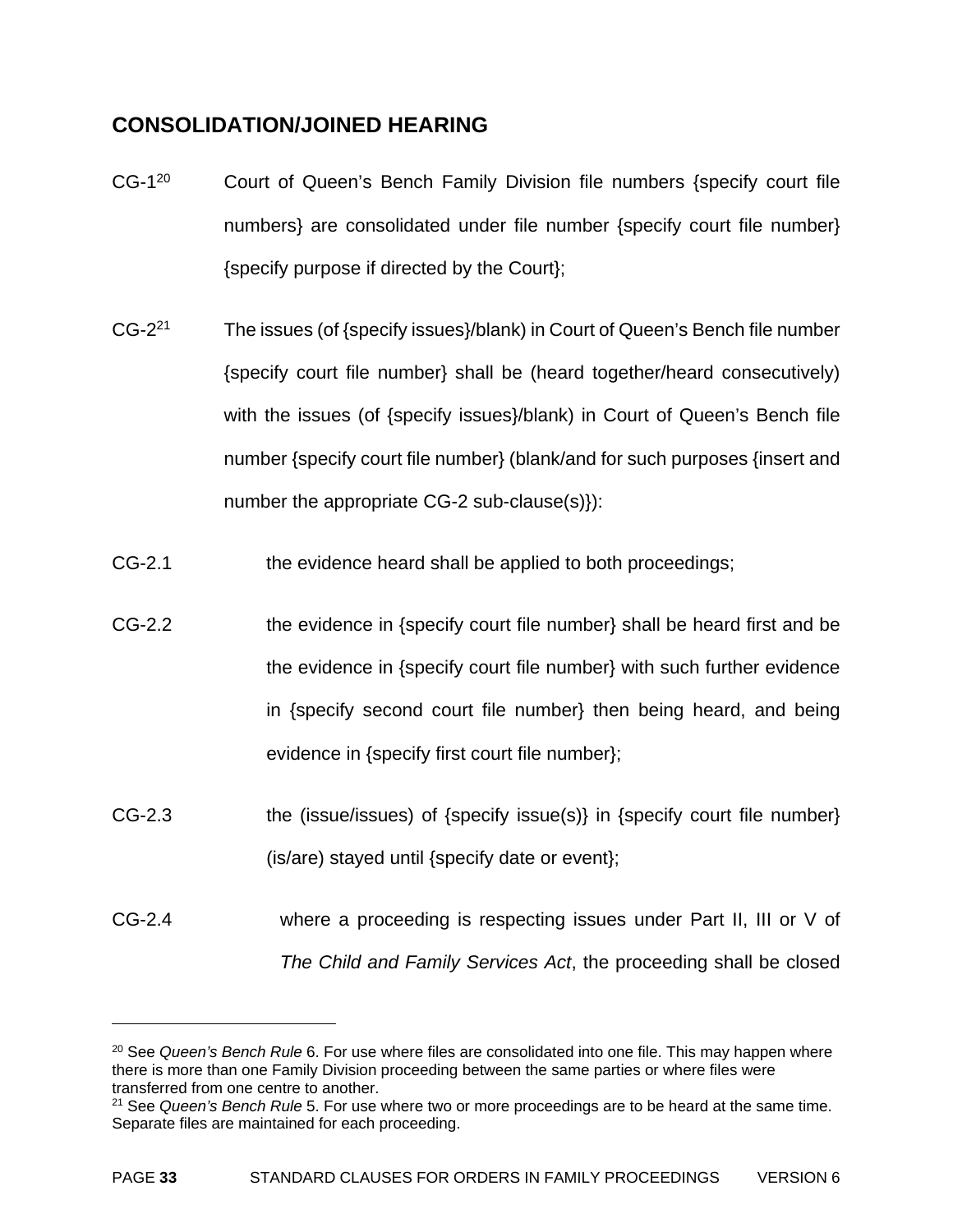# **CONSOLIDATION/JOINED HEARING**

 $\overline{a}$ 

- CG-1<sup>20</sup> Court of Queen's Bench Family Division file numbers {specify court file numbers} are consolidated under file number {specify court file number} {specify purpose if directed by the Court};
- CG-221 The issues (of {specify issues}/blank) in Court of Queen's Bench file number {specify court file number} shall be (heard together/heard consecutively) with the issues (of {specify issues}/blank) in Court of Queen's Bench file number {specify court file number} (blank/and for such purposes {insert and number the appropriate CG-2 sub-clause(s)}):
- CG-2.1 the evidence heard shall be applied to both proceedings;
- CG-2.2 the evidence in {specify court file number} shall be heard first and be the evidence in {specify court file number} with such further evidence in {specify second court file number} then being heard, and being evidence in {specify first court file number};
- CG-2.3 the (issue/issues) of {specify issue(s)} in {specify court file number} (is/are) stayed until {specify date or event};
- CG-2.4 where a proceeding is respecting issues under Part II, III or V of *The Child and Family Services Act*, the proceeding shall be closed

<sup>20</sup> See *Queen's Bench Rule* 6. For use where files are consolidated into one file. This may happen where there is more than one Family Division proceeding between the same parties or where files were transferred from one centre to another.

<sup>21</sup> See *Queen's Bench Rule* 5. For use where two or more proceedings are to be heard at the same time. Separate files are maintained for each proceeding.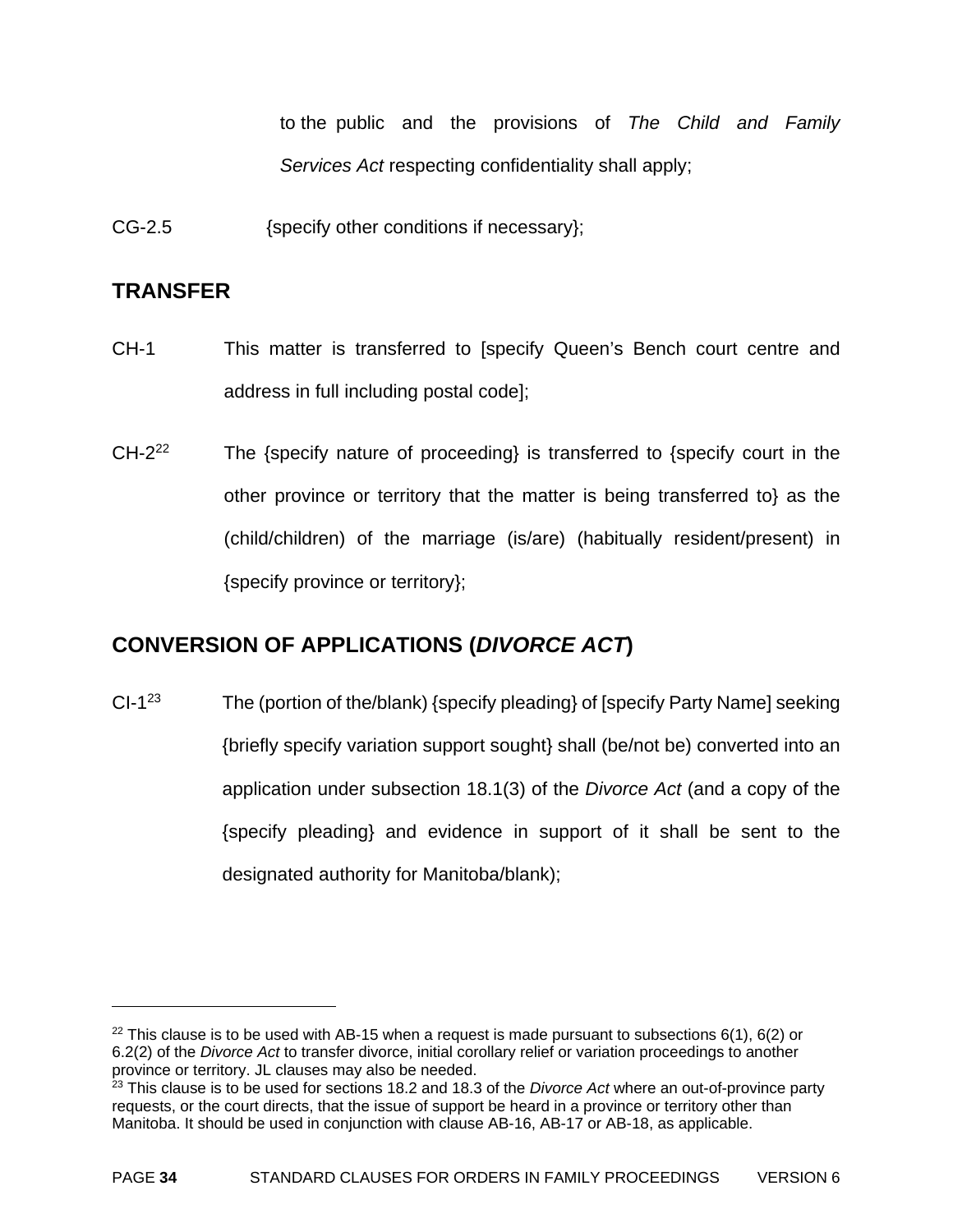to the public and the provisions of *The Child and Family Services Act* respecting confidentiality shall apply;

CG-2.5 {specify other conditions if necessary};

## **TRANSFER**

- CH-1 This matter is transferred to [specify Queen's Bench court centre and address in full including postal code];
- $CH-2<sup>22</sup>$  The {specify nature of proceeding} is transferred to {specify court in the other province or territory that the matter is being transferred to} as the (child/children) of the marriage (is/are) (habitually resident/present) in {specify province or territory};

# **CONVERSION OF APPLICATIONS (***DIVORCE ACT***)**

 $Cl-1^{23}$  The (portion of the/blank) {specify pleading} of [specify Party Name] seeking {briefly specify variation support sought} shall (be/not be) converted into an application under subsection 18.1(3) of the *Divorce Act* (and a copy of the {specify pleading} and evidence in support of it shall be sent to the designated authority for Manitoba/blank);

 $\overline{a}$ 

<sup>&</sup>lt;sup>22</sup> This clause is to be used with AB-15 when a request is made pursuant to subsections  $6(1)$ ,  $6(2)$  or 6.2(2) of the *Divorce Act* to transfer divorce, initial corollary relief or variation proceedings to another province or territory. JL clauses may also be needed.

<sup>23</sup> This clause is to be used for sections 18.2 and 18.3 of the *Divorce Act* where an out-of-province party requests, or the court directs, that the issue of support be heard in a province or territory other than Manitoba. It should be used in conjunction with clause AB-16, AB-17 or AB-18, as applicable.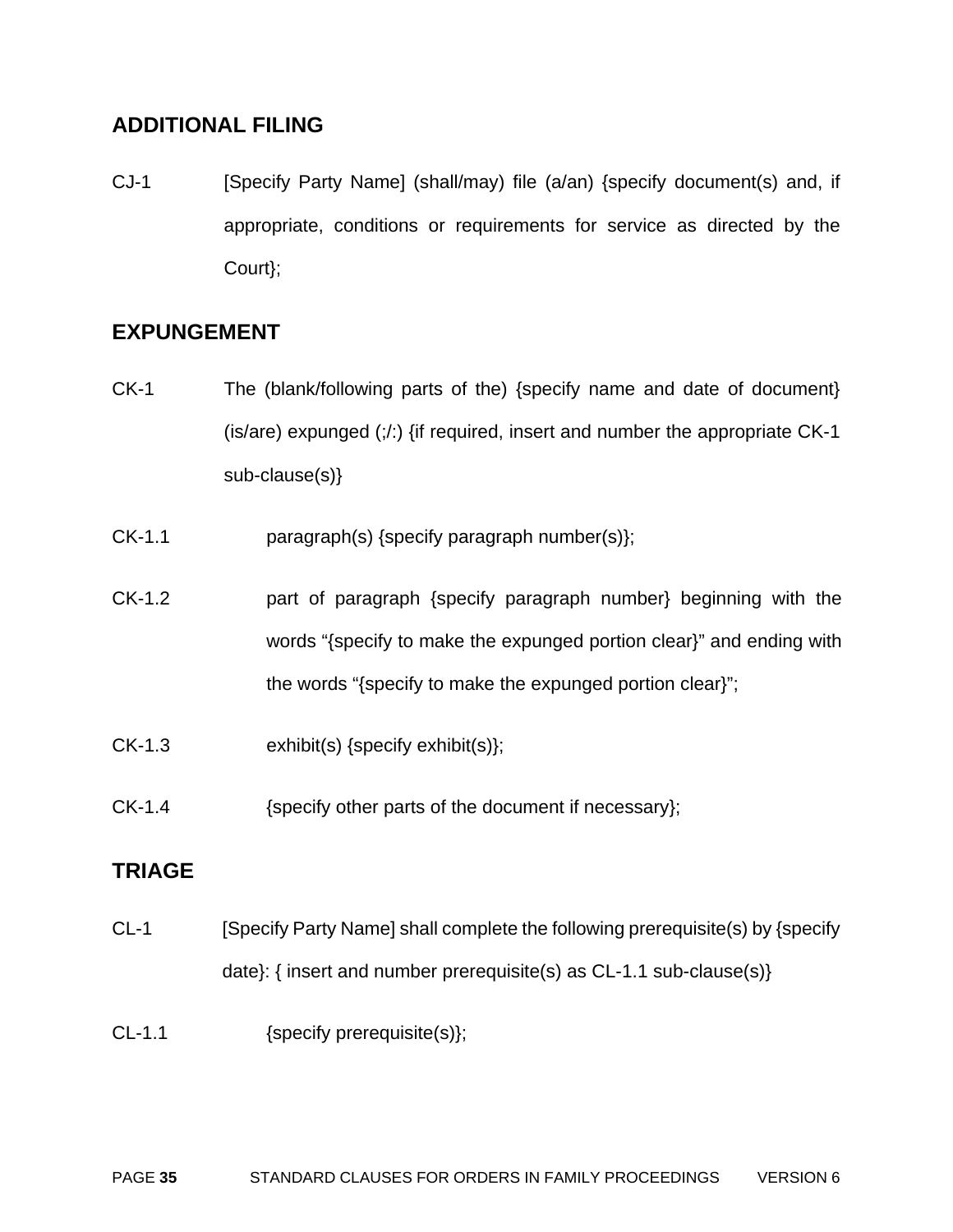# **ADDITIONAL FILING**

CJ-1 [Specify Party Name] (shall/may) file (a/an) {specify document(s) and, if appropriate, conditions or requirements for service as directed by the Court};

# **EXPUNGEMENT**

- CK-1 The (blank/following parts of the) {specify name and date of document} (is/are) expunged (;/:) {if required, insert and number the appropriate CK-1 sub-clause(s)}
- CK-1.1 paragraph(s) {specify paragraph number(s)};
- CK-1.2 part of paragraph {specify paragraph number} beginning with the words "{specify to make the expunged portion clear}" and ending with the words "{specify to make the expunged portion clear}";
- CK-1.3 exhibit(s) {specify exhibit(s)};
- CK-1.4 {specify other parts of the document if necessary};

## **TRIAGE**

- CL-1 [Specify Party Name] shall complete the following prerequisite(s) by {specify date}: { insert and number prerequisite(s) as CL-1.1 sub-clause(s)}
- CL-1.1 {specify prerequisite(s)};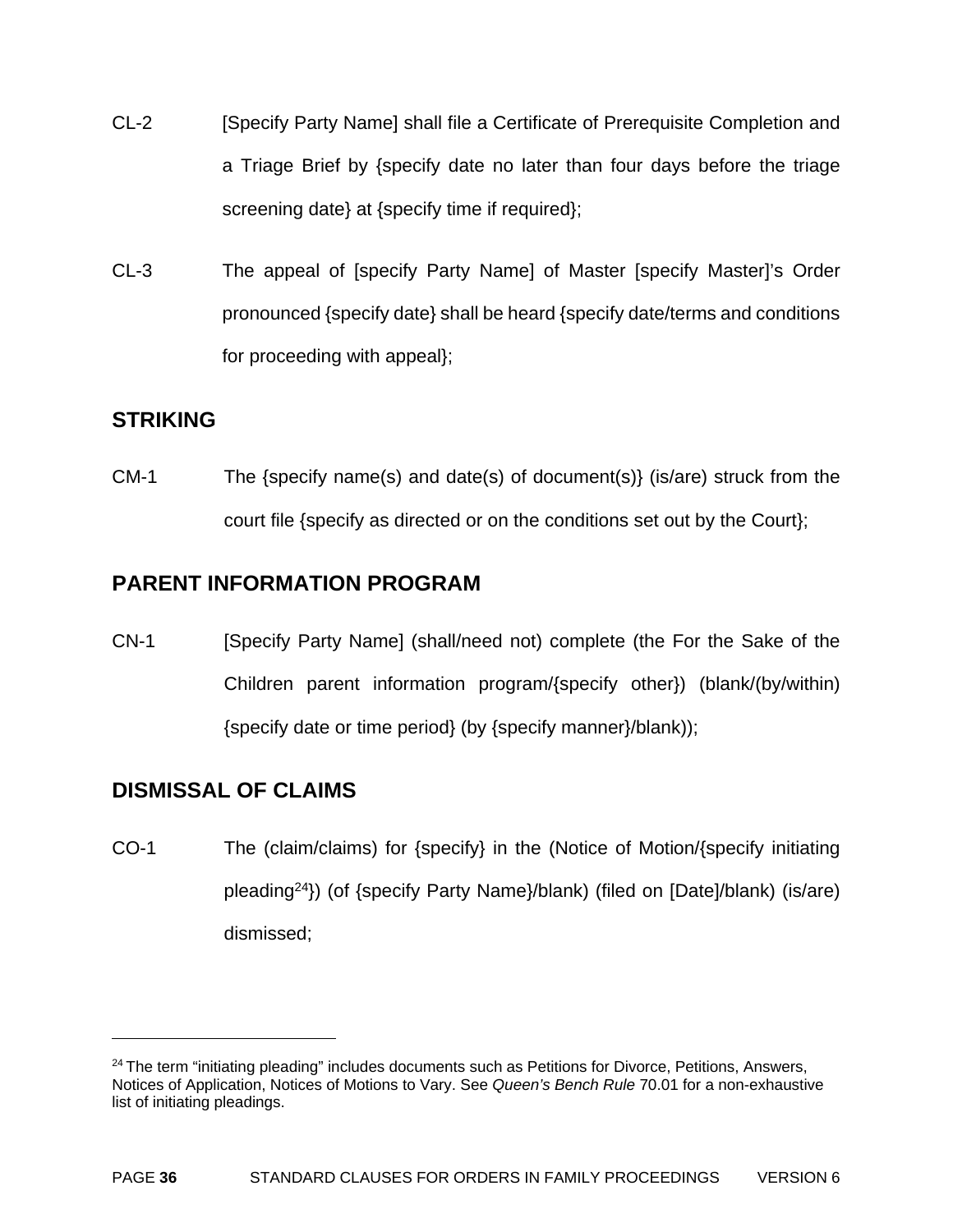- CL-2 [Specify Party Name] shall file a Certificate of Prerequisite Completion and a Triage Brief by {specify date no later than four days before the triage screening date} at {specify time if required};
- CL-3 The appeal of [specify Party Name] of Master [specify Master]'s Order pronounced {specify date} shall be heard {specify date/terms and conditions for proceeding with appeal};

### **STRIKING**

CM-1 The {specify name(s) and date(s) of document(s)} (is/are) struck from the court file {specify as directed or on the conditions set out by the Court};

# **PARENT INFORMATION PROGRAM**

CN-1 [Specify Party Name] (shall/need not) complete (the For the Sake of the Children parent information program/{specify other}) (blank/(by/within) {specify date or time period} (by {specify manner}/blank));

# **DISMISSAL OF CLAIMS**

 $\overline{a}$ 

CO-1 The (claim/claims) for {specify} in the (Notice of Motion/{specify initiating pleading24}) (of {specify Party Name}/blank) (filed on [Date]/blank) (is/are) dismissed;

 $24$  The term "initiating pleading" includes documents such as Petitions for Divorce, Petitions, Answers, Notices of Application, Notices of Motions to Vary. See *Queen's Bench Rule* 70.01 for a non-exhaustive list of initiating pleadings.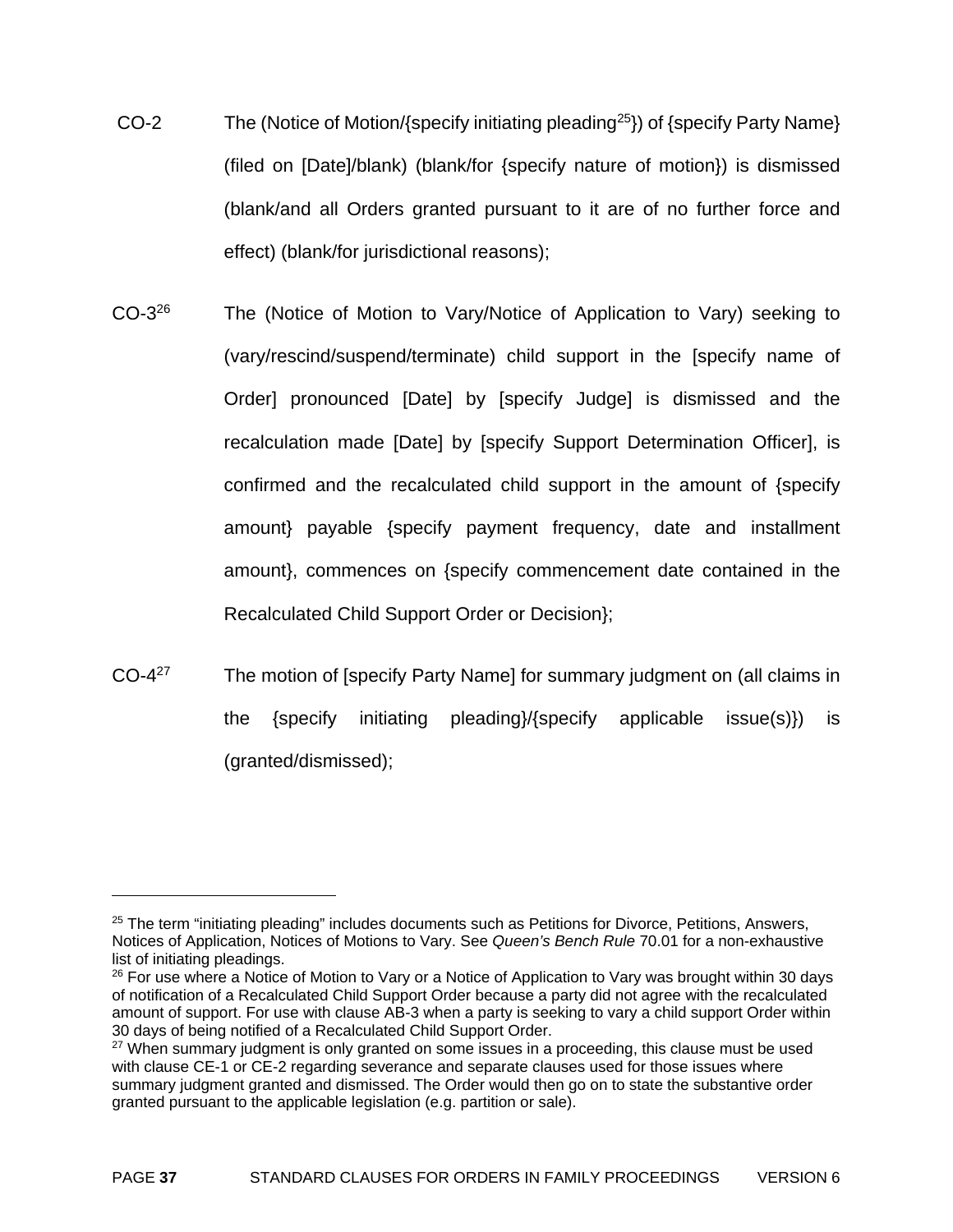- CO-2 The (Notice of Motion/{specify initiating pleading<sup>25</sup>}) of {specify Party Name} (filed on [Date]/blank) (blank/for {specify nature of motion}) is dismissed (blank/and all Orders granted pursuant to it are of no further force and effect) (blank/for jurisdictional reasons);
- CO-326 The (Notice of Motion to Vary/Notice of Application to Vary) seeking to (vary/rescind/suspend/terminate) child support in the [specify name of Order] pronounced [Date] by [specify Judge] is dismissed and the recalculation made [Date] by [specify Support Determination Officer], is confirmed and the recalculated child support in the amount of {specify amount} payable {specify payment frequency, date and installment amount}, commences on {specify commencement date contained in the Recalculated Child Support Order or Decision};
- CO-4<sup>27</sup> The motion of [specify Party Name] for summary judgment on (all claims in the {specify initiating pleading}/{specify applicable issue(s)}) is (granted/dismissed);

<sup>&</sup>lt;sup>25</sup> The term "initiating pleading" includes documents such as Petitions for Divorce, Petitions, Answers, Notices of Application, Notices of Motions to Vary. See *Queen's Bench Rule* 70.01 for a non-exhaustive list of initiating pleadings.

<sup>&</sup>lt;sup>26</sup> For use where a Notice of Motion to Vary or a Notice of Application to Vary was brought within 30 days of notification of a Recalculated Child Support Order because a party did not agree with the recalculated amount of support. For use with clause AB-3 when a party is seeking to vary a child support Order within 30 days of being notified of a Recalculated Child Support Order.

 $27$  When summary judgment is only granted on some issues in a proceeding, this clause must be used with clause CE-1 or CE-2 regarding severance and separate clauses used for those issues where summary judgment granted and dismissed. The Order would then go on to state the substantive order granted pursuant to the applicable legislation (e.g. partition or sale).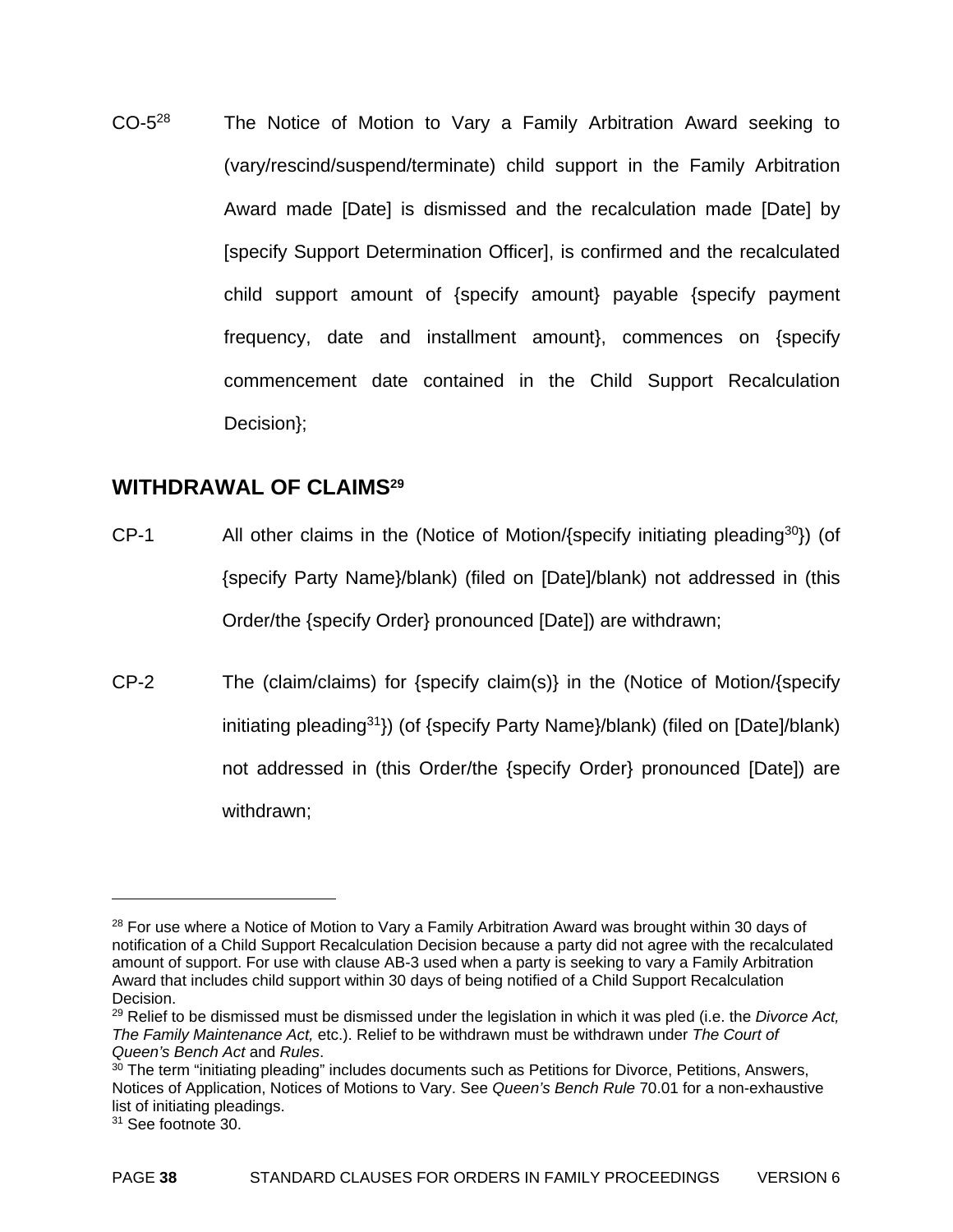CO-528 The Notice of Motion to Vary a Family Arbitration Award seeking to (vary/rescind/suspend/terminate) child support in the Family Arbitration Award made [Date] is dismissed and the recalculation made [Date] by [specify Support Determination Officer], is confirmed and the recalculated child support amount of {specify amount} payable {specify payment frequency, date and installment amount}, commences on {specify commencement date contained in the Child Support Recalculation Decision};

#### **WITHDRAWAL OF CLAIMS29**

- CP-1 All other claims in the (Notice of Motion/{specify initiating pleading<sup>30</sup>}) (of {specify Party Name}/blank) (filed on [Date]/blank) not addressed in (this Order/the {specify Order} pronounced [Date]) are withdrawn;
- CP-2 The (claim/claims) for {specify claim(s)} in the (Notice of Motion/{specify initiating pleading<sup>31</sup> $)$  (of {specify Party Name}/blank) (filed on [Date]/blank) not addressed in (this Order/the {specify Order} pronounced [Date]) are withdrawn;

1

 $28$  For use where a Notice of Motion to Vary a Family Arbitration Award was brought within 30 days of notification of a Child Support Recalculation Decision because a party did not agree with the recalculated amount of support. For use with clause AB-3 used when a party is seeking to vary a Family Arbitration Award that includes child support within 30 days of being notified of a Child Support Recalculation Decision.

<sup>29</sup> Relief to be dismissed must be dismissed under the legislation in which it was pled (i.e. the *Divorce Act, The Family Maintenance Act,* etc.). Relief to be withdrawn must be withdrawn under *The Court of Queen's Bench Act* and *Rules*.<br><sup>30</sup> The term "initiating pleading" includes documents such as Petitions for Divorce, Petitions, Answers,

Notices of Application, Notices of Motions to Vary. See *Queen's Bench Rule* 70.01 for a non-exhaustive list of initiating pleadings.

<sup>&</sup>lt;sup>31</sup> See footnote 30.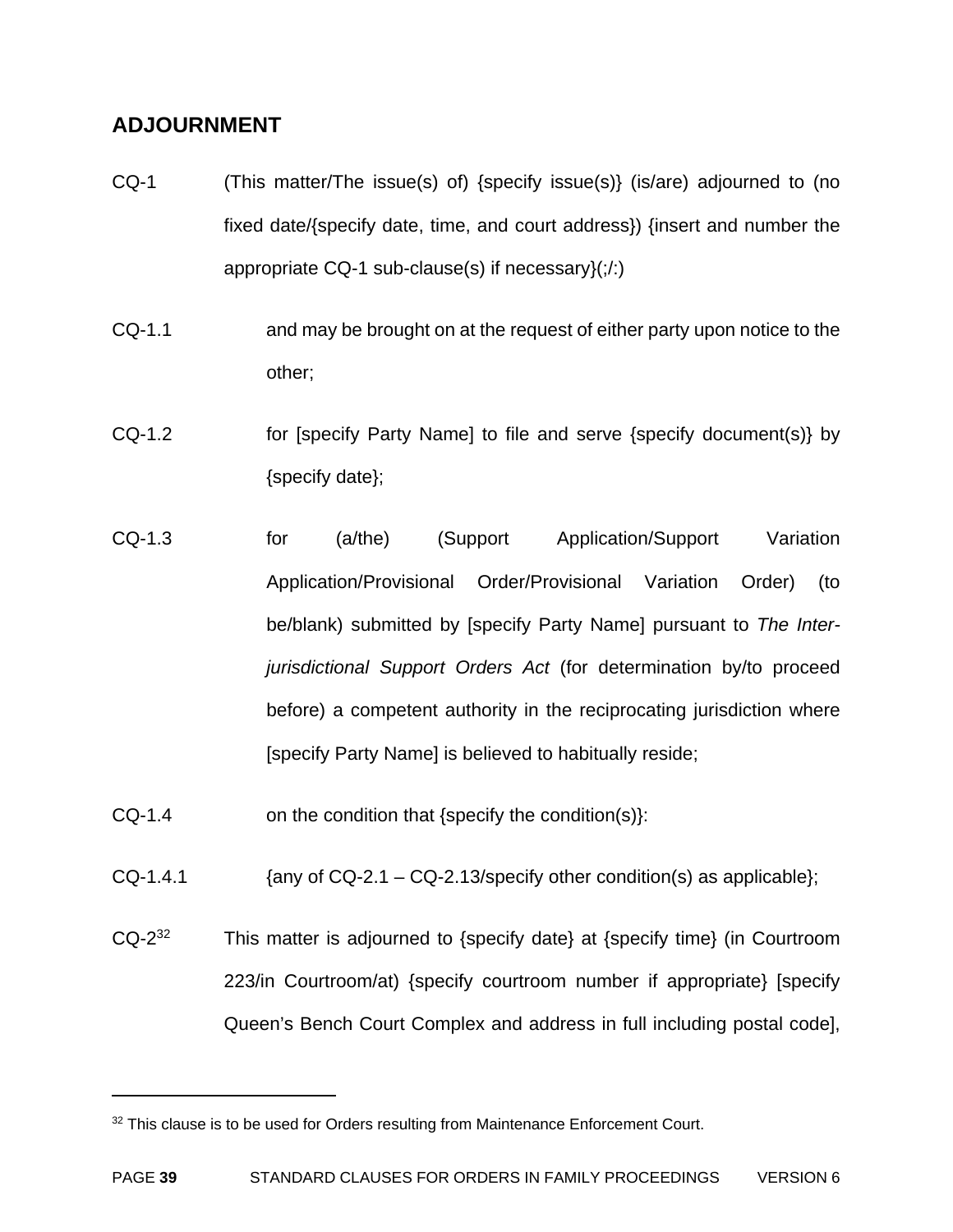# **ADJOURNMENT**

- CQ-1 (This matter/The issue(s) of) {specify issue(s)} (is/are) adjourned to (no fixed date/{specify date, time, and court address}) {insert and number the appropriate CQ-1 sub-clause(s) if necessary $($ ; $/$ : $)$
- CQ-1.1 and may be brought on at the request of either party upon notice to the other;
- CQ-1.2 for [specify Party Name] to file and serve {specify document(s)} by {specify date};
- CQ-1.3 for (a/the) (Support Application/Support Variation Application/Provisional Order/Provisional Variation Order) (to be/blank) submitted by [specify Party Name] pursuant to *The Interjurisdictional Support Orders Act* (for determination by/to proceed before) a competent authority in the reciprocating jurisdiction where [specify Party Name] is believed to habitually reside;
- $CQ-1.4$  on the condition that {specify the condition(s)}:
- CQ-1.4.1  ${QQ-2.1 CQ-2.13}$  {any of CQ-2.1 CQ-2.13 and  ${QQ-1.4.1}$
- $CQ-2^{32}$  This matter is adjourned to {specify date} at {specify time} (in Courtroom 223/in Courtroom/at) {specify courtroom number if appropriate} [specify Queen's Bench Court Complex and address in full including postal code],

<sup>&</sup>lt;sup>32</sup> This clause is to be used for Orders resulting from Maintenance Enforcement Court.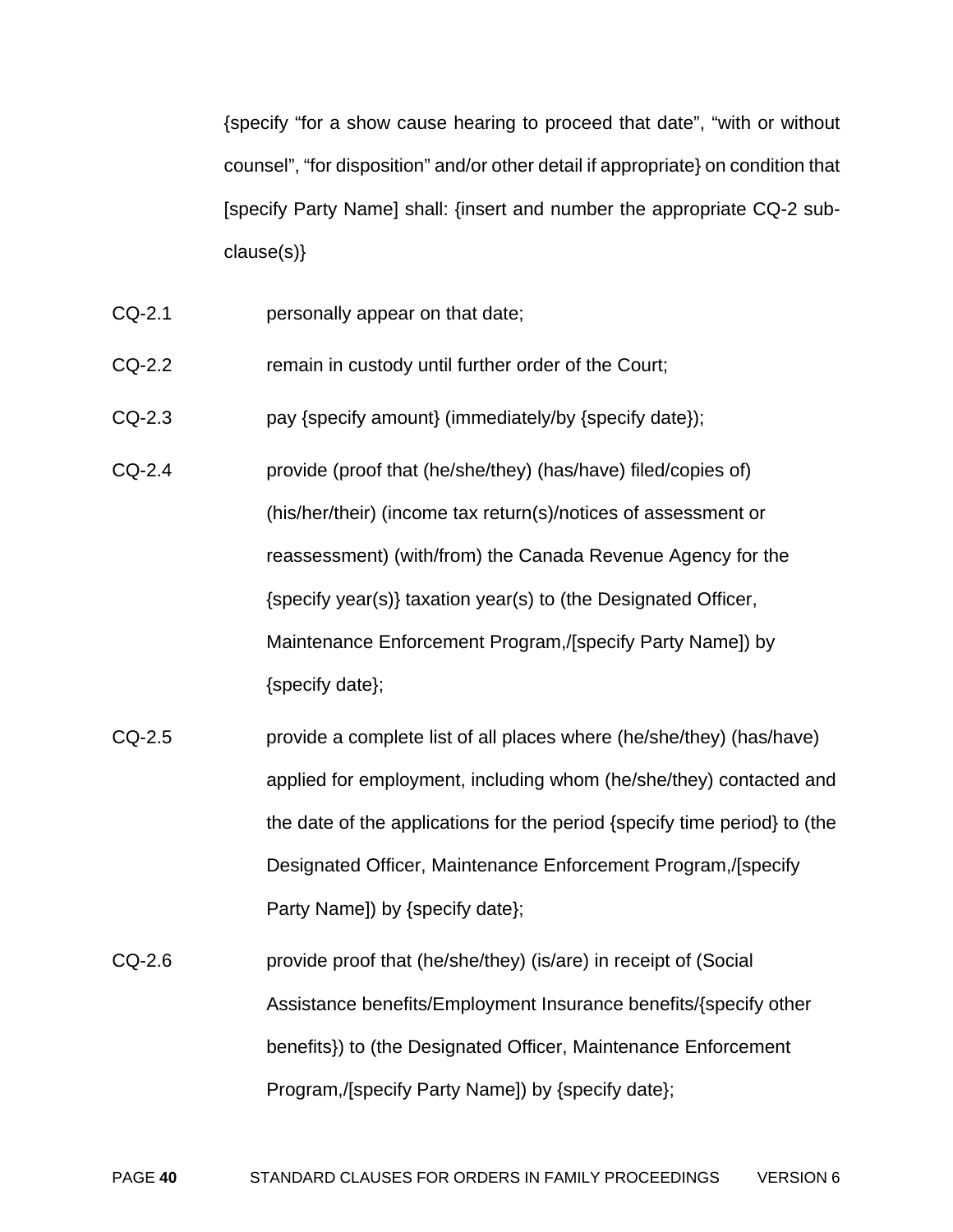{specify "for a show cause hearing to proceed that date", "with or without counsel", "for disposition" and/or other detail if appropriate} on condition that [specify Party Name] shall: {insert and number the appropriate CQ-2 subclause(s)}

- CQ-2.1 personally appear on that date;
- CQ-2.2 remain in custody until further order of the Court;
- CQ-2.3 **pay {specify amount} (immediately/by {specify date});**
- CQ-2.4 provide (proof that (he/she/they) (has/have) filed/copies of) (his/her/their) (income tax return(s)/notices of assessment or reassessment) (with/from) the Canada Revenue Agency for the {specify year(s)} taxation year(s) to (the Designated Officer, Maintenance Enforcement Program,/[specify Party Name]) by {specify date};
- CQ-2.5 provide a complete list of all places where (he/she/they) (has/have) applied for employment, including whom (he/she/they) contacted and the date of the applications for the period {specify time period} to (the Designated Officer, Maintenance Enforcement Program,/[specify Party Name]) by {specify date};
- CQ-2.6 provide proof that (he/she/they) (is/are) in receipt of (Social Assistance benefits/Employment Insurance benefits/{specify other benefits}) to (the Designated Officer, Maintenance Enforcement Program,/[specify Party Name]) by {specify date};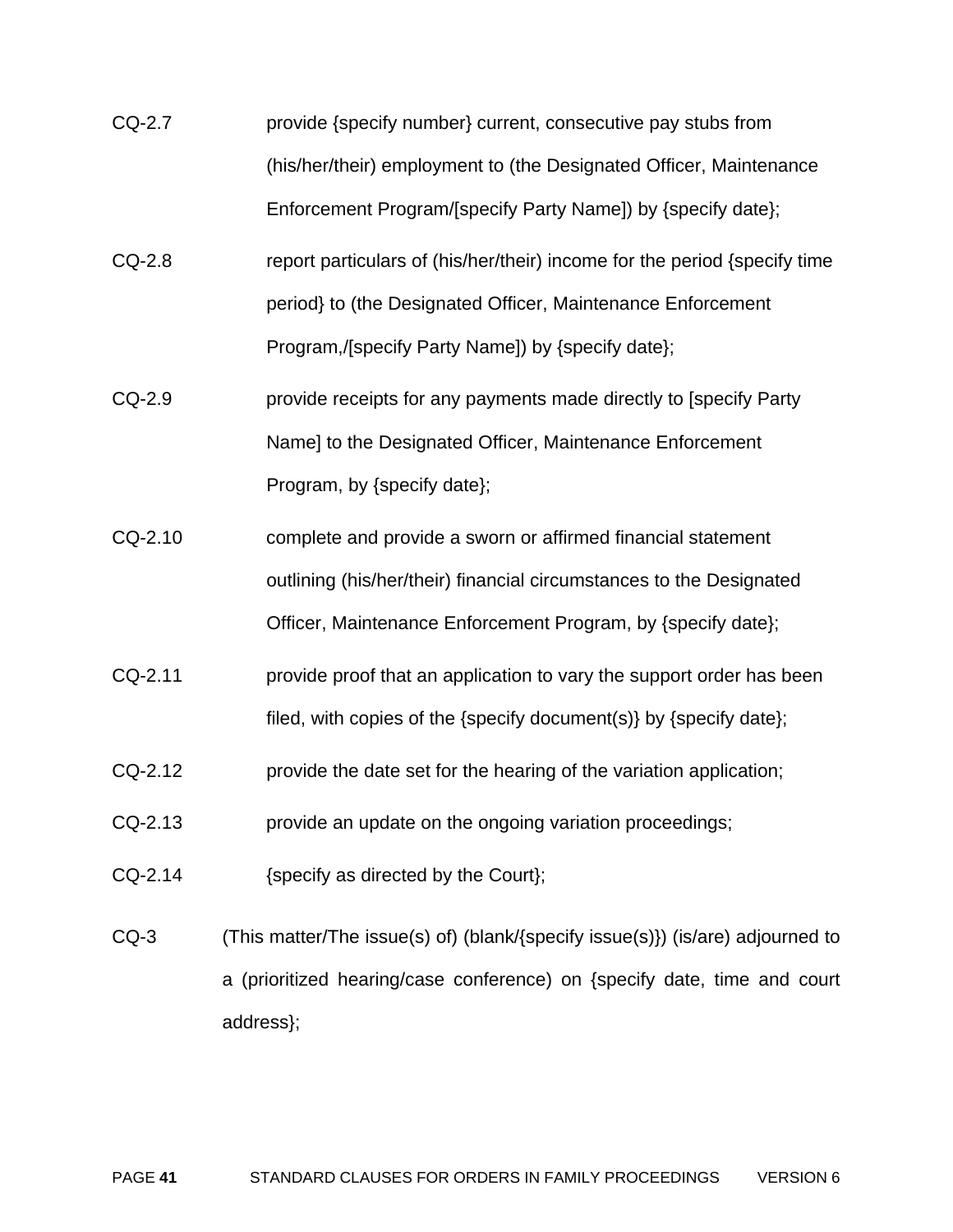- CQ-2.7 provide {specify number} current, consecutive pay stubs from (his/her/their) employment to (the Designated Officer, Maintenance Enforcement Program/[specify Party Name]) by {specify date};
- CQ-2.8 report particulars of (his/her/their) income for the period {specify time period} to (the Designated Officer, Maintenance Enforcement Program,/[specify Party Name]) by {specify date};
- CQ-2.9 provide receipts for any payments made directly to [specify Party Name] to the Designated Officer, Maintenance Enforcement Program, by {specify date};
- CQ-2.10 complete and provide a sworn or affirmed financial statement outlining (his/her/their) financial circumstances to the Designated Officer, Maintenance Enforcement Program, by {specify date};
- CQ-2.11 provide proof that an application to vary the support order has been filed, with copies of the {specify document(s)} by {specify date};
- CQ-2.12 provide the date set for the hearing of the variation application;
- CQ-2.13 provide an update on the ongoing variation proceedings;
- CQ-2.14 {specify as directed by the Court};
- CQ-3 (This matter/The issue(s) of) (blank/{specify issue(s)}) (is/are) adjourned to a (prioritized hearing/case conference) on {specify date, time and court address};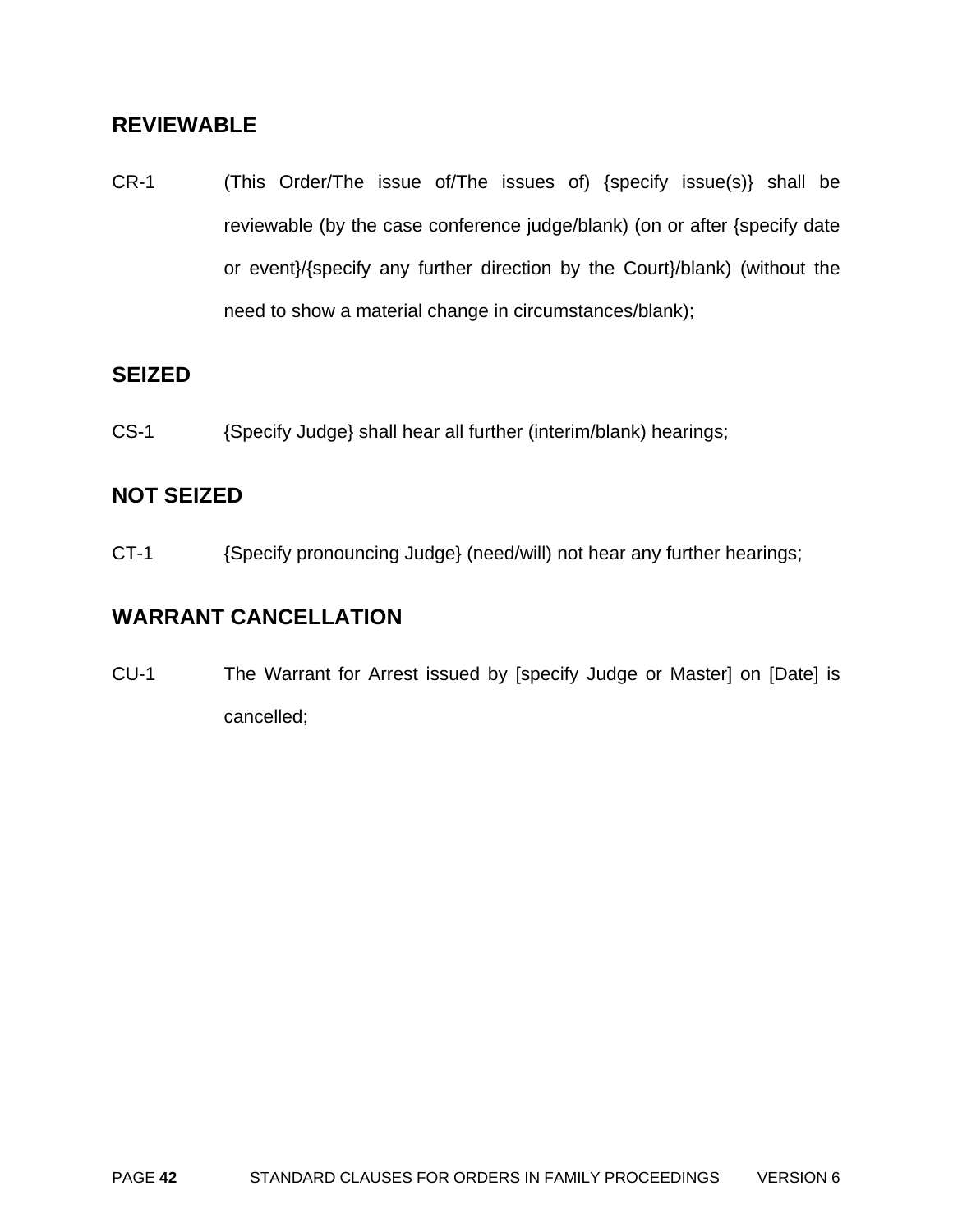### **REVIEWABLE**

CR-1 (This Order/The issue of/The issues of) {specify issue(s)} shall be reviewable (by the case conference judge/blank) (on or after {specify date or event}/{specify any further direction by the Court}/blank) (without the need to show a material change in circumstances/blank);

#### **SEIZED**

CS-1 {Specify Judge} shall hear all further (interim/blank) hearings;

#### **NOT SEIZED**

CT-1 {Specify pronouncing Judge} (need/will) not hear any further hearings;

### **WARRANT CANCELLATION**

CU-1 The Warrant for Arrest issued by [specify Judge or Master] on [Date] is cancelled;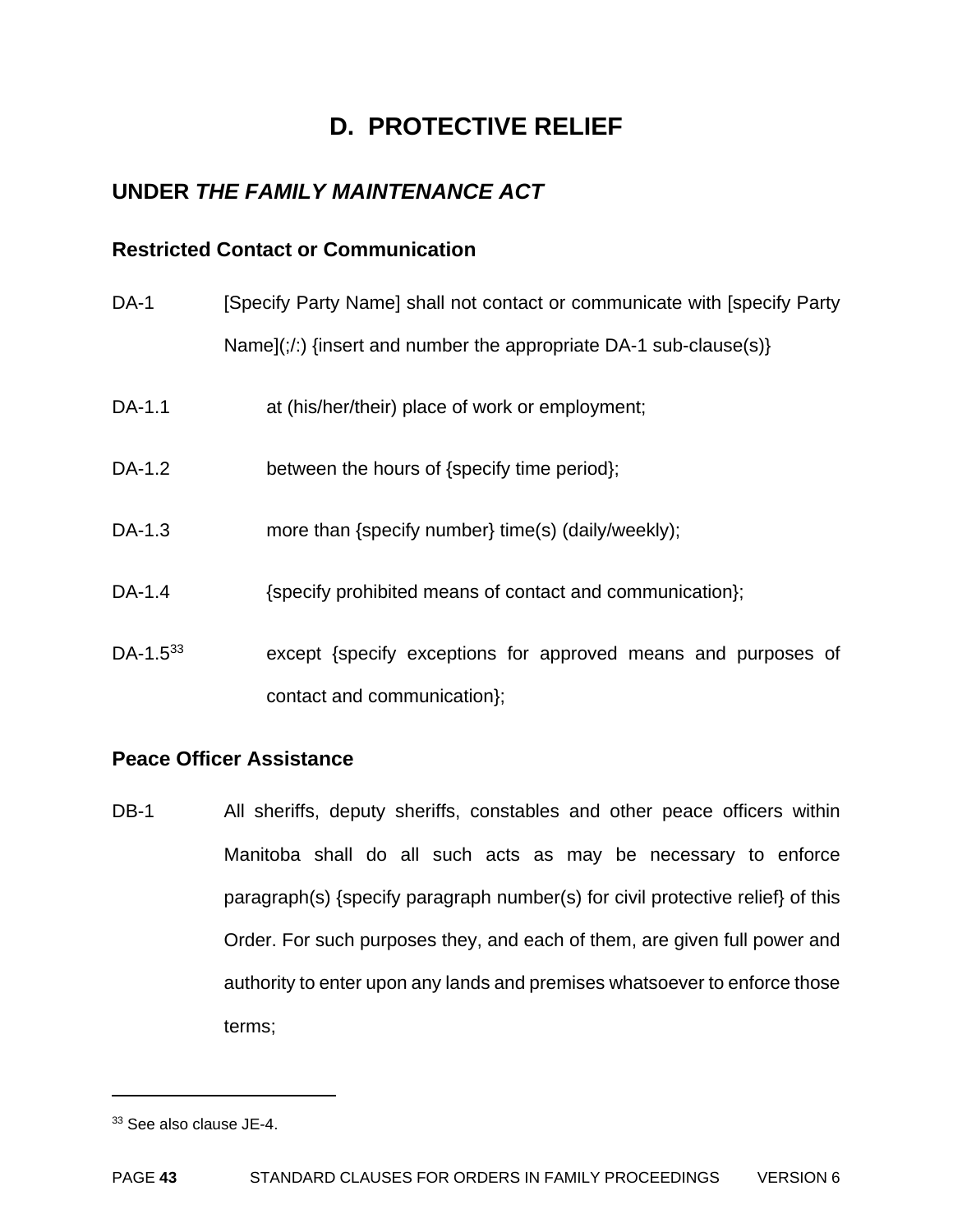# **D. PROTECTIVE RELIEF**

# **UNDER** *THE FAMILY MAINTENANCE ACT*

#### **Restricted Contact or Communication**

DA-1 [Specify Party Name] shall not contact or communicate with [specify Party Name](;/:) {insert and number the appropriate DA-1 sub-clause(s)}

- DA-1.1 at (his/her/their) place of work or employment;
- DA-1.2 between the hours of {specify time period};
- DA-1.3 more than {specify number} time(s) (daily/weekly);
- DA-1.4  ${Specify\ prohibited\ means\ of\ contact\ and\ commutation};$
- DA-1.5<sup>33</sup> except {specify exceptions for approved means and purposes of contact and communication};

#### **Peace Officer Assistance**

DB-1 All sheriffs, deputy sheriffs, constables and other peace officers within Manitoba shall do all such acts as may be necessary to enforce paragraph(s) {specify paragraph number(s) for civil protective relief} of this Order. For such purposes they, and each of them, are given full power and authority to enter upon any lands and premises whatsoever to enforce those terms;

<sup>33</sup> See also clause JE-4.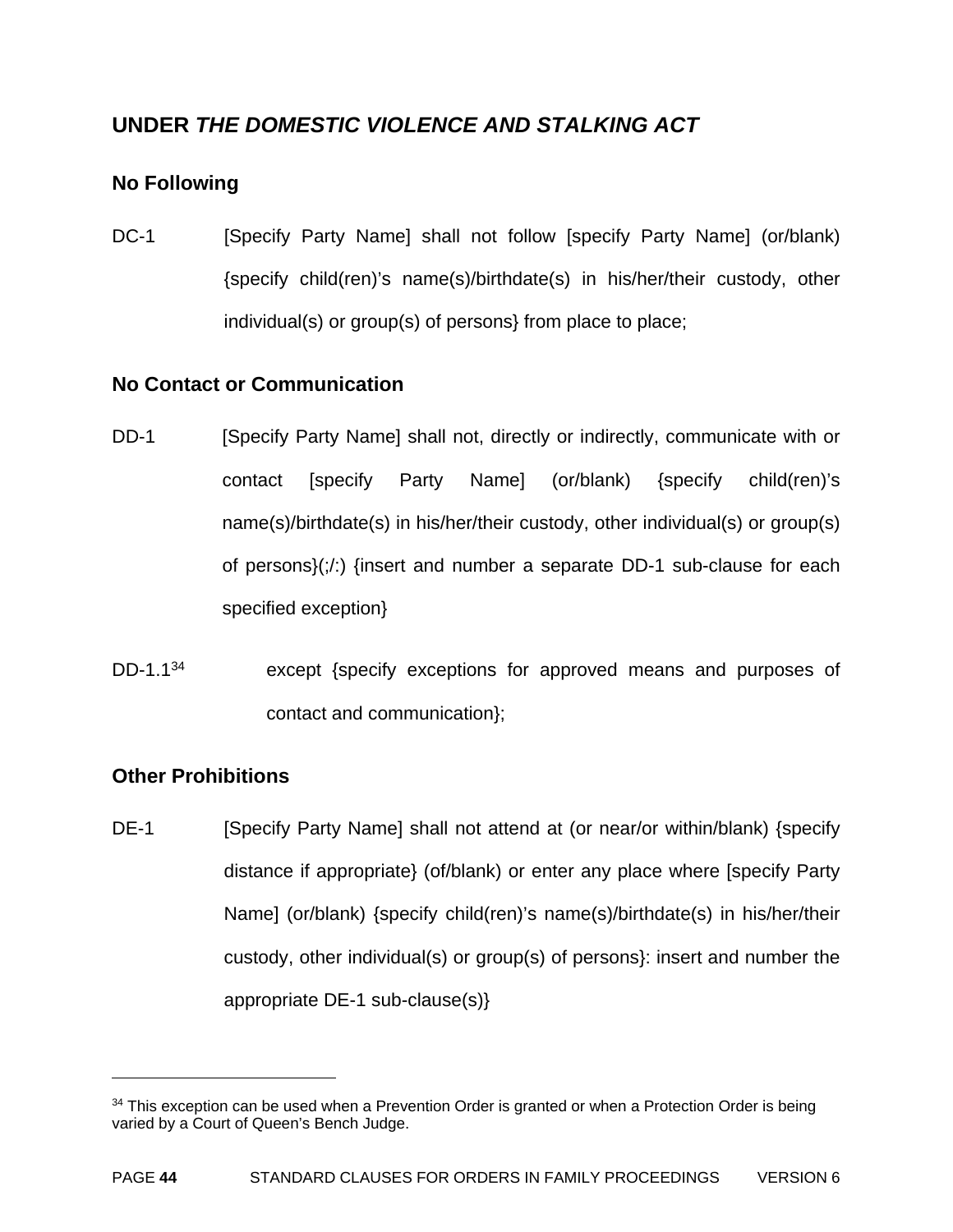# **UNDER** *THE DOMESTIC VIOLENCE AND STALKING ACT*

### **No Following**

DC-1 [Specify Party Name] shall not follow [specify Party Name] (or/blank) {specify child(ren)'s name(s)/birthdate(s) in his/her/their custody, other individual(s) or group(s) of persons} from place to place;

#### **No Contact or Communication**

- DD-1 [Specify Party Name] shall not, directly or indirectly, communicate with or contact [specify Party Name] (or/blank) {specify child(ren)'s name(s)/birthdate(s) in his/her/their custody, other individual(s) or group(s) of persons $\langle \cdot, \cdot \rangle$  {insert and number a separate DD-1 sub-clause for each specified exception}
- DD-1.1<sup>34</sup> except {specify exceptions for approved means and purposes of contact and communication};

#### **Other Prohibitions**

1

DE-1 [Specify Party Name] shall not attend at (or near/or within/blank) {specify distance if appropriate} (of/blank) or enter any place where [specify Party Name] (or/blank) {specify child(ren)'s name(s)/birthdate(s) in his/her/their custody, other individual(s) or group(s) of persons}: insert and number the appropriate DE-1 sub-clause(s)}

<sup>&</sup>lt;sup>34</sup> This exception can be used when a Prevention Order is granted or when a Protection Order is being varied by a Court of Queen's Bench Judge.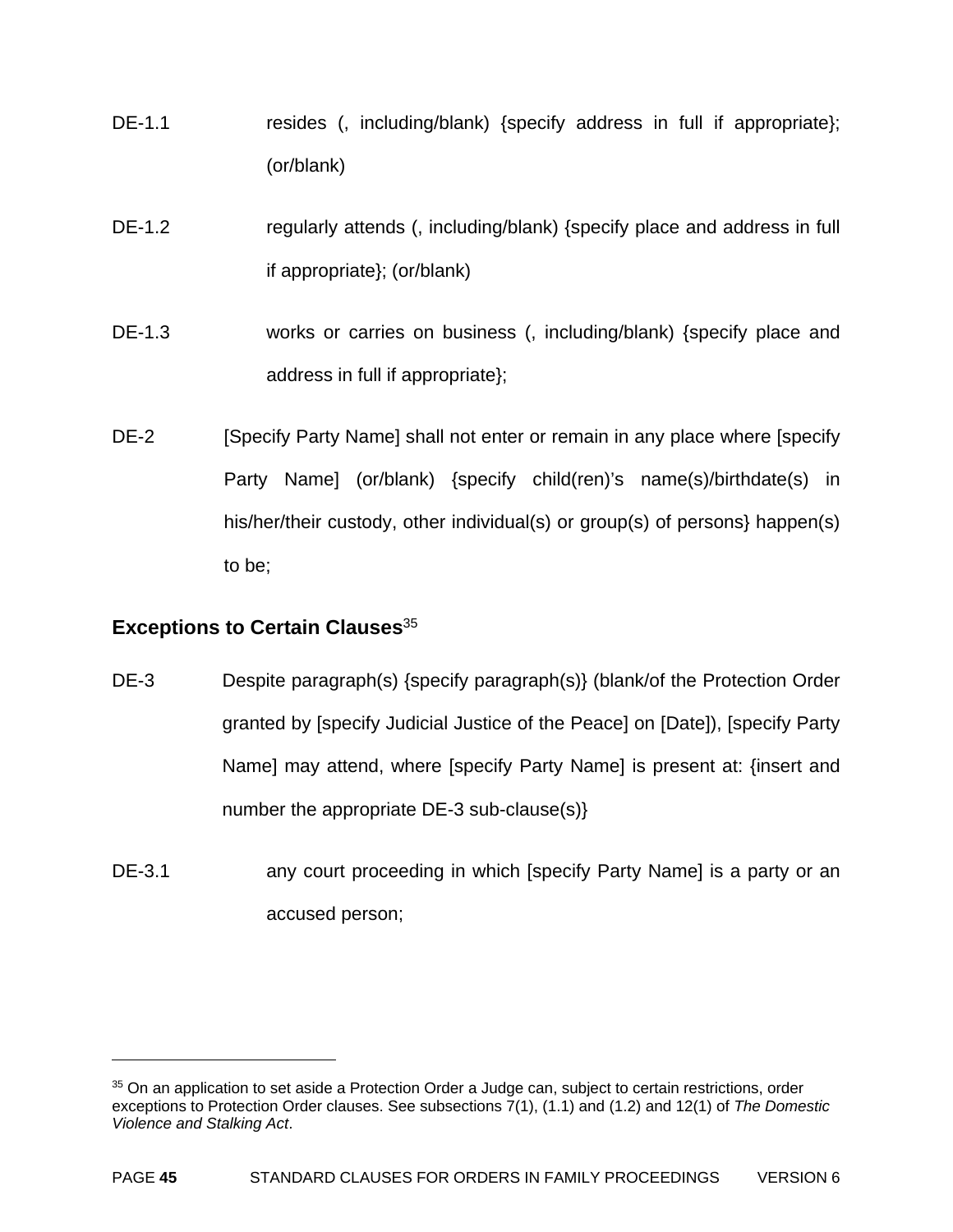- DE-1.1 resides (, including/blank) {specify address in full if appropriate}; (or/blank)
- DE-1.2 regularly attends (, including/blank) {specify place and address in full if appropriate}; (or/blank)
- DE-1.3 works or carries on business (, including/blank) {specify place and address in full if appropriate};
- DE-2 [Specify Party Name] shall not enter or remain in any place where [specify] Party Name] (or/blank) {specify child(ren)'s name(s)/birthdate(s) in his/her/their custody, other individual(s) or group(s) of persons} happen(s) to be;

#### **Exceptions to Certain Clauses**<sup>35</sup>

- DE-3 Despite paragraph(s) {specify paragraph(s)} (blank/of the Protection Order granted by [specify Judicial Justice of the Peace] on [Date]), [specify Party Name] may attend, where [specify Party Name] is present at: {insert and number the appropriate DE-3 sub-clause(s)}
- DE-3.1 **any court proceeding in which [specify Party Name] is a party or an** accused person;

<sup>&</sup>lt;sup>35</sup> On an application to set aside a Protection Order a Judge can, subject to certain restrictions, order exceptions to Protection Order clauses. See subsections 7(1), (1.1) and (1.2) and 12(1) of *The Domestic Violence and Stalking Act*.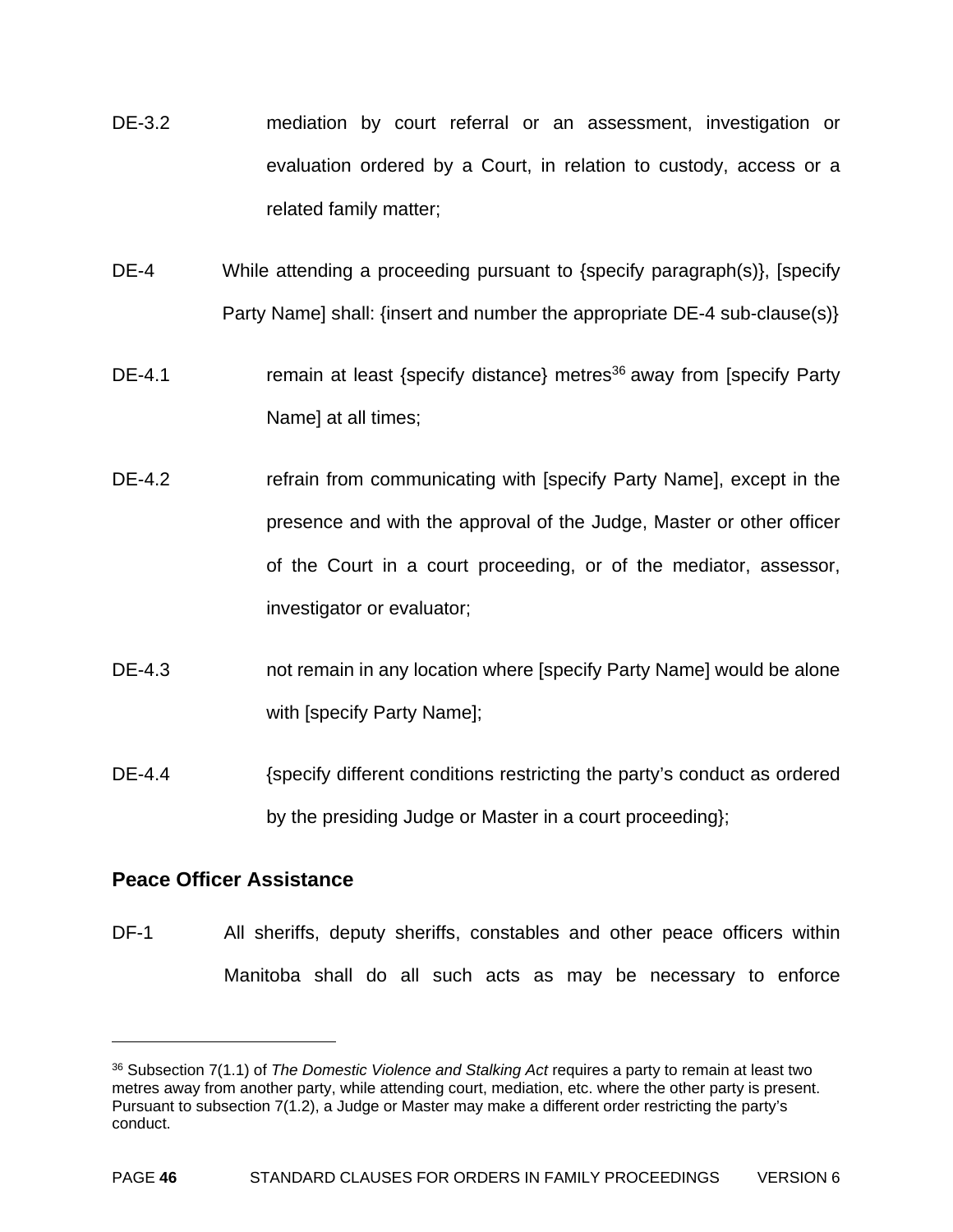- DE-3.2 mediation by court referral or an assessment, investigation or evaluation ordered by a Court, in relation to custody, access or a related family matter;
- DE-4 While attending a proceeding pursuant to {specify paragraph(s)}, [specify Party Name] shall: {insert and number the appropriate DE-4 sub-clause(s)}
- DE-4.1 **remain at least {specify distance} metres**<sup>36</sup> away from [specify Party Name] at all times;
- DE-4.2 refrain from communicating with [specify Party Name], except in the presence and with the approval of the Judge, Master or other officer of the Court in a court proceeding, or of the mediator, assessor, investigator or evaluator;
- DE-4.3 not remain in any location where [specify Party Name] would be alone with [specify Party Name];
- DE-4.4 {specify different conditions restricting the party's conduct as ordered by the presiding Judge or Master in a court proceeding};

#### **Peace Officer Assistance**

1

DF-1 All sheriffs, deputy sheriffs, constables and other peace officers within Manitoba shall do all such acts as may be necessary to enforce

<sup>36</sup> Subsection 7(1.1) of *The Domestic Violence and Stalking Act* requires a party to remain at least two metres away from another party, while attending court, mediation, etc. where the other party is present. Pursuant to subsection 7(1.2), a Judge or Master may make a different order restricting the party's conduct.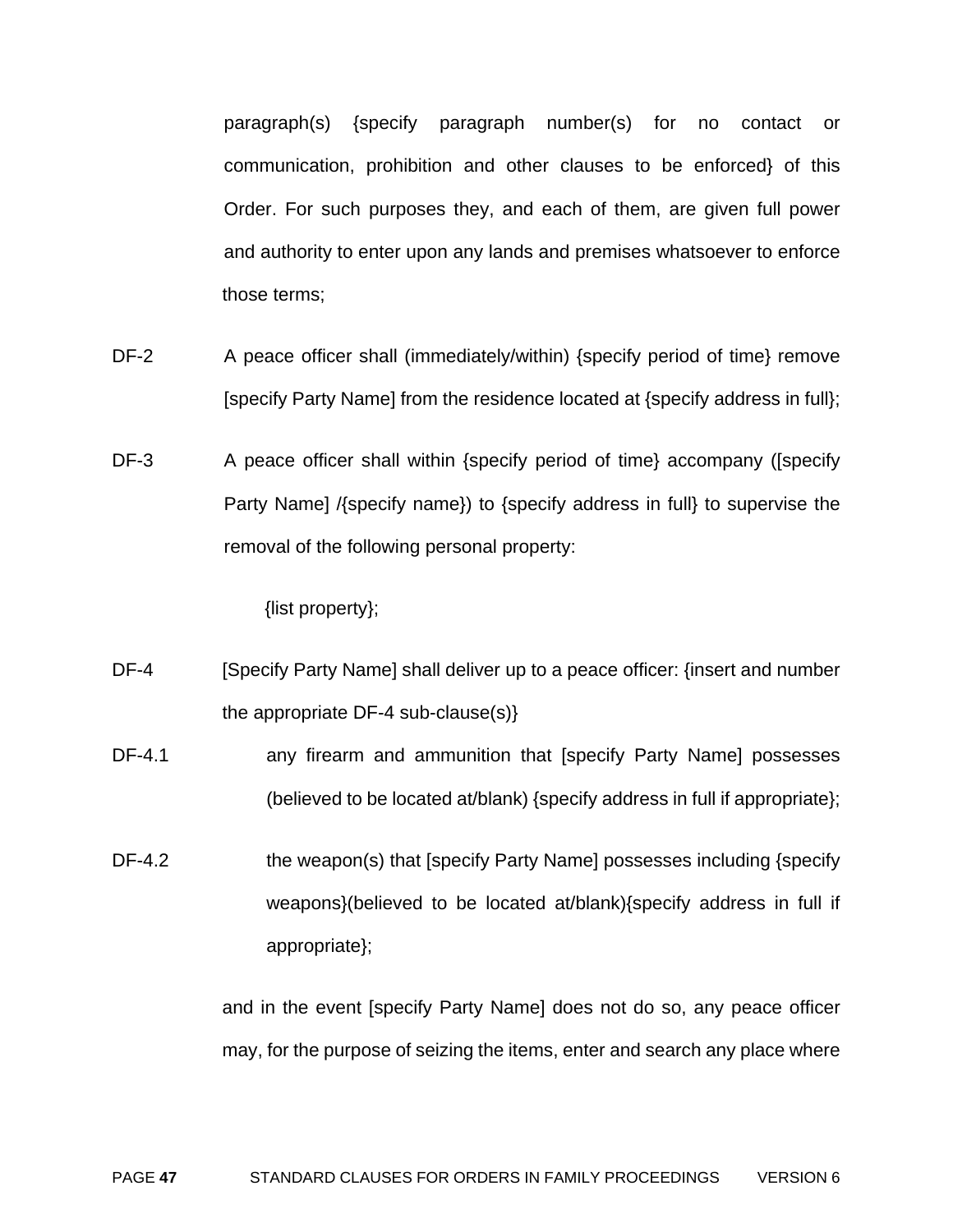paragraph(s) {specify paragraph number(s) for no contact or communication, prohibition and other clauses to be enforced} of this Order. For such purposes they, and each of them, are given full power and authority to enter upon any lands and premises whatsoever to enforce those terms;

- DF-2 A peace officer shall (immediately/within) {specify period of time} remove [specify Party Name] from the residence located at {specify address in full};
- DF-3 A peace officer shall within {specify period of time} accompany ([specify Party Name] /{specify name}) to {specify address in full} to supervise the removal of the following personal property:

{list property};

- DF-4 [Specify Party Name] shall deliver up to a peace officer: {insert and number the appropriate DF-4 sub-clause(s)}
- DF-4.1 **any firearm and ammunition that [specify Party Name] possesses** (believed to be located at/blank) {specify address in full if appropriate};
- DF-4.2 the weapon(s) that [specify Party Name] possesses including {specify weapons}(believed to be located at/blank){specify address in full if appropriate};

and in the event [specify Party Name] does not do so, any peace officer may, for the purpose of seizing the items, enter and search any place where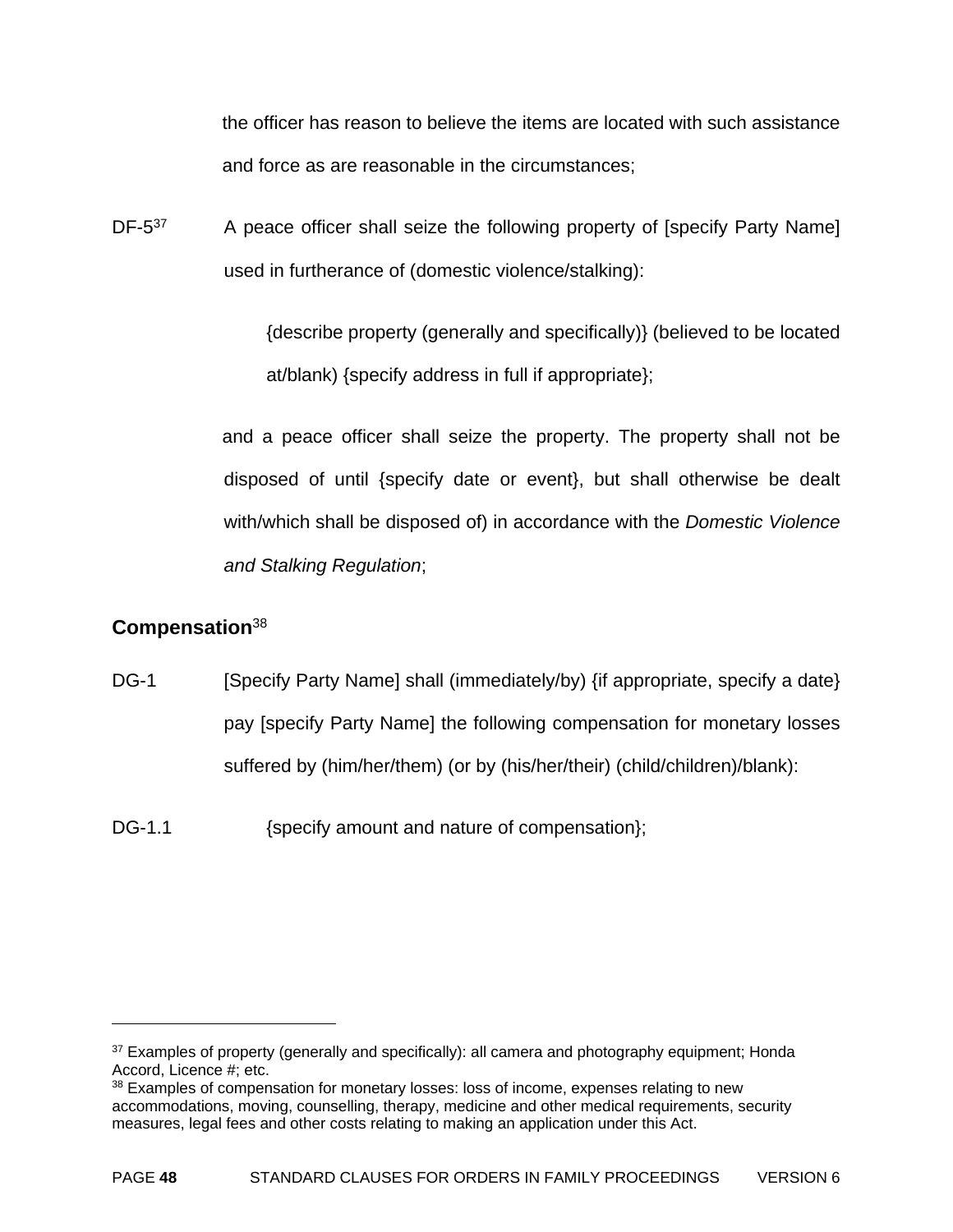the officer has reason to believe the items are located with such assistance and force as are reasonable in the circumstances;

DF-5<sup>37</sup> A peace officer shall seize the following property of [specify Party Name] used in furtherance of (domestic violence/stalking):

> {describe property (generally and specifically)} (believed to be located at/blank) {specify address in full if appropriate};

and a peace officer shall seize the property. The property shall not be disposed of until {specify date or event}, but shall otherwise be dealt with/which shall be disposed of) in accordance with the *Domestic Violence and Stalking Regulation*;

### **Compensation**<sup>38</sup>

- DG-1 [Specify Party Name] shall (immediately/by) {if appropriate, specify a date} pay [specify Party Name] the following compensation for monetary losses suffered by (him/her/them) (or by (his/her/their) (child/children)/blank):
- DG-1.1 {specify amount and nature of compensation};

<sup>&</sup>lt;sup>37</sup> Examples of property (generally and specifically): all camera and photography equipment; Honda Accord, Licence #; etc.

<sup>&</sup>lt;sup>38</sup> Examples of compensation for monetary losses: loss of income, expenses relating to new accommodations, moving, counselling, therapy, medicine and other medical requirements, security measures, legal fees and other costs relating to making an application under this Act.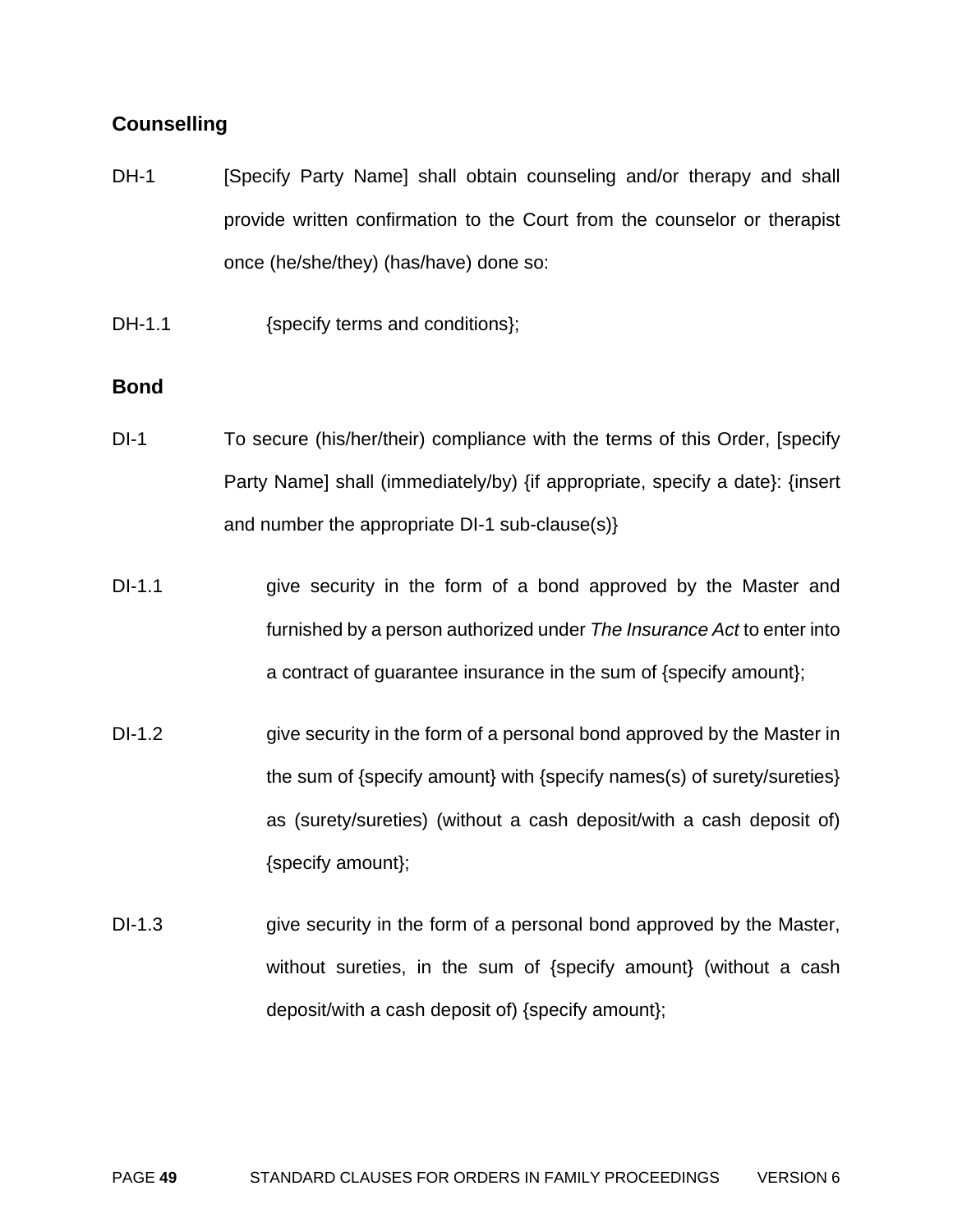#### **Counselling**

- DH-1 [Specify Party Name] shall obtain counseling and/or therapy and shall provide written confirmation to the Court from the counselor or therapist once (he/she/they) (has/have) done so:
- DH-1.1 {specify terms and conditions};

#### **Bond**

- DI-1 To secure (his/her/their) compliance with the terms of this Order, [specify Party Name] shall (immediately/by) {if appropriate, specify a date}: {insert and number the appropriate DI-1 sub-clause(s)}
- DI-1.1 give security in the form of a bond approved by the Master and furnished by a person authorized under *The Insurance Act* to enter into a contract of guarantee insurance in the sum of {specify amount};
- DI-1.2 give security in the form of a personal bond approved by the Master in the sum of {specify amount} with {specify names(s) of surety/sureties} as (surety/sureties) (without a cash deposit/with a cash deposit of) {specify amount};
- DI-1.3 give security in the form of a personal bond approved by the Master, without sureties, in the sum of {specify amount} (without a cash deposit/with a cash deposit of) {specify amount};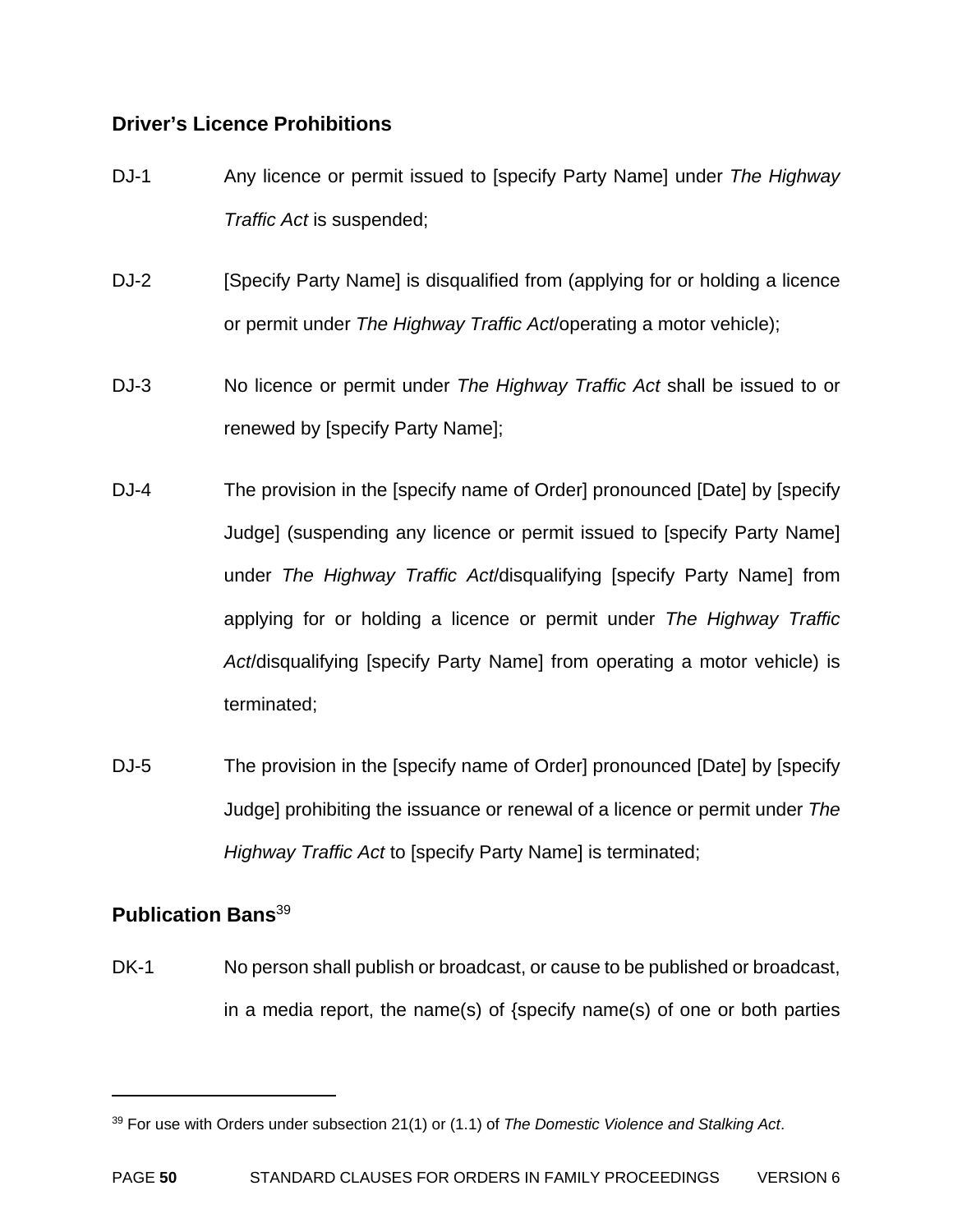#### **Driver's Licence Prohibitions**

- DJ-1 Any licence or permit issued to [specify Party Name] under *The Highway Traffic Act* is suspended;
- DJ-2 [Specify Party Name] is disqualified from (applying for or holding a licence or permit under *The Highway Traffic Act*/operating a motor vehicle);
- DJ-3 No licence or permit under *The Highway Traffic Act* shall be issued to or renewed by [specify Party Name];
- DJ-4 The provision in the [specify name of Order] pronounced [Date] by [specify Judge] (suspending any licence or permit issued to [specify Party Name] under *The Highway Traffic Act*/disqualifying [specify Party Name] from applying for or holding a licence or permit under *The Highway Traffic Act*/disqualifying [specify Party Name] from operating a motor vehicle) is terminated;
- DJ-5 The provision in the [specify name of Order] pronounced [Date] by [specify Judge] prohibiting the issuance or renewal of a licence or permit under *The Highway Traffic Act* to [specify Party Name] is terminated;

### **Publication Bans**<sup>39</sup>

 $\overline{a}$ 

DK-1 No person shall publish or broadcast, or cause to be published or broadcast, in a media report, the name(s) of {specify name(s) of one or both parties

<sup>39</sup> For use with Orders under subsection 21(1) or (1.1) of *The Domestic Violence and Stalking Act*.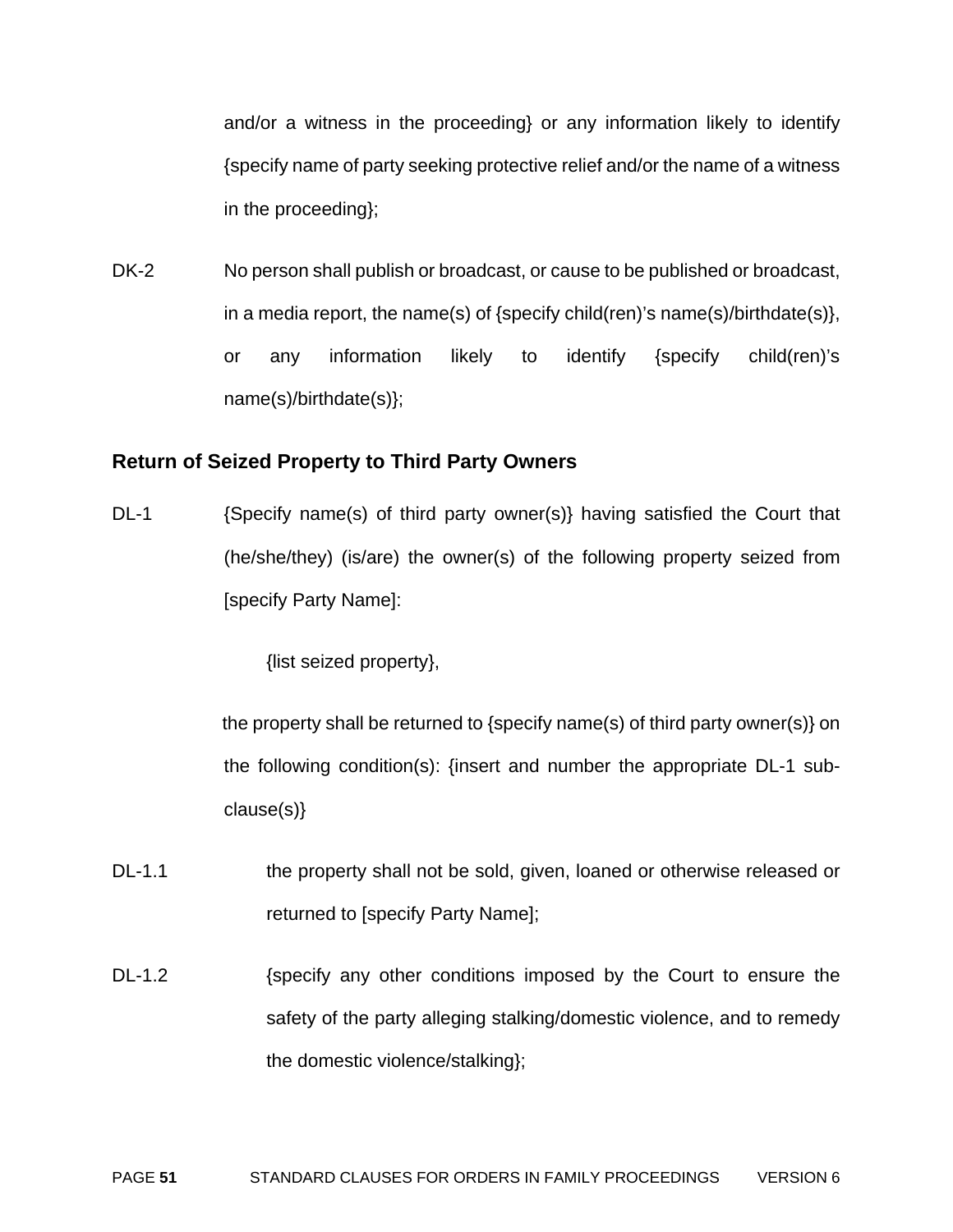and/or a witness in the proceeding} or any information likely to identify {specify name of party seeking protective relief and/or the name of a witness in the proceeding};

DK-2 No person shall publish or broadcast, or cause to be published or broadcast, in a media report, the name(s) of {specify child(ren)'s name(s)/birthdate(s)}, or any information likely to identify {specify child(ren)'s name(s)/birthdate(s)};

#### **Return of Seized Property to Third Party Owners**

DL-1 {Specify name(s) of third party owner(s)} having satisfied the Court that (he/she/they) (is/are) the owner(s) of the following property seized from [specify Party Name]:

{list seized property},

the property shall be returned to {specify name(s) of third party owner(s)} on the following condition(s): {insert and number the appropriate DL-1 subclause(s)}

- DL-1.1 the property shall not be sold, given, loaned or otherwise released or returned to [specify Party Name];
- DL-1.2 {specify any other conditions imposed by the Court to ensure the safety of the party alleging stalking/domestic violence, and to remedy the domestic violence/stalking};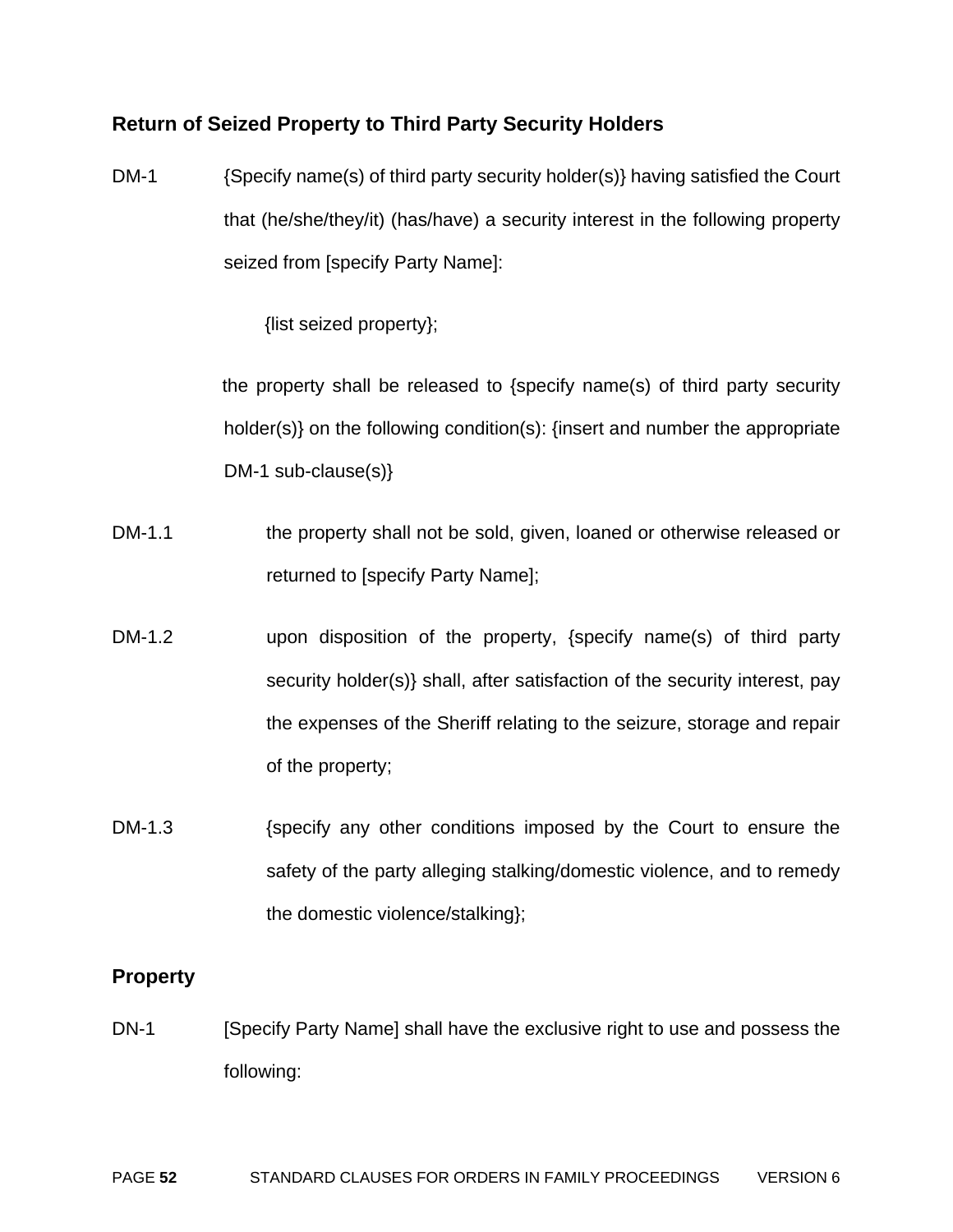#### **Return of Seized Property to Third Party Security Holders**

DM-1 {Specify name(s) of third party security holder(s)} having satisfied the Court that (he/she/they/it) (has/have) a security interest in the following property seized from [specify Party Name]:

{list seized property};

the property shall be released to {specify name(s) of third party security holder(s)} on the following condition(s): {insert and number the appropriate DM-1 sub-clause(s)}

- DM-1.1 the property shall not be sold, given, loaned or otherwise released or returned to [specify Party Name];
- DM-1.2 upon disposition of the property, {specify name(s) of third party security holder(s)} shall, after satisfaction of the security interest, pay the expenses of the Sheriff relating to the seizure, storage and repair of the property;
- DM-1.3 {specify any other conditions imposed by the Court to ensure the safety of the party alleging stalking/domestic violence, and to remedy the domestic violence/stalking};

#### **Property**

DN-1 [Specify Party Name] shall have the exclusive right to use and possess the following: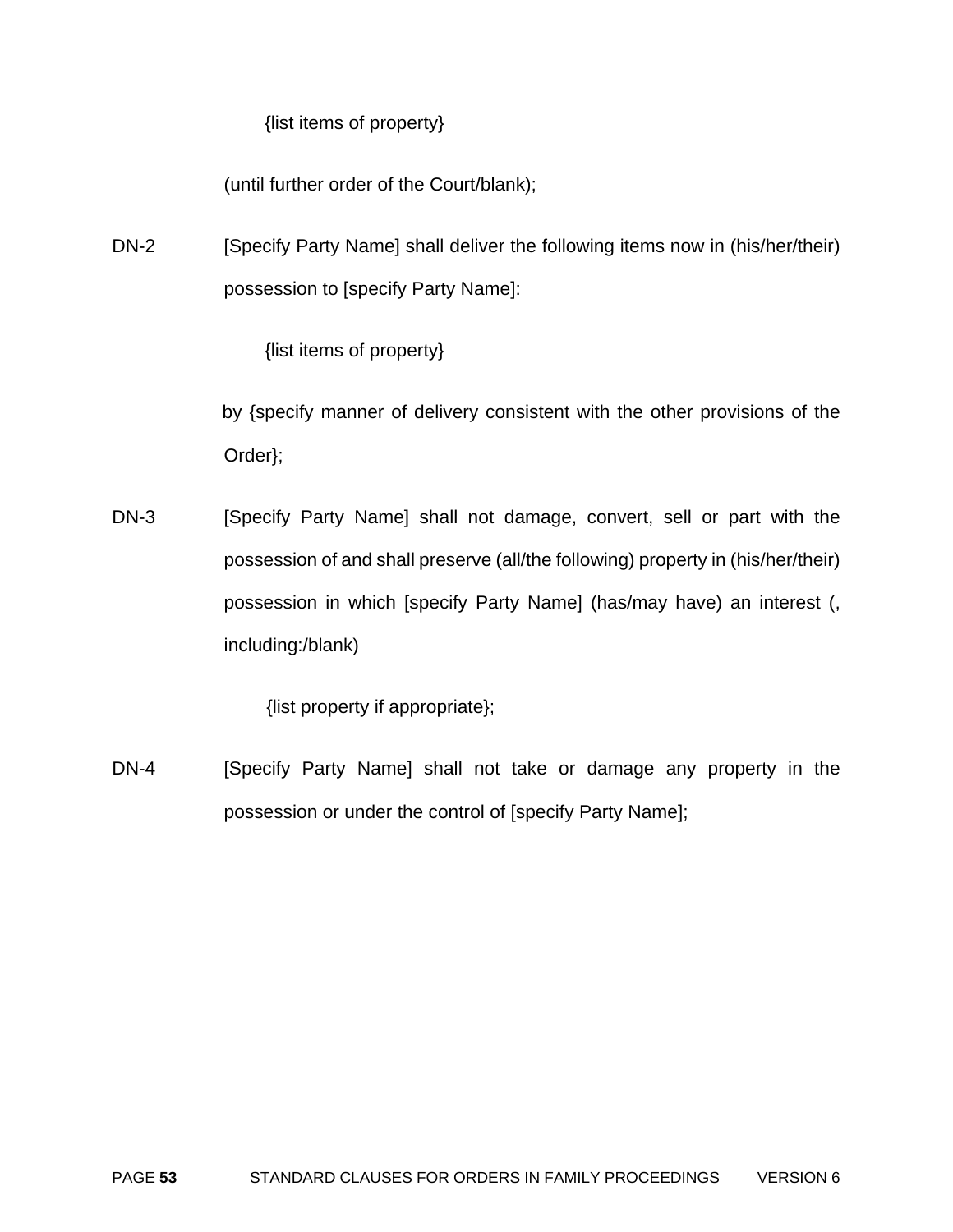{list items of property}

(until further order of the Court/blank);

DN-2 [Specify Party Name] shall deliver the following items now in (his/her/their) possession to [specify Party Name]:

{list items of property}

by {specify manner of delivery consistent with the other provisions of the Order};

DN-3 [Specify Party Name] shall not damage, convert, sell or part with the possession of and shall preserve (all/the following) property in (his/her/their) possession in which [specify Party Name] (has/may have) an interest (, including:/blank)

{list property if appropriate};

DN-4 [Specify Party Name] shall not take or damage any property in the possession or under the control of [specify Party Name];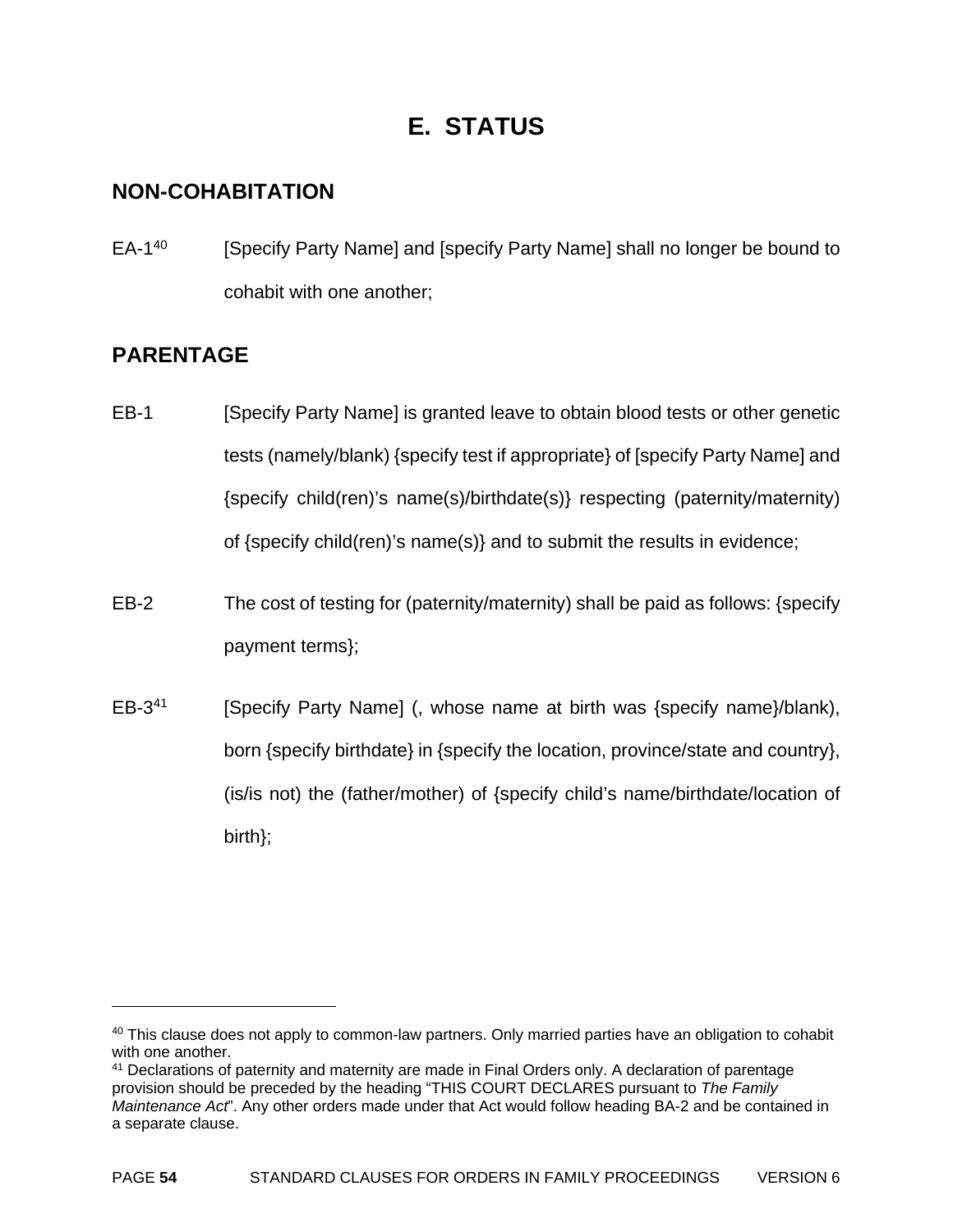# **E. STATUS**

### **NON-COHABITATION**

EA-1<sup>40</sup> [Specify Party Name] and [specify Party Name] shall no longer be bound to cohabit with one another;

# **PARENTAGE**

- EB-1 [Specify Party Name] is granted leave to obtain blood tests or other genetic tests (namely/blank) {specify test if appropriate} of [specify Party Name] and {specify child(ren)'s name(s)/birthdate(s)} respecting (paternity/maternity) of {specify child(ren)'s name(s)} and to submit the results in evidence;
- EB-2 The cost of testing for (paternity/maternity) shall be paid as follows: {specify payment terms};
- EB-3<sup>41</sup> [Specify Party Name] (, whose name at birth was {specify name}/blank), born {specify birthdate} in {specify the location, province/state and country}, (is/is not) the (father/mother) of {specify child's name/birthdate/location of birth};

 $40$  This clause does not apply to common-law partners. Only married parties have an obligation to cohabit with one another.

<sup>&</sup>lt;sup>41</sup> Declarations of paternity and maternity are made in Final Orders only. A declaration of parentage provision should be preceded by the heading "THIS COURT DECLARES pursuant to *The Family Maintenance Act*". Any other orders made under that Act would follow heading BA-2 and be contained in a separate clause.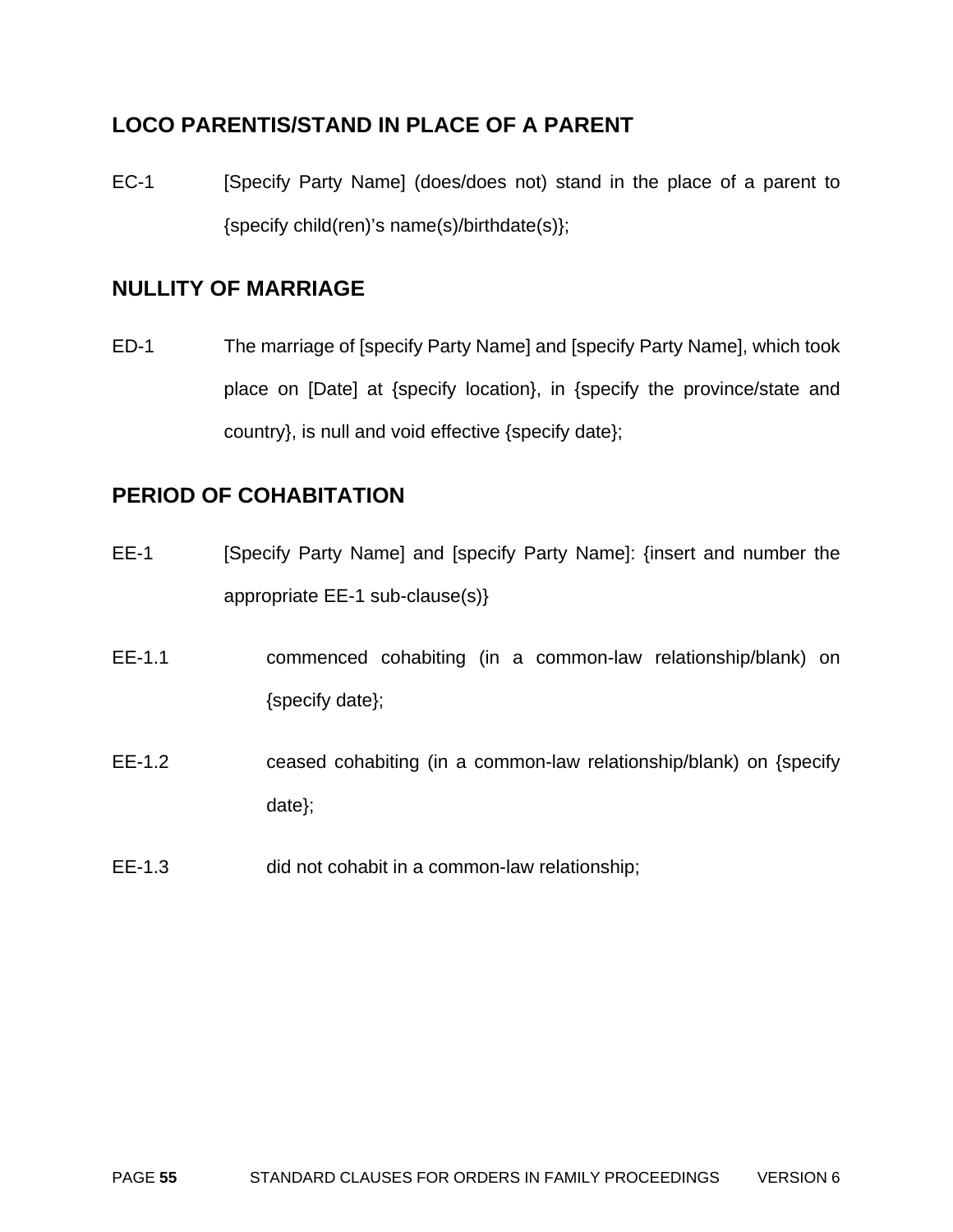# **LOCO PARENTIS/STAND IN PLACE OF A PARENT**

EC-1 [Specify Party Name] (does/does not) stand in the place of a parent to {specify child(ren)'s name(s)/birthdate(s)};

# **NULLITY OF MARRIAGE**

ED-1 The marriage of [specify Party Name] and [specify Party Name], which took place on [Date] at {specify location}, in {specify the province/state and country}, is null and void effective {specify date};

# **PERIOD OF COHABITATION**

- EE-1 [Specify Party Name] and [specify Party Name]: {insert and number the appropriate EE-1 sub-clause(s)}
- EE-1.1 commenced cohabiting (in a common-law relationship/blank) on {specify date};
- EE-1.2 ceased cohabiting (in a common-law relationship/blank) on {specify date};
- EE-1.3 did not cohabit in a common-law relationship;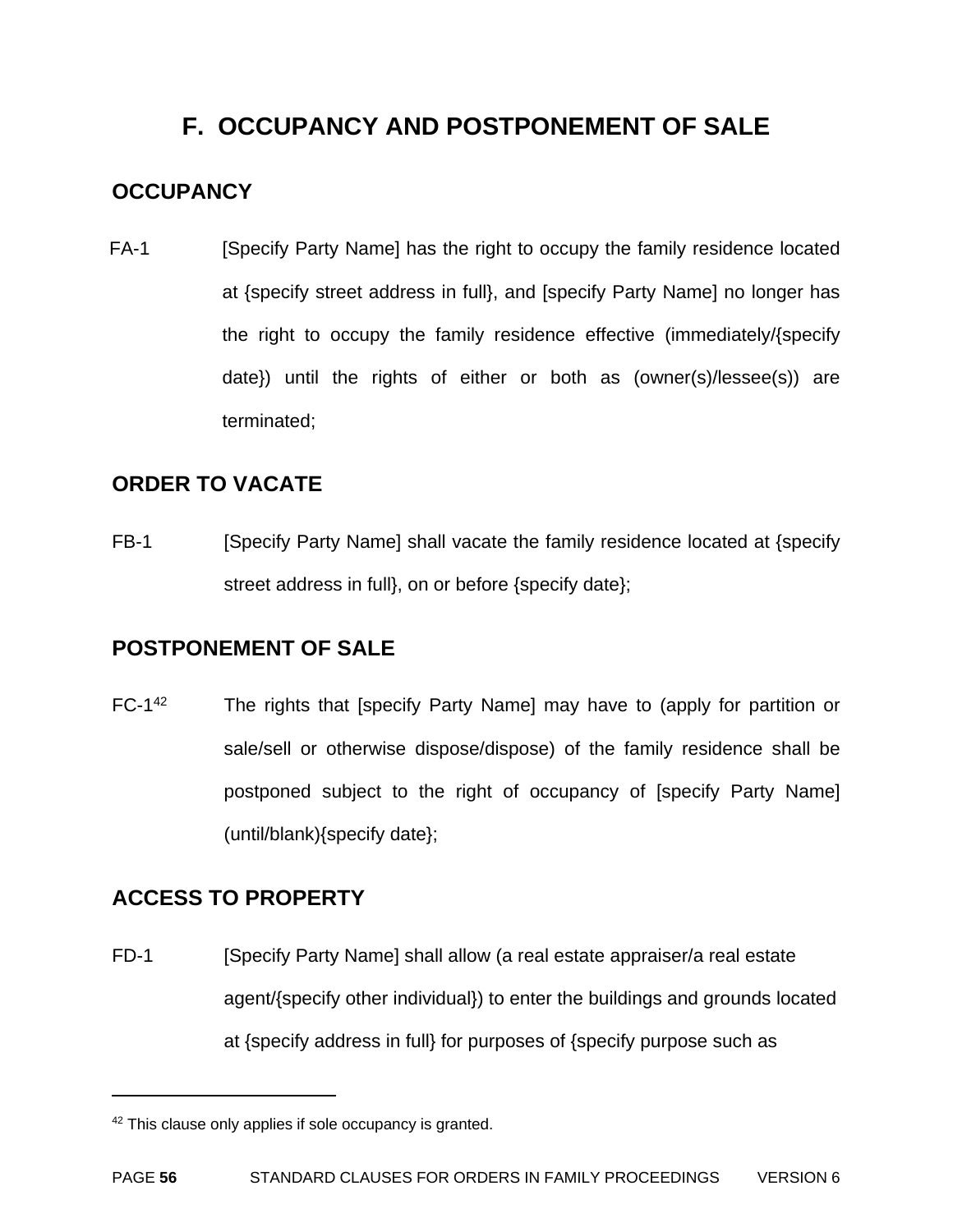# **F. OCCUPANCY AND POSTPONEMENT OF SALE**

# **OCCUPANCY**

FA-1 [Specify Party Name] has the right to occupy the family residence located at {specify street address in full}, and [specify Party Name] no longer has the right to occupy the family residence effective (immediately/{specify date}) until the rights of either or both as (owner(s)/lessee(s)) are terminated;

# **ORDER TO VACATE**

FB-1 [Specify Party Name] shall vacate the family residence located at {specify street address in full}, on or before {specify date};

# **POSTPONEMENT OF SALE**

FC-1<sup>42</sup> The rights that [specify Party Name] may have to (apply for partition or sale/sell or otherwise dispose/dispose) of the family residence shall be postponed subject to the right of occupancy of [specify Party Name] (until/blank){specify date};

# **ACCESS TO PROPERTY**

 $\overline{a}$ 

FD-1 [Specify Party Name] shall allow (a real estate appraiser/a real estate agent/{specify other individual}) to enter the buildings and grounds located at {specify address in full} for purposes of {specify purpose such as

<sup>&</sup>lt;sup>42</sup> This clause only applies if sole occupancy is granted.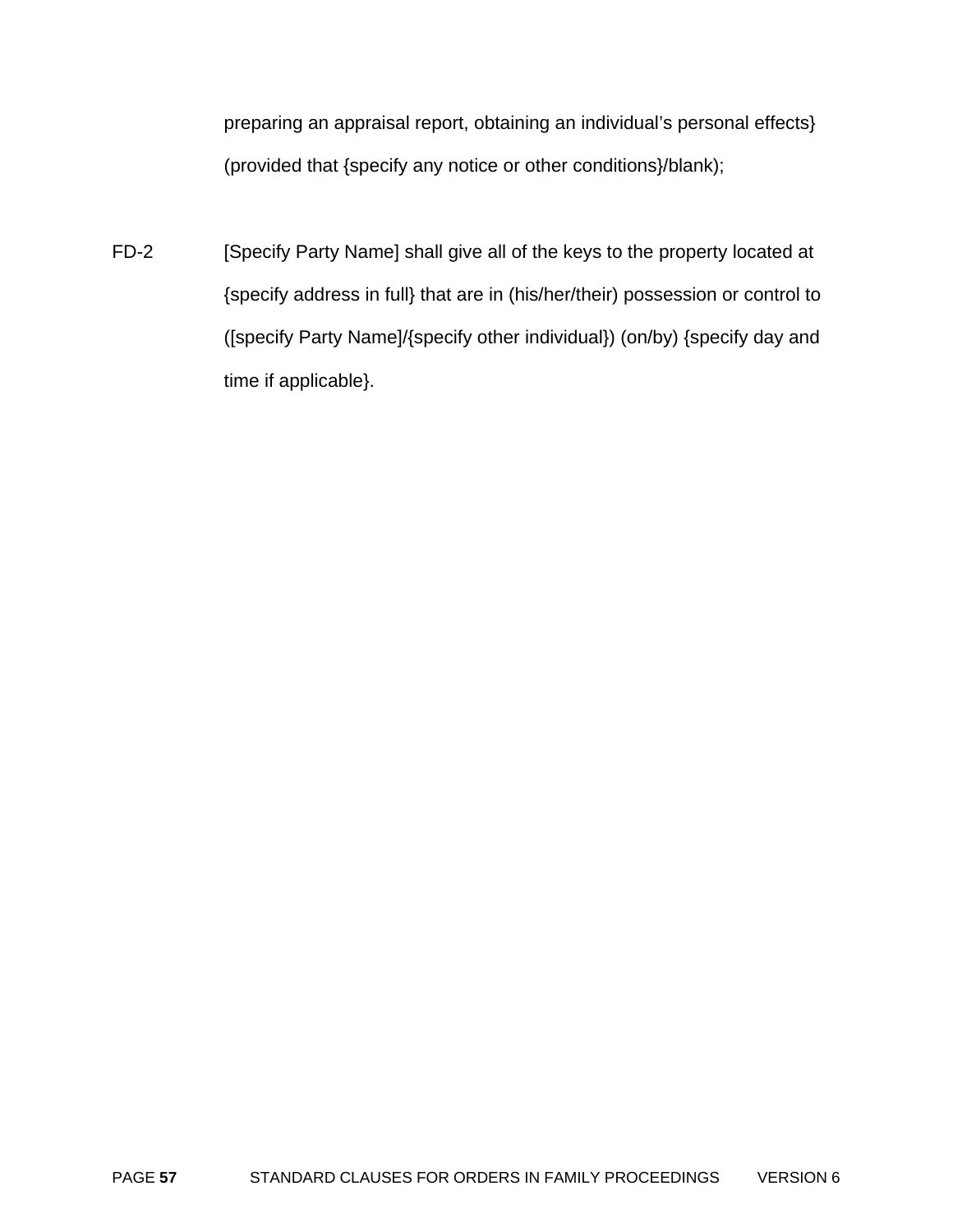preparing an appraisal report, obtaining an individual's personal effects} (provided that {specify any notice or other conditions}/blank);

FD-2 [Specify Party Name] shall give all of the keys to the property located at {specify address in full} that are in (his/her/their) possession or control to ([specify Party Name]/{specify other individual}) (on/by) {specify day and time if applicable}.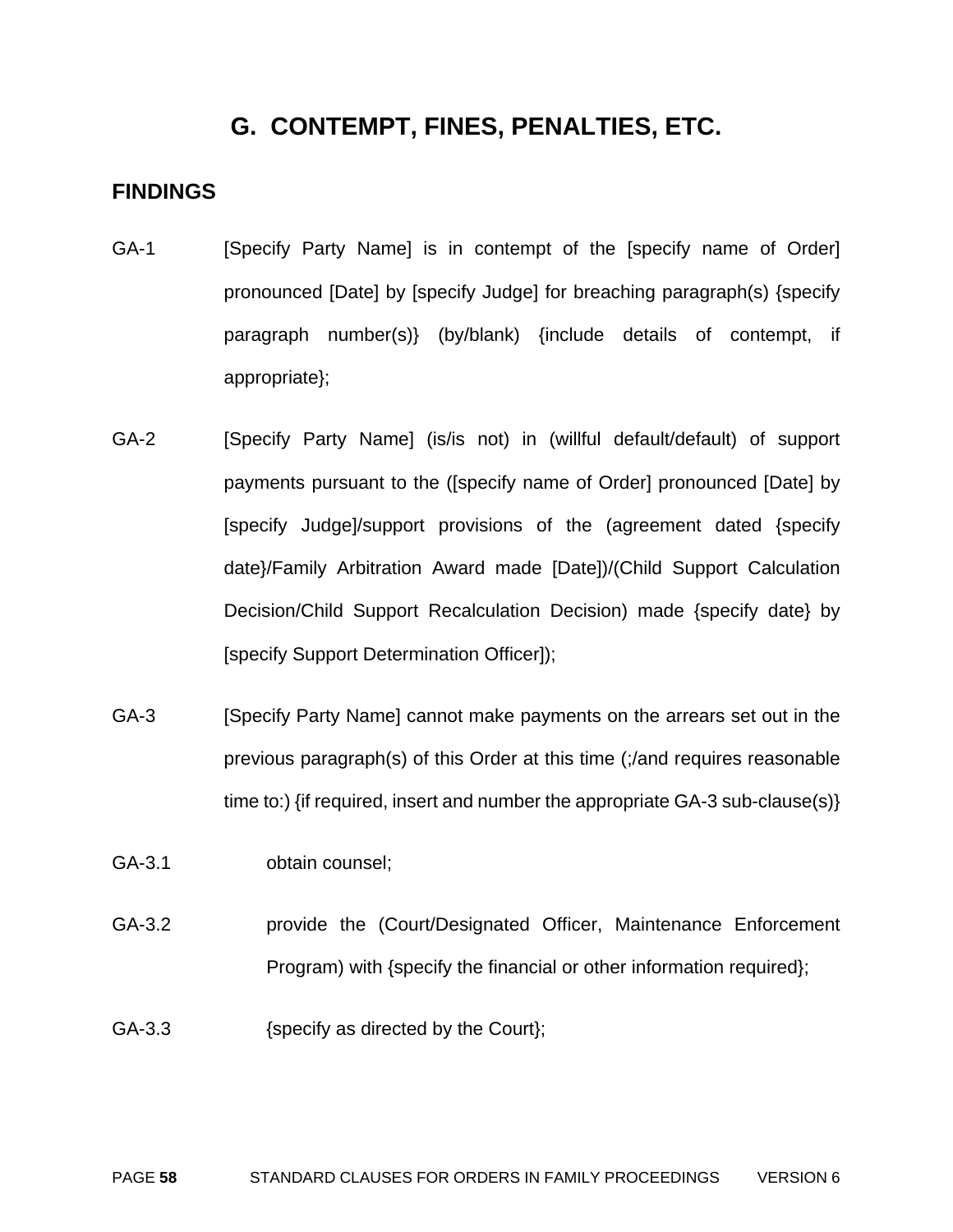# **G. CONTEMPT, FINES, PENALTIES, ETC.**

#### **FINDINGS**

- GA-1 [Specify Party Name] is in contempt of the [specify name of Order] pronounced [Date] by [specify Judge] for breaching paragraph(s) {specify paragraph number(s)} (by/blank) {include details of contempt, if appropriate};
- GA-2 [Specify Party Name] (is/is not) in (willful default/default) of support payments pursuant to the ([specify name of Order] pronounced [Date] by [specify Judge]/support provisions of the (agreement dated {specify date}/Family Arbitration Award made [Date])/(Child Support Calculation Decision/Child Support Recalculation Decision) made {specify date} by [specify Support Determination Officer]);
- GA-3 [Specify Party Name] cannot make payments on the arrears set out in the previous paragraph(s) of this Order at this time (;/and requires reasonable time to:) {if required, insert and number the appropriate GA-3 sub-clause(s)}
- GA-3.1 obtain counsel;
- GA-3.2 provide the (Court/Designated Officer, Maintenance Enforcement Program) with {specify the financial or other information required};
- GA-3.3 {specify as directed by the Court};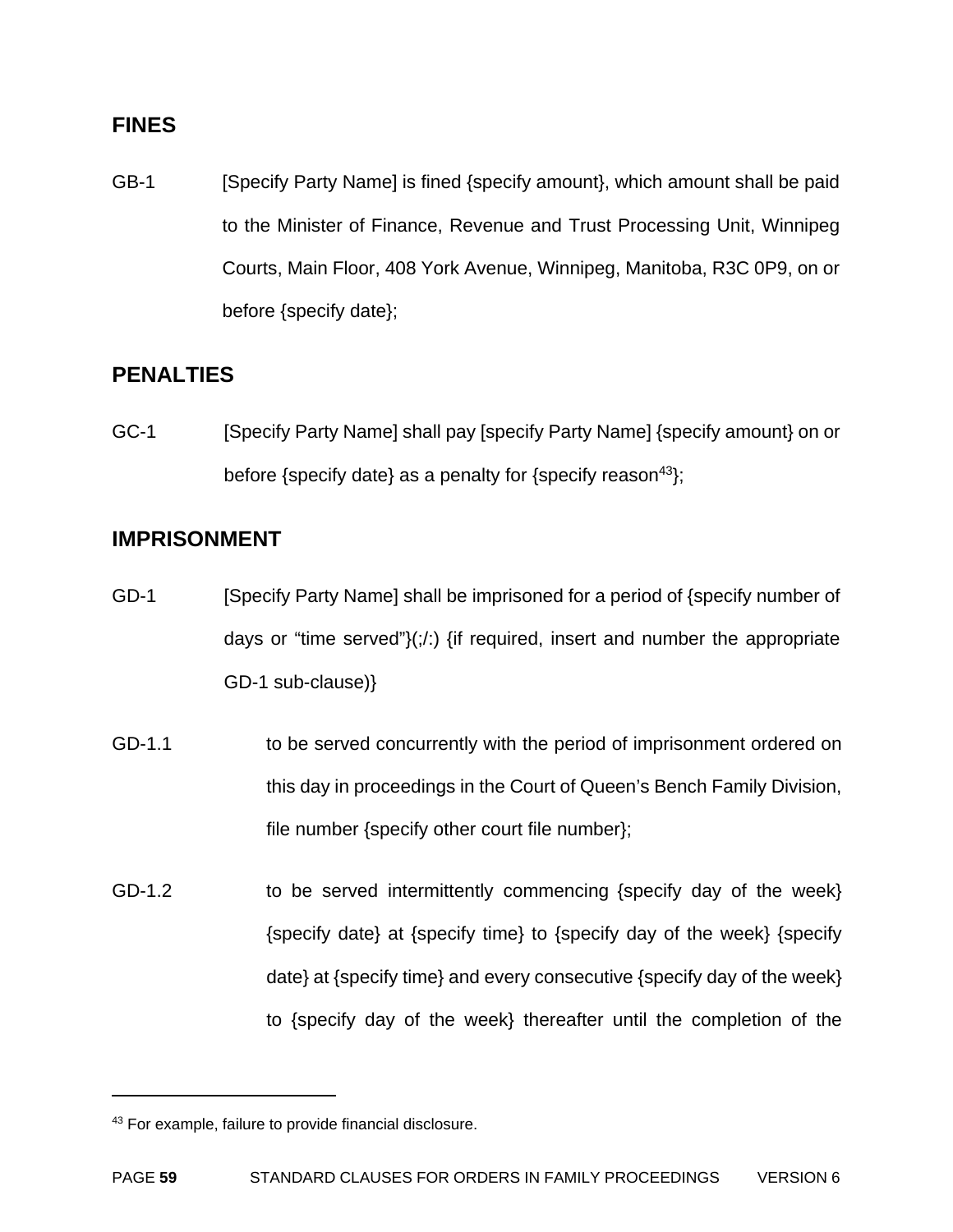#### **FINES**

GB-1 [Specify Party Name] is fined {specify amount}, which amount shall be paid to the Minister of Finance, Revenue and Trust Processing Unit, Winnipeg Courts, Main Floor, 408 York Avenue, Winnipeg, Manitoba, R3C 0P9, on or before {specify date};

### **PENALTIES**

GC-1 [Specify Party Name] shall pay [specify Party Name] {specify amount} on or before {specify date} as a penalty for {specify reason<sup>43</sup>};

### **IMPRISONMENT**

- GD-1 [Specify Party Name] shall be imprisoned for a period of {specify number of days or "time served" $\langle \cdot, \cdot \rangle$  {if required, insert and number the appropriate GD-1 sub-clause)}
- GD-1.1 to be served concurrently with the period of imprisonment ordered on this day in proceedings in the Court of Queen's Bench Family Division, file number {specify other court file number};
- GD-1.2 to be served intermittently commencing {specify day of the week} {specify date} at {specify time} to {specify day of the week} {specify date} at {specify time} and every consecutive {specify day of the week} to {specify day of the week} thereafter until the completion of the

<sup>43</sup> For example, failure to provide financial disclosure.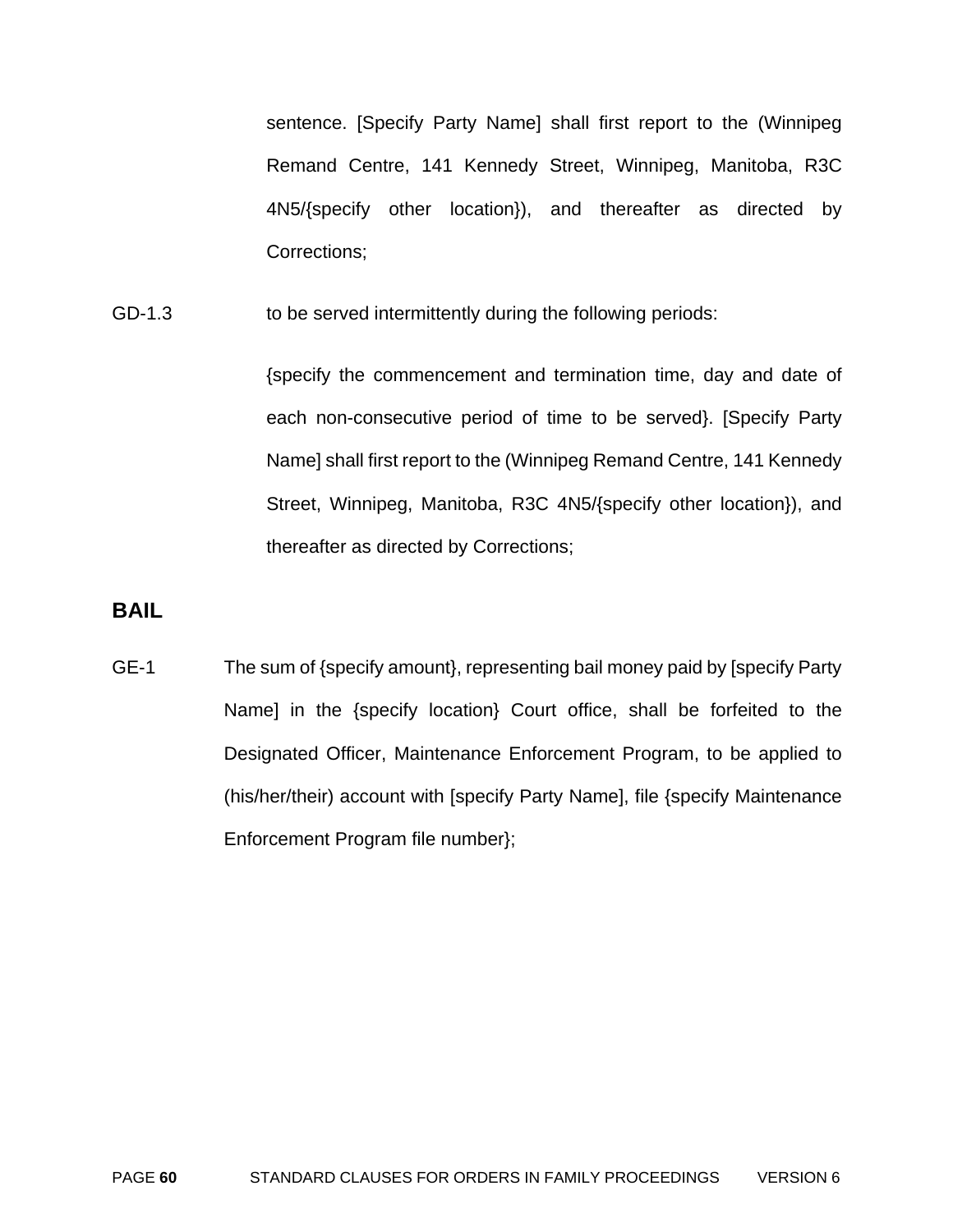sentence. [Specify Party Name] shall first report to the (Winnipeg Remand Centre, 141 Kennedy Street, Winnipeg, Manitoba, R3C 4N5/{specify other location}), and thereafter as directed by Corrections;

GD-1.3 to be served intermittently during the following periods:

{specify the commencement and termination time, day and date of each non-consecutive period of time to be served}. [Specify Party Name] shall first report to the (Winnipeg Remand Centre, 141 Kennedy Street, Winnipeg, Manitoba, R3C 4N5/{specify other location}), and thereafter as directed by Corrections;

### **BAIL**

GE-1 The sum of {specify amount}, representing bail money paid by [specify Party Name] in the {specify location} Court office, shall be forfeited to the Designated Officer, Maintenance Enforcement Program, to be applied to (his/her/their) account with [specify Party Name], file {specify Maintenance Enforcement Program file number};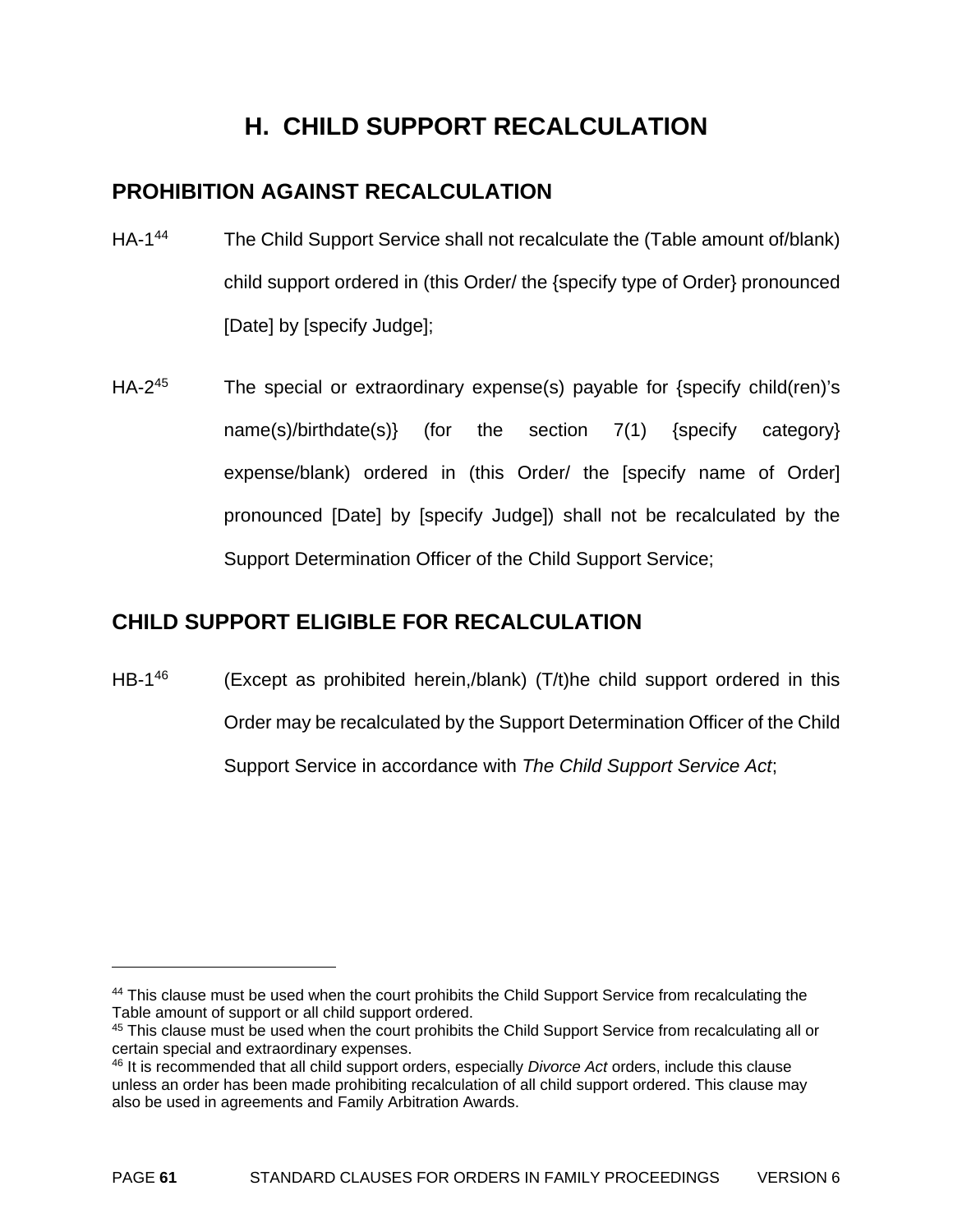# **H. CHILD SUPPORT RECALCULATION**

# **PROHIBITION AGAINST RECALCULATION**

- HA-1<sup>44</sup> The Child Support Service shall not recalculate the (Table amount of/blank) child support ordered in (this Order/ the {specify type of Order} pronounced [Date] by [specify Judge];
- $HA-2^{45}$  The special or extraordinary expense(s) payable for {specify child(ren)'s name(s)/birthdate(s)} (for the section 7(1) {specify category} expense/blank) ordered in (this Order/ the [specify name of Order] pronounced [Date] by [specify Judge]) shall not be recalculated by the Support Determination Officer of the Child Support Service;

# **CHILD SUPPORT ELIGIBLE FOR RECALCULATION**

 $\overline{a}$ 

HB-1<sup>46</sup> (Except as prohibited herein,/blank) (T/t)he child support ordered in this Order may be recalculated by the Support Determination Officer of the Child Support Service in accordance with *The Child Support Service Act*;

<sup>&</sup>lt;sup>44</sup> This clause must be used when the court prohibits the Child Support Service from recalculating the Table amount of support or all child support ordered.

<sup>45</sup> This clause must be used when the court prohibits the Child Support Service from recalculating all or certain special and extraordinary expenses.

<sup>46</sup> It is recommended that all child support orders, especially *Divorce Act* orders, include this clause unless an order has been made prohibiting recalculation of all child support ordered. This clause may also be used in agreements and Family Arbitration Awards.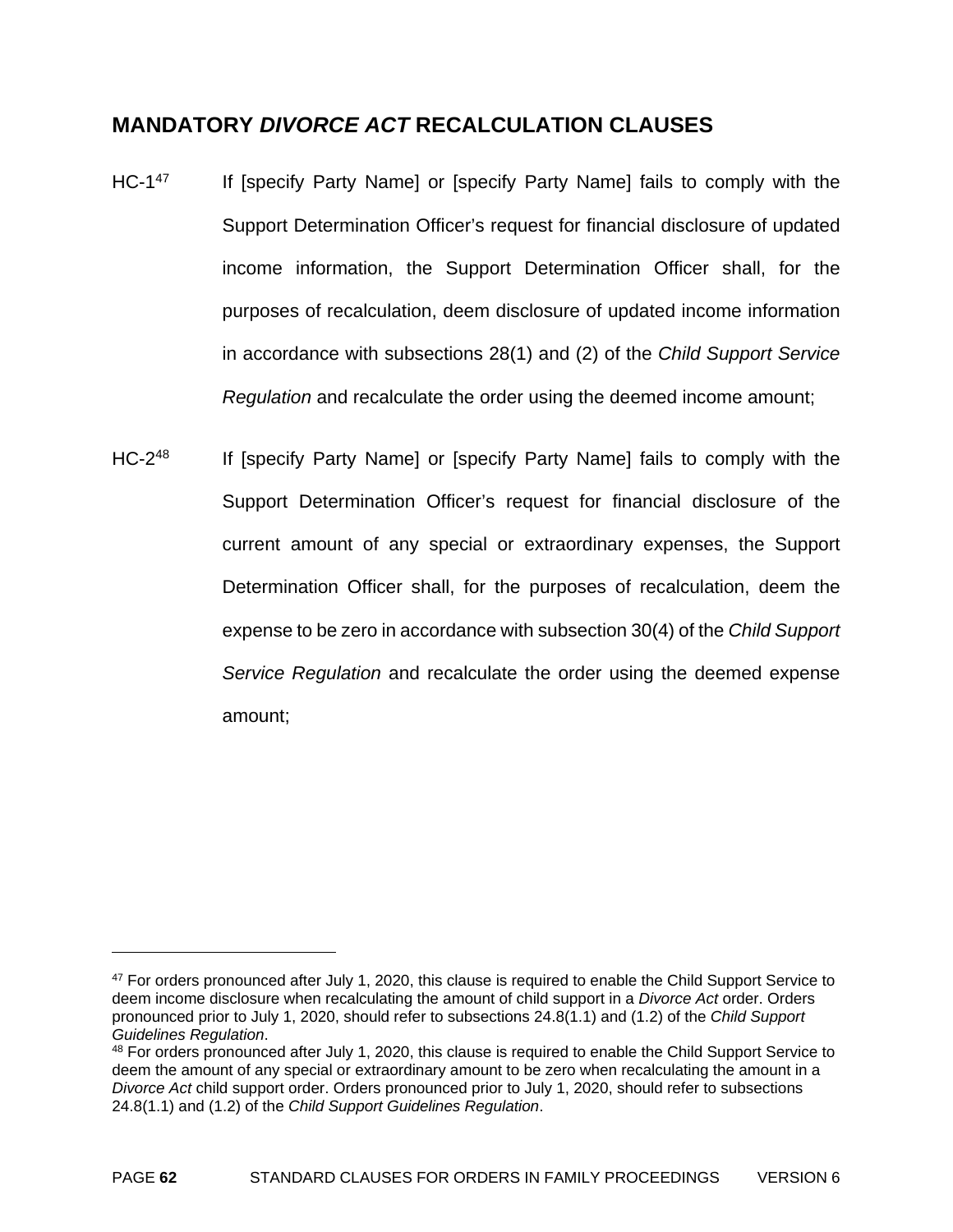### **MANDATORY** *DIVORCE ACT* **RECALCULATION CLAUSES**

- HC-1<sup>47</sup> If [specify Party Name] or [specify Party Name] fails to comply with the Support Determination Officer's request for financial disclosure of updated income information, the Support Determination Officer shall, for the purposes of recalculation, deem disclosure of updated income information in accordance with subsections 28(1) and (2) of the *Child Support Service Regulation* and recalculate the order using the deemed income amount;
- HC-2<sup>48</sup> If [specify Party Name] or [specify Party Name] fails to comply with the Support Determination Officer's request for financial disclosure of the current amount of any special or extraordinary expenses, the Support Determination Officer shall, for the purposes of recalculation, deem the expense to be zero in accordance with subsection 30(4) of the *Child Support Service Regulation* and recalculate the order using the deemed expense amount;

 $47$  For orders pronounced after July 1, 2020, this clause is required to enable the Child Support Service to deem income disclosure when recalculating the amount of child support in a *Divorce Act* order. Orders pronounced prior to July 1, 2020, should refer to subsections 24.8(1.1) and (1.2) of the *Child Support Guidelines Regulation.*<br><sup>48</sup> For orders pronounced after July 1, 2020, this clause is required to enable the Child Support Service to

deem the amount of any special or extraordinary amount to be zero when recalculating the amount in a *Divorce Act* child support order. Orders pronounced prior to July 1, 2020, should refer to subsections 24.8(1.1) and (1.2) of the *Child Support Guidelines Regulation*.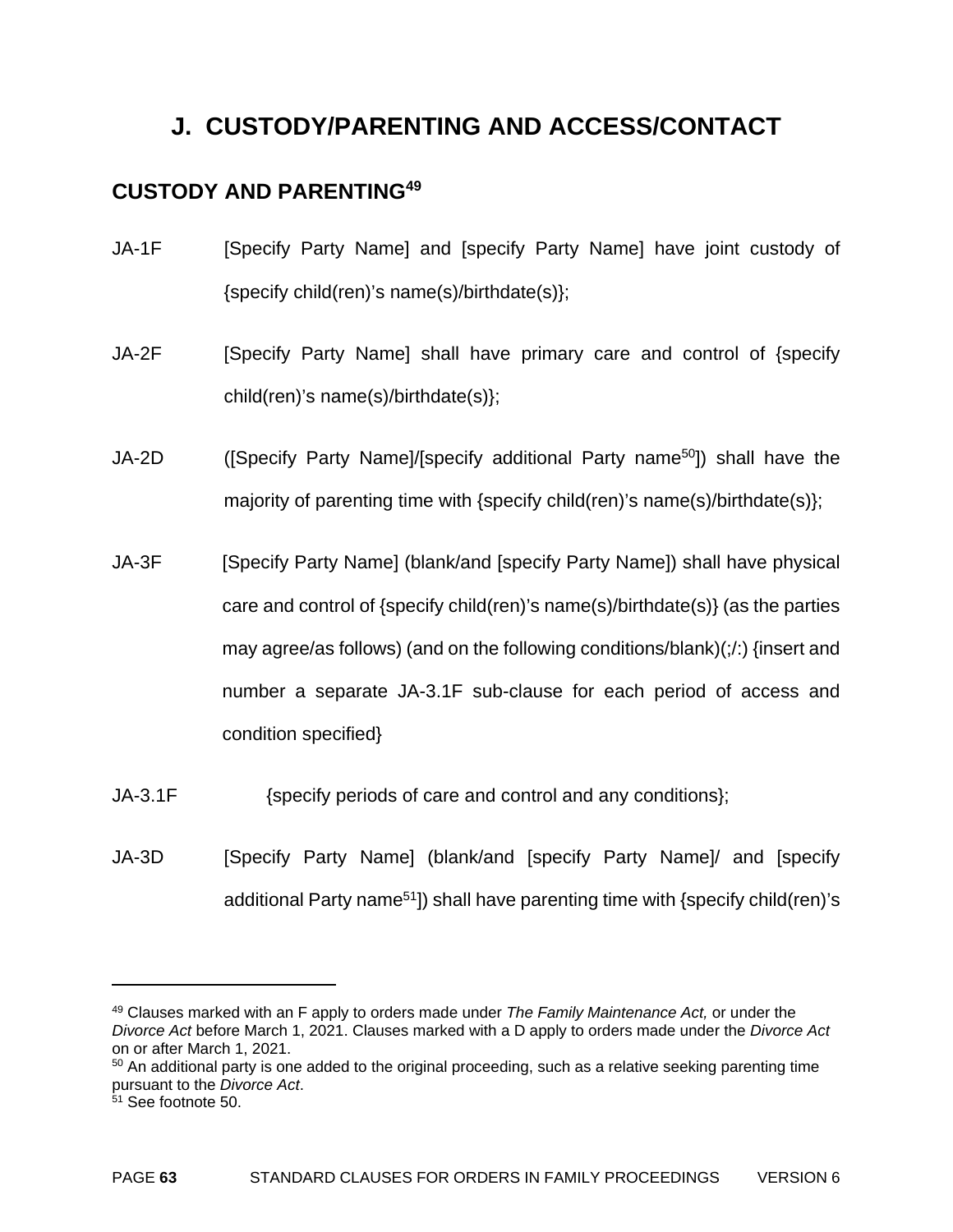# **J. CUSTODY/PARENTING AND ACCESS/CONTACT**

# **CUSTODY AND PARENTING49**

- JA-1F [Specify Party Name] and [specify Party Name] have joint custody of {specify child(ren)'s name(s)/birthdate(s)};
- JA-2F [Specify Party Name] shall have primary care and control of {specify child(ren)'s name(s)/birthdate(s)};
- JA-2D ([Specify Party Name]/[specify additional Party name50]) shall have the majority of parenting time with {specify child(ren)'s name(s)/birthdate(s)};
- JA-3F [Specify Party Name] (blank/and [specify Party Name]) shall have physical care and control of {specify child(ren)'s name(s)/birthdate(s)} (as the parties may agree/as follows) (and on the following conditions/blank)(;/:) {insert and number a separate JA-3.1F sub-clause for each period of access and condition specified}
- JA-3.1F {specify periods of care and control and any conditions};
- JA-3D [Specify Party Name] (blank/and [specify Party Name]/ and [specify additional Party name<sup>51</sup>]) shall have parenting time with {specify child(ren)'s

<sup>49</sup> Clauses marked with an F apply to orders made under *The Family Maintenance Act,* or under the *Divorce Act* before March 1, 2021. Clauses marked with a D apply to orders made under the *Divorce Act*  on or after March 1, 2021.

 $50$  An additional party is one added to the original proceeding, such as a relative seeking parenting time pursuant to the *Divorce Act*. 51 See footnote 50.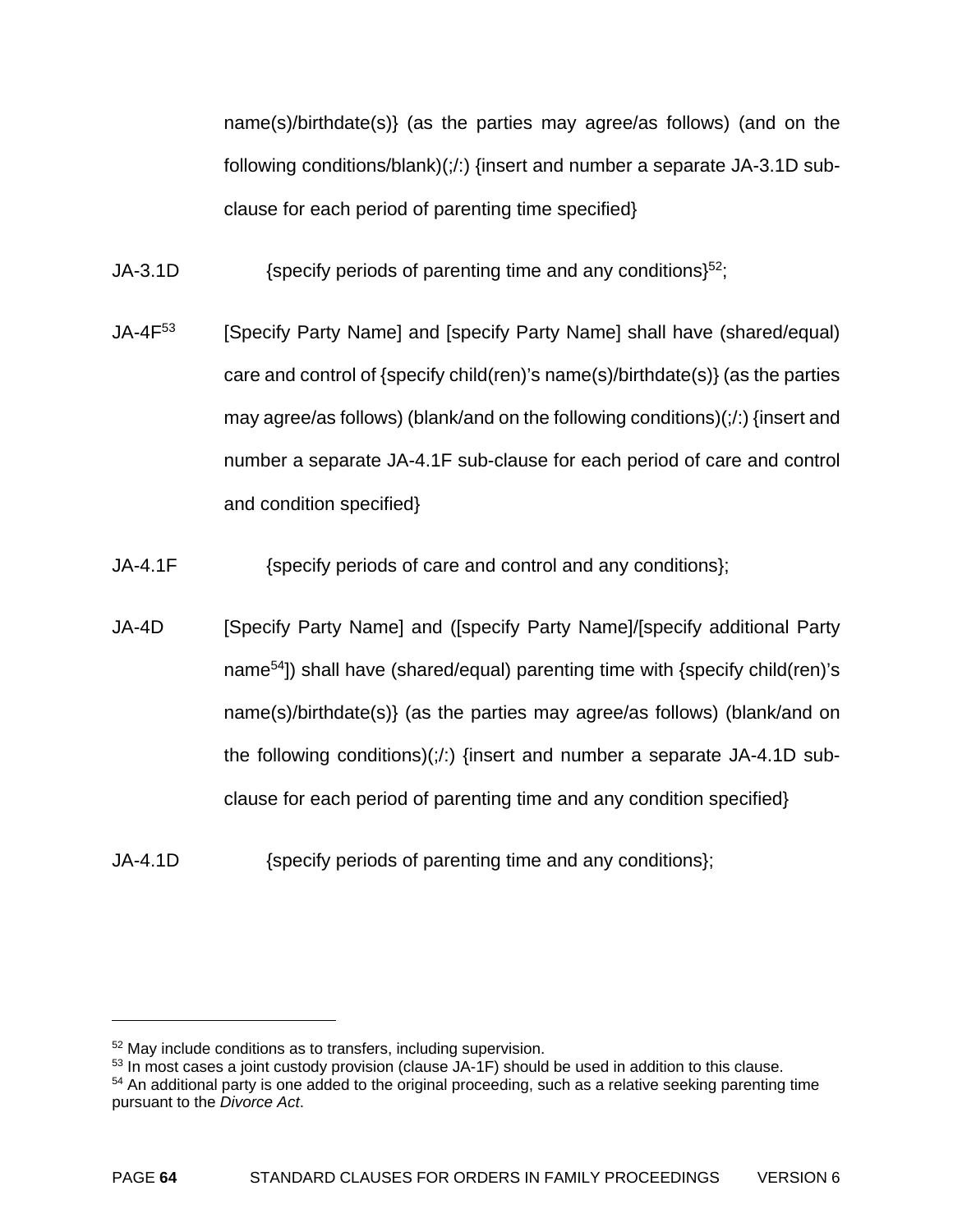name(s)/birthdate(s)} (as the parties may agree/as follows) (and on the following conditions/blank)(;/:) {insert and number a separate JA-3.1D subclause for each period of parenting time specified}

JA-3.1D  ${52;}$  {specify periods of parenting time and any conditions}<sup>52</sup>;

- JA-4F<sup>53</sup> [Specify Party Name] and [specify Party Name] shall have (shared/equal) care and control of {specify child(ren)'s name(s)/birthdate(s)} (as the parties may agree/as follows) (blank/and on the following conditions)(;/:) {insert and number a separate JA-4.1F sub-clause for each period of care and control and condition specified}
- JA-4.1F {specify periods of care and control and any conditions};
- JA-4D [Specify Party Name] and ([specify Party Name]/[specify additional Party name54]) shall have (shared/equal) parenting time with {specify child(ren)'s name(s)/birthdate(s)} (as the parties may agree/as follows) (blank/and on the following conditions) $($  :) {insert and number a separate JA-4.1D subclause for each period of parenting time and any condition specified}
- JA-4.1D {specify periods of parenting time and any conditions};

<u>.</u>

<sup>52</sup> May include conditions as to transfers, including supervision.

 $53$  In most cases a joint custody provision (clause JA-1F) should be used in addition to this clause.

<sup>&</sup>lt;sup>54</sup> An additional party is one added to the original proceeding, such as a relative seeking parenting time pursuant to the *Divorce Act*.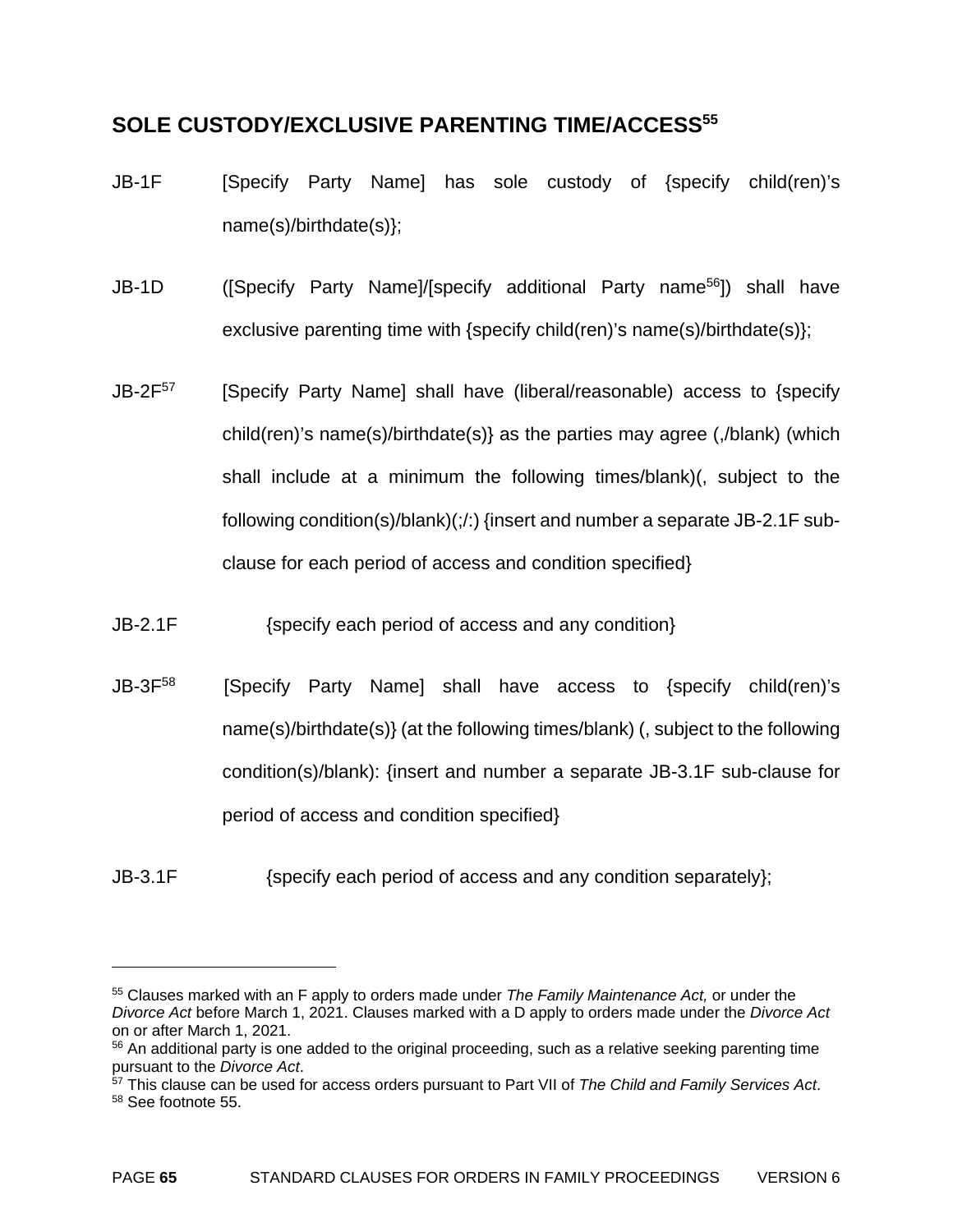#### **SOLE CUSTODY/EXCLUSIVE PARENTING TIME/ACCESS55**

- JB-1F [Specify Party Name] has sole custody of {specify child(ren)'s name(s)/birthdate(s)};
- JB-1D ([Specify Party Name]/[specify additional Party name56]) shall have exclusive parenting time with {specify child(ren)'s name(s)/birthdate(s)};
- $JB-2F<sup>57</sup>$  [Specify Party Name] shall have (liberal/reasonable) access to {specify child(ren)'s name(s)/birthdate(s)} as the parties may agree (,/blank) (which shall include at a minimum the following times/blank)(, subject to the following condition(s)/blank)(;/:) {insert and number a separate JB-2.1F subclause for each period of access and condition specified}
- JB-2.1F {specify each period of access and any condition}

JB-3F<sup>58</sup> [Specify Party Name] shall have access to {specify child(ren)'s name(s)/birthdate(s)} (at the following times/blank) (, subject to the following condition(s)/blank): {insert and number a separate JB-3.1F sub-clause for period of access and condition specified}

JB-3.1F {specify each period of access and any condition separately};

<u>.</u>

<sup>55</sup> Clauses marked with an F apply to orders made under *The Family Maintenance Act,* or under the *Divorce Act* before March 1, 2021. Clauses marked with a D apply to orders made under the *Divorce Act*  on or after March 1, 2021.

 $56$  An additional party is one added to the original proceeding, such as a relative seeking parenting time pursuant to the *Divorce Act*.

<sup>&</sup>lt;sup>57</sup> This clause can be used for access orders pursuant to Part VII of *The Child and Family Services Act*. 58 See footnote 55.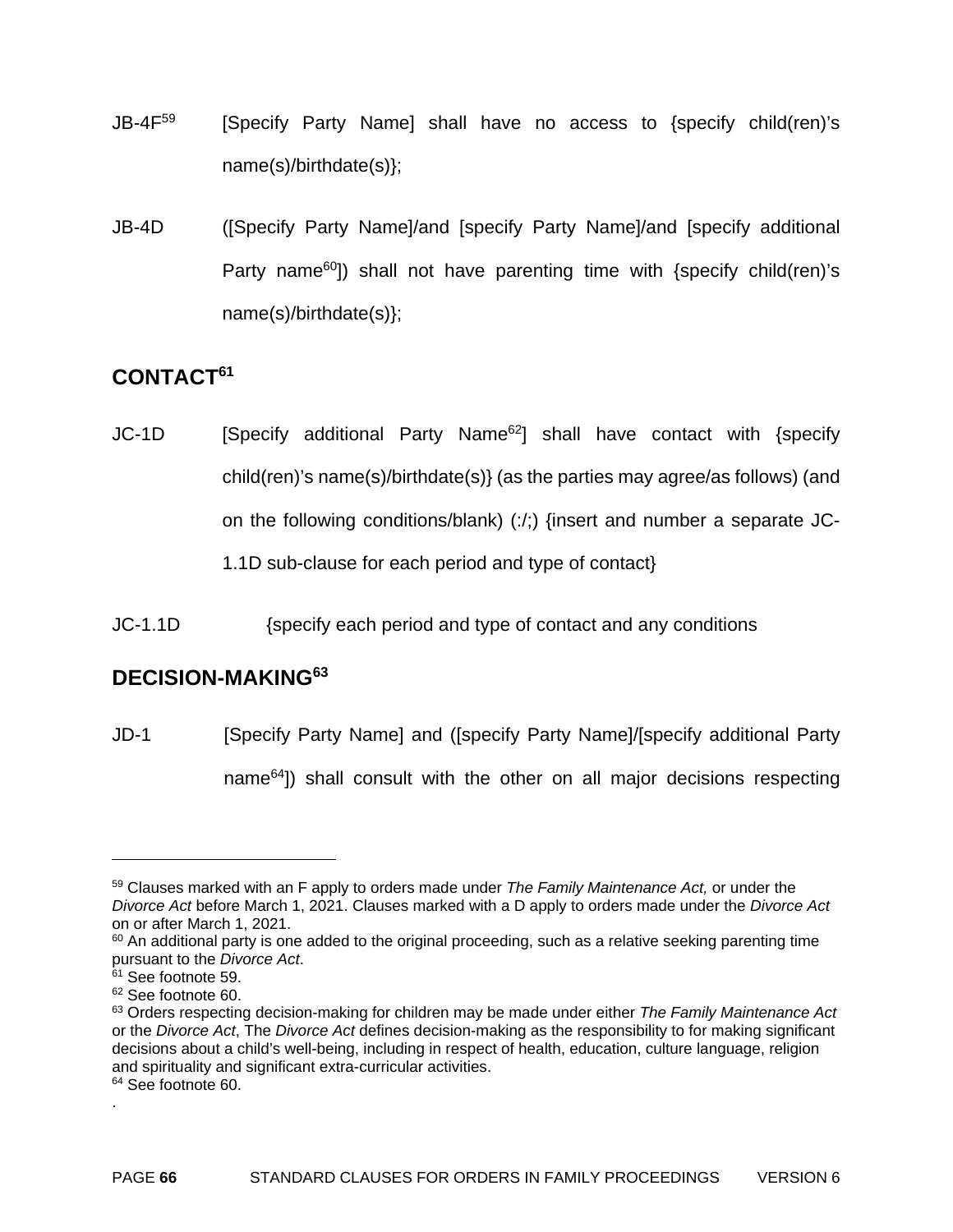- $JB-4F<sup>59</sup>$  [Specify Party Name] shall have no access to {specify child(ren)'s name(s)/birthdate(s)};
- JB-4D ([Specify Party Name]/and [specify Party Name]/and [specify additional Party name<sup>60</sup>]) shall not have parenting time with  $\{$ specify child(ren)'s name(s)/birthdate(s)};

### **CONTACT61**

JC-1D [Specify additional Party Name<sup>62</sup>] shall have contact with {specify child(ren)'s name(s)/birthdate(s)} (as the parties may agree/as follows) (and on the following conditions/blank) (:/;) {insert and number a separate JC-1.1D sub-clause for each period and type of contact}

JC-1.1D {specify each period and type of contact and any conditions

# **DECISION-MAKING63**

JD-1 [Specify Party Name] and ([specify Party Name]/[specify additional Party name64]) shall consult with the other on all major decisions respecting

<sup>59</sup> Clauses marked with an F apply to orders made under *The Family Maintenance Act,* or under the *Divorce Act* before March 1, 2021. Clauses marked with a D apply to orders made under the *Divorce Act*  on or after March 1, 2021.

 $60$  An additional party is one added to the original proceeding, such as a relative seeking parenting time pursuant to the *Divorce Act*. 61 See footnote 59.

<sup>62</sup> See footnote 60.

<sup>63</sup> Orders respecting decision-making for children may be made under either *The Family Maintenance Act* or the *Divorce Act*, The *Divorce Act* defines decision-making as the responsibility to for making significant decisions about a child's well-being, including in respect of health, education, culture language, religion and spirituality and significant extra-curricular activities.

<sup>&</sup>lt;sup>64</sup> See footnote 60. .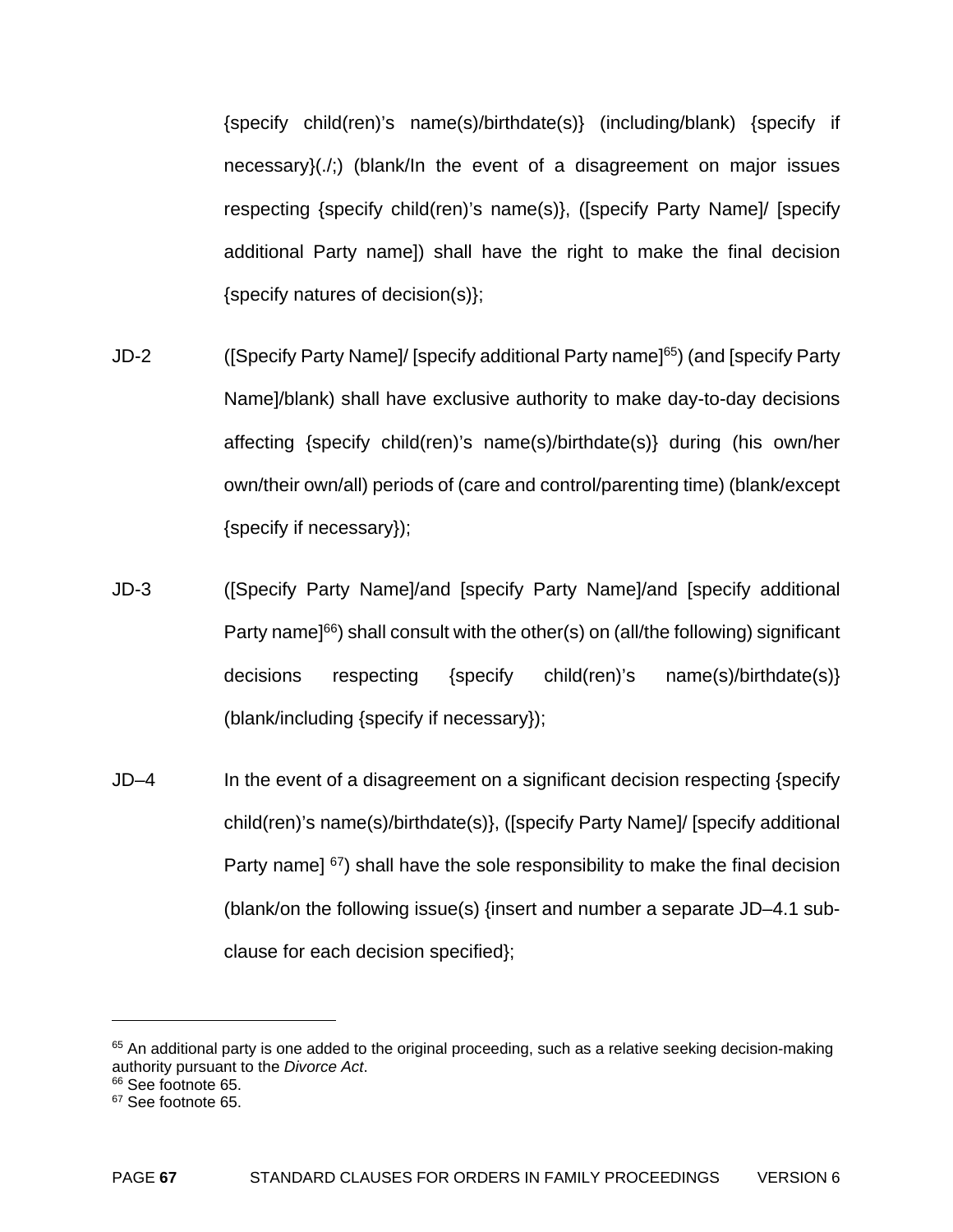{specify child(ren)'s name(s)/birthdate(s)} (including/blank) {specify if necessary}(./;) (blank/In the event of a disagreement on major issues respecting {specify child(ren)'s name(s)}, ([specify Party Name]/ [specify additional Party name]) shall have the right to make the final decision {specify natures of decision(s)};

- JD-2 ([Specify Party Name]/ [specify additional Party name]65) (and [specify Party Name]/blank) shall have exclusive authority to make day-to-day decisions affecting {specify child(ren)'s name(s)/birthdate(s)} during (his own/her own/their own/all) periods of (care and control/parenting time) (blank/except {specify if necessary});
- JD-3 ([Specify Party Name]/and [specify Party Name]/and [specify additional Party name<sup>[66</sup>] shall consult with the other(s) on (all/the following) significant decisions respecting {specify child(ren)'s name(s)/birthdate(s)} (blank/including {specify if necessary});
- JD–4 In the event of a disagreement on a significant decision respecting {specify child(ren)'s name(s)/birthdate(s)}, ([specify Party Name]/ [specify additional Party name]  $67$ ) shall have the sole responsibility to make the final decision (blank/on the following issue(s) {insert and number a separate JD–4.1 subclause for each decision specified};

<sup>&</sup>lt;sup>65</sup> An additional party is one added to the original proceeding, such as a relative seeking decision-making authority pursuant to the *Divorce Act*. 66 See footnote 65.

<sup>&</sup>lt;sup>67</sup> See footnote 65.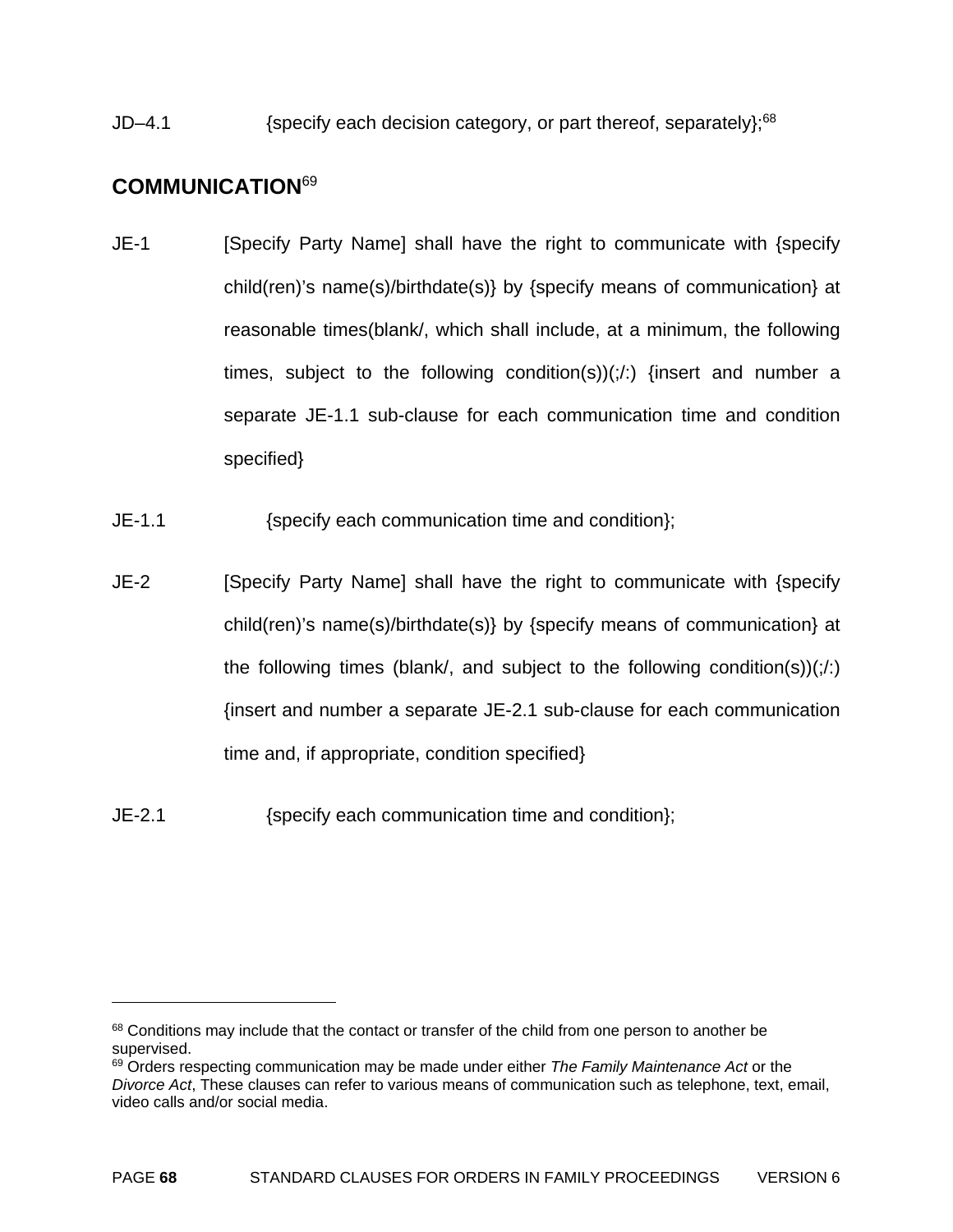JD–4.1  $\{specific\}$  (specify each decision category, or part thereof, separately);<sup>68</sup>

### **COMMUNICATION**<sup>69</sup>

- JE-1 [Specify Party Name] shall have the right to communicate with {specify child(ren)'s name(s)/birthdate(s)} by {specify means of communication} at reasonable times(blank/, which shall include, at a minimum, the following times, subject to the following condition(s)) $($ ; $\cdot$ ) {insert and number a separate JE-1.1 sub-clause for each communication time and condition specified}
- JE-1.1 {specify each communication time and condition};
- JE-2 [Specify Party Name] shall have the right to communicate with {specify child(ren)'s name(s)/birthdate(s)} by {specify means of communication} at the following times (blank), and subject to the following condition(s)) $($   $\!$ : $\!$  $\!$ {insert and number a separate JE-2.1 sub-clause for each communication time and, if appropriate, condition specified}
- JE-2.1 {specify each communication time and condition};

<sup>&</sup>lt;sup>68</sup> Conditions may include that the contact or transfer of the child from one person to another be supervised.

<sup>69</sup> Orders respecting communication may be made under either *The Family Maintenance Act* or the *Divorce Act*, These clauses can refer to various means of communication such as telephone, text, email, video calls and/or social media.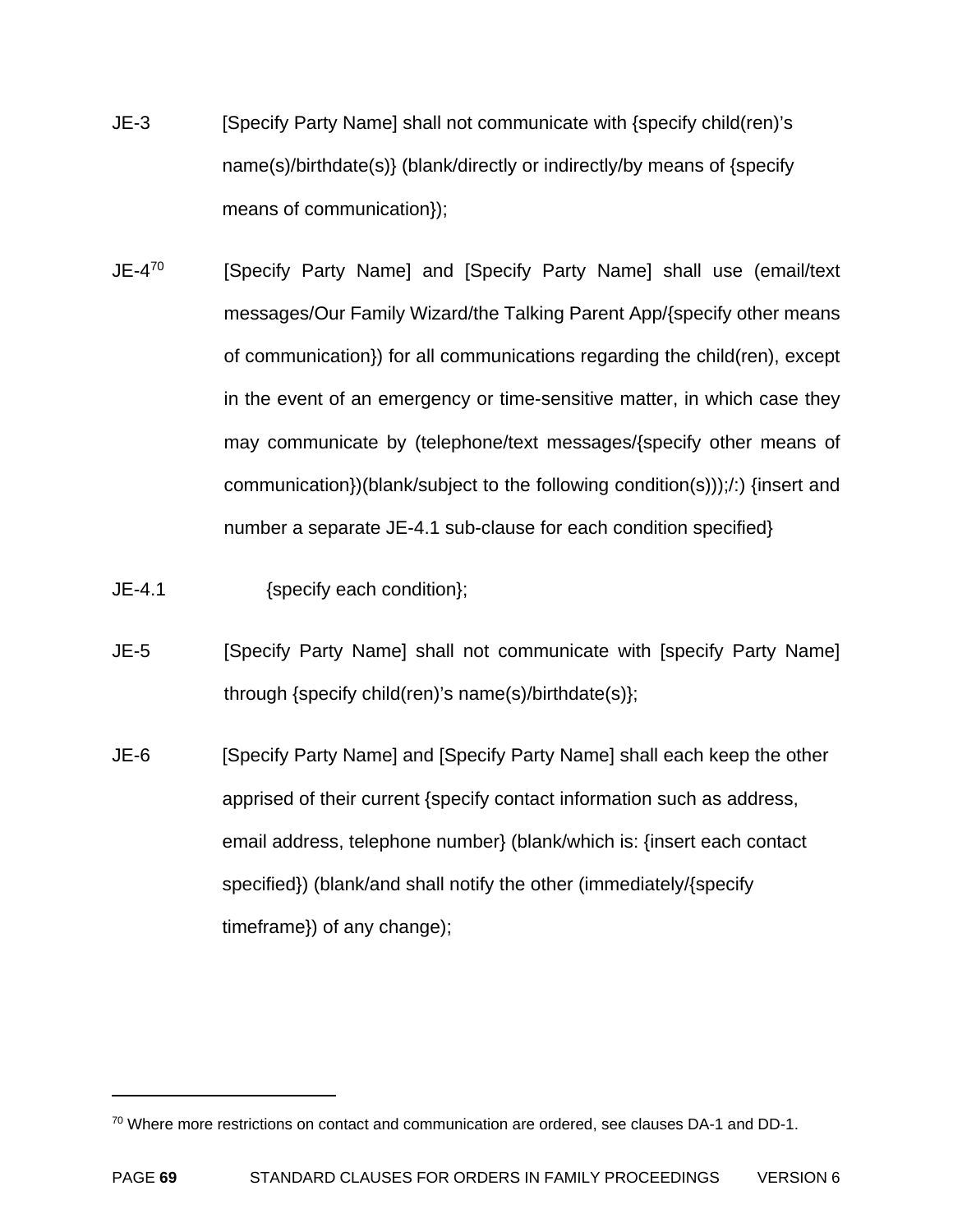- JE-3 [Specify Party Name] shall not communicate with {specify child(ren)'s name(s)/birthdate(s)} (blank/directly or indirectly/by means of {specify means of communication});
- JE-4<sup>70</sup> [Specify Party Name] and [Specify Party Name] shall use (email/text messages/Our Family Wizard/the Talking Parent App/{specify other means of communication}) for all communications regarding the child(ren), except in the event of an emergency or time-sensitive matter, in which case they may communicate by (telephone/text messages/{specify other means of communication})(blank/subject to the following condition(s)));/:) {insert and number a separate JE-4.1 sub-clause for each condition specified}
- JE-4.1 {specify each condition};

1

- JE-5 [Specify Party Name] shall not communicate with [specify Party Name] through {specify child(ren)'s name(s)/birthdate(s)};
- JE-6 [Specify Party Name] and [Specify Party Name] shall each keep the other apprised of their current {specify contact information such as address, email address, telephone number} (blank/which is: {insert each contact specified}) (blank/and shall notify the other (immediately/{specify timeframe}) of any change);

<sup>70</sup> Where more restrictions on contact and communication are ordered, see clauses DA-1 and DD-1.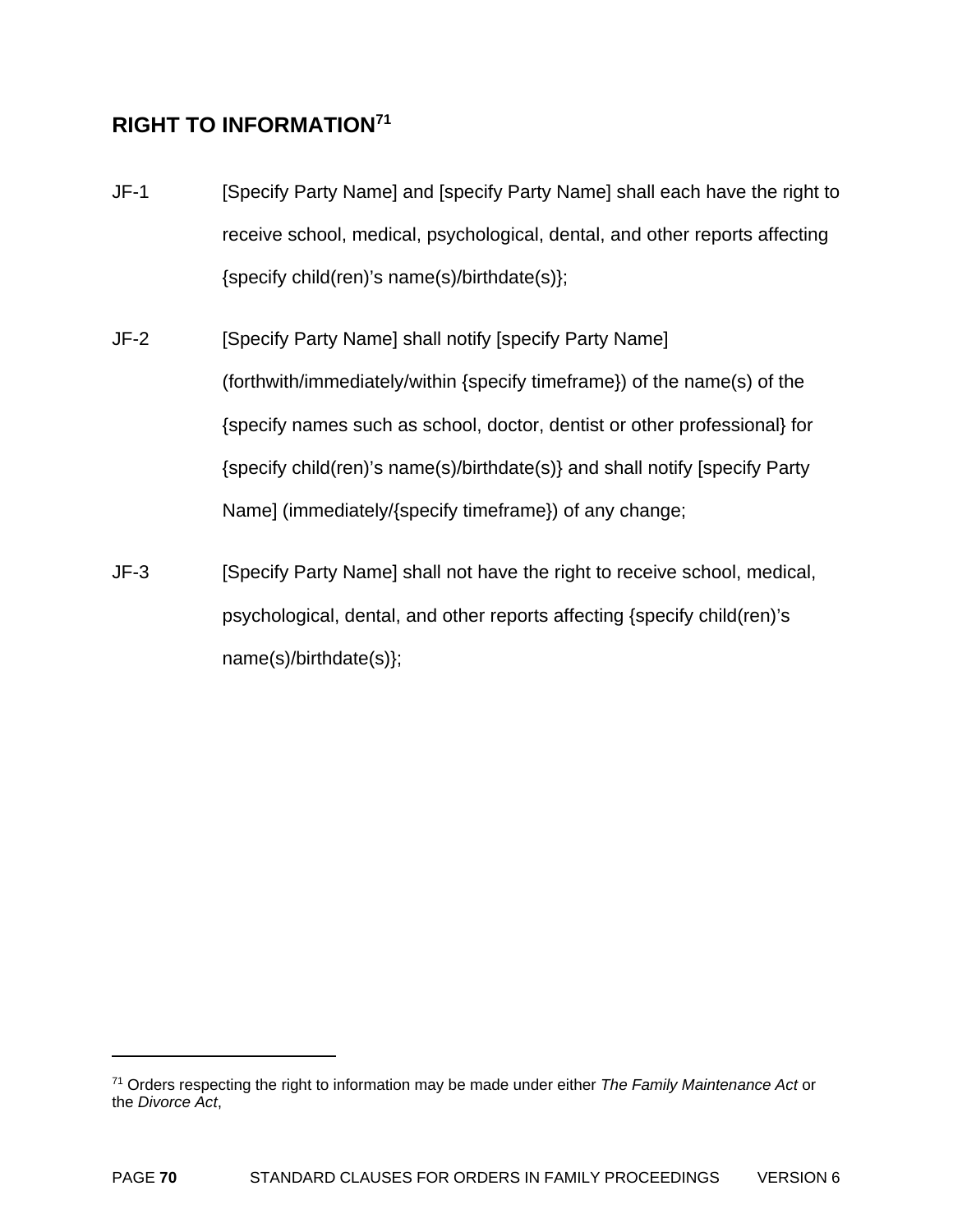# **RIGHT TO INFORMATION71**

1

- JF-1 [Specify Party Name] and [specify Party Name] shall each have the right to receive school, medical, psychological, dental, and other reports affecting {specify child(ren)'s name(s)/birthdate(s)};
- JF-2 [Specify Party Name] shall notify [specify Party Name] (forthwith/immediately/within {specify timeframe}) of the name(s) of the {specify names such as school, doctor, dentist or other professional} for {specify child(ren)'s name(s)/birthdate(s)} and shall notify [specify Party Name] (immediately/{specify timeframe}) of any change;
- JF-3 [Specify Party Name] shall not have the right to receive school, medical, psychological, dental, and other reports affecting {specify child(ren)'s name(s)/birthdate(s)};

<sup>71</sup> Orders respecting the right to information may be made under either *The Family Maintenance Act* or the *Divorce Act*,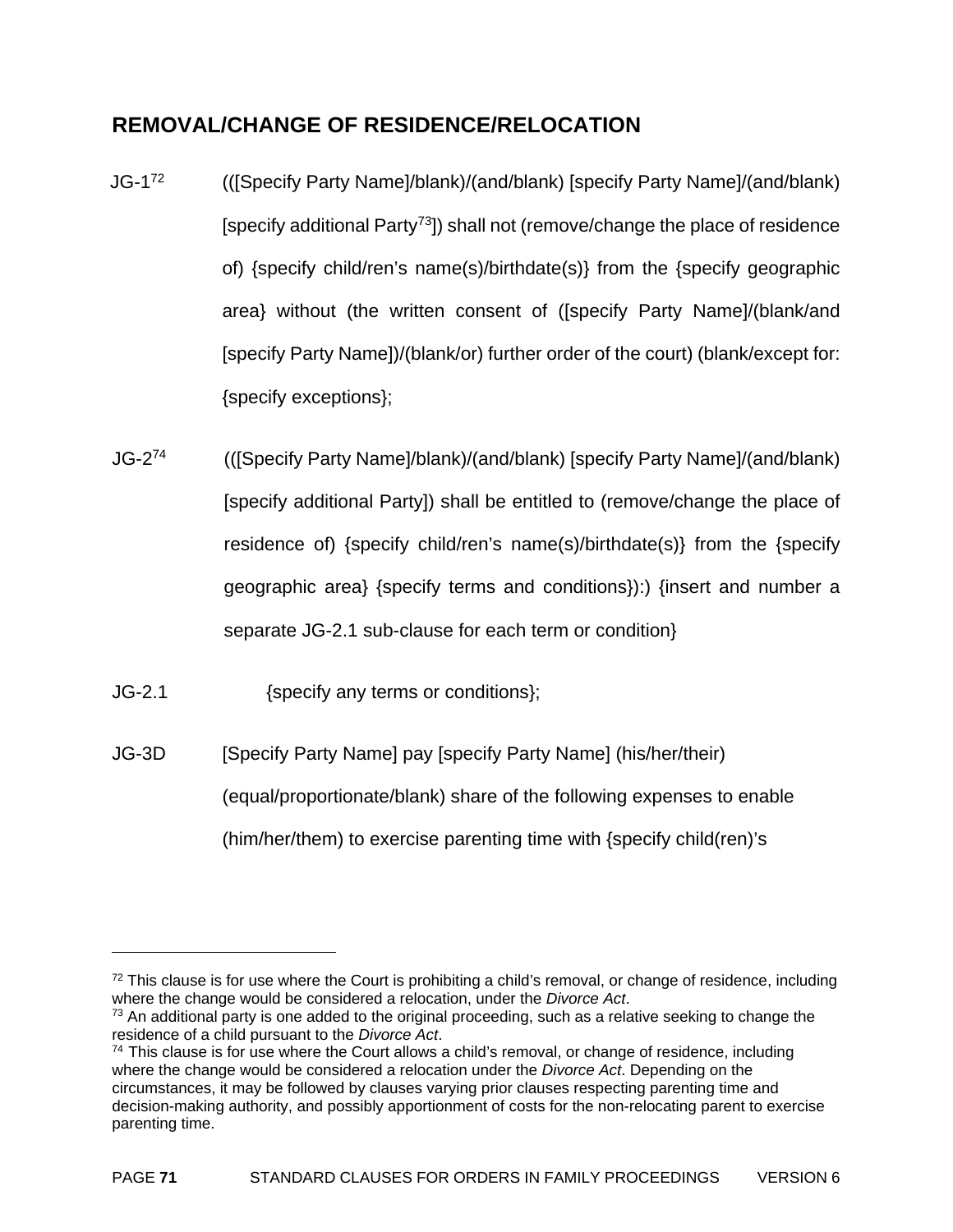# **REMOVAL/CHANGE OF RESIDENCE/RELOCATION**

- JG-172 (([Specify Party Name]/blank)/(and/blank) [specify Party Name]/(and/blank) [specify additional Party73]) shall not (remove/change the place of residence of) {specify child/ren's name(s)/birthdate(s)} from the {specify geographic area} without (the written consent of ([specify Party Name]/(blank/and [specify Party Name])/(blank/or) further order of the court) (blank/except for: {specify exceptions};
- JG-274 (([Specify Party Name]/blank)/(and/blank) [specify Party Name]/(and/blank) [specify additional Party]) shall be entitled to (remove/change the place of residence of) {specify child/ren's name(s)/birthdate(s)} from the {specify geographic area} {specify terms and conditions}):) {insert and number a separate JG-2.1 sub-clause for each term or condition}
- JG-2.1 {specify any terms or conditions};

 $\overline{a}$ 

JG-3D [Specify Party Name] pay [specify Party Name] (his/her/their) (equal/proportionate/blank) share of the following expenses to enable (him/her/them) to exercise parenting time with {specify child(ren)'s

 $72$  This clause is for use where the Court is prohibiting a child's removal, or change of residence, including where the change would be considered a relocation, under the *Divorce Act*.<br><sup>73</sup> An additional party is one added to the original proceeding, such as a relative seeking to change the

residence of a child pursuant to the *Divorce Act*.<br><sup>74</sup> This clause is for use where the Court allows a child's removal, or change of residence, including where the change would be considered a relocation under the *Divorce Act*. Depending on the circumstances, it may be followed by clauses varying prior clauses respecting parenting time and decision-making authority, and possibly apportionment of costs for the non-relocating parent to exercise parenting time.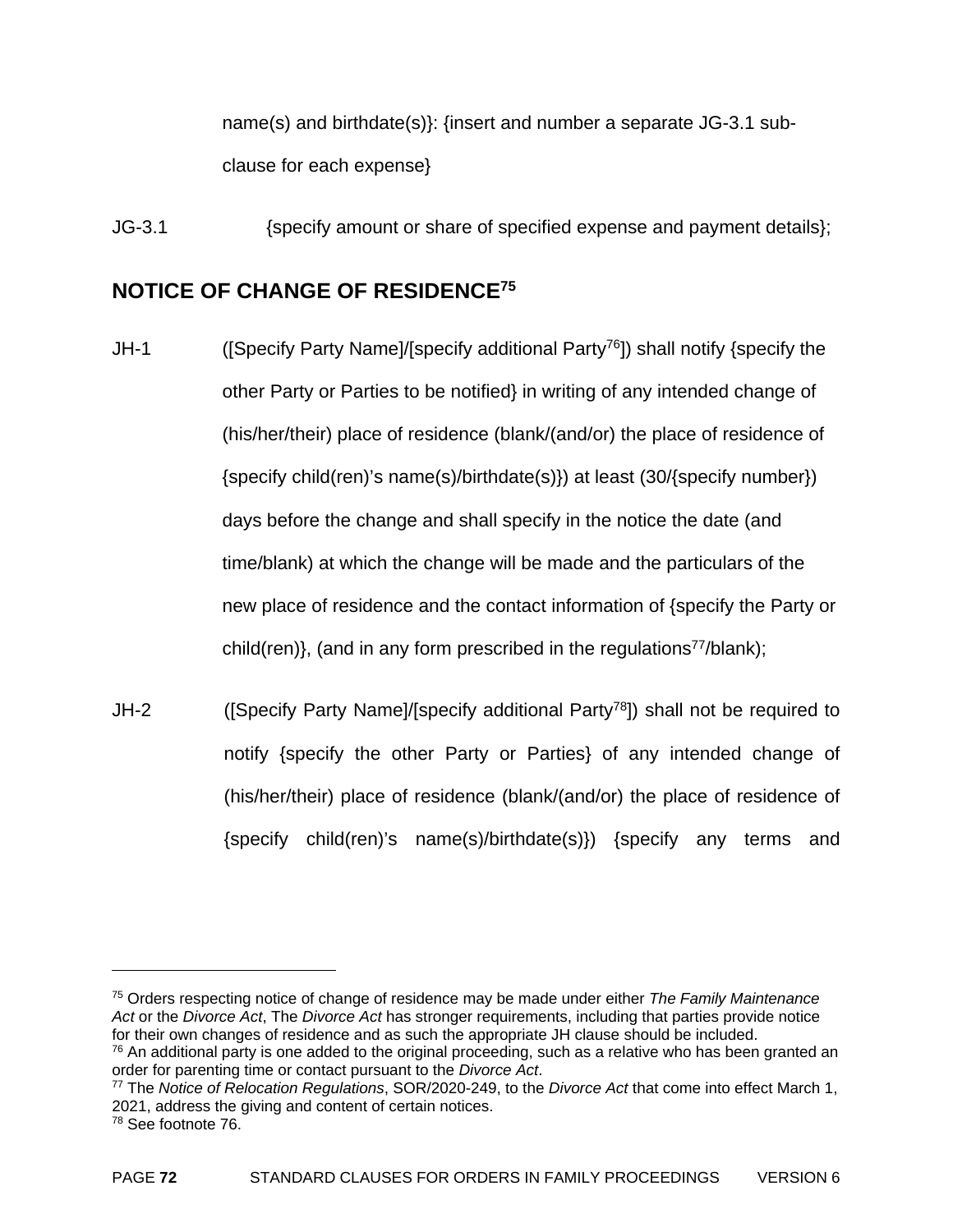name(s) and birthdate(s)}: {insert and number a separate JG-3.1 subclause for each expense}

JG-3.1 {specify amount or share of specified expense and payment details};

# **NOTICE OF CHANGE OF RESIDENCE75**

- JH-1 ([Specify Party Name]/[specify additional Party76]) shall notify {specify the other Party or Parties to be notified} in writing of any intended change of (his/her/their) place of residence (blank/(and/or) the place of residence of {specify child(ren)'s name(s)/birthdate(s)}) at least (30/{specify number}) days before the change and shall specify in the notice the date (and time/blank) at which the change will be made and the particulars of the new place of residence and the contact information of {specify the Party or child(ren)}, (and in any form prescribed in the regulations $77$ /blank):
- JH-2 ([Specify Party Name]/[specify additional Party<sup>78</sup>]) shall not be required to notify {specify the other Party or Parties} of any intended change of (his/her/their) place of residence (blank/(and/or) the place of residence of {specify child(ren)'s name(s)/birthdate(s)}) {specify any terms and

<sup>75</sup> Orders respecting notice of change of residence may be made under either *The Family Maintenance Act* or the *Divorce Act*, The *Divorce Act* has stronger requirements, including that parties provide notice for their own changes of residence and as such the appropriate JH clause should be included.

 $76$  An additional party is one added to the original proceeding, such as a relative who has been granted an order for parenting time or contact pursuant to the *Divorce Act*.

<sup>&</sup>lt;sup>77</sup> The *Notice of Relocation Regulations*, SOR/2020-249, to the *Divorce Act* that come into effect March 1, 2021, address the giving and content of certain notices.

<sup>78</sup> See footnote 76.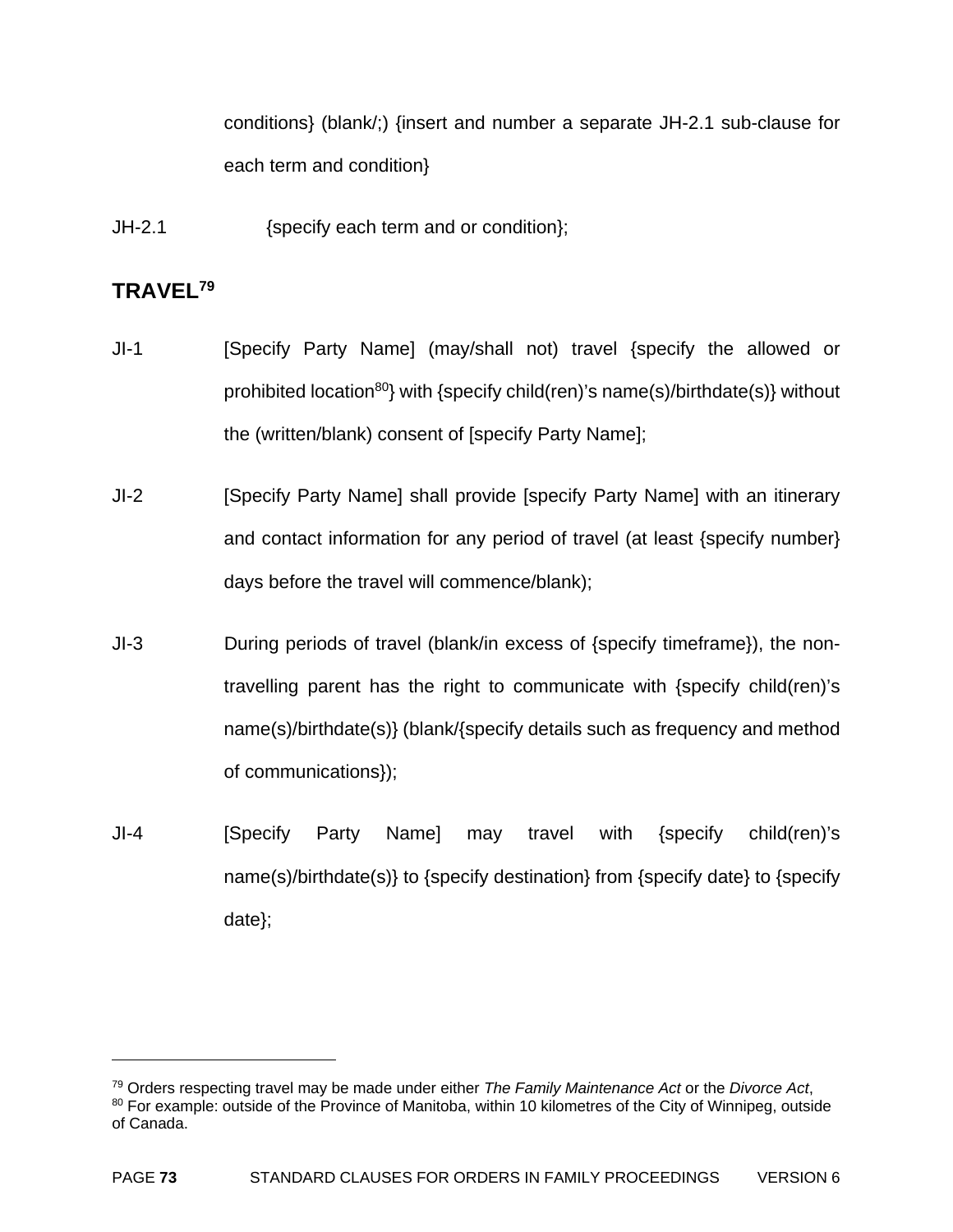conditions} (blank/;) {insert and number a separate JH-2.1 sub-clause for each term and condition}

JH-2.1 {specify each term and or condition};

# **TRAVEL79**

- JI-1 [Specify Party Name] (may/shall not) travel {specify the allowed or prohibited location<sup>80</sup>} with {specify child(ren)'s name(s)/birthdate(s)} without the (written/blank) consent of [specify Party Name];
- JI-2 [Specify Party Name] shall provide [specify Party Name] with an itinerary and contact information for any period of travel (at least {specify number} days before the travel will commence/blank);
- JI-3 During periods of travel (blank/in excess of {specify timeframe}), the nontravelling parent has the right to communicate with {specify child(ren)'s name(s)/birthdate(s)} (blank/{specify details such as frequency and method of communications});
- JI-4 [Specify Party Name] may travel with {specify child(ren)'s name(s)/birthdate(s)} to {specify destination} from {specify date} to {specify date};

<sup>&</sup>lt;sup>79</sup> Orders respecting travel may be made under either *The Family Maintenance Act* or the *Divorce Act*, 80 For example: outside of the Province of Manitoba, within 10 kilometres of the City of Winnipeg, outside of Canada.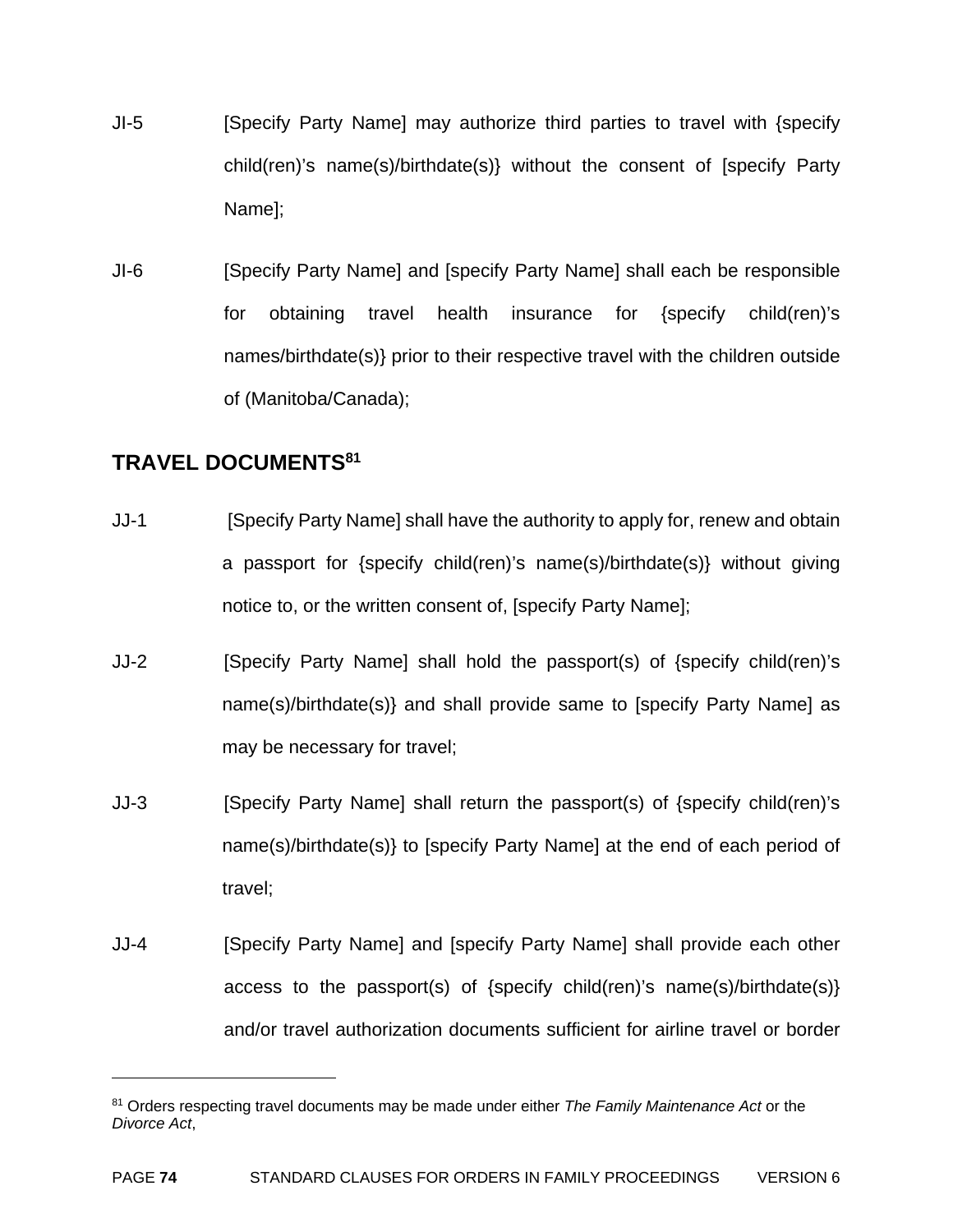- JI-5 [Specify Party Name] may authorize third parties to travel with {specify child(ren)'s name(s)/birthdate(s)} without the consent of [specify Party Name];
- JI-6 [Specify Party Name] and [specify Party Name] shall each be responsible for obtaining travel health insurance for {specify child(ren)'s names/birthdate(s)} prior to their respective travel with the children outside of (Manitoba/Canada);

# **TRAVEL DOCUMENTS81**

- JJ-1 [Specify Party Name] shall have the authority to apply for, renew and obtain a passport for {specify child(ren)'s name(s)/birthdate(s)} without giving notice to, or the written consent of, [specify Party Name];
- JJ-2 [Specify Party Name] shall hold the passport(s) of {specify child(ren)'s name(s)/birthdate(s)} and shall provide same to [specify Party Name] as may be necessary for travel;
- JJ-3 [Specify Party Name] shall return the passport(s) of {specify child(ren)'s name(s)/birthdate(s)} to [specify Party Name] at the end of each period of travel;
- JJ-4 [Specify Party Name] and [specify Party Name] shall provide each other access to the passport(s) of {specify child(ren)'s name(s)/birthdate(s)} and/or travel authorization documents sufficient for airline travel or border

<sup>81</sup> Orders respecting travel documents may be made under either *The Family Maintenance Act* or the *Divorce Act*,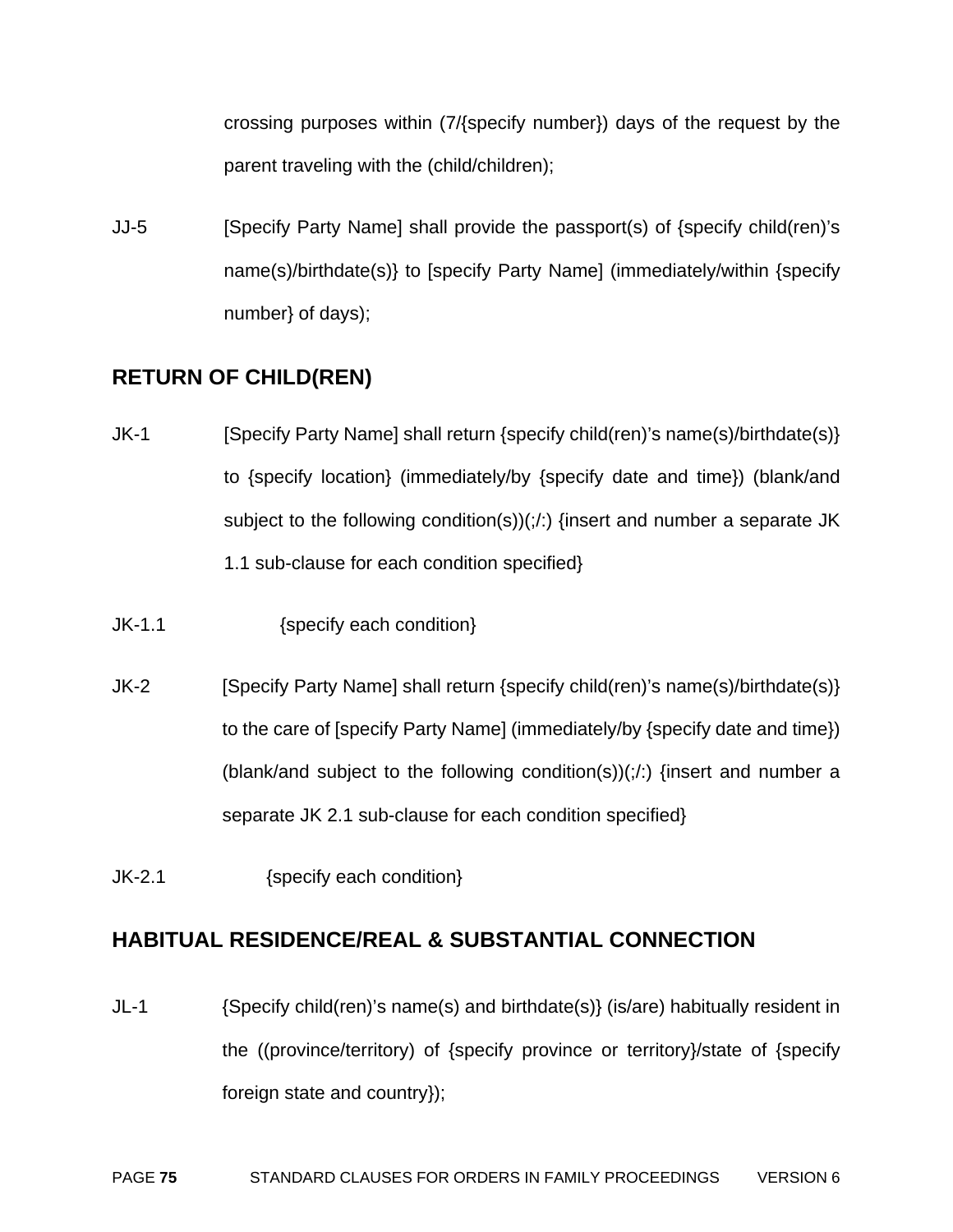crossing purposes within (7/{specify number}) days of the request by the parent traveling with the (child/children);

JJ-5 [Specify Party Name] shall provide the passport(s) of {specify child(ren)'s name(s)/birthdate(s)} to [specify Party Name] (immediately/within {specify number} of days);

# **RETURN OF CHILD(REN)**

- JK-1 [Specify Party Name] shall return {specify child(ren)'s name(s)/birthdate(s)} to {specify location} (immediately/by {specify date and time}) (blank/and subject to the following condition(s))(;/:) {insert and number a separate JK 1.1 sub-clause for each condition specified}
- JK-1.1 {specify each condition}
- JK-2 [Specify Party Name] shall return {specify child(ren)'s name(s)/birthdate(s)} to the care of [specify Party Name] (immediately/by {specify date and time}) (blank/and subject to the following condition(s))(;/:) {insert and number a separate JK 2.1 sub-clause for each condition specified}
- JK-2.1 {specify each condition}

# **HABITUAL RESIDENCE/REAL & SUBSTANTIAL CONNECTION**

JL-1 {Specify child(ren)'s name(s) and birthdate(s)} (is/are) habitually resident in the ((province/territory) of {specify province or territory}/state of {specify foreign state and country});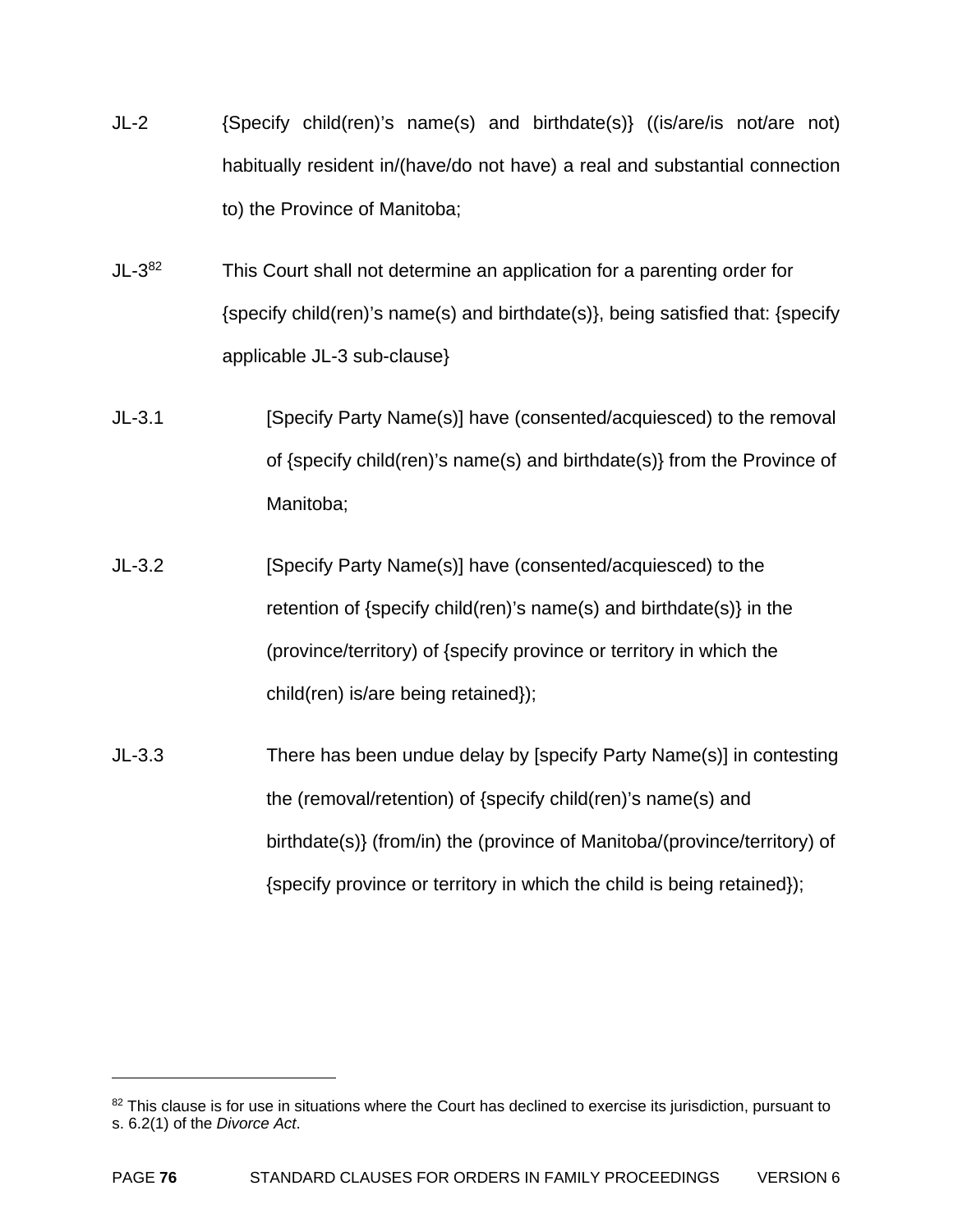- JL-2 {Specify child(ren)'s name(s) and birthdate(s)} ((is/are/is not/are not) habitually resident in/(have/do not have) a real and substantial connection to) the Province of Manitoba;
- $JL-3^{82}$  This Court shall not determine an application for a parenting order for {specify child(ren)'s name(s) and birthdate(s)}, being satisfied that: {specify applicable JL-3 sub-clause}
- JL-3.1 [Specify Party Name(s)] have (consented/acquiesced) to the removal of {specify child(ren)'s name(s) and birthdate(s)} from the Province of Manitoba;
- JL-3.2 [Specify Party Name(s)] have (consented/acquiesced) to the retention of {specify child(ren)'s name(s) and birthdate(s)} in the (province/territory) of {specify province or territory in which the child(ren) is/are being retained});
- JL-3.3 There has been undue delay by [specify Party Name(s)] in contesting the (removal/retention) of {specify child(ren)'s name(s) and birthdate(s)} (from/in) the (province of Manitoba/(province/territory) of {specify province or territory in which the child is being retained});

<sup>82</sup> This clause is for use in situations where the Court has declined to exercise its jurisdiction, pursuant to s. 6.2(1) of the *Divorce Act*.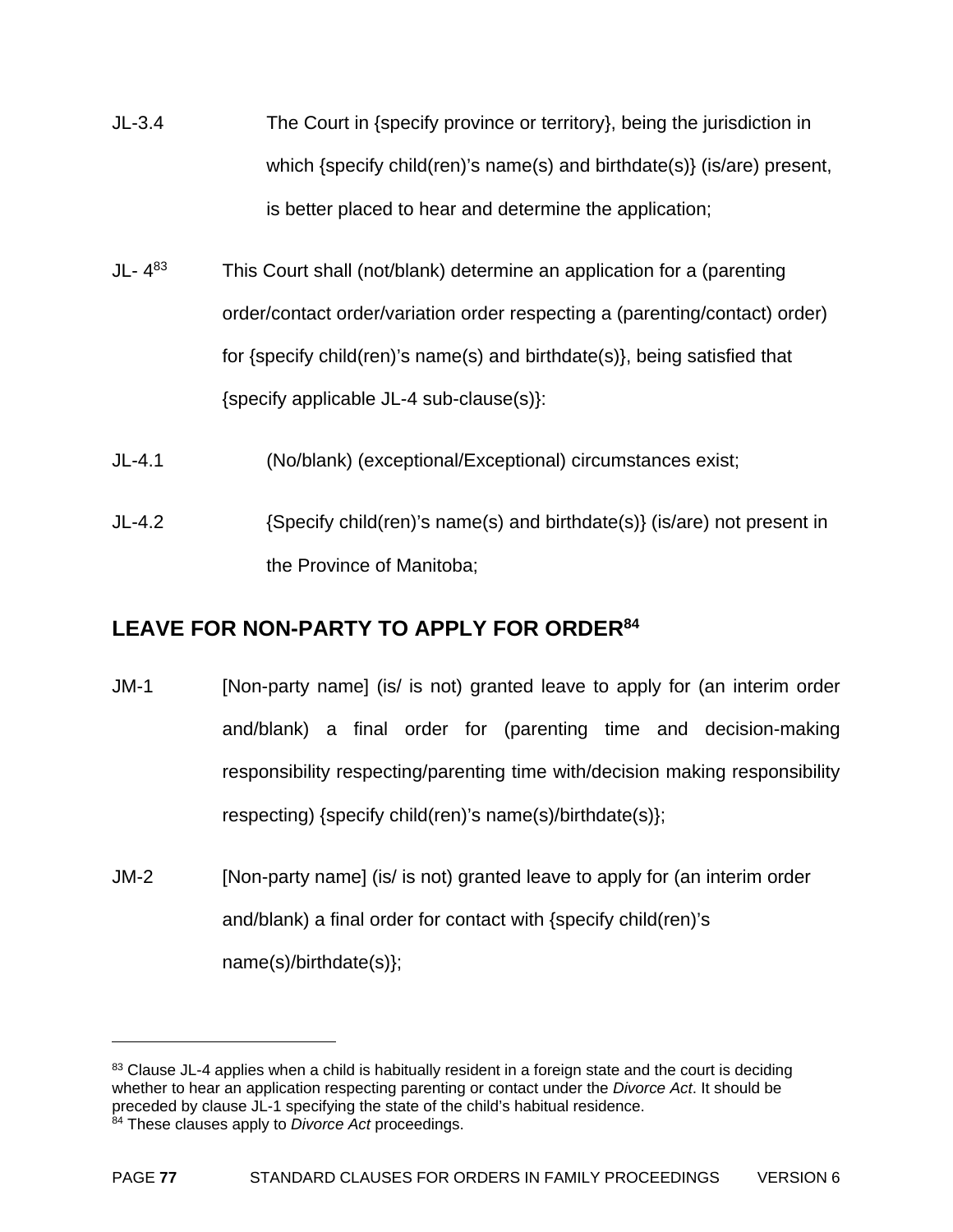- JL-3.4 The Court in {specify province or territory}, being the jurisdiction in which {specify child(ren)'s name(s) and birthdate(s)} (is/are) present, is better placed to hear and determine the application;
- JL-  $4^{83}$  This Court shall (not/blank) determine an application for a (parenting order/contact order/variation order respecting a (parenting/contact) order) for {specify child(ren)'s name(s) and birthdate(s)}, being satisfied that {specify applicable JL-4 sub-clause(s)}:
- JL-4.1 (No/blank) (exceptional/Exceptional) circumstances exist;
- JL-4.2 {Specify child(ren)'s name(s) and birthdate(s)} (is/are) not present in the Province of Manitoba;

# **LEAVE FOR NON-PARTY TO APPLY FOR ORDER84**

- JM-1 [Non-party name] (is/ is not) granted leave to apply for (an interim order and/blank) a final order for (parenting time and decision-making responsibility respecting/parenting time with/decision making responsibility respecting) {specify child(ren)'s name(s)/birthdate(s)};
- JM-2 [Non-party name] (is/ is not) granted leave to apply for (an interim order and/blank) a final order for contact with {specify child(ren)'s name(s)/birthdate(s)};

1

<sup>83</sup> Clause JL-4 applies when a child is habitually resident in a foreign state and the court is deciding whether to hear an application respecting parenting or contact under the *Divorce Act*. It should be preceded by clause JL-1 specifying the state of the child's habitual residence.

<sup>84</sup> These clauses apply to *Divorce Act* proceedings.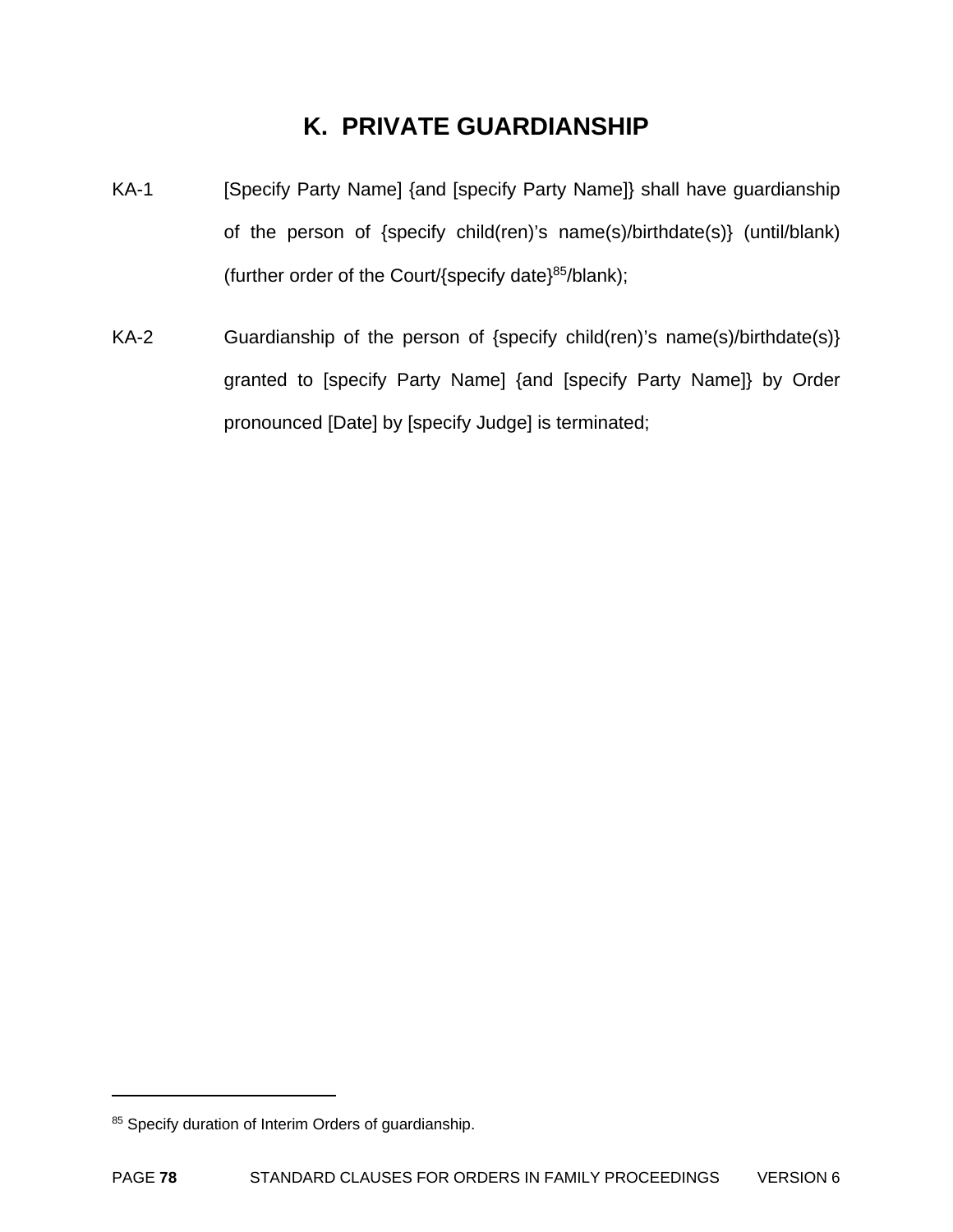# **K. PRIVATE GUARDIANSHIP**

- KA-1 [Specify Party Name] {and [specify Party Name]} shall have guardianship of the person of {specify child(ren)'s name(s)/birthdate(s)} (until/blank) (further order of the Court/ $\{spect(\text{specificity})\}^{85}/\text{blank}\}$ ;
- KA-2 Guardianship of the person of {specify child(ren)'s name(s)/birthdate(s)} granted to [specify Party Name] {and [specify Party Name]} by Order pronounced [Date] by [specify Judge] is terminated;

<sup>85</sup> Specify duration of Interim Orders of guardianship.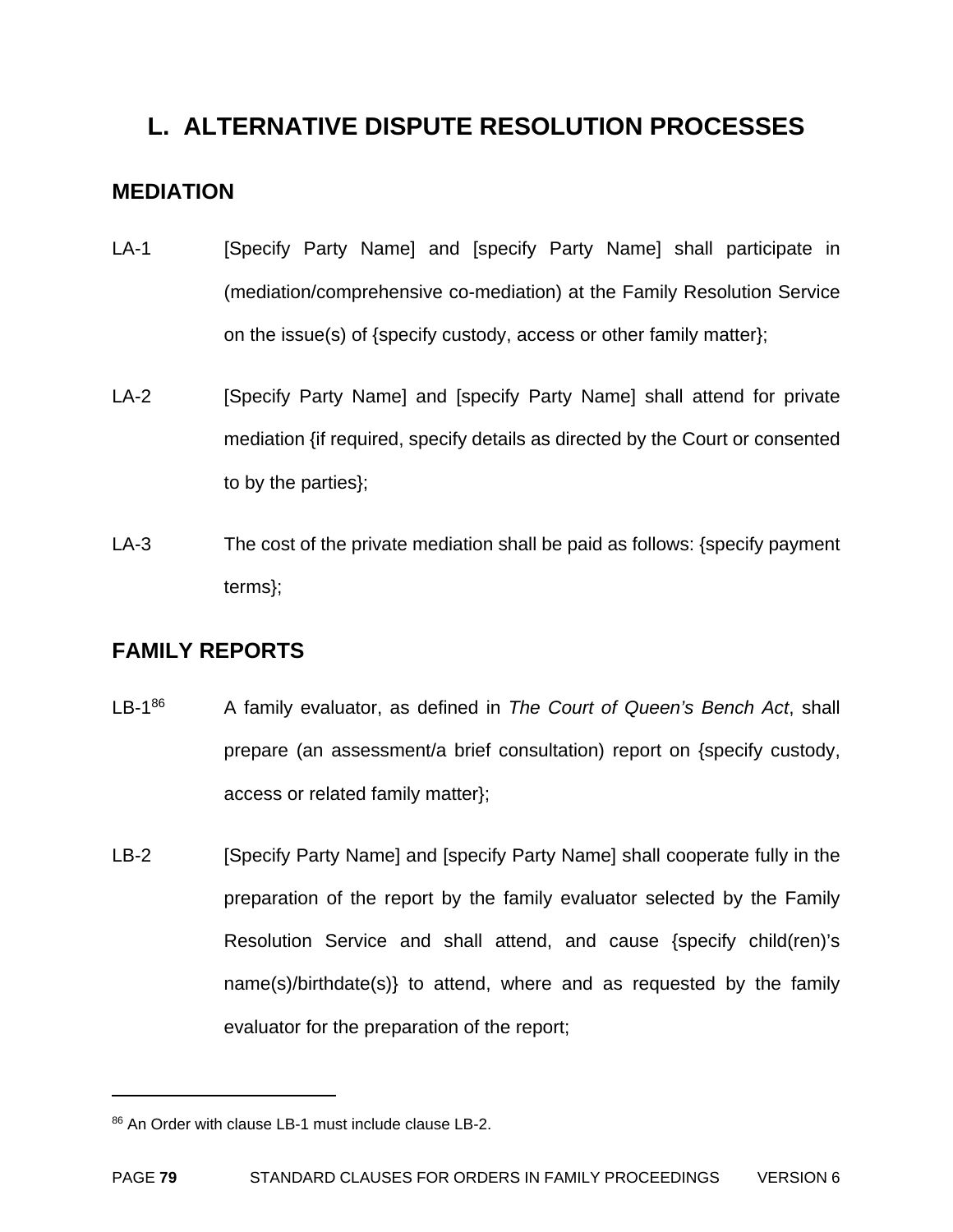# **L. ALTERNATIVE DISPUTE RESOLUTION PROCESSES**

# **MEDIATION**

- LA-1 [Specify Party Name] and [specify Party Name] shall participate in (mediation/comprehensive co-mediation) at the Family Resolution Service on the issue(s) of {specify custody, access or other family matter};
- LA-2 [Specify Party Name] and [specify Party Name] shall attend for private mediation {if required, specify details as directed by the Court or consented to by the parties};
- LA-3 The cost of the private mediation shall be paid as follows: {specify payment terms};

# **FAMILY REPORTS**

1

- LB-186 A family evaluator, as defined in *The Court of Queen's Bench Act*, shall prepare (an assessment/a brief consultation) report on {specify custody, access or related family matter};
- LB-2 [Specify Party Name] and [specify Party Name] shall cooperate fully in the preparation of the report by the family evaluator selected by the Family Resolution Service and shall attend, and cause {specify child(ren)'s name(s)/birthdate(s)} to attend, where and as requested by the family evaluator for the preparation of the report;

<sup>86</sup> An Order with clause LB-1 must include clause LB-2.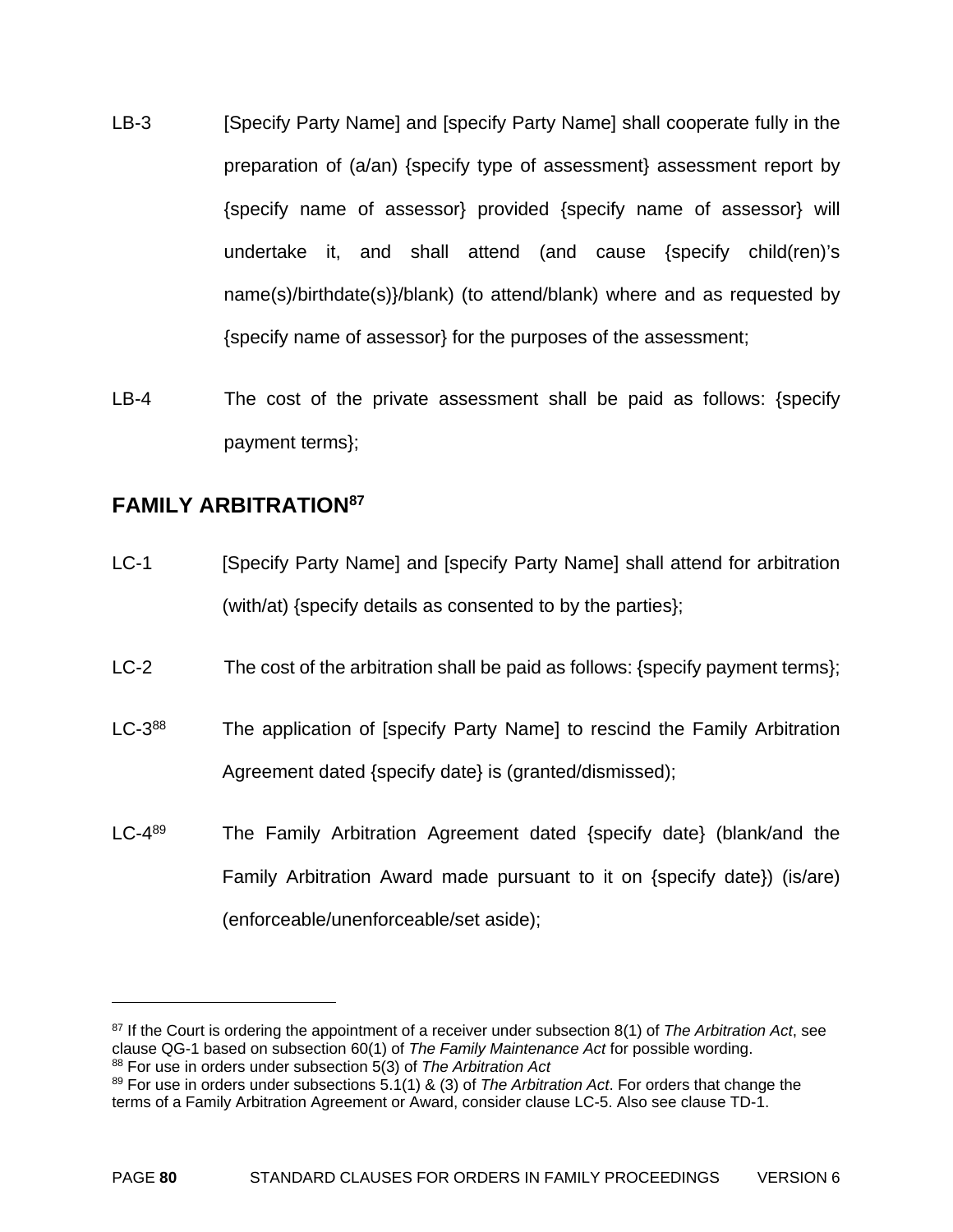- LB-3 [Specify Party Name] and [specify Party Name] shall cooperate fully in the preparation of (a/an) {specify type of assessment} assessment report by {specify name of assessor} provided {specify name of assessor} will undertake it, and shall attend (and cause {specify child(ren)'s name(s)/birthdate(s)}/blank) (to attend/blank) where and as requested by {specify name of assessor} for the purposes of the assessment;
- LB-4 The cost of the private assessment shall be paid as follows: {specify payment terms};

# **FAMILY ARBITRATION87**

- LC-1 [Specify Party Name] and [specify Party Name] shall attend for arbitration (with/at) {specify details as consented to by the parties};
- LC-2 The cost of the arbitration shall be paid as follows: {specify payment terms};
- LC-3<sup>88</sup> The application of [specify Party Name] to rescind the Family Arbitration Agreement dated {specify date} is (granted/dismissed);
- LC-4<sup>89</sup> The Family Arbitration Agreement dated {specify date} (blank/and the Family Arbitration Award made pursuant to it on {specify date}) (is/are) (enforceable/unenforceable/set aside);

<sup>87</sup> If the Court is ordering the appointment of a receiver under subsection 8(1) of *The Arbitration Act*, see clause QG-1 based on subsection 60(1) of *The Family Maintenance Act* for possible wording. 88 For use in orders under subsection 5(3) of *The Arbitration Act* 

<sup>89</sup> For use in orders under subsections 5.1(1) & (3) of *The Arbitration Act*. For orders that change the terms of a Family Arbitration Agreement or Award, consider clause LC-5. Also see clause TD-1.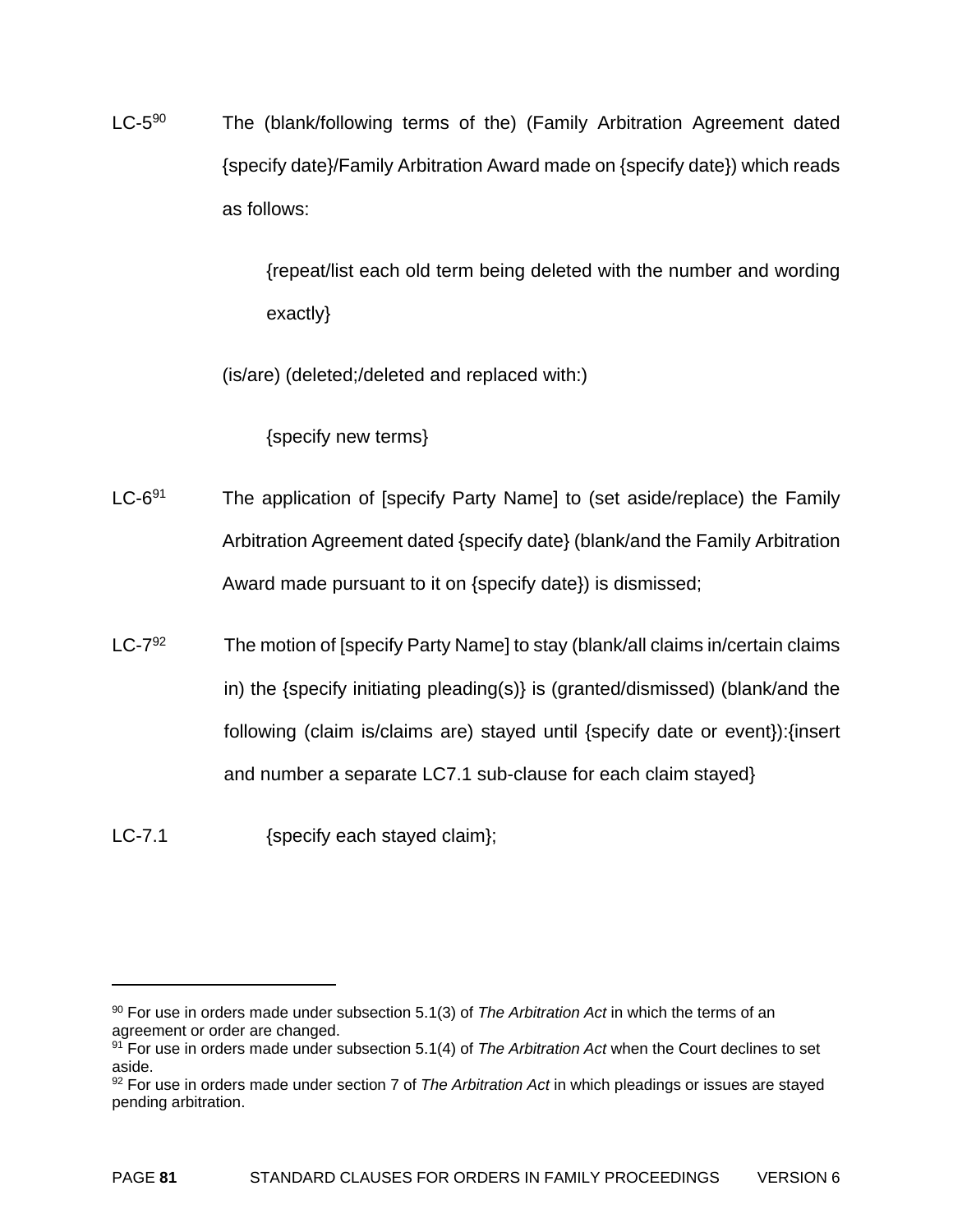LC-5<sup>90</sup> The (blank/following terms of the) (Family Arbitration Agreement dated {specify date}/Family Arbitration Award made on {specify date}) which reads as follows:

> {repeat/list each old term being deleted with the number and wording exactly}

(is/are) (deleted;/deleted and replaced with:)

{specify new terms}

- $LC-6^{91}$  The application of [specify Party Name] to (set aside/replace) the Family Arbitration Agreement dated {specify date} (blank/and the Family Arbitration Award made pursuant to it on {specify date}) is dismissed;
- $LC-7^{92}$  The motion of [specify Party Name] to stay (blank/all claims in/certain claims in) the {specify initiating pleading(s)} is (granted/dismissed) (blank/and the following (claim is/claims are) stayed until {specify date or event}):{insert and number a separate LC7.1 sub-clause for each claim stayed}

LC-7.1 {specify each stayed claim};

<sup>90</sup> For use in orders made under subsection 5.1(3) of *The Arbitration Act* in which the terms of an agreement or order are changed.

<sup>91</sup> For use in orders made under subsection 5.1(4) of *The Arbitration Act* when the Court declines to set aside.

<sup>92</sup> For use in orders made under section 7 of *The Arbitration Act* in which pleadings or issues are stayed pending arbitration.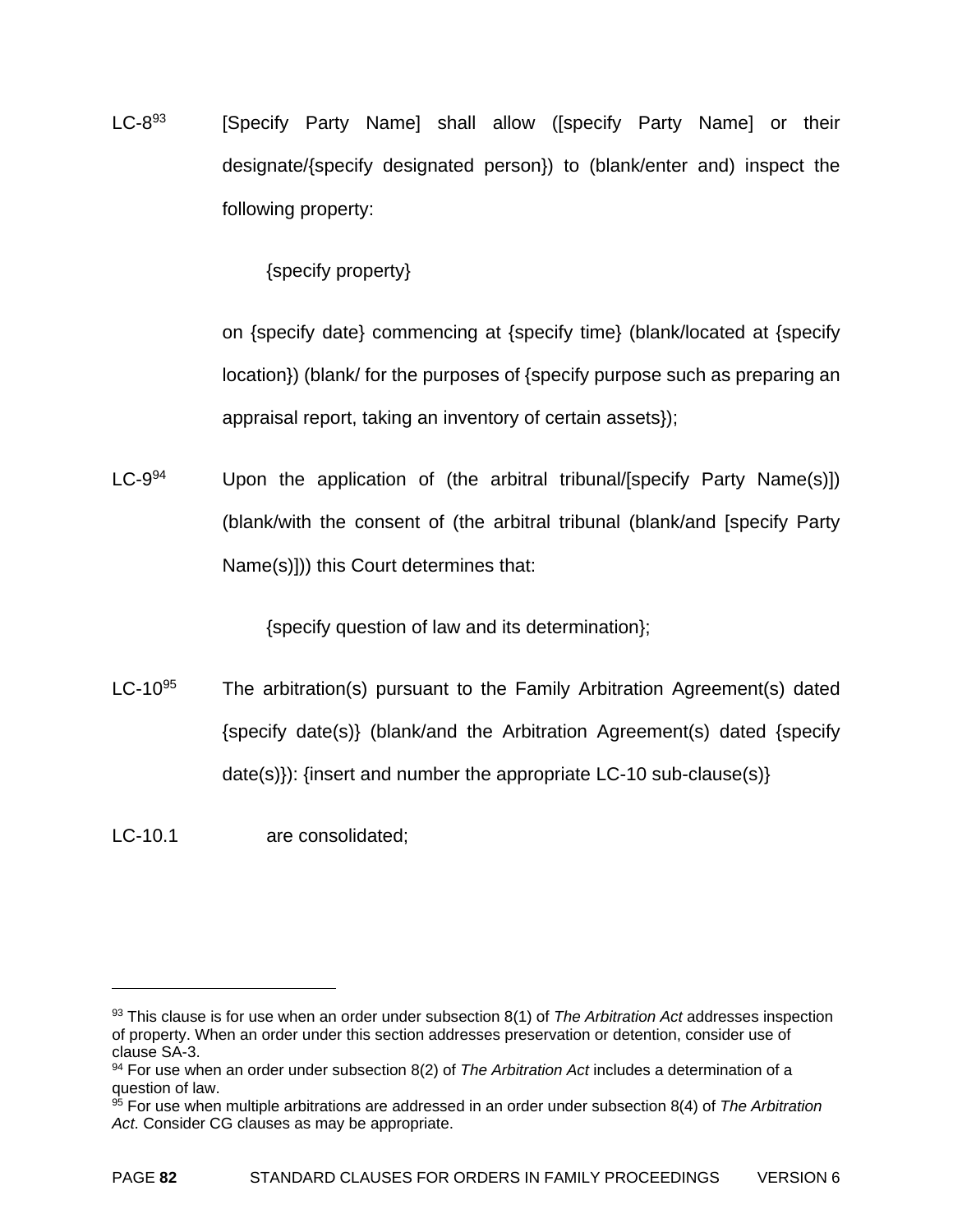$LC-8^{93}$  [Specify Party Name] shall allow ([specify Party Name] or their designate/{specify designated person}) to (blank/enter and) inspect the following property:

{specify property}

 on {specify date} commencing at {specify time} (blank/located at {specify location}) (blank/ for the purposes of {specify purpose such as preparing an appraisal report, taking an inventory of certain assets});

LC-9<sup>94</sup> Upon the application of (the arbitral tribunal/[specify Party Name(s)]) (blank/with the consent of (the arbitral tribunal (blank/and [specify Party Name(s)])) this Court determines that:

{specify question of law and its determination};

LC-10 $95$  The arbitration(s) pursuant to the Family Arbitration Agreement(s) dated {specify date(s)} (blank/and the Arbitration Agreement(s) dated {specify date(s)): {insert and number the appropriate LC-10 sub-clause(s)}

LC-10.1 are consolidated;

<sup>93</sup> This clause is for use when an order under subsection 8(1) of *The Arbitration Act* addresses inspection of property. When an order under this section addresses preservation or detention, consider use of clause SA-3.

<sup>94</sup> For use when an order under subsection 8(2) of *The Arbitration Act* includes a determination of a question of law.

<sup>95</sup> For use when multiple arbitrations are addressed in an order under subsection 8(4) of *The Arbitration Act*. Consider CG clauses as may be appropriate.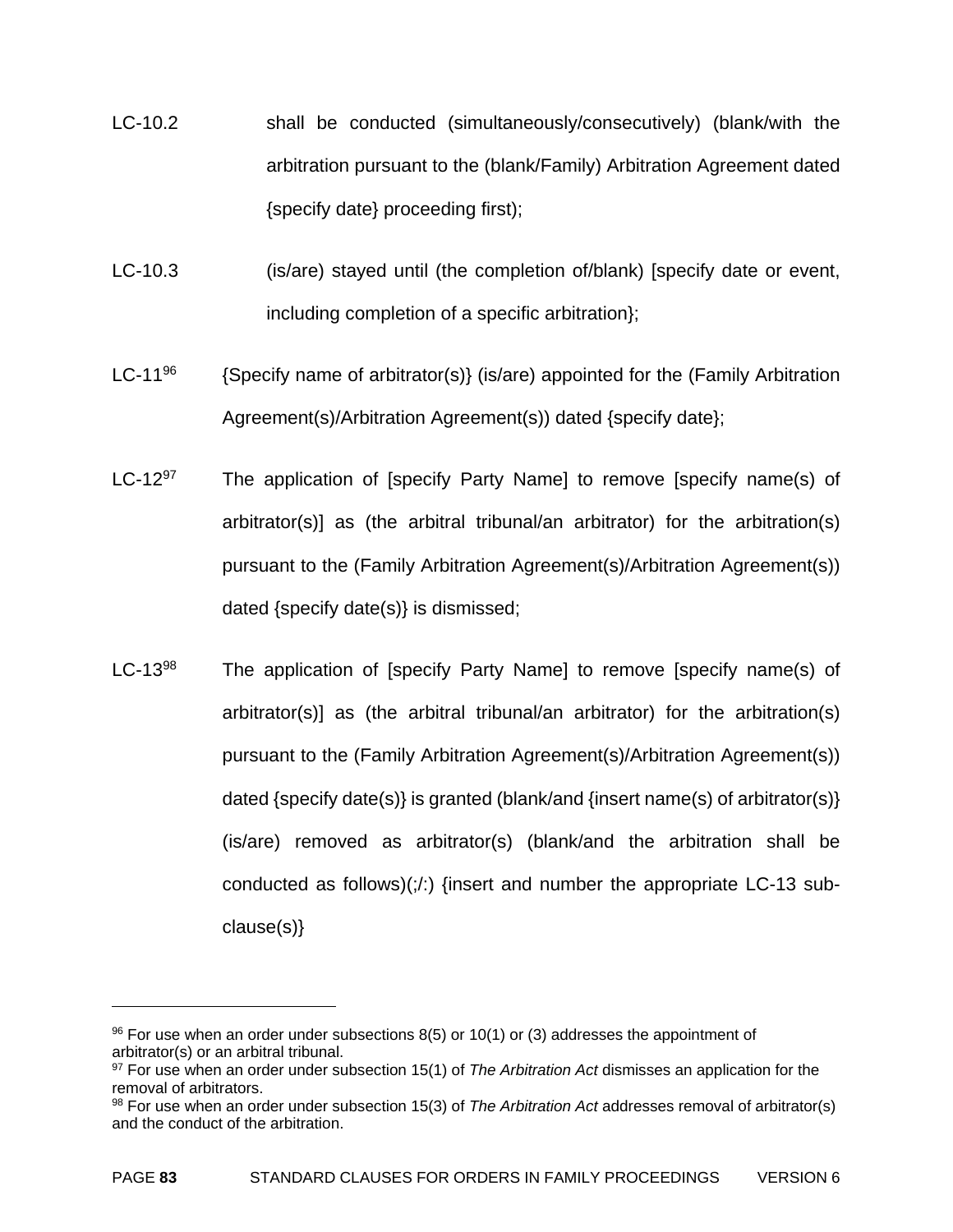- LC-10.2 shall be conducted (simultaneously/consecutively) (blank/with the arbitration pursuant to the (blank/Family) Arbitration Agreement dated {specify date} proceeding first);
- LC-10.3 (is/are) stayed until (the completion of/blank) [specify date or event, including completion of a specific arbitration};
- LC-11<sup>96</sup> {Specify name of arbitrator(s)} (is/are) appointed for the (Family Arbitration Agreement(s)/Arbitration Agreement(s)) dated {specify date};
- LC-12 $97$  The application of [specify Party Name] to remove [specify name(s) of arbitrator(s)] as (the arbitral tribunal/an arbitrator) for the arbitration(s) pursuant to the (Family Arbitration Agreement(s)/Arbitration Agreement(s)) dated {specify date(s)} is dismissed;
- LC-13<sup>98</sup> The application of [specify Party Name] to remove [specify name(s) of arbitrator(s)] as (the arbitral tribunal/an arbitrator) for the arbitration(s) pursuant to the (Family Arbitration Agreement(s)/Arbitration Agreement(s)) dated {specify date(s)} is granted (blank/and {insert name(s) of arbitrator(s)} (is/are) removed as arbitrator(s) (blank/and the arbitration shall be conducted as follows) $(\cdot/\cdot)$  {insert and number the appropriate LC-13 subclause(s)}

 $96$  For use when an order under subsections 8(5) or 10(1) or (3) addresses the appointment of arbitrator(s) or an arbitral tribunal.

<sup>97</sup> For use when an order under subsection 15(1) of *The Arbitration Act* dismisses an application for the removal of arbitrators.

<sup>98</sup> For use when an order under subsection 15(3) of *The Arbitration Act* addresses removal of arbitrator(s) and the conduct of the arbitration.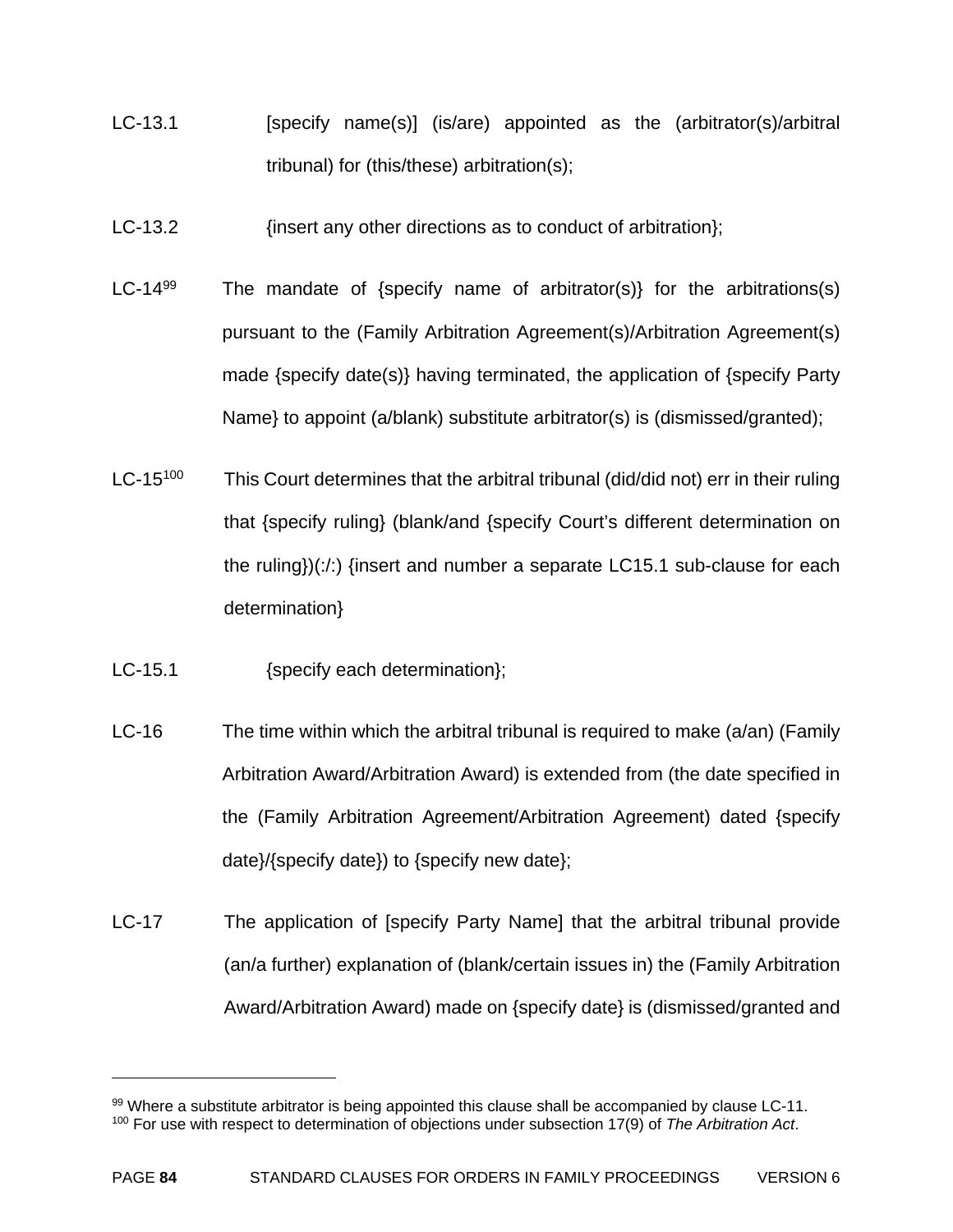- LC-13.1 [specify name(s)] (is/are) appointed as the (arbitrator(s)/arbitral tribunal) for (this/these) arbitration(s);
- LC-13.2 *insert any other directions as to conduct of arbitration*);
- LC-14<sup>99</sup> The mandate of {specify name of arbitrator(s)} for the arbitrations(s) pursuant to the (Family Arbitration Agreement(s)/Arbitration Agreement(s) made {specify date(s)} having terminated, the application of {specify Party Name} to appoint (a/blank) substitute arbitrator(s) is (dismissed/granted);
- $LC-15<sup>100</sup>$  This Court determines that the arbitral tribunal (did/did not) err in their ruling that {specify ruling} (blank/and {specify Court's different determination on the ruling})(:/:) {insert and number a separate LC15.1 sub-clause for each determination}
- LC-15.1 {specify each determination};
- LC-16 The time within which the arbitral tribunal is required to make  $(a/\text{an})$  (Family Arbitration Award/Arbitration Award) is extended from (the date specified in the (Family Arbitration Agreement/Arbitration Agreement) dated {specify date}/{specify date}) to {specify new date};
- LC-17 The application of [specify Party Name] that the arbitral tribunal provide (an/a further) explanation of (blank/certain issues in) the (Family Arbitration Award/Arbitration Award) made on {specify date} is (dismissed/granted and

<sup>99</sup> Where a substitute arbitrator is being appointed this clause shall be accompanied by clause LC-11. 100 For use with respect to determination of objections under subsection 17(9) of *The Arbitration Act*.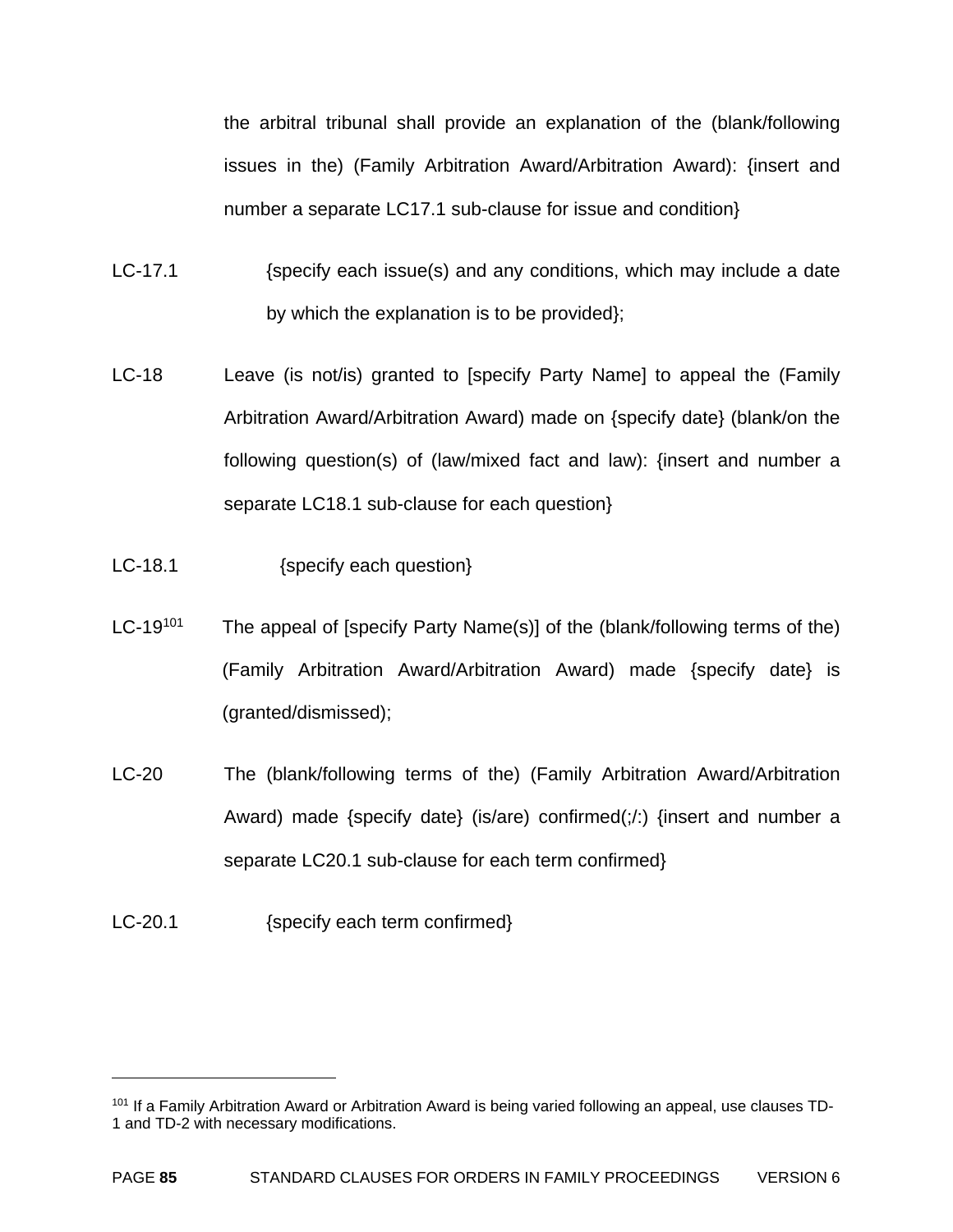the arbitral tribunal shall provide an explanation of the (blank/following issues in the) (Family Arbitration Award/Arbitration Award): {insert and number a separate LC17.1 sub-clause for issue and condition}

- LC-17.1 (specify each issue(s) and any conditions, which may include a date by which the explanation is to be provided};
- LC-18 Leave (is not/is) granted to [specify Party Name] to appeal the (Family Arbitration Award/Arbitration Award) made on {specify date} (blank/on the following question(s) of (law/mixed fact and law): {insert and number a separate LC18.1 sub-clause for each question}
- LC-18.1 {specify each question}
- LC-19<sup>101</sup> The appeal of [specify Party Name(s)] of the (blank/following terms of the) (Family Arbitration Award/Arbitration Award) made {specify date} is (granted/dismissed);
- LC-20 The (blank/following terms of the) (Family Arbitration Award/Arbitration Award) made {specify date} (is/are) confirmed( $;$  {insert and number a separate LC20.1 sub-clause for each term confirmed}
- LC-20.1 {specify each term confirmed}

<sup>&</sup>lt;sup>101</sup> If a Family Arbitration Award or Arbitration Award is being varied following an appeal, use clauses TD-1 and TD-2 with necessary modifications.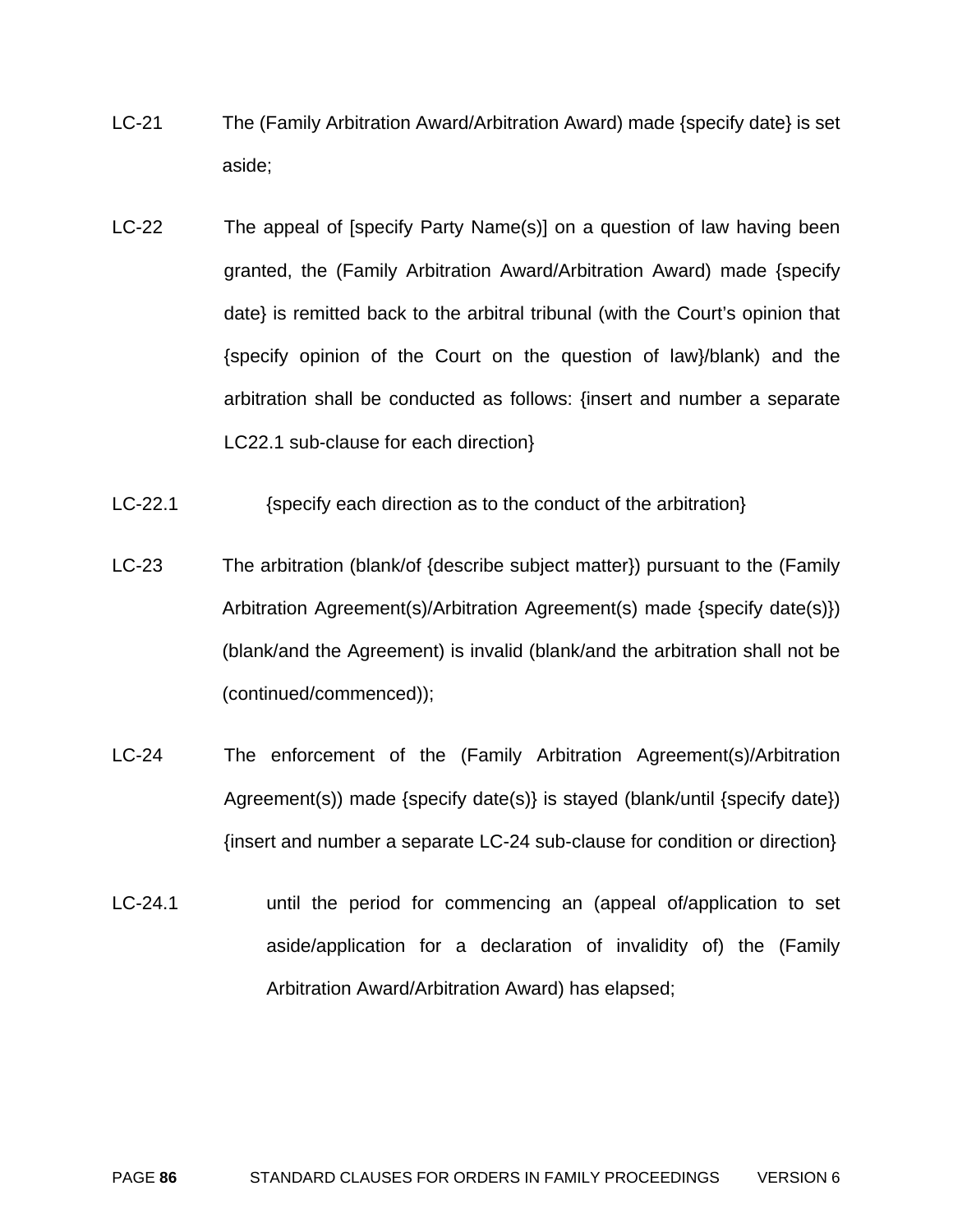- LC-21 The (Family Arbitration Award/Arbitration Award) made {specify date} is set aside;
- LC-22 The appeal of [specify Party Name(s)] on a question of law having been granted, the (Family Arbitration Award/Arbitration Award) made {specify date} is remitted back to the arbitral tribunal (with the Court's opinion that {specify opinion of the Court on the question of law}/blank) and the arbitration shall be conducted as follows: {insert and number a separate LC22.1 sub-clause for each direction}
- LC-22.1 {specify each direction as to the conduct of the arbitration}
- LC-23 The arbitration (blank/of {describe subject matter}) pursuant to the (Family Arbitration Agreement(s)/Arbitration Agreement(s) made {specify date(s)}) (blank/and the Agreement) is invalid (blank/and the arbitration shall not be (continued/commenced));
- LC-24 The enforcement of the (Family Arbitration Agreement(s)/Arbitration Agreement(s)) made {specify date(s)} is stayed (blank/until {specify date}) {insert and number a separate LC-24 sub-clause for condition or direction}
- LC-24.1 **EXEC-24.1** until the period for commencing an (appeal of/application to set aside/application for a declaration of invalidity of) the (Family Arbitration Award/Arbitration Award) has elapsed;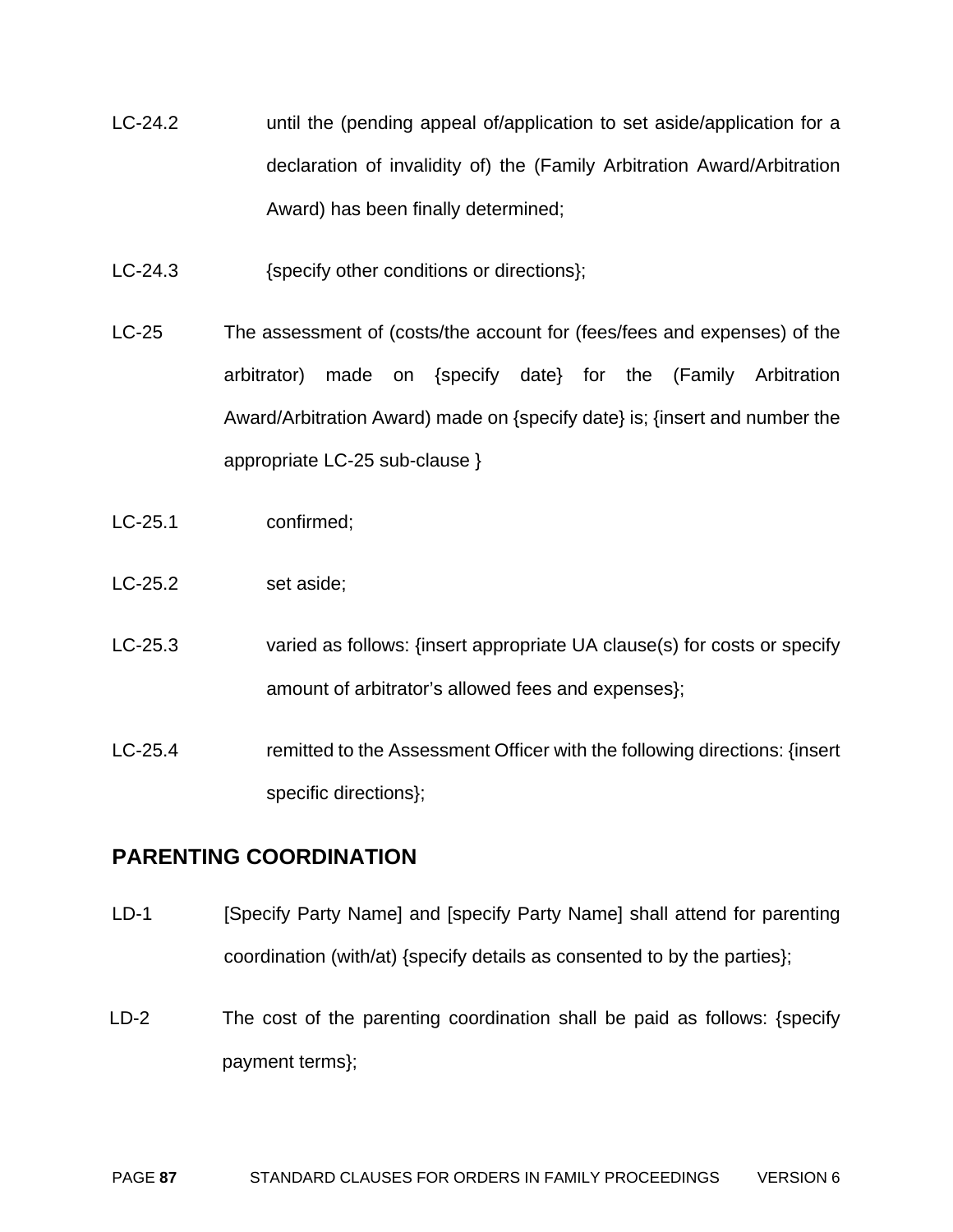- LC-24.2 until the (pending appeal of/application to set aside/application for a declaration of invalidity of) the (Family Arbitration Award/Arbitration Award) has been finally determined;
- LC-24.3 {specify other conditions or directions};
- LC-25 The assessment of (costs/the account for (fees/fees and expenses) of the arbitrator) made on {specify date} for the (Family Arbitration Award/Arbitration Award) made on {specify date} is; {insert and number the appropriate LC-25 sub-clause }
- LC-25.1 confirmed;
- LC-25.2 set aside:
- LC-25.3 varied as follows: {insert appropriate UA clause(s) for costs or specify amount of arbitrator's allowed fees and expenses};
- LC-25.4 remitted to the Assessment Officer with the following directions: {insert specific directions};

# **PARENTING COORDINATION**

- LD-1 [Specify Party Name] and [specify Party Name] shall attend for parenting coordination (with/at) {specify details as consented to by the parties};
- LD-2 The cost of the parenting coordination shall be paid as follows: {specify payment terms};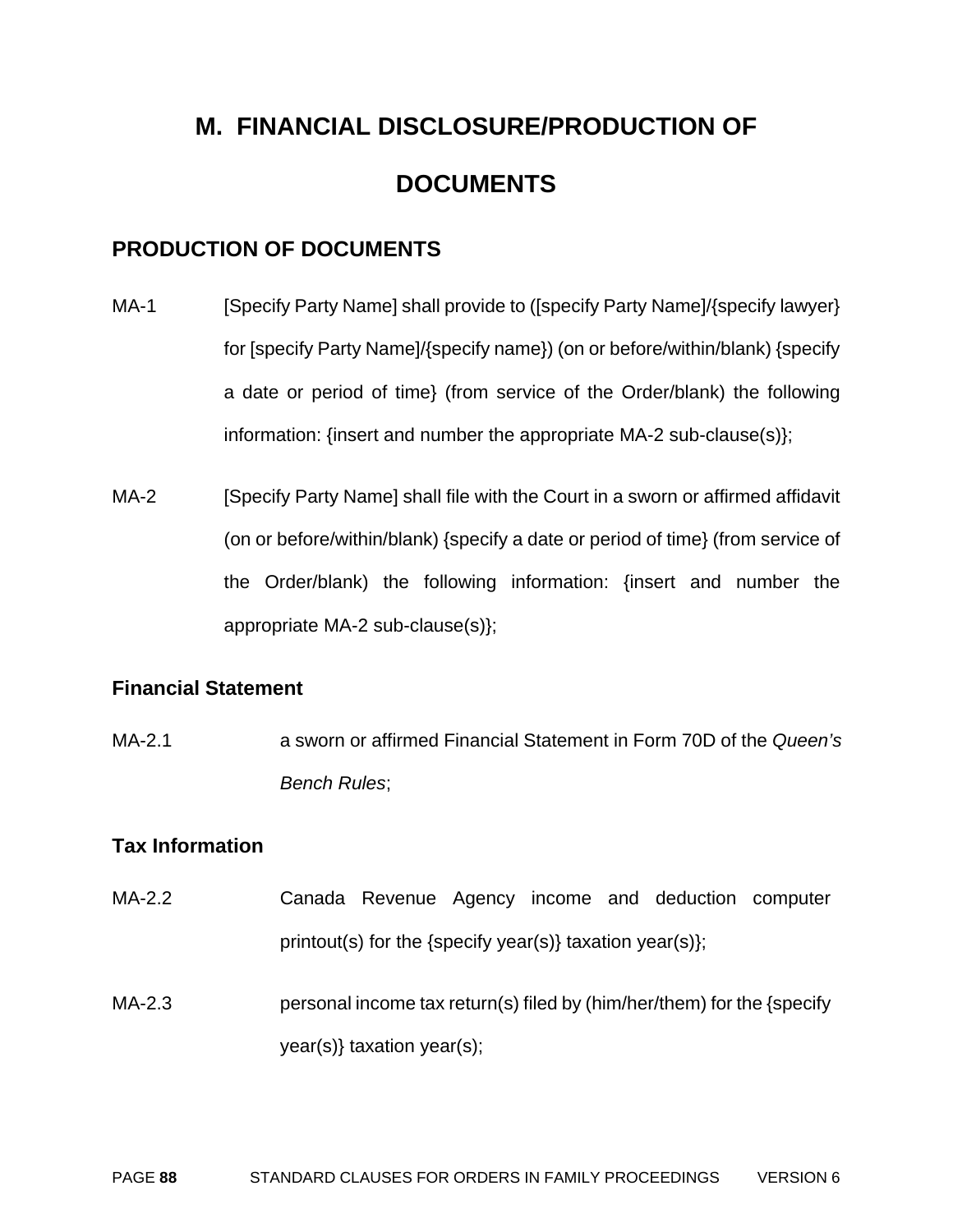# **M. FINANCIAL DISCLOSURE/PRODUCTION OF DOCUMENTS**

# **PRODUCTION OF DOCUMENTS**

- MA-1 [Specify Party Name] shall provide to ([specify Party Name]/{specify lawyer} for [specify Party Name]/{specify name}) (on or before/within/blank) {specify a date or period of time} (from service of the Order/blank) the following information: {insert and number the appropriate MA-2 sub-clause(s)};
- MA-2 [Specify Party Name] shall file with the Court in a sworn or affirmed affidavit (on or before/within/blank) {specify a date or period of time} (from service of the Order/blank) the following information: {insert and number the appropriate MA-2 sub-clause(s)};

# **Financial Statement**

MA-2.1 a sworn or affirmed Financial Statement in Form 70D of the *Queen's Bench Rules*;

# **Tax Information**

- MA-2.2 Canada Revenue Agency income and deduction computer printout(s) for the {specify year(s)} taxation year(s)};
- MA-2.3 **personal income tax return(s) filed by (him/her/them) for the {specify** year(s)} taxation year(s);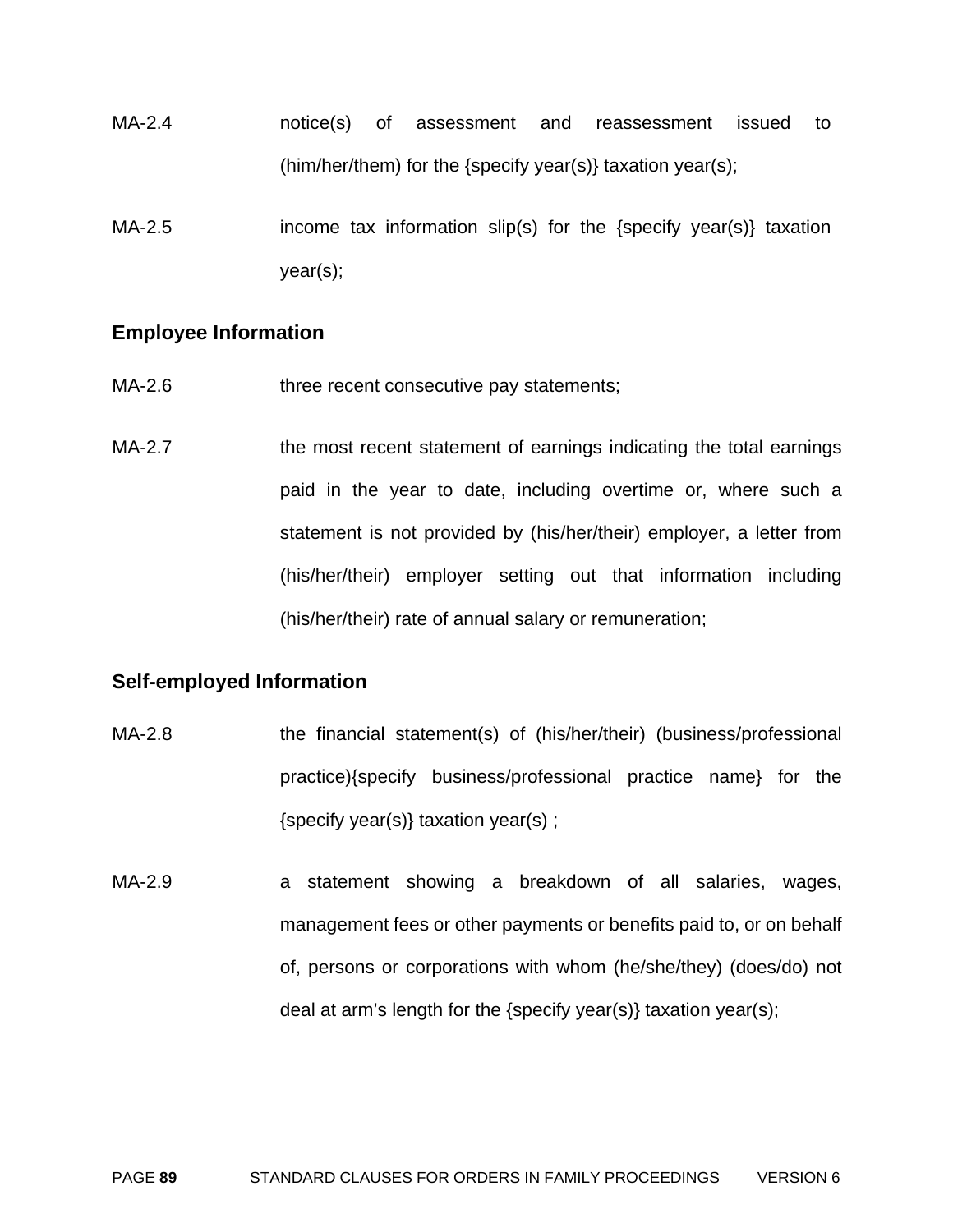- MA-2.4 notice(s) of assessment and reassessment issued to (him/her/them) for the {specify year(s)} taxation year(s);
- MA-2.5 income tax information slip(s) for the {specify year(s)} taxation year(s);

#### **Employee Information**

- MA-2.6 three recent consecutive pay statements;
- MA-2.7 the most recent statement of earnings indicating the total earnings paid in the year to date, including overtime or, where such a statement is not provided by (his/her/their) employer, a letter from (his/her/their) employer setting out that information including (his/her/their) rate of annual salary or remuneration;

#### **Self-employed Information**

- MA-2.8 the financial statement(s) of (his/her/their) (business/professional practice){specify business/professional practice name} for the {specify year(s)} taxation year(s) ;
- MA-2.9 a statement showing a breakdown of all salaries, wages, management fees or other payments or benefits paid to, or on behalf of, persons or corporations with whom (he/she/they) (does/do) not deal at arm's length for the {specify year(s)} taxation year(s);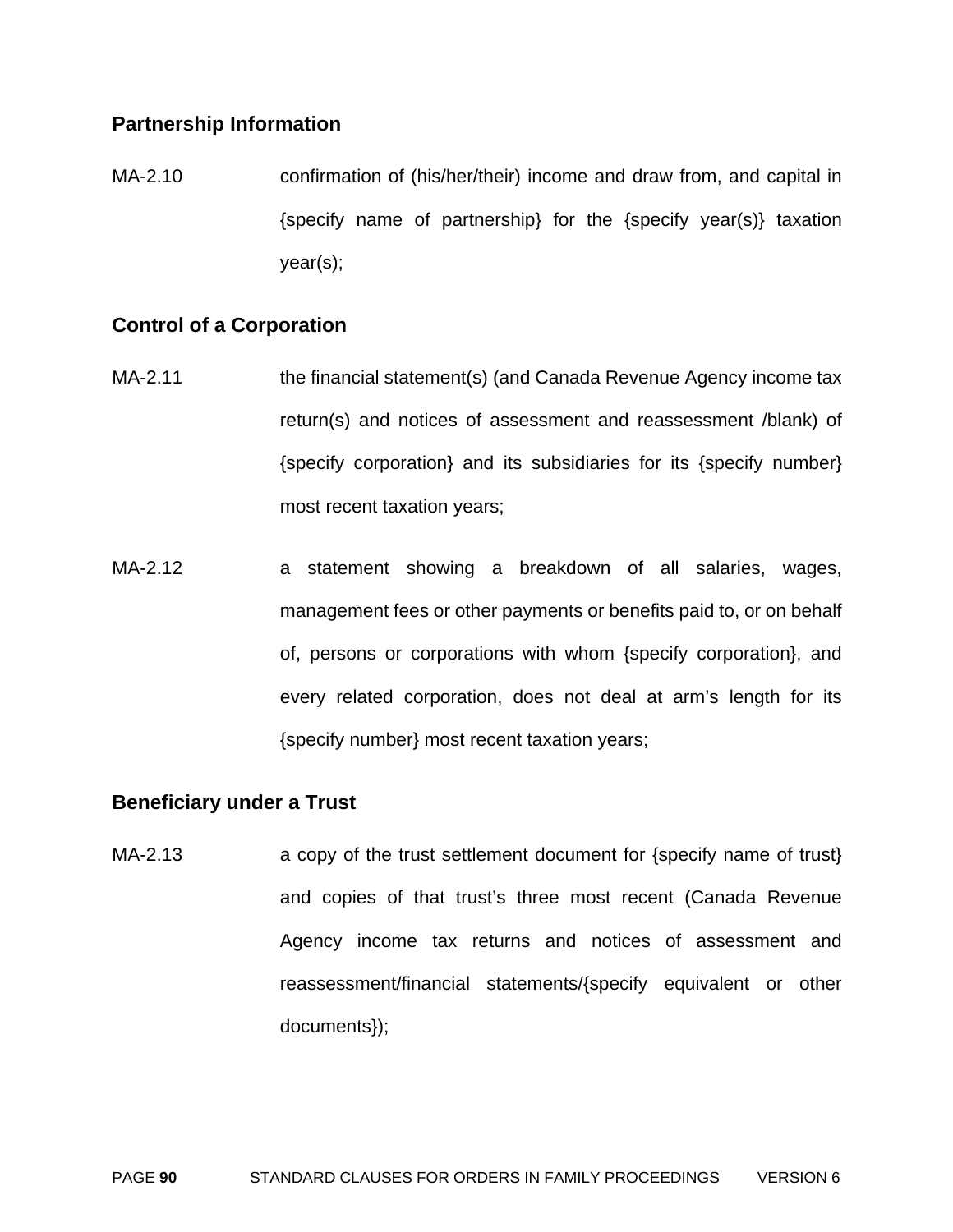#### **Partnership Information**

MA-2.10 confirmation of (his/her/their) income and draw from, and capital in {specify name of partnership} for the {specify year(s)} taxation year(s);

# **Control of a Corporation**

- MA-2.11 the financial statement(s) (and Canada Revenue Agency income tax return(s) and notices of assessment and reassessment /blank) of {specify corporation} and its subsidiaries for its {specify number} most recent taxation years;
- MA-2.12 a statement showing a breakdown of all salaries, wages, management fees or other payments or benefits paid to, or on behalf of, persons or corporations with whom {specify corporation}, and every related corporation, does not deal at arm's length for its {specify number} most recent taxation years;

#### **Beneficiary under a Trust**

MA-2.13 **a** copy of the trust settlement document for {specify name of trust} and copies of that trust's three most recent (Canada Revenue Agency income tax returns and notices of assessment and reassessment/financial statements/{specify equivalent or other documents});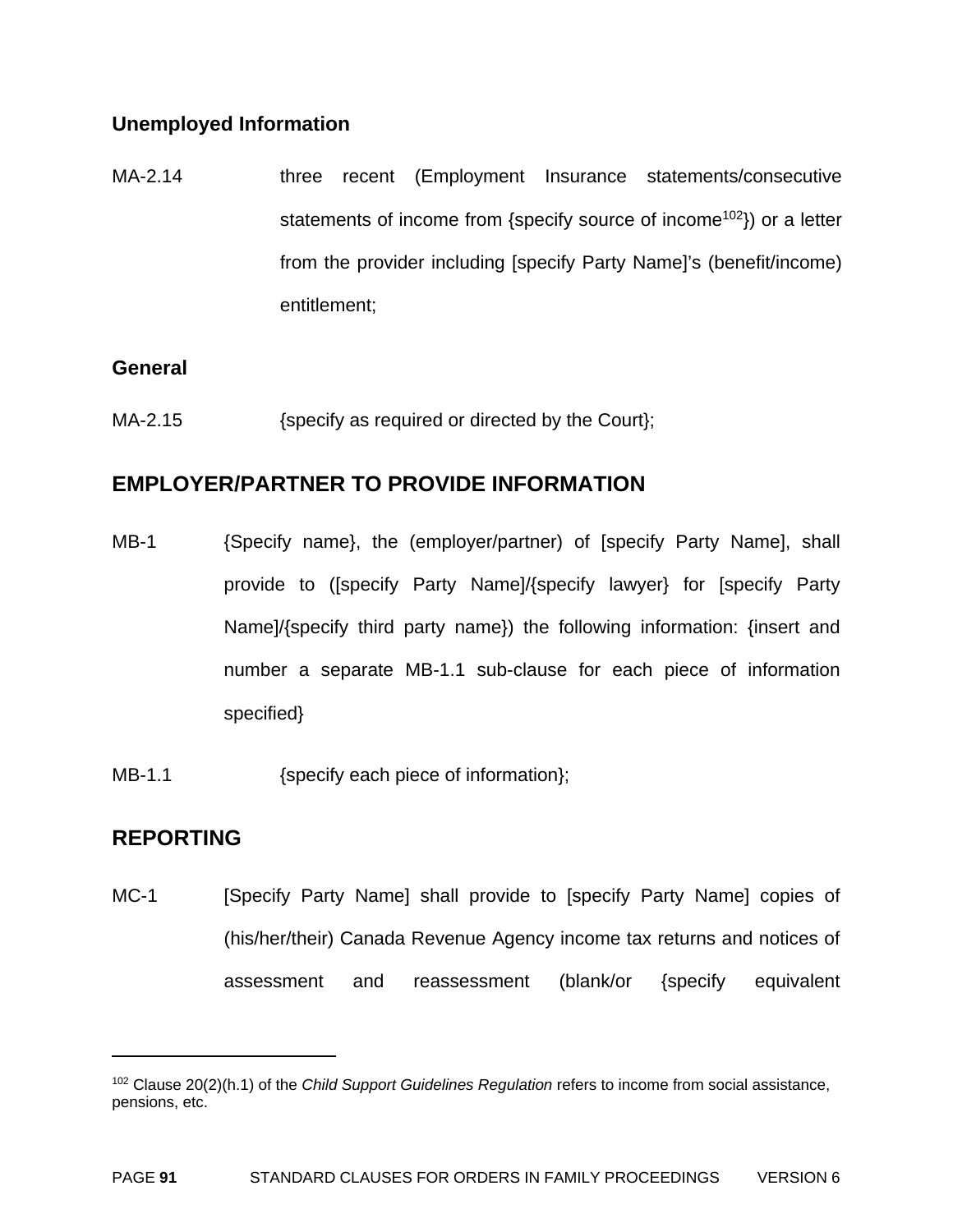# **Unemployed Information**

MA-2.14 **three recent (Employment Insurance statements/consecutive** statements of income from {specify source of income<sup>102</sup>}) or a letter from the provider including [specify Party Name]'s (benefit/income) entitlement;

#### **General**

MA-2.15 {specify as required or directed by the Court};

# **EMPLOYER/PARTNER TO PROVIDE INFORMATION**

- MB-1 {Specify name}, the (employer/partner) of [specify Party Name], shall provide to ([specify Party Name]/{specify lawyer} for [specify Party Name]/{specify third party name}) the following information: {insert and number a separate MB-1.1 sub-clause for each piece of information specified}
- MB-1.1  ${Specify each piece of information};$

# **REPORTING**

 $\overline{a}$ 

MC-1 [Specify Party Name] shall provide to [specify Party Name] copies of (his/her/their) Canada Revenue Agency income tax returns and notices of assessment and reassessment (blank/or {specify equivalent

<sup>102</sup> Clause 20(2)(h.1) of the *Child Support Guidelines Regulation* refers to income from social assistance, pensions, etc.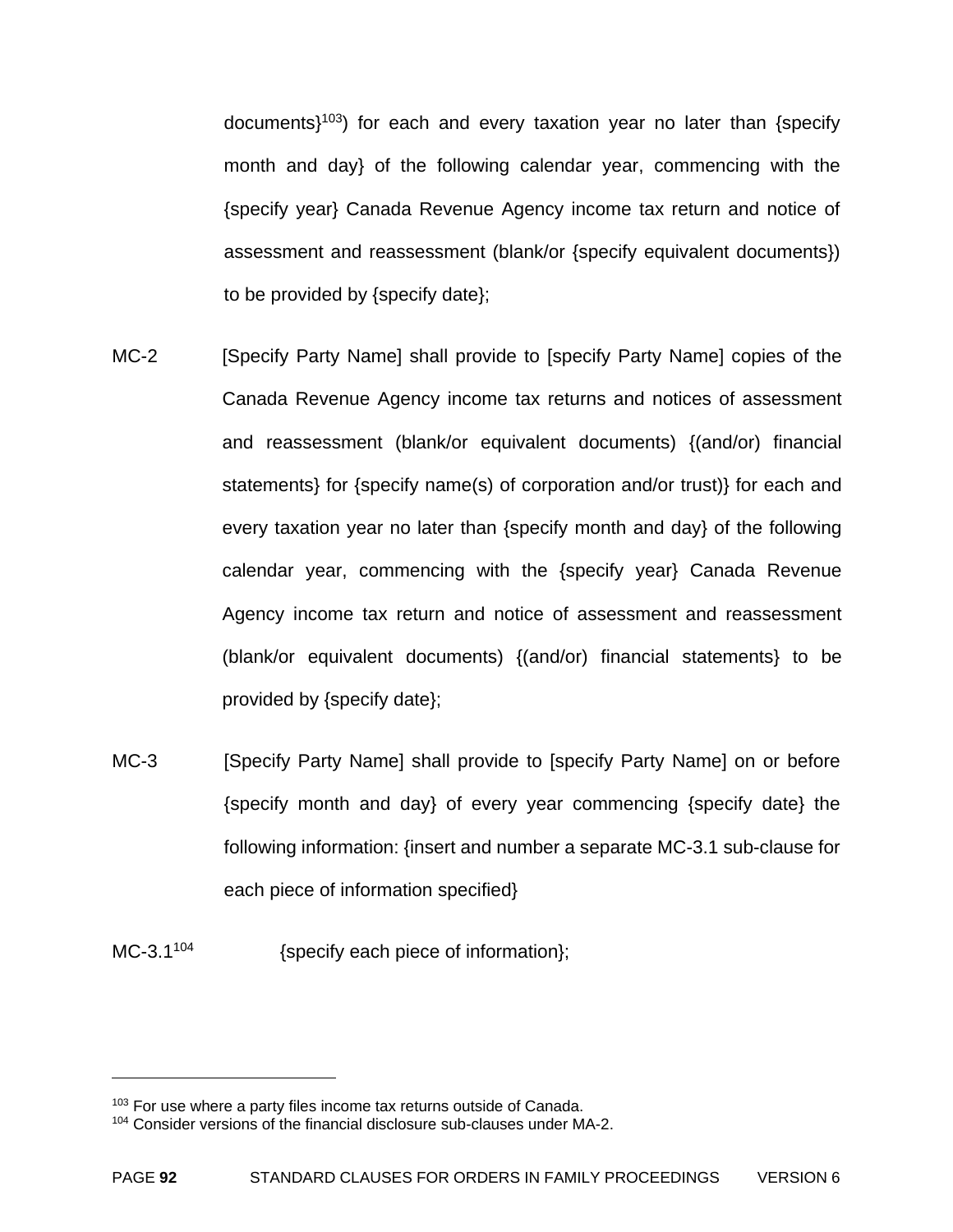documents $1^{103}$ ) for each and every taxation year no later than {specify month and day} of the following calendar year, commencing with the {specify year} Canada Revenue Agency income tax return and notice of assessment and reassessment (blank/or {specify equivalent documents}) to be provided by {specify date};

- MC-2 [Specify Party Name] shall provide to [specify Party Name] copies of the Canada Revenue Agency income tax returns and notices of assessment and reassessment (blank/or equivalent documents) {(and/or) financial statements} for {specify name(s) of corporation and/or trust)} for each and every taxation year no later than {specify month and day} of the following calendar year, commencing with the {specify year} Canada Revenue Agency income tax return and notice of assessment and reassessment (blank/or equivalent documents) {(and/or) financial statements} to be provided by {specify date};
- MC-3 [Specify Party Name] shall provide to [specify Party Name] on or before {specify month and day} of every year commencing {specify date} the following information: {insert and number a separate MC-3.1 sub-clause for each piece of information specified}

MC-3.1<sup>104</sup> {specify each piece of information};

<sup>&</sup>lt;sup>103</sup> For use where a party files income tax returns outside of Canada.

<sup>&</sup>lt;sup>104</sup> Consider versions of the financial disclosure sub-clauses under MA-2.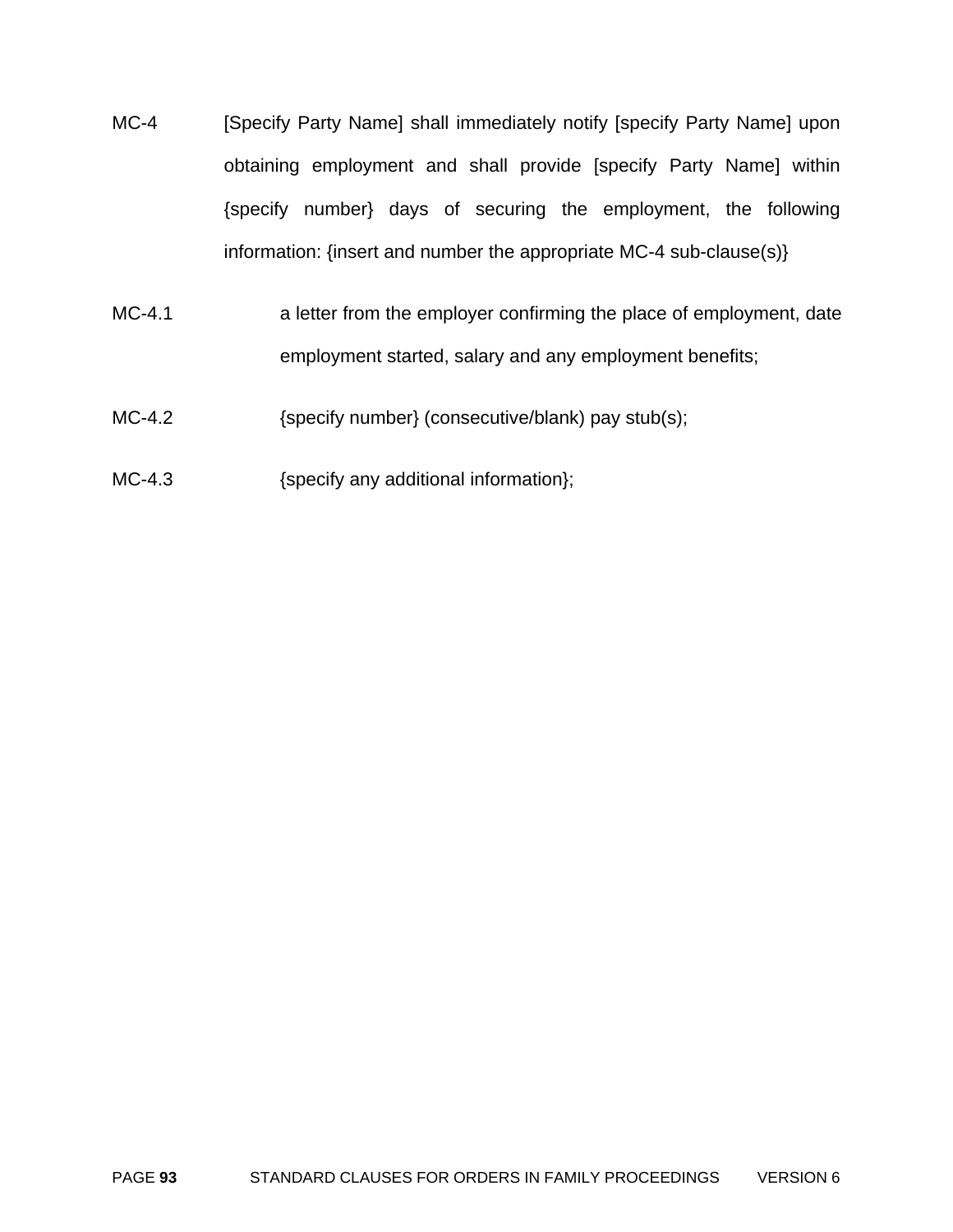- MC-4 [Specify Party Name] shall immediately notify [specify Party Name] upon obtaining employment and shall provide [specify Party Name] within {specify number} days of securing the employment, the following information: {insert and number the appropriate MC-4 sub-clause(s)}
- MC-4.1 a letter from the employer confirming the place of employment, date employment started, salary and any employment benefits;
- MC-4.2  ${SO(1)}$  {specify number} (consecutive/blank) pay stub(s);
- MC-4.3 {specify any additional information};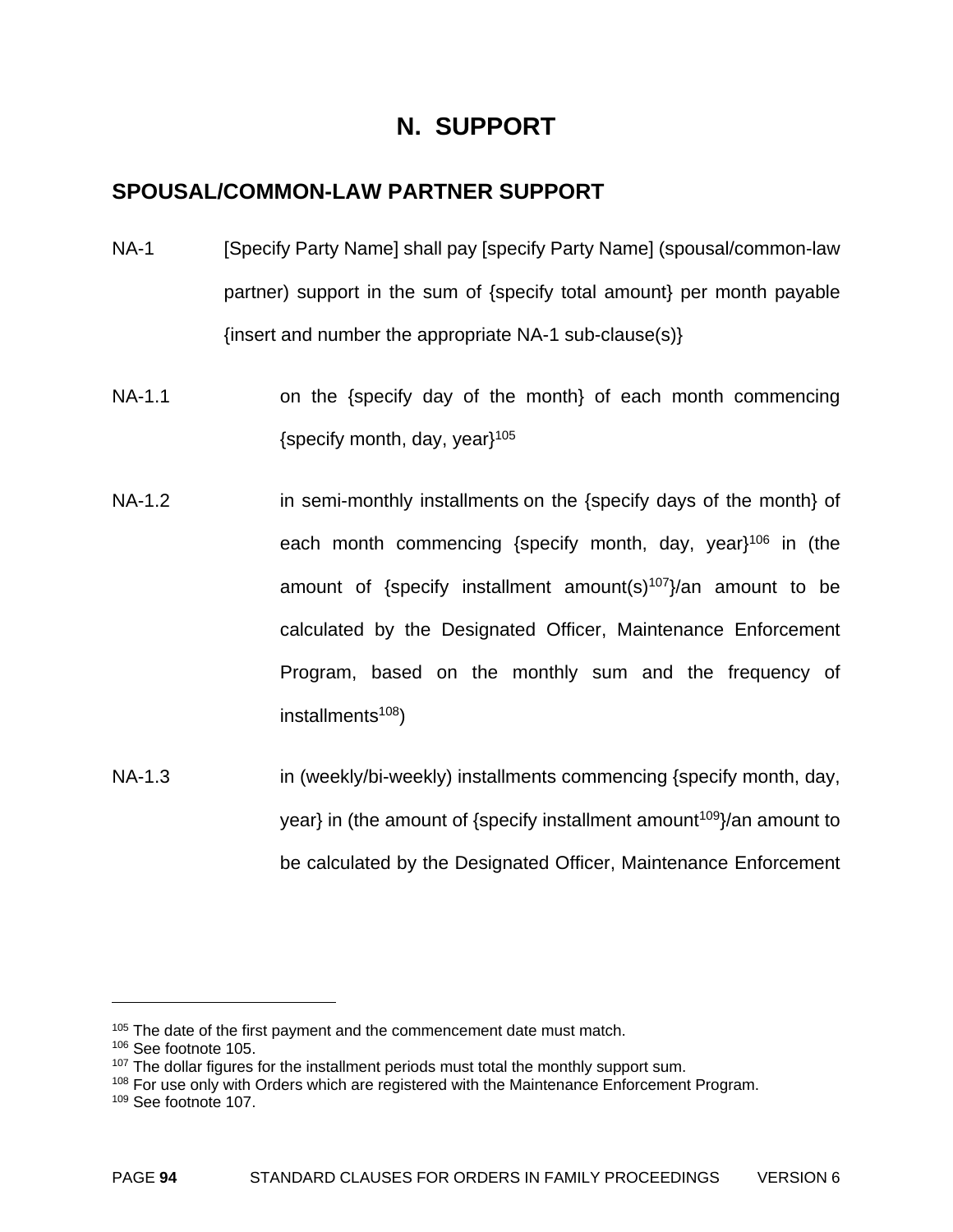# **N. SUPPORT**

# **SPOUSAL/COMMON-LAW PARTNER SUPPORT**

- NA-1 [Specify Party Name] shall pay [specify Party Name] (spousal/common-law partner) support in the sum of {specify total amount} per month payable {insert and number the appropriate NA-1 sub-clause(s)}
- NA-1.1 on the {specify day of the month} of each month commencing {specify month, day, year}105
- NA-1.2 in semi-monthly installments on the {specify days of the month} of each month commencing {specify month, day, year $1^{106}$  in (the amount of {specify installment amount(s)<sup>107</sup>}/an amount to be calculated by the Designated Officer, Maintenance Enforcement Program, based on the monthly sum and the frequency of installments $108$ )
- NA-1.3 **in (weekly/bi-weekly) installments commencing {specify month, day,** year} in (the amount of {specify installment amount<sup>109</sup>}/an amount to be calculated by the Designated Officer, Maintenance Enforcement

<sup>&</sup>lt;sup>105</sup> The date of the first payment and the commencement date must match.

<sup>106</sup> See footnote 105.

 $107$  The dollar figures for the installment periods must total the monthly support sum.

<sup>&</sup>lt;sup>108</sup> For use only with Orders which are registered with the Maintenance Enforcement Program.

<sup>109</sup> See footnote 107.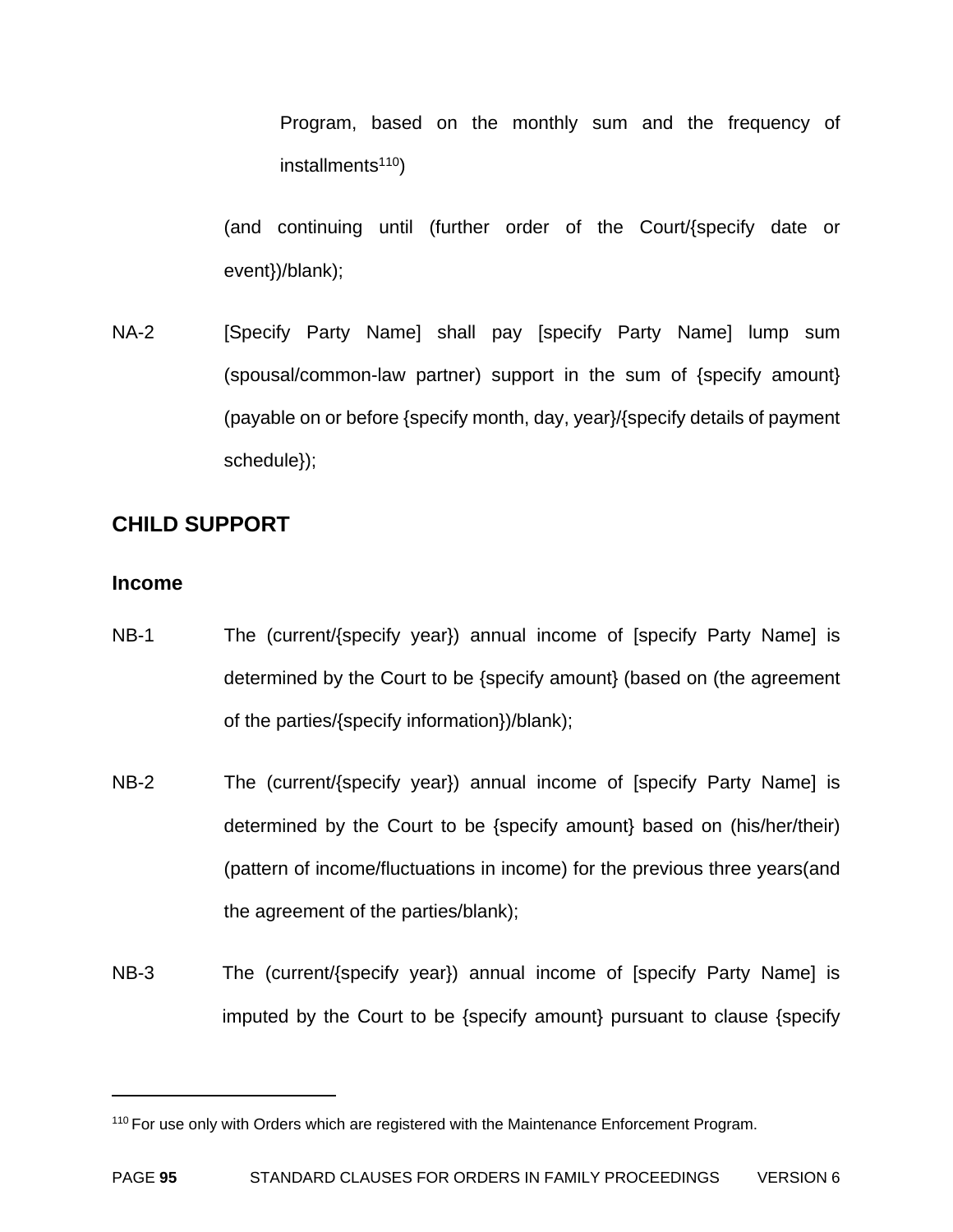Program, based on the monthly sum and the frequency of  $installments<sup>110</sup>)$ 

(and continuing until (further order of the Court/{specify date or event})/blank);

NA-2 [Specify Party Name] shall pay [specify Party Name] lump sum (spousal/common-law partner) support in the sum of {specify amount} (payable on or before {specify month, day, year}/{specify details of payment schedule});

# **CHILD SUPPORT**

#### **Income**

- NB-1 The (current/{specify year}) annual income of [specify Party Name] is determined by the Court to be {specify amount} (based on (the agreement of the parties/{specify information})/blank);
- NB-2 The (current/{specify year}) annual income of [specify Party Name] is determined by the Court to be {specify amount} based on (his/her/their) (pattern of income/fluctuations in income) for the previous three years(and the agreement of the parties/blank);
- NB-3 The (current/{specify year}) annual income of [specify Party Name] is imputed by the Court to be {specify amount} pursuant to clause {specify

<sup>&</sup>lt;sup>110</sup> For use only with Orders which are registered with the Maintenance Enforcement Program.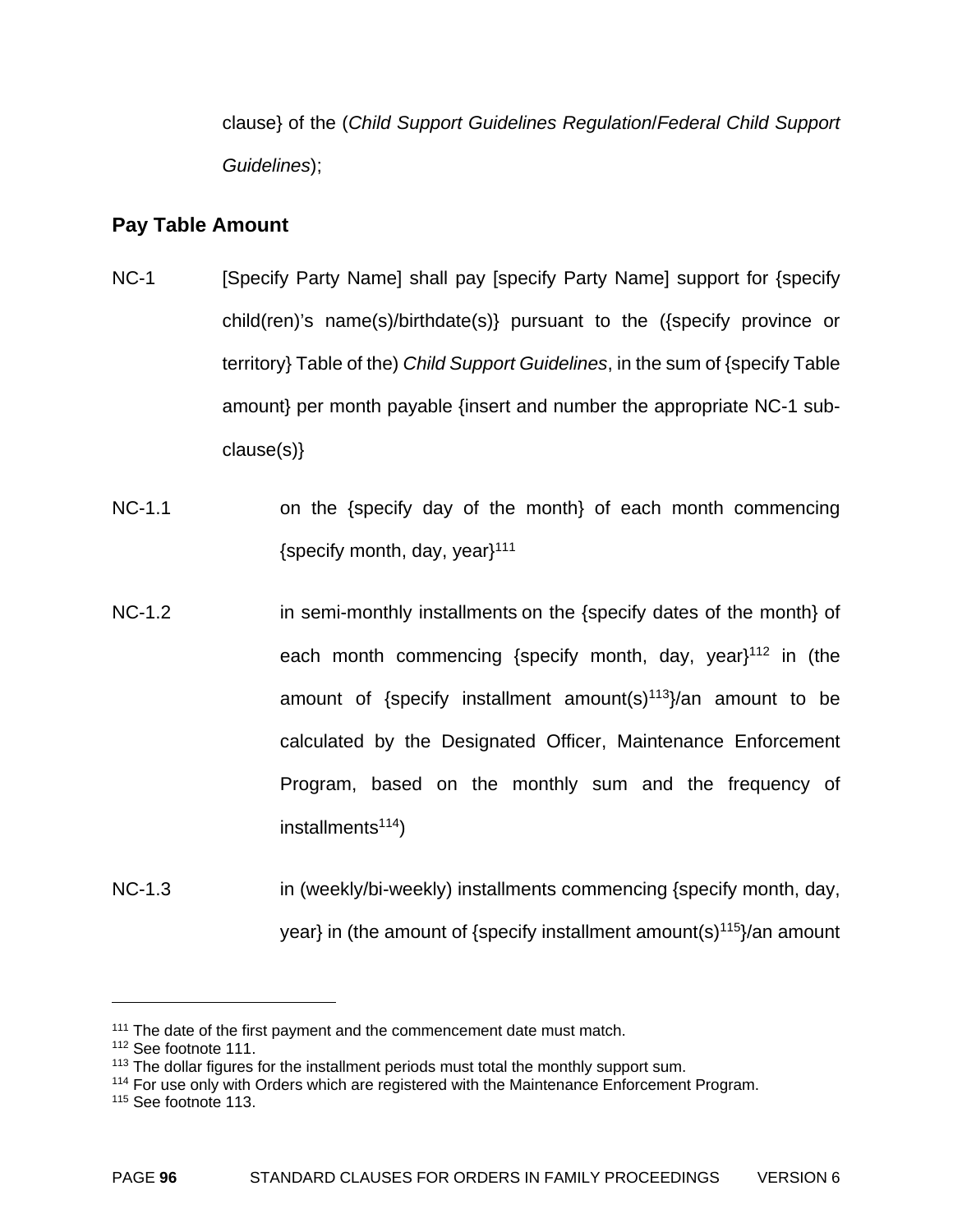clause} of the (*Child Support Guidelines Regulation*/*Federal Child Support Guidelines*);

# **Pay Table Amount**

- NC-1 [Specify Party Name] shall pay [specify Party Name] support for {specify child(ren)'s name(s)/birthdate(s)} pursuant to the ({specify province or territory} Table of the) *Child Support Guidelines*, in the sum of {specify Table amount} per month payable {insert and number the appropriate NC-1 subclause(s)}
- NC-1.1 on the {specify day of the month} of each month commencing {specify month, day, year $111$
- NC-1.2 **in semi-monthly installments on the {specify dates of the month} of** each month commencing {specify month, day, year $1^{112}$  in (the amount of {specify installment amount(s) $113$ }/an amount to be calculated by the Designated Officer, Maintenance Enforcement Program, based on the monthly sum and the frequency of installments<sup>114</sup>)
- NC-1.3 in (weekly/bi-weekly) installments commencing {specify month, day, year} in (the amount of {specify installment amount(s) $115$ }/an amount

1

<sup>&</sup>lt;sup>111</sup> The date of the first payment and the commencement date must match.

<sup>112</sup> See footnote 111.

 $113$  The dollar figures for the installment periods must total the monthly support sum.

<sup>&</sup>lt;sup>114</sup> For use only with Orders which are registered with the Maintenance Enforcement Program.

<sup>115</sup> See footnote 113.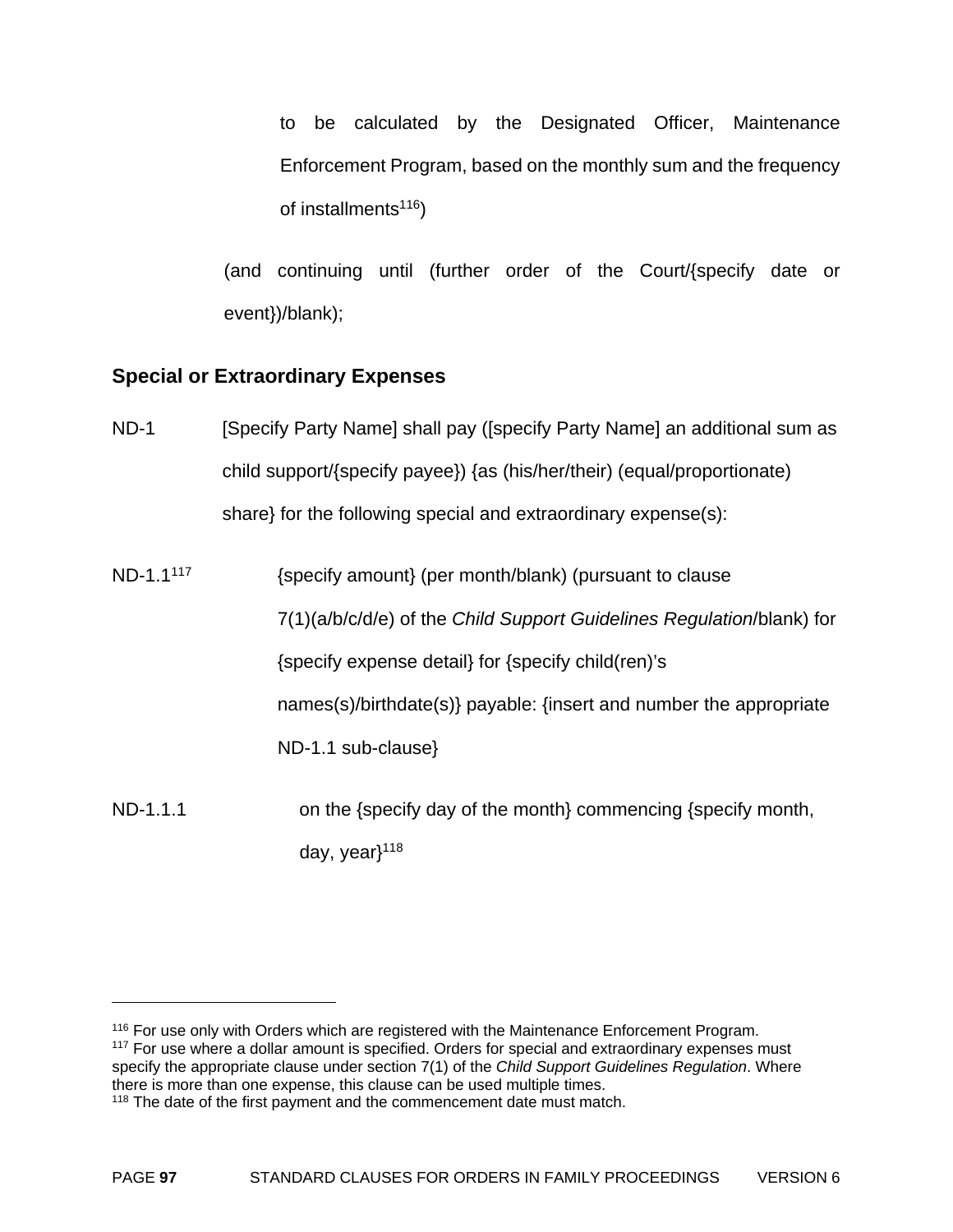to be calculated by the Designated Officer, Maintenance Enforcement Program, based on the monthly sum and the frequency of installments $116$ )

(and continuing until (further order of the Court/{specify date or event})/blank);

# **Special or Extraordinary Expenses**

- ND-1 [Specify Party Name] shall pay ([specify Party Name] an additional sum as child support/{specify payee}) {as (his/her/their) (equal/proportionate) share} for the following special and extraordinary expense(s):
- ND-1.1<sup>117</sup> {specify amount} (per month/blank) (pursuant to clause 7(1)(a/b/c/d/e) of the *Child Support Guidelines Regulation*/blank) for {specify expense detail} for {specify child(ren)'s names(s)/birthdate(s)} payable: {insert and number the appropriate ND-1.1 sub-clause}
- ND-1.1.1 on the {specify day of the month} commencing {specify month, day, year $118$

<sup>&</sup>lt;sup>116</sup> For use only with Orders which are registered with the Maintenance Enforcement Program. <sup>117</sup> For use where a dollar amount is specified. Orders for special and extraordinary expenses must specify the appropriate clause under section 7(1) of the *Child Support Guidelines Regulation*. Where there is more than one expense, this clause can be used multiple times.

<sup>&</sup>lt;sup>118</sup> The date of the first payment and the commencement date must match.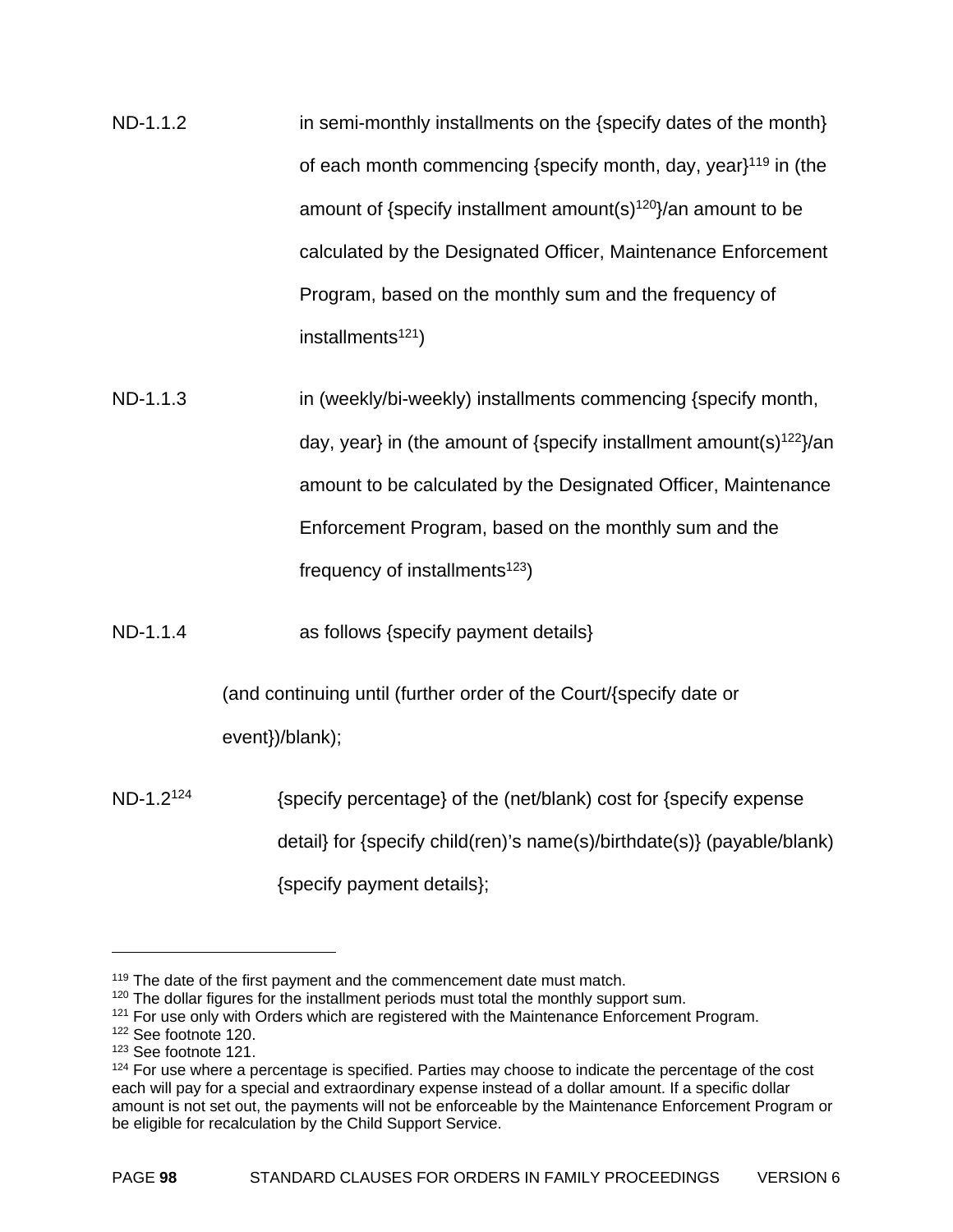ND-1.1.2 in semi-monthly installments on the {specify dates of the month} of each month commencing {specify month, day, year $1^{119}$  in (the amount of {specify installment amount(s) $120$ }/an amount to be calculated by the Designated Officer, Maintenance Enforcement Program, based on the monthly sum and the frequency of installments $121$ )

ND-1.1.3 in (weekly/bi-weekly) installments commencing {specify month, day, year} in (the amount of {specify installment amount(s) $122$ }/an amount to be calculated by the Designated Officer, Maintenance Enforcement Program, based on the monthly sum and the frequency of installments<sup>123</sup>)

ND-1.1.4 as follows {specify payment details}

(and continuing until (further order of the Court/{specify date or

event})/blank);

 $ND-1.2^{124}$  {specify percentage} of the (net/blank) cost for {specify expense detail} for {specify child(ren)'s name(s)/birthdate(s)} (payable/blank) {specify payment details};

<sup>&</sup>lt;sup>119</sup> The date of the first payment and the commencement date must match.

<sup>&</sup>lt;sup>120</sup> The dollar figures for the installment periods must total the monthly support sum.

 $121$  For use only with Orders which are registered with the Maintenance Enforcement Program.

<sup>122</sup> See footnote 120.

<sup>123</sup> See footnote 121.

 $124$  For use where a percentage is specified. Parties may choose to indicate the percentage of the cost each will pay for a special and extraordinary expense instead of a dollar amount. If a specific dollar amount is not set out, the payments will not be enforceable by the Maintenance Enforcement Program or be eligible for recalculation by the Child Support Service.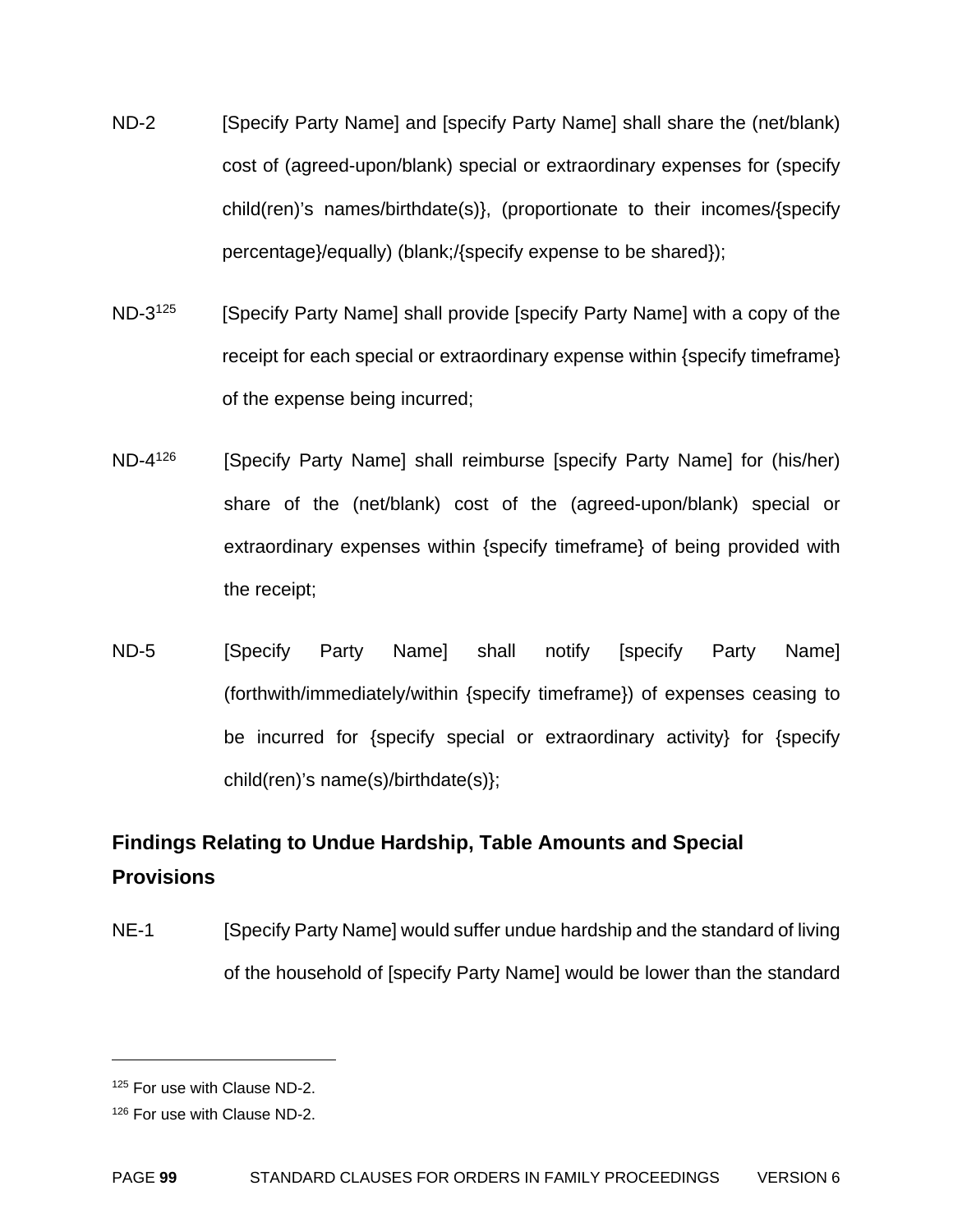- ND-2 [Specify Party Name] and [specify Party Name] shall share the (net/blank) cost of (agreed-upon/blank) special or extraordinary expenses for (specify child(ren)'s names/birthdate(s)}, (proportionate to their incomes/{specify percentage}/equally) (blank;/{specify expense to be shared});
- ND-3<sup>125</sup> [Specify Party Name] shall provide [specify Party Name] with a copy of the receipt for each special or extraordinary expense within {specify timeframe} of the expense being incurred;
- ND-4<sup>126</sup> [Specify Party Name] shall reimburse [specify Party Name] for (his/her) share of the (net/blank) cost of the (agreed-upon/blank) special or extraordinary expenses within {specify timeframe} of being provided with the receipt;
- ND-5 [Specify Party Name] shall notify [specify Party Name] (forthwith/immediately/within {specify timeframe}) of expenses ceasing to be incurred for {specify special or extraordinary activity} for {specify child(ren)'s name(s)/birthdate(s)};

# **Findings Relating to Undue Hardship, Table Amounts and Special Provisions**

NE-1 [Specify Party Name] would suffer undue hardship and the standard of living of the household of [specify Party Name] would be lower than the standard

1

<sup>125</sup> For use with Clause ND-2.

<sup>126</sup> For use with Clause ND-2.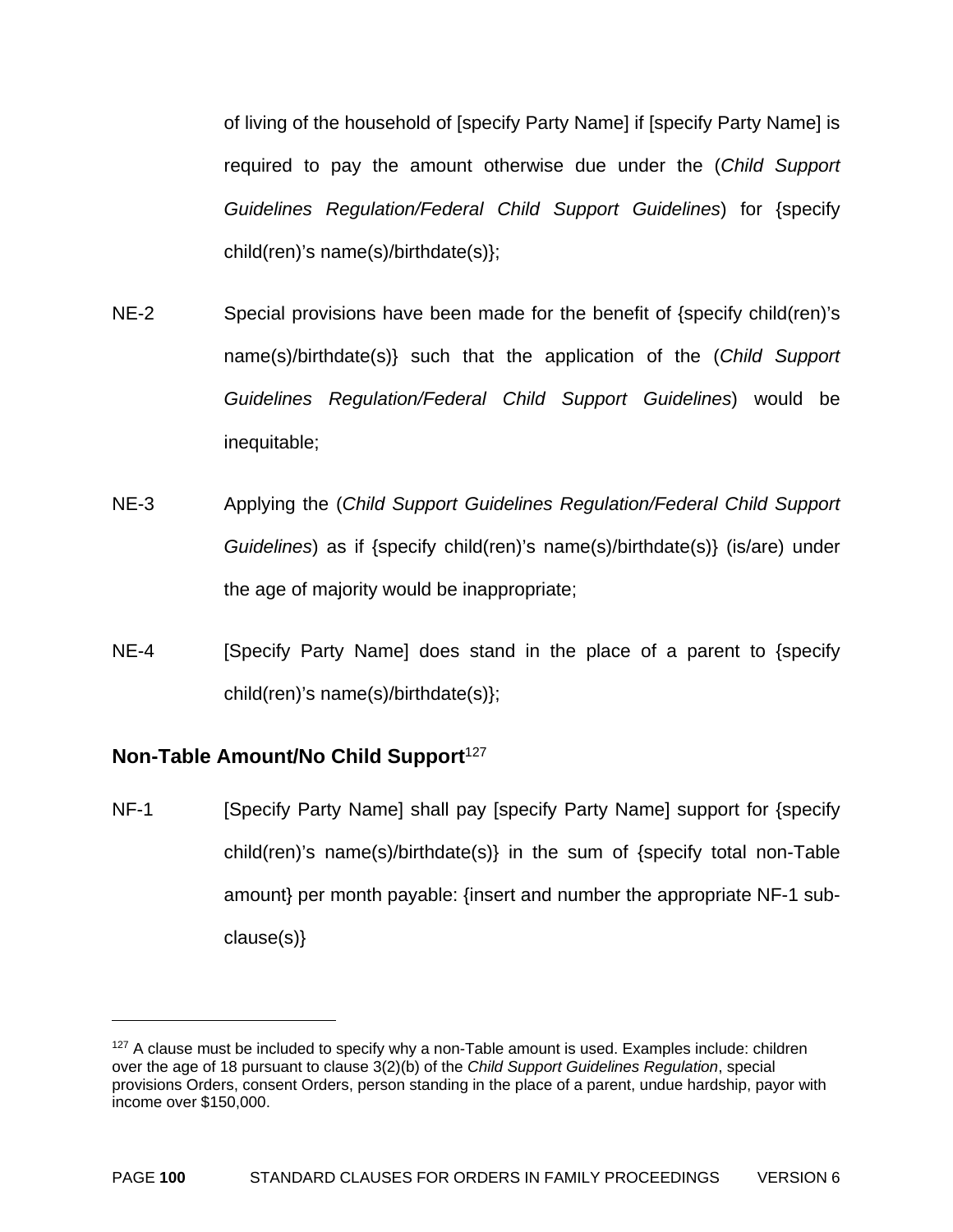of living of the household of [specify Party Name] if [specify Party Name] is required to pay the amount otherwise due under the (*Child Support Guidelines Regulation/Federal Child Support Guidelines*) for {specify child(ren)'s name(s)/birthdate(s)};

- NE-2 Special provisions have been made for the benefit of {specify child(ren)'s name(s)/birthdate(s)} such that the application of the (*Child Support Guidelines Regulation/Federal Child Support Guidelines*) would be inequitable;
- NE-3 Applying the (*Child Support Guidelines Regulation/Federal Child Support Guidelines*) as if {specify child(ren)'s name(s)/birthdate(s)} (is/are) under the age of majority would be inappropriate;
- NE-4 **[Specify Party Name] does stand in the place of a parent to {specify** child(ren)'s name(s)/birthdate(s)};

# **Non-Table Amount/No Child Support**<sup>127</sup>

 $\overline{a}$ 

NF-1 [Specify Party Name] shall pay [specify Party Name] support for {specify child(ren)'s name(s)/birthdate(s)} in the sum of {specify total non-Table amount} per month payable: {insert and number the appropriate NF-1 subclause(s)}

 $127$  A clause must be included to specify why a non-Table amount is used. Examples include: children over the age of 18 pursuant to clause 3(2)(b) of the *Child Support Guidelines Regulation*, special provisions Orders, consent Orders, person standing in the place of a parent, undue hardship, payor with income over \$150,000.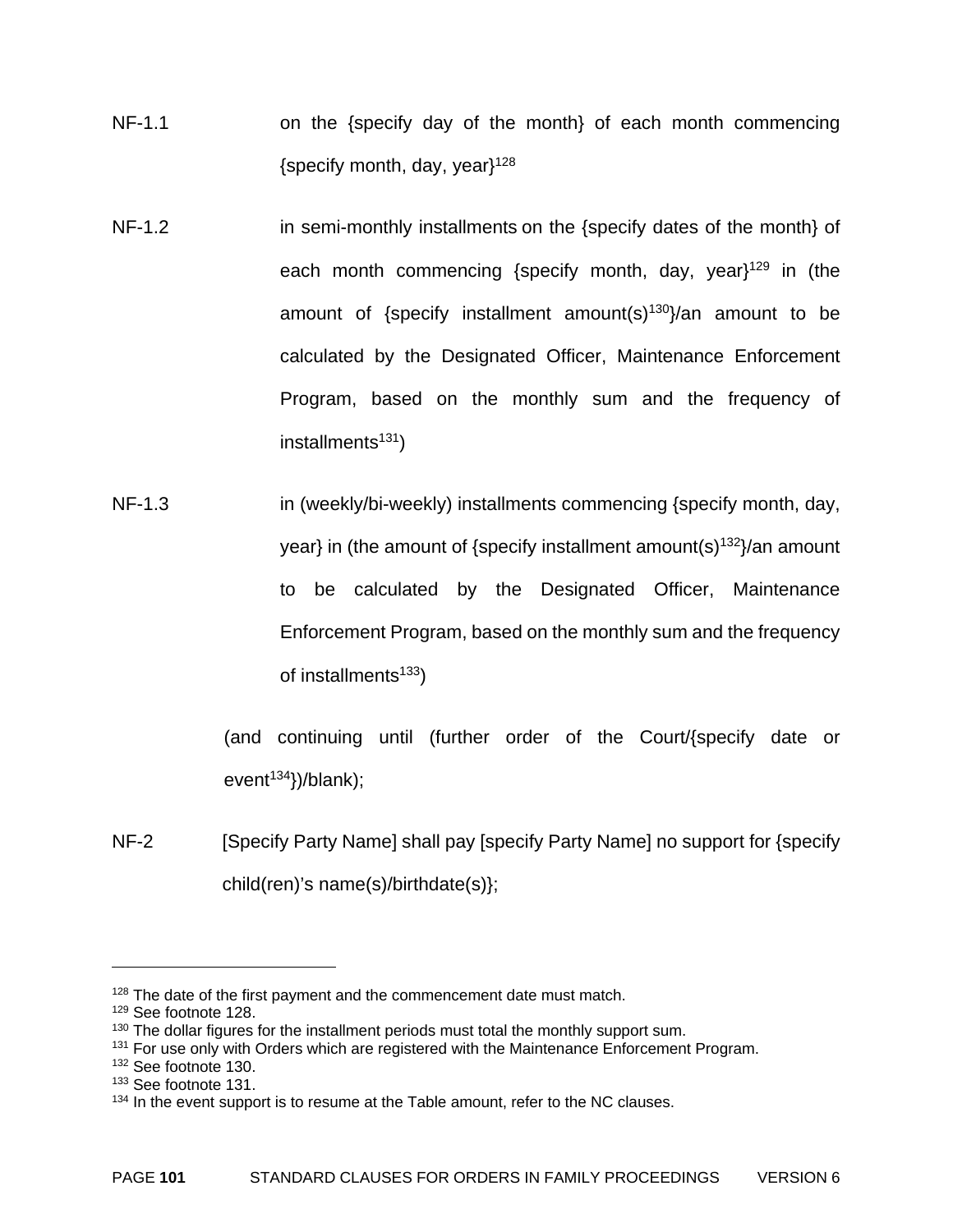- NF-1.1 on the {specify day of the month} of each month commencing {specify month, day, year $3^{128}$
- NF-1.2 in semi-monthly installments on the {specify dates of the month} of each month commencing {specify month, day, year}<sup>129</sup> in (the amount of {specify installment amount(s)<sup>130</sup>}/an amount to be calculated by the Designated Officer, Maintenance Enforcement Program, based on the monthly sum and the frequency of  $installments<sup>131</sup>)$
- NF-1.3 in (weekly/bi-weekly) installments commencing {specify month, day, year} in (the amount of {specify installment amount(s)<sup>132</sup>}/an amount to be calculated by the Designated Officer, Maintenance Enforcement Program, based on the monthly sum and the frequency of installments $133$ )

(and continuing until (further order of the Court/{specify date or event<sup>134</sup>})/blank);

NF-2 [Specify Party Name] shall pay [specify Party Name] no support for {specify child(ren)'s name(s)/birthdate(s)};

 $128$  The date of the first payment and the commencement date must match.

<sup>129</sup> See footnote 128.

 $130$  The dollar figures for the installment periods must total the monthly support sum.

<sup>&</sup>lt;sup>131</sup> For use only with Orders which are registered with the Maintenance Enforcement Program.

<sup>&</sup>lt;sup>132</sup> See footnote 130.

<sup>&</sup>lt;sup>133</sup> See footnote 131.

<sup>&</sup>lt;sup>134</sup> In the event support is to resume at the Table amount, refer to the NC clauses.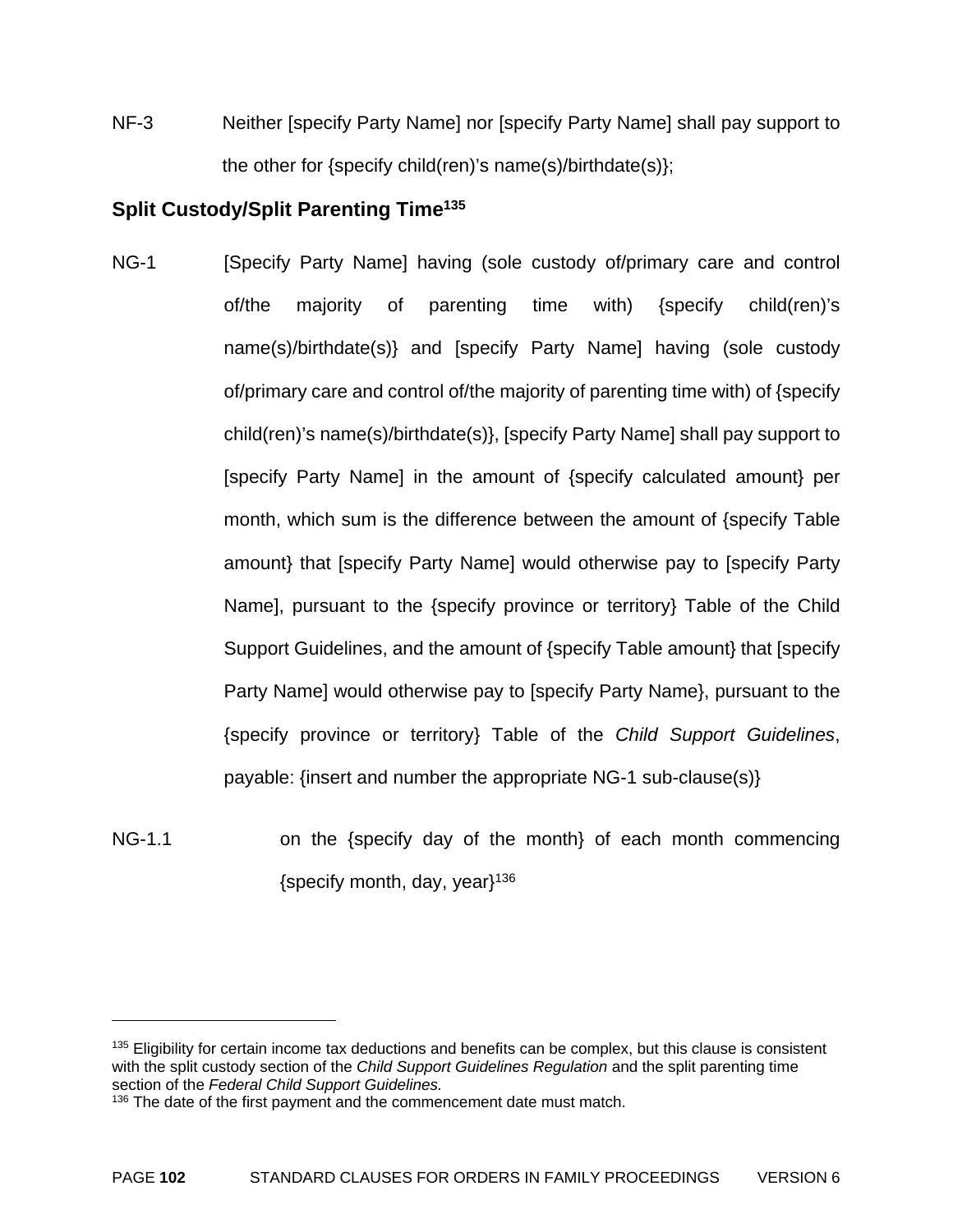NF-3 Neither [specify Party Name] nor [specify Party Name] shall pay support to the other for {specify child(ren)'s name(s)/birthdate(s)};

# **Split Custody/Split Parenting Time135**

- NG-1 [Specify Party Name] having (sole custody of/primary care and control of/the majority of parenting time with) {specify child(ren)'s name(s)/birthdate(s)} and [specify Party Name] having (sole custody of/primary care and control of/the majority of parenting time with) of {specify child(ren)'s name(s)/birthdate(s)}, [specify Party Name] shall pay support to [specify Party Name] in the amount of {specify calculated amount} per month, which sum is the difference between the amount of {specify Table amount} that [specify Party Name] would otherwise pay to [specify Party Name], pursuant to the {specify province or territory} Table of the Child Support Guidelines, and the amount of {specify Table amount} that [specify Party Name] would otherwise pay to [specify Party Name}, pursuant to the {specify province or territory} Table of the *Child Support Guidelines*, payable: {insert and number the appropriate NG-1 sub-clause(s)}
- NG-1.1 on the {specify day of the month} of each month commencing {specify month, day, year $1^{136}$

<sup>&</sup>lt;sup>135</sup> Eligibility for certain income tax deductions and benefits can be complex, but this clause is consistent with the split custody section of the *Child Support Guidelines Regulation* and the split parenting time section of the *Federal Child Support Guidelines.* 

<sup>&</sup>lt;sup>136</sup> The date of the first payment and the commencement date must match.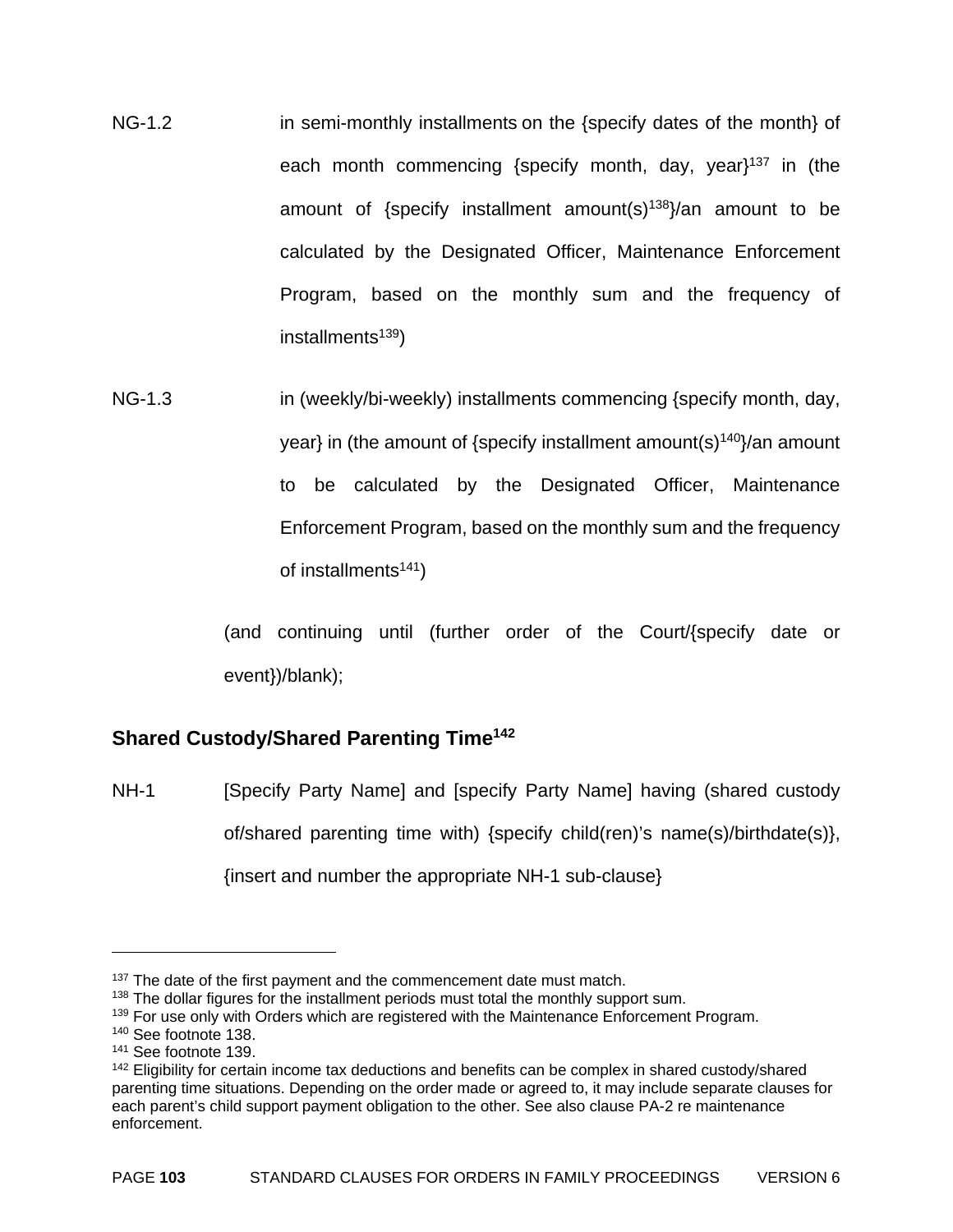- NG-1.2 in semi-monthly installments on the {specify dates of the month} of each month commencing {specify month, day, year $1^{37}$  in (the amount of {specify installment amount(s)<sup>138</sup>}/an amount to be calculated by the Designated Officer, Maintenance Enforcement Program, based on the monthly sum and the frequency of  $installments<sup>139</sup>$
- NG-1.3 in (weekly/bi-weekly) installments commencing {specify month, day, year} in (the amount of {specify installment amount(s) $140$ }/an amount to be calculated by the Designated Officer, Maintenance Enforcement Program, based on the monthly sum and the frequency of installments $141$ )

(and continuing until (further order of the Court/{specify date or event})/blank);

# **Shared Custody/Shared Parenting Time142**

NH-1 [Specify Party Name] and [specify Party Name] having (shared custody of/shared parenting time with) {specify child(ren)'s name(s)/birthdate(s)}, {insert and number the appropriate NH-1 sub-clause}

<sup>&</sup>lt;sup>137</sup> The date of the first payment and the commencement date must match.

 $138$  The dollar figures for the installment periods must total the monthly support sum.

<sup>&</sup>lt;sup>139</sup> For use only with Orders which are registered with the Maintenance Enforcement Program.

<sup>140</sup> See footnote 138.

<sup>141</sup> See footnote 139.

<sup>&</sup>lt;sup>142</sup> Eligibility for certain income tax deductions and benefits can be complex in shared custody/shared parenting time situations. Depending on the order made or agreed to, it may include separate clauses for each parent's child support payment obligation to the other. See also clause PA-2 re maintenance enforcement.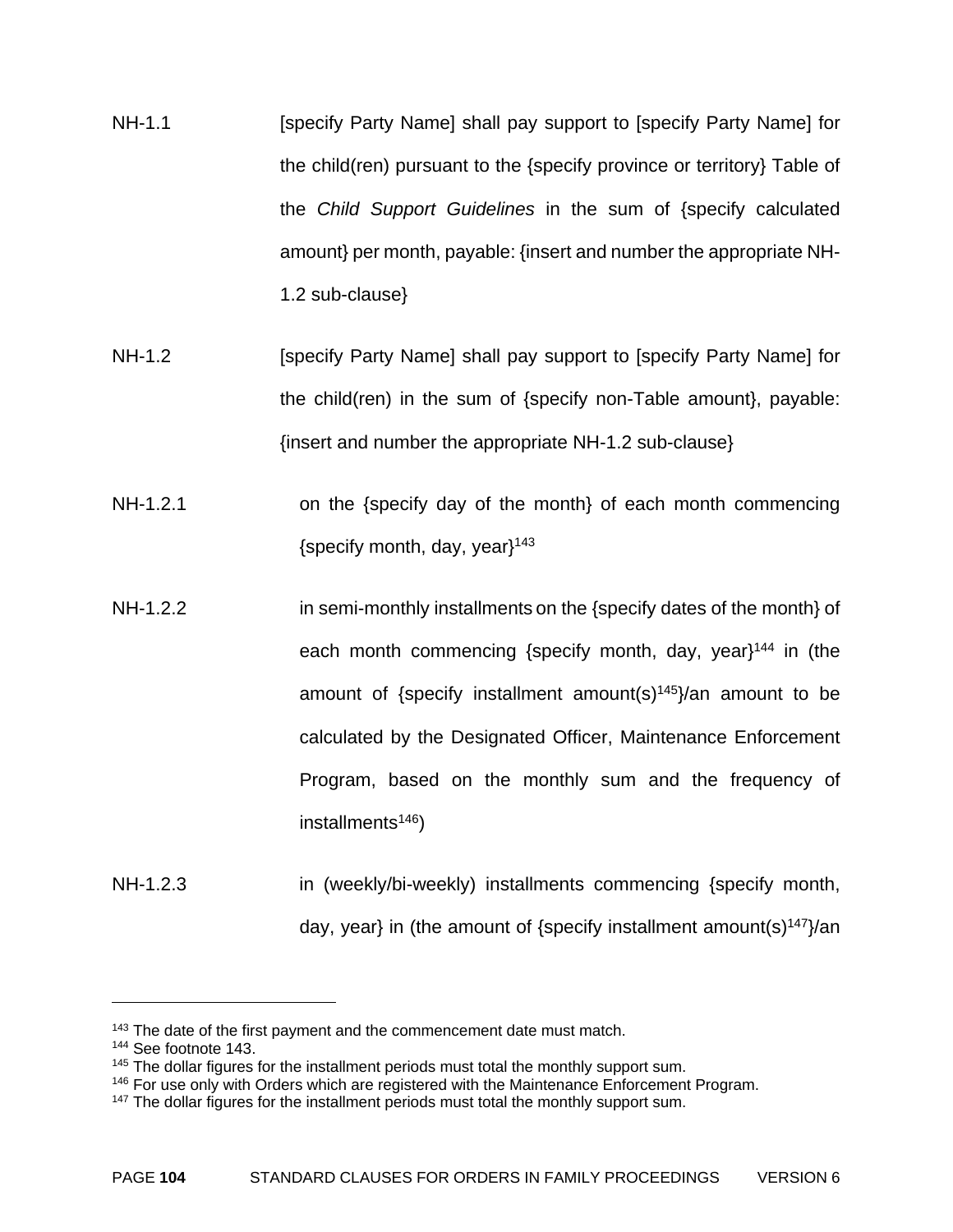- NH-1.1 **Example 1 [Specify Party Name] shall pay support to [specify Party Name] for** the child(ren) pursuant to the {specify province or territory} Table of the *Child Support Guidelines* in the sum of {specify calculated amount} per month, payable: {insert and number the appropriate NH-1.2 sub-clause}
- NH-1.2 **[Specify Party Name] shall pay support to [specify Party Name] for** the child(ren) in the sum of {specify non-Table amount}, payable: {insert and number the appropriate NH-1.2 sub-clause}
- NH-1.2.1 on the {specify day of the month} of each month commencing {specify month, day, year $143$
- NH-1.2.2 in semi-monthly installments on the {specify dates of the month} of each month commencing {specify month, day, year}<sup>144</sup> in (the amount of {specify installment amount(s) $145$ }/an amount to be calculated by the Designated Officer, Maintenance Enforcement Program, based on the monthly sum and the frequency of  $installments<sup>146</sup>$
- NH-1.2.3 **in (weekly/bi-weekly)** installments commencing {specify month, day, year} in (the amount of {specify installment amount(s)<sup>147</sup>}/an

1

<sup>&</sup>lt;sup>143</sup> The date of the first payment and the commencement date must match.

<sup>144</sup> See footnote 143.

 $145$  The dollar figures for the installment periods must total the monthly support sum.

<sup>&</sup>lt;sup>146</sup> For use only with Orders which are registered with the Maintenance Enforcement Program.

<sup>&</sup>lt;sup>147</sup> The dollar figures for the installment periods must total the monthly support sum.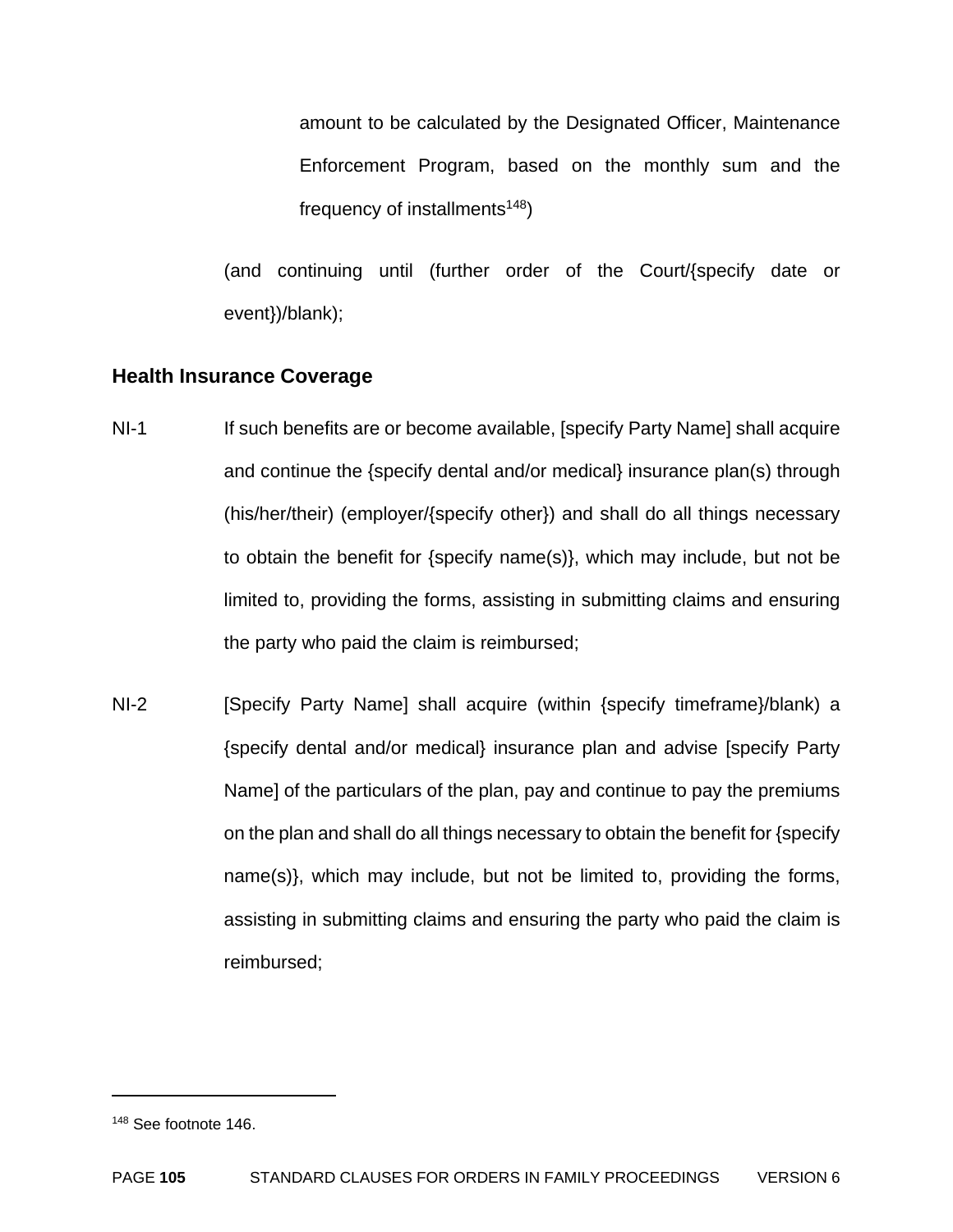amount to be calculated by the Designated Officer, Maintenance Enforcement Program, based on the monthly sum and the frequency of installments<sup>148</sup>)

(and continuing until (further order of the Court/{specify date or event})/blank);

# **Health Insurance Coverage**

- NI-1 If such benefits are or become available, [specify Party Name] shall acquire and continue the {specify dental and/or medical} insurance plan(s) through (his/her/their) (employer/{specify other}) and shall do all things necessary to obtain the benefit for {specify name(s)}, which may include, but not be limited to, providing the forms, assisting in submitting claims and ensuring the party who paid the claim is reimbursed;
- NI-2 [Specify Party Name] shall acquire (within {specify timeframe}/blank) a {specify dental and/or medical} insurance plan and advise [specify Party Name] of the particulars of the plan, pay and continue to pay the premiums on the plan and shall do all things necessary to obtain the benefit for {specify name(s)}, which may include, but not be limited to, providing the forms, assisting in submitting claims and ensuring the party who paid the claim is reimbursed;

<sup>148</sup> See footnote 146.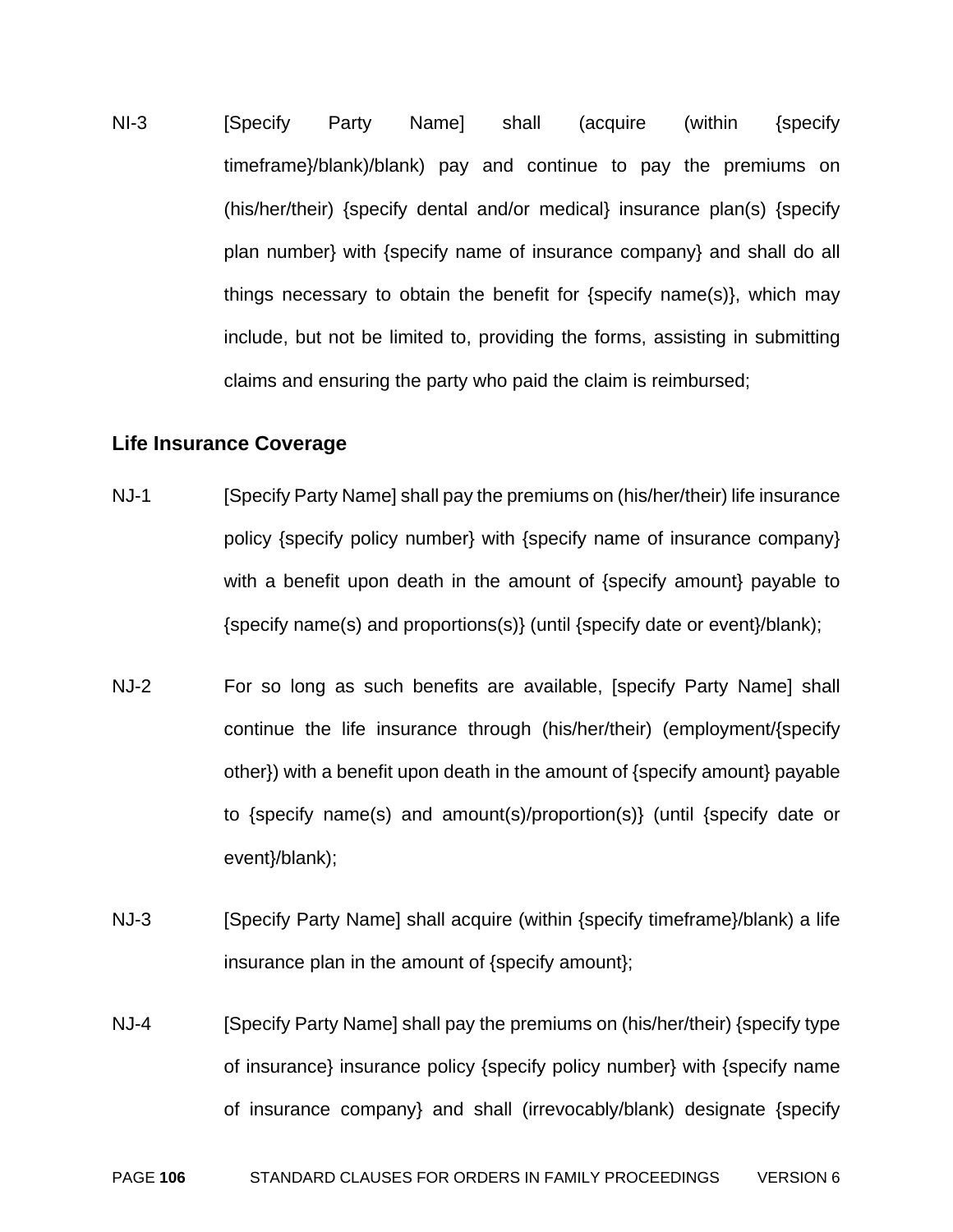NI-3 [Specify Party Name] shall (acquire (within {specify timeframe}/blank)/blank) pay and continue to pay the premiums on (his/her/their) {specify dental and/or medical} insurance plan(s) {specify plan number} with {specify name of insurance company} and shall do all things necessary to obtain the benefit for {specify name(s)}, which may include, but not be limited to, providing the forms, assisting in submitting claims and ensuring the party who paid the claim is reimbursed;

#### **Life Insurance Coverage**

- NJ-1 [Specify Party Name] shall pay the premiums on (his/her/their) life insurance policy {specify policy number} with {specify name of insurance company} with a benefit upon death in the amount of {specify amount} payable to {specify name(s) and proportions(s)} (until {specify date or event}/blank);
- NJ-2 For so long as such benefits are available, [specify Party Name] shall continue the life insurance through (his/her/their) (employment/{specify other}) with a benefit upon death in the amount of {specify amount} payable to {specify name(s) and amount(s)/proportion(s)} (until {specify date or event}/blank);
- NJ-3 [Specify Party Name] shall acquire (within {specify timeframe}/blank) a life insurance plan in the amount of {specify amount};
- NJ-4 **[Specify Party Name] shall pay the premiums on (his/her/their) {specify type** of insurance} insurance policy {specify policy number} with {specify name of insurance company} and shall (irrevocably/blank) designate {specify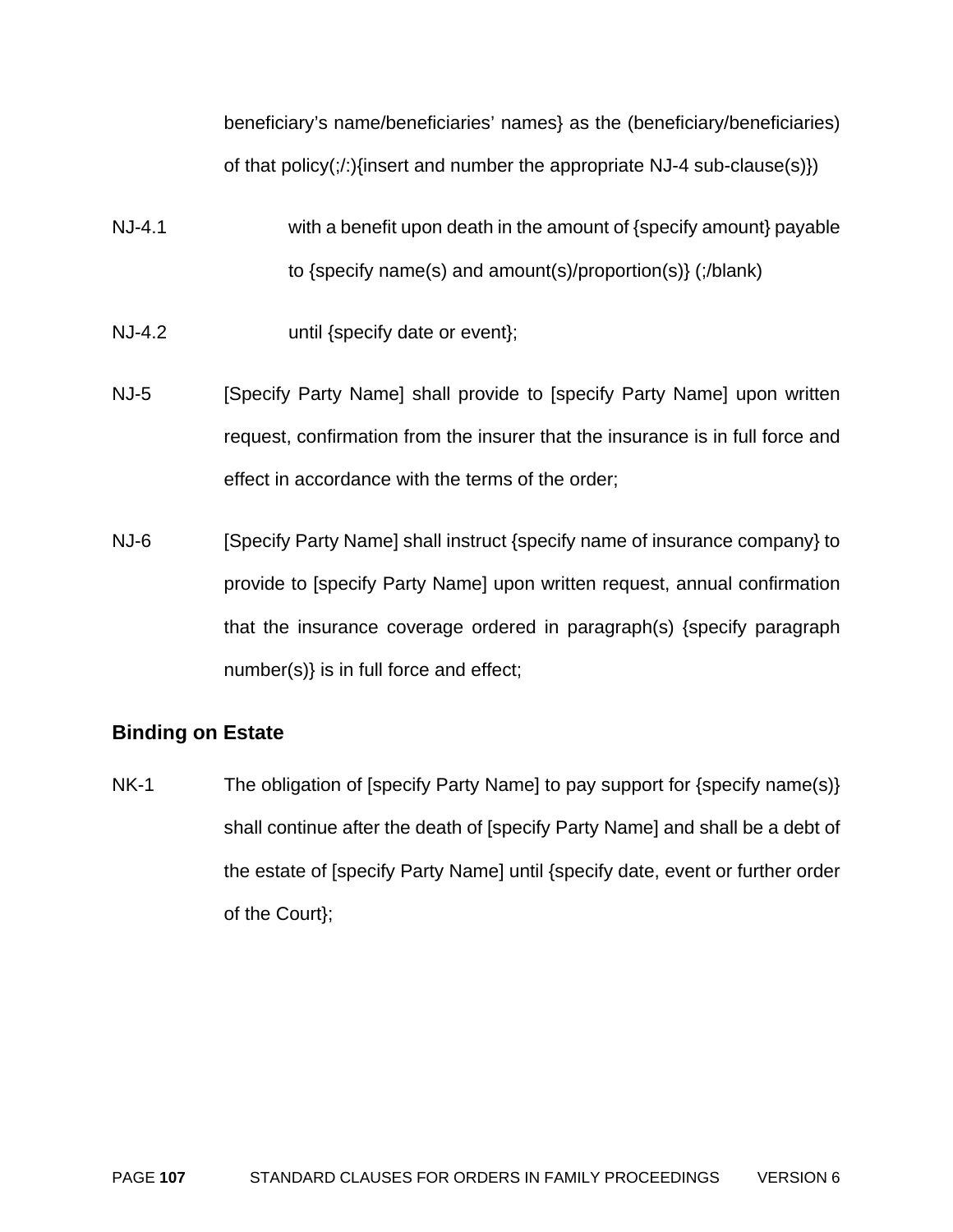beneficiary's name/beneficiaries' names} as the (beneficiary/beneficiaries) of that policy( $\langle \cdot \rangle$ } insert and number the appropriate NJ-4 sub-clause(s)}

- NJ-4.1 with a benefit upon death in the amount of {specify amount} payable to {specify name(s) and amount(s)/proportion(s)} (;/blank)
- NJ-4.2 until {specify date or event};
- NJ-5 [Specify Party Name] shall provide to [specify Party Name] upon written request, confirmation from the insurer that the insurance is in full force and effect in accordance with the terms of the order;
- NJ-6 [Specify Party Name] shall instruct {specify name of insurance company} to provide to [specify Party Name] upon written request, annual confirmation that the insurance coverage ordered in paragraph(s) {specify paragraph number(s)} is in full force and effect;

# **Binding on Estate**

NK-1 The obligation of [specify Party Name] to pay support for {specify name(s)} shall continue after the death of [specify Party Name] and shall be a debt of the estate of [specify Party Name] until {specify date, event or further order of the Court};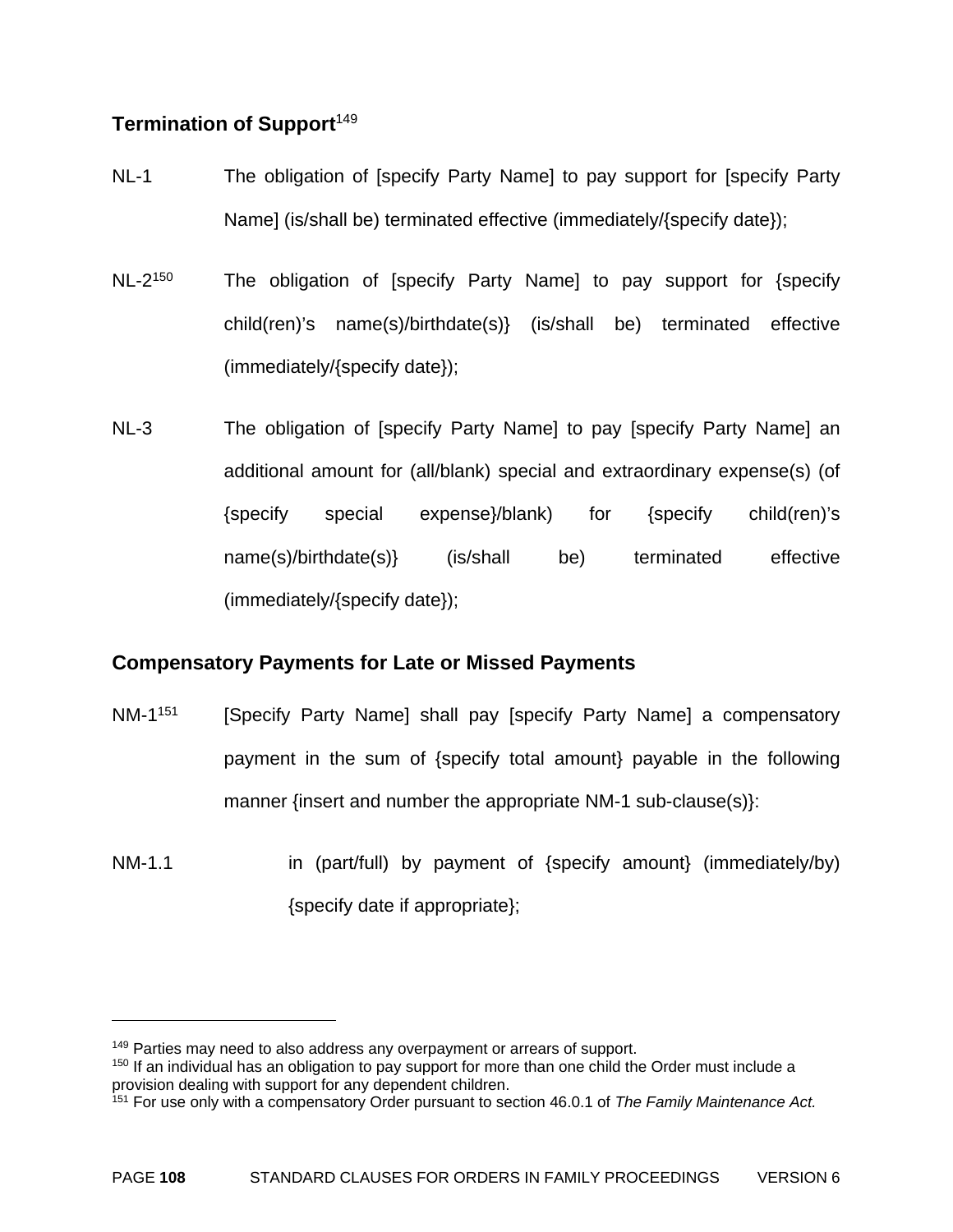#### **Termination of Support**<sup>149</sup>

- NL-1 The obligation of [specify Party Name] to pay support for [specify Party Name] (is/shall be) terminated effective (immediately/{specify date});
- NL-2<sup>150</sup> The obligation of [specify Party Name] to pay support for {specify child(ren)'s name(s)/birthdate(s)} (is/shall be) terminated effective (immediately/{specify date});
- NL-3 The obligation of [specify Party Name] to pay [specify Party Name] an additional amount for (all/blank) special and extraordinary expense(s) (of {specify special expense}/blank) for {specify child(ren)'s name(s)/birthdate(s)} (is/shall be) terminated effective (immediately/{specify date});

#### **Compensatory Payments for Late or Missed Payments**

- NM-1<sup>151</sup> [Specify Party Name] shall pay [specify Party Name] a compensatory payment in the sum of {specify total amount} payable in the following manner {insert and number the appropriate NM-1 sub-clause(s)}:
- $NM-1.1$  in (part/full) by payment of {specify amount} (immediately/by) {specify date if appropriate};

<sup>&</sup>lt;sup>149</sup> Parties may need to also address any overpayment or arrears of support.

<sup>&</sup>lt;sup>150</sup> If an individual has an obligation to pay support for more than one child the Order must include a provision dealing with support for any dependent children.

<sup>151</sup> For use only with a compensatory Order pursuant to section 46.0.1 of *The Family Maintenance Act.*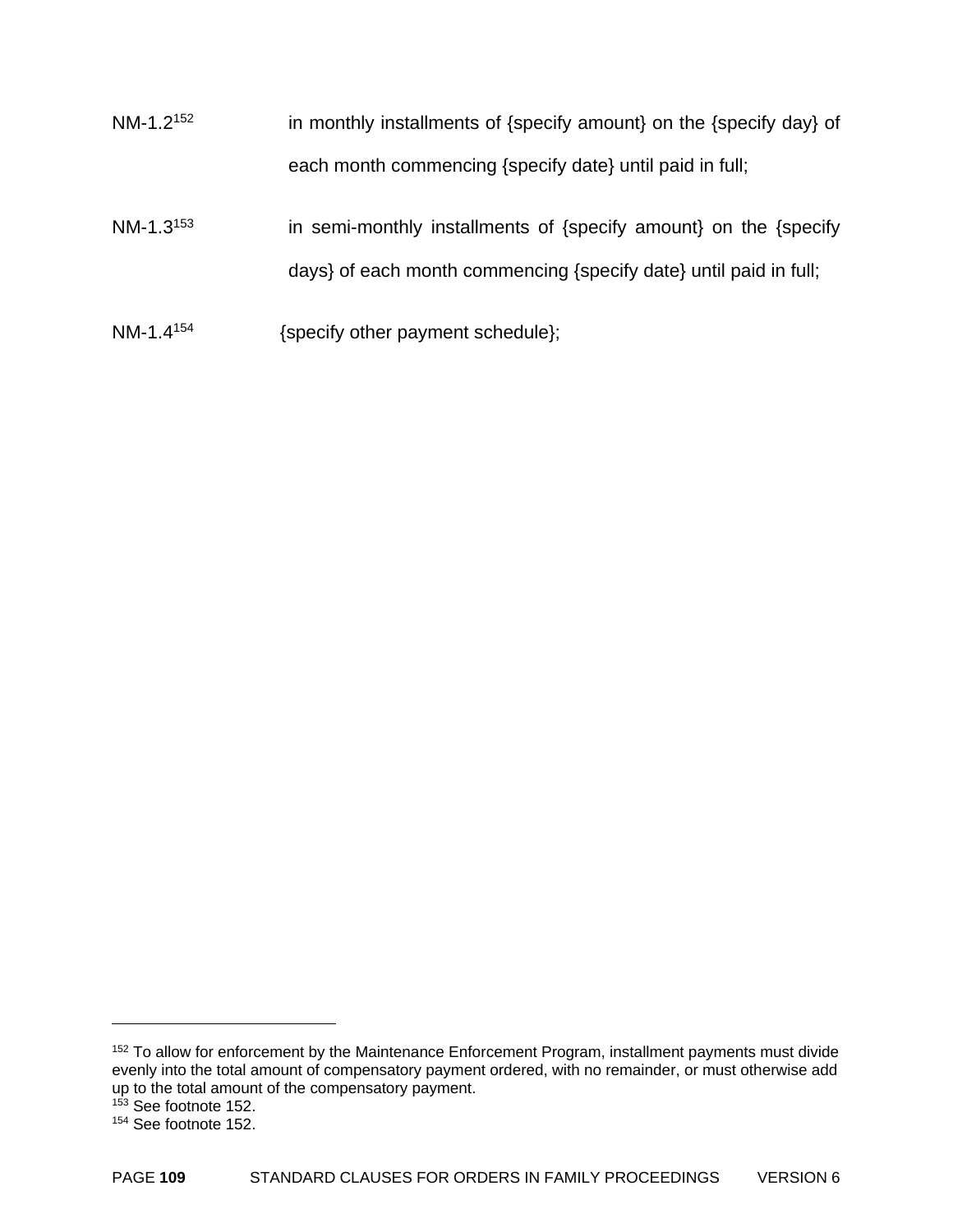- NM-1.2<sup>152</sup> in monthly installments of {specify amount} on the {specify day} of each month commencing {specify date} until paid in full;
- NM-1.3<sup>153</sup> in semi-monthly installments of  $\{$ specify amount $\}$  on the  $\{$ specify days} of each month commencing {specify date} until paid in full;
- NM-1.4<sup>154</sup> {specify other payment schedule};

<sup>&</sup>lt;sup>152</sup> To allow for enforcement by the Maintenance Enforcement Program, installment payments must divide evenly into the total amount of compensatory payment ordered, with no remainder, or must otherwise add up to the total amount of the compensatory payment.

<sup>&</sup>lt;sup>153</sup> See footnote 152.

<sup>154</sup> See footnote 152.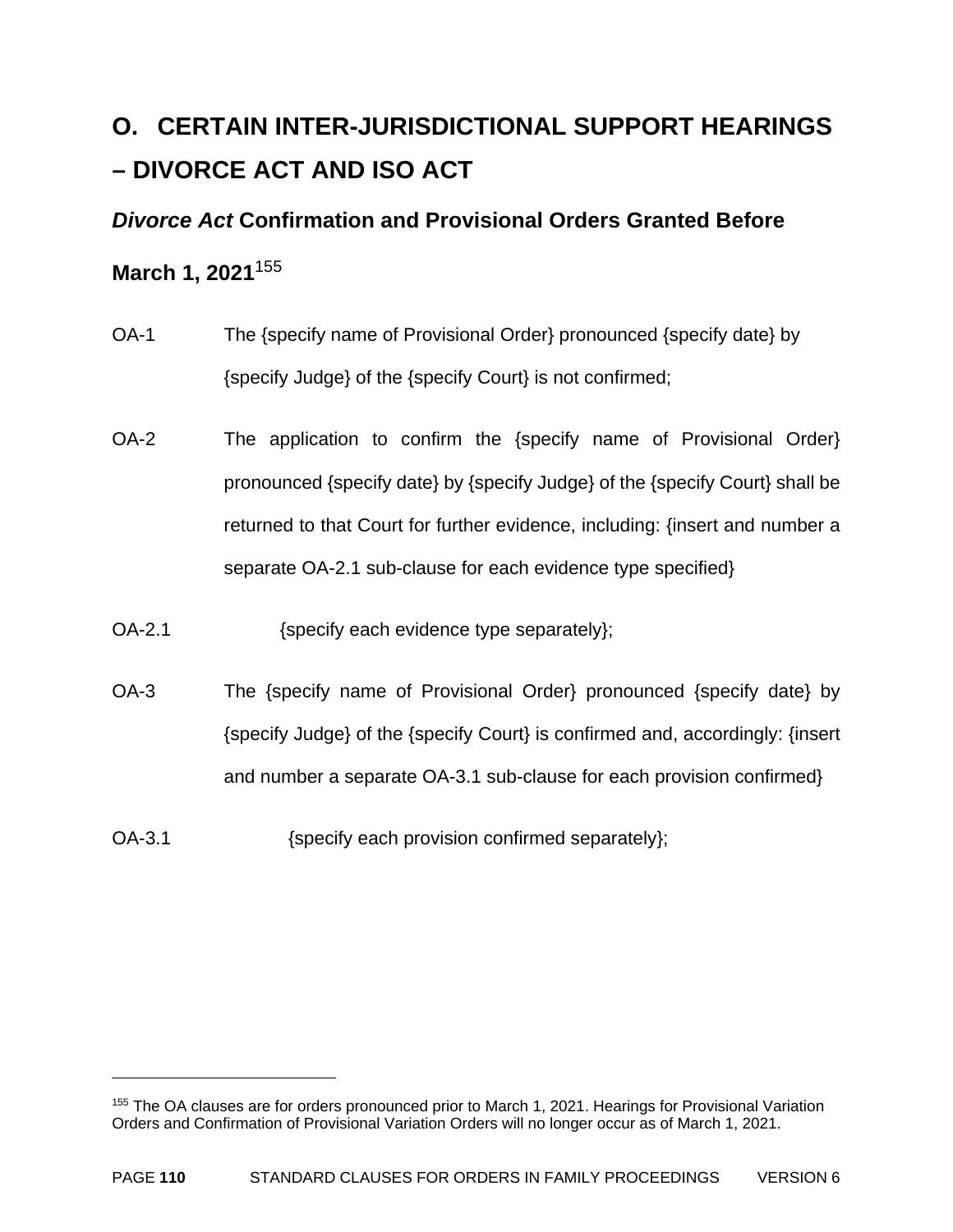# **O. CERTAIN INTER-JURISDICTIONAL SUPPORT HEARINGS – DIVORCE ACT AND ISO ACT**

#### *Divorce Act* **Confirmation and Provisional Orders Granted Before**

#### **March 1, 2021**<sup>155</sup>

- OA-1 The {specify name of Provisional Order} pronounced {specify date} by {specify Judge} of the {specify Court} is not confirmed;
- OA-2 The application to confirm the {specify name of Provisional Order} pronounced {specify date} by {specify Judge} of the {specify Court} shall be returned to that Court for further evidence, including: {insert and number a separate OA-2.1 sub-clause for each evidence type specified}
- OA-2.1 {specify each evidence type separately};
- OA-3 The {specify name of Provisional Order} pronounced {specify date} by {specify Judge} of the {specify Court} is confirmed and, accordingly: {insert and number a separate OA-3.1 sub-clause for each provision confirmed}
- OA-3.1 {specify each provision confirmed separately};

<sup>&</sup>lt;sup>155</sup> The OA clauses are for orders pronounced prior to March 1, 2021. Hearings for Provisional Variation Orders and Confirmation of Provisional Variation Orders will no longer occur as of March 1, 2021.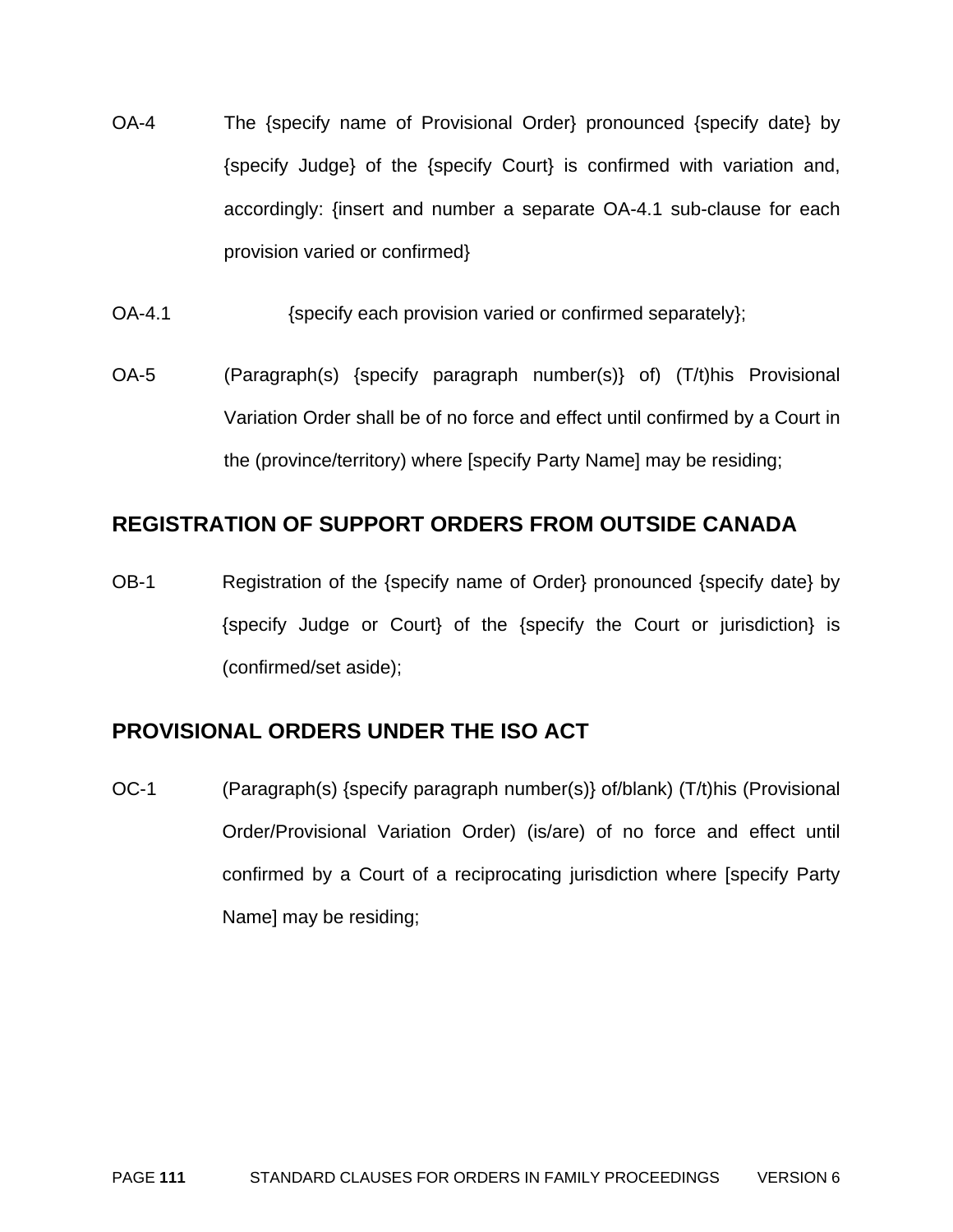- OA-4 The {specify name of Provisional Order} pronounced {specify date} by {specify Judge} of the {specify Court} is confirmed with variation and, accordingly: {insert and number a separate OA-4.1 sub-clause for each provision varied or confirmed}
- OA-4.1 *Specify each provision varied or confirmed separately*;
- OA-5 (Paragraph(s) {specify paragraph number(s)} of) (T/t)his Provisional Variation Order shall be of no force and effect until confirmed by a Court in the (province/territory) where [specify Party Name] may be residing;

#### **REGISTRATION OF SUPPORT ORDERS FROM OUTSIDE CANADA**

OB-1 Registration of the {specify name of Order} pronounced {specify date} by {specify Judge or Court} of the {specify the Court or jurisdiction} is (confirmed/set aside);

#### **PROVISIONAL ORDERS UNDER THE ISO ACT**

OC-1 (Paragraph(s) {specify paragraph number(s)} of/blank) (T/t)his (Provisional Order/Provisional Variation Order) (is/are) of no force and effect until confirmed by a Court of a reciprocating jurisdiction where [specify Party Name] may be residing;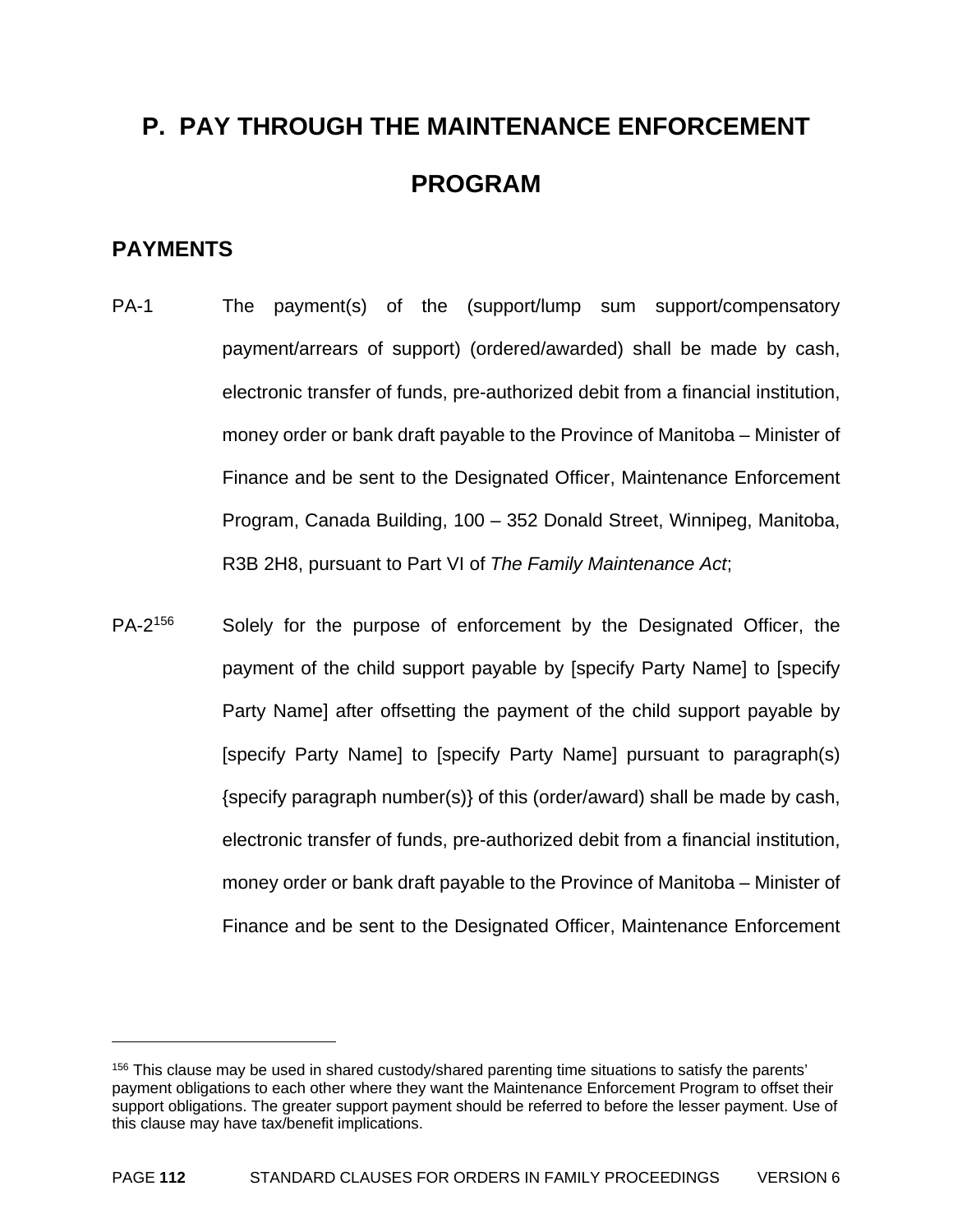# **P. PAY THROUGH THE MAINTENANCE ENFORCEMENT PROGRAM**

#### **PAYMENTS**

1

- PA-1 The payment(s) of the (support/lump sum support/compensatory payment/arrears of support) (ordered/awarded) shall be made by cash, electronic transfer of funds, pre-authorized debit from a financial institution, money order or bank draft payable to the Province of Manitoba – Minister of Finance and be sent to the Designated Officer, Maintenance Enforcement Program, Canada Building, 100 – 352 Donald Street, Winnipeg, Manitoba, R3B 2H8, pursuant to Part VI of *The Family Maintenance Act*;
- PA-2<sup>156</sup> Solely for the purpose of enforcement by the Designated Officer, the payment of the child support payable by [specify Party Name] to [specify Party Name] after offsetting the payment of the child support payable by [specify Party Name] to [specify Party Name] pursuant to paragraph(s) {specify paragraph number(s)} of this (order/award) shall be made by cash, electronic transfer of funds, pre-authorized debit from a financial institution, money order or bank draft payable to the Province of Manitoba – Minister of Finance and be sent to the Designated Officer, Maintenance Enforcement

<sup>&</sup>lt;sup>156</sup> This clause may be used in shared custody/shared parenting time situations to satisfy the parents' payment obligations to each other where they want the Maintenance Enforcement Program to offset their support obligations. The greater support payment should be referred to before the lesser payment. Use of this clause may have tax/benefit implications.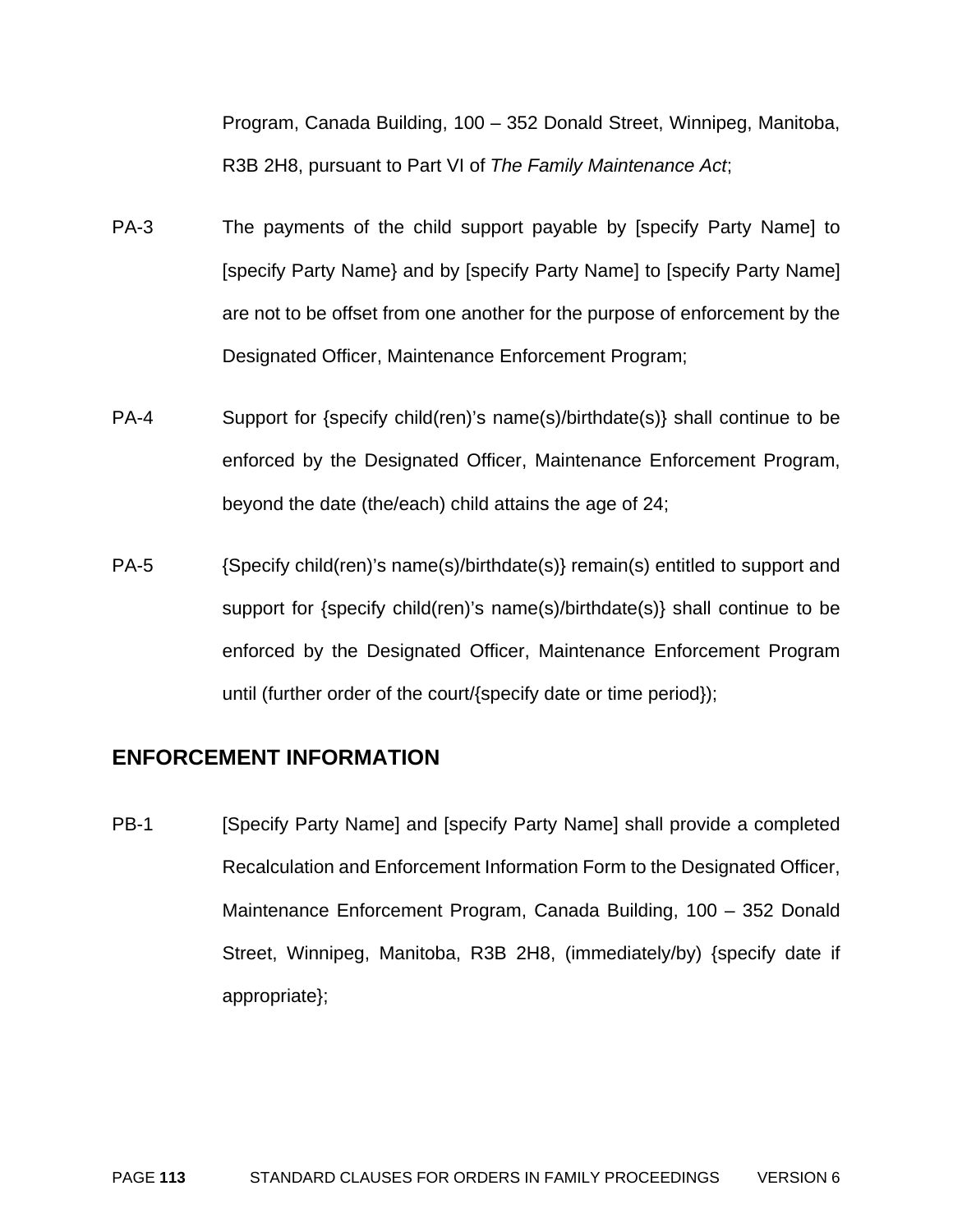Program, Canada Building, 100 – 352 Donald Street, Winnipeg, Manitoba, R3B 2H8, pursuant to Part VI of *The Family Maintenance Act*;

- PA-3 The payments of the child support payable by [specify Party Name] to [specify Party Name} and by [specify Party Name] to [specify Party Name] are not to be offset from one another for the purpose of enforcement by the Designated Officer, Maintenance Enforcement Program;
- PA-4 Support for {specify child(ren)'s name(s)/birthdate(s)} shall continue to be enforced by the Designated Officer, Maintenance Enforcement Program, beyond the date (the/each) child attains the age of 24;
- PA-5 {Specify child(ren)'s name(s)/birthdate(s)} remain(s) entitled to support and support for {specify child(ren)'s name(s)/birthdate(s)} shall continue to be enforced by the Designated Officer, Maintenance Enforcement Program until (further order of the court/{specify date or time period});

#### **ENFORCEMENT INFORMATION**

PB-1 [Specify Party Name] and [specify Party Name] shall provide a completed Recalculation and Enforcement Information Form to the Designated Officer, Maintenance Enforcement Program, Canada Building, 100 – 352 Donald Street, Winnipeg, Manitoba, R3B 2H8, (immediately/by) {specify date if appropriate};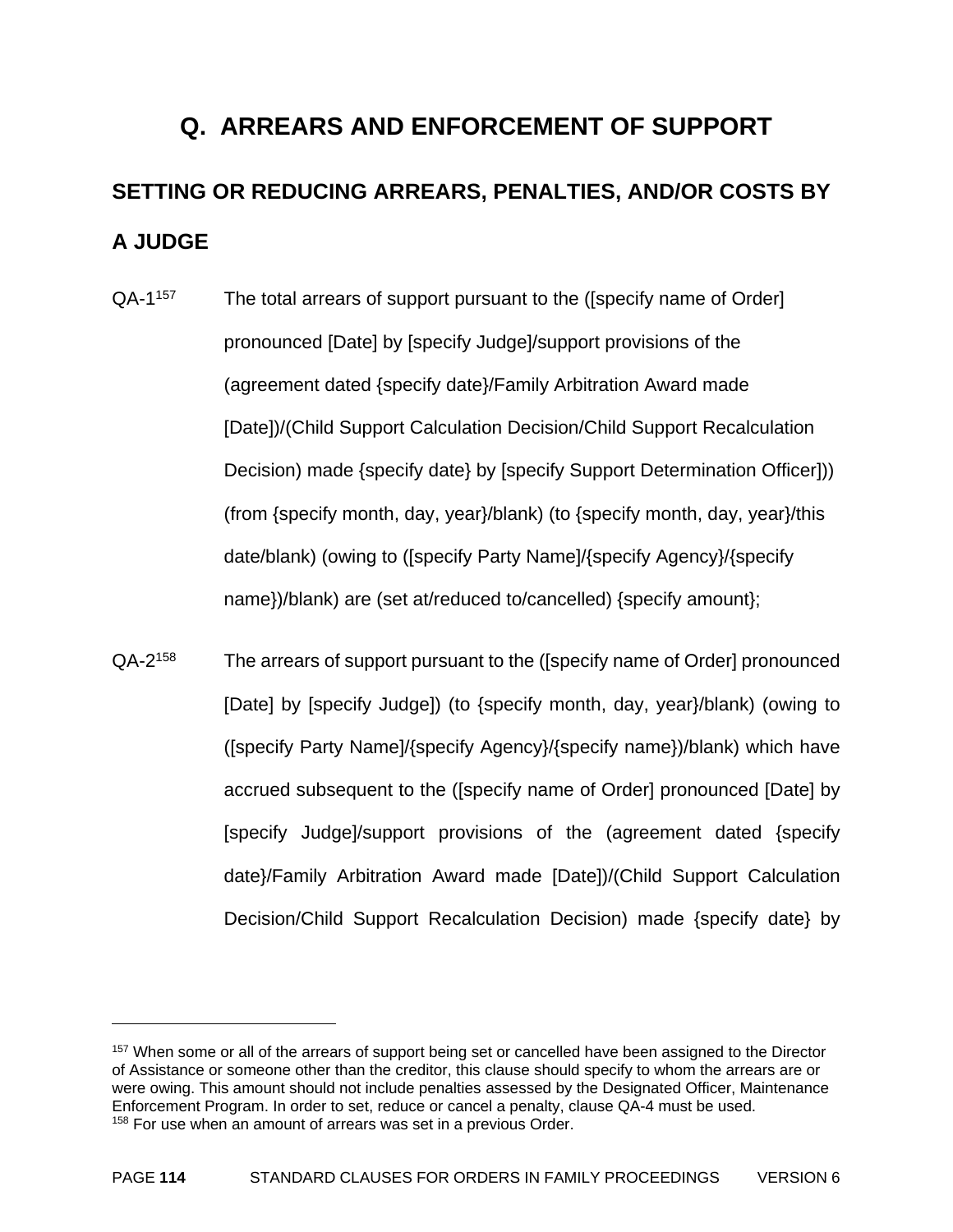# **Q. ARREARS AND ENFORCEMENT OF SUPPORT SETTING OR REDUCING ARREARS, PENALTIES, AND/OR COSTS BY A JUDGE**

- QA-1<sup>157</sup> The total arrears of support pursuant to the ([specify name of Order] pronounced [Date] by [specify Judge]/support provisions of the (agreement dated {specify date}/Family Arbitration Award made [Date])/(Child Support Calculation Decision/Child Support Recalculation Decision) made {specify date} by [specify Support Determination Officer])) (from {specify month, day, year}/blank) (to {specify month, day, year}/this date/blank) (owing to ([specify Party Name]/{specify Agency}/{specify name})/blank) are (set at/reduced to/cancelled) {specify amount};
- QA-2158 The arrears of support pursuant to the ([specify name of Order] pronounced [Date] by [specify Judge]) (to {specify month, day, year}/blank) (owing to ([specify Party Name]/{specify Agency}/{specify name})/blank) which have accrued subsequent to the ([specify name of Order] pronounced [Date] by [specify Judge]/support provisions of the (agreement dated {specify date}/Family Arbitration Award made [Date])/(Child Support Calculation Decision/Child Support Recalculation Decision) made {specify date} by

<sup>&</sup>lt;sup>157</sup> When some or all of the arrears of support being set or cancelled have been assigned to the Director of Assistance or someone other than the creditor, this clause should specify to whom the arrears are or were owing. This amount should not include penalties assessed by the Designated Officer, Maintenance Enforcement Program. In order to set, reduce or cancel a penalty, clause QA-4 must be used. <sup>158</sup> For use when an amount of arrears was set in a previous Order.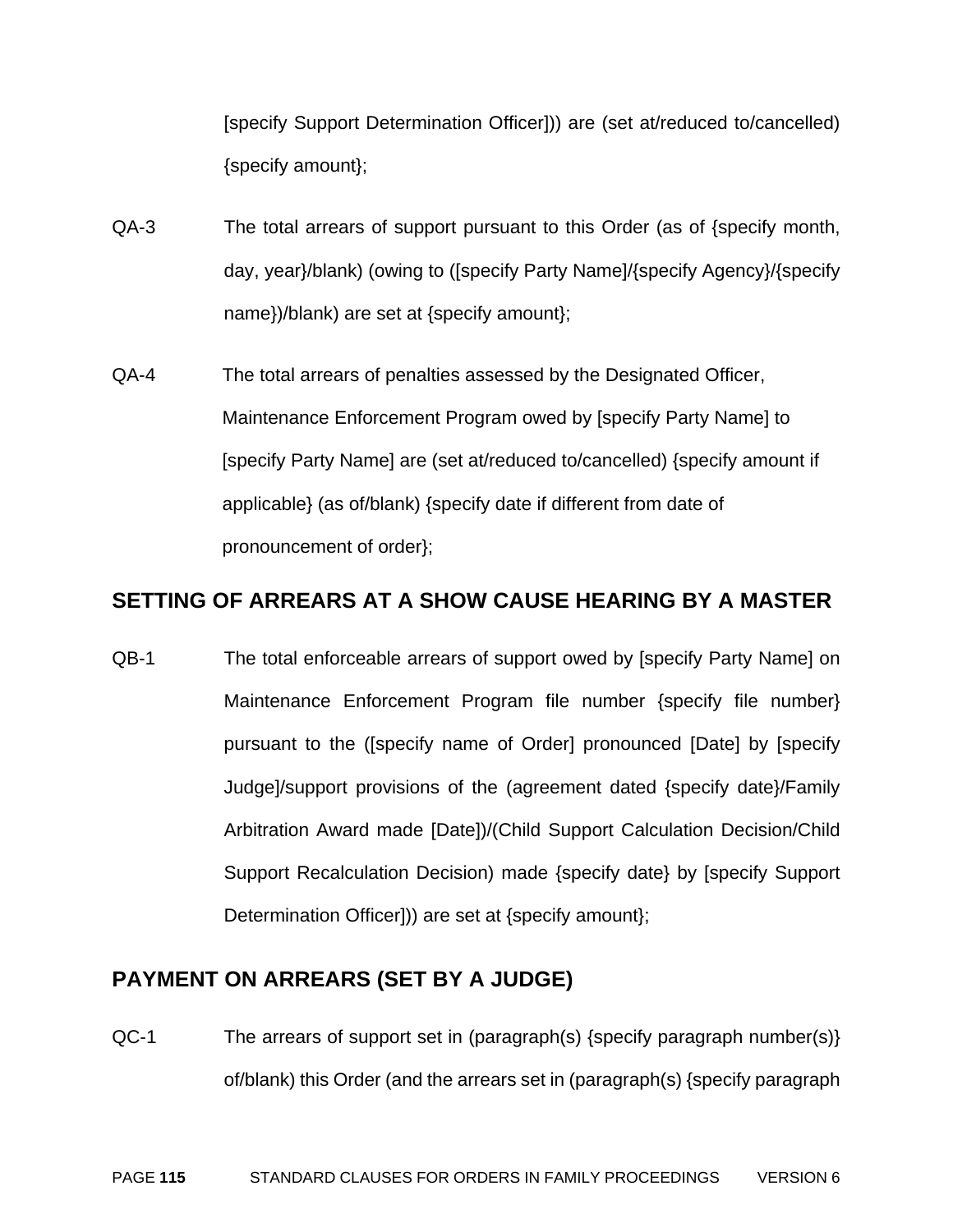[specify Support Determination Officer])) are (set at/reduced to/cancelled) {specify amount};

- QA-3 The total arrears of support pursuant to this Order (as of {specify month, day, year}/blank) (owing to ([specify Party Name]/{specify Agency}/{specify name})/blank) are set at {specify amount};
- QA-4 The total arrears of penalties assessed by the Designated Officer, Maintenance Enforcement Program owed by [specify Party Name] to [specify Party Name] are (set at/reduced to/cancelled) {specify amount if applicable} (as of/blank) {specify date if different from date of pronouncement of order};

#### **SETTING OF ARREARS AT A SHOW CAUSE HEARING BY A MASTER**

QB-1 The total enforceable arrears of support owed by [specify Party Name] on Maintenance Enforcement Program file number {specify file number} pursuant to the ([specify name of Order] pronounced [Date] by [specify Judge]/support provisions of the (agreement dated {specify date}/Family Arbitration Award made [Date])/(Child Support Calculation Decision/Child Support Recalculation Decision) made {specify date} by [specify Support Determination Officer])) are set at {specify amount};

#### **PAYMENT ON ARREARS (SET BY A JUDGE)**

QC-1 The arrears of support set in (paragraph(s) {specify paragraph number(s)} of/blank) this Order (and the arrears set in (paragraph(s) {specify paragraph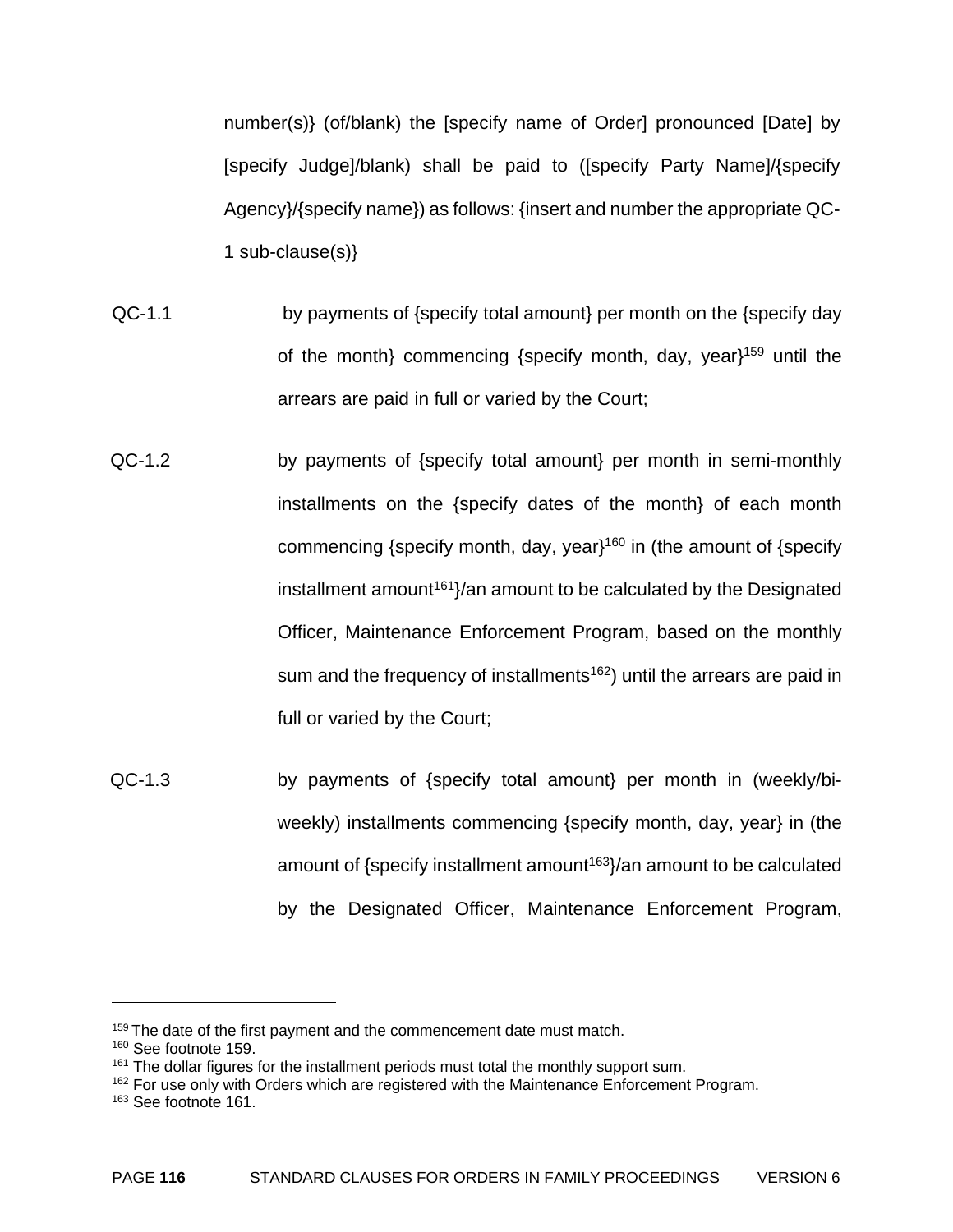number(s)} (of/blank) the [specify name of Order] pronounced [Date] by [specify Judge]/blank) shall be paid to ([specify Party Name]/{specify Agency}/{specify name}) as follows: {insert and number the appropriate QC-1 sub-clause(s)}

- QC-1.1 by payments of {specify total amount} per month on the {specify day of the month} commencing {specify month, day, year}159 until the arrears are paid in full or varied by the Court;
- QC-1.2 by payments of {specify total amount} per month in semi-monthly installments on the {specify dates of the month} of each month commencing {specify month, day, year}<sup>160</sup> in (the amount of {specify installment amount<sup>161</sup> $\frac{1}{61}$  amount to be calculated by the Designated Officer, Maintenance Enforcement Program, based on the monthly sum and the frequency of installments<sup>162</sup>) until the arrears are paid in full or varied by the Court;
- QC-1.3 by payments of {specify total amount} per month in (weekly/biweekly) installments commencing {specify month, day, year} in (the amount of  $\{\text{specificity}$  installment amount<sup>163</sup> $\}$  an amount to be calculated by the Designated Officer, Maintenance Enforcement Program,

<sup>&</sup>lt;sup>159</sup> The date of the first payment and the commencement date must match.

<sup>160</sup> See footnote 159.

 $161$  The dollar figures for the installment periods must total the monthly support sum.

 $162$  For use only with Orders which are registered with the Maintenance Enforcement Program.

<sup>163</sup> See footnote 161.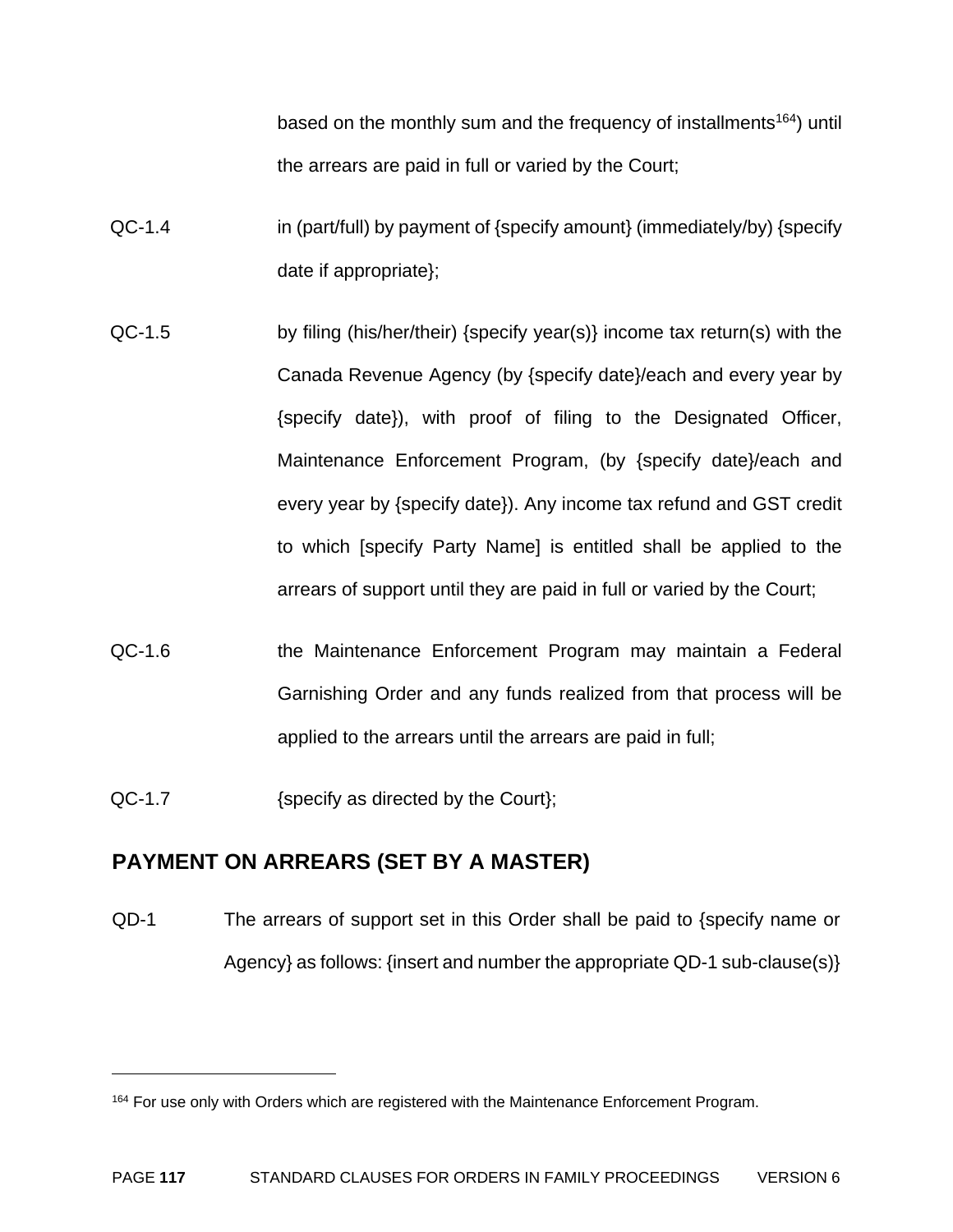based on the monthly sum and the frequency of installments<sup>164</sup>) until the arrears are paid in full or varied by the Court;

- QC-1.4 in (part/full) by payment of {specify amount} (immediately/by) {specify date if appropriate};
- QC-1.5 by filing (his/her/their) {specify year(s)} income tax return(s) with the Canada Revenue Agency (by {specify date}/each and every year by {specify date}), with proof of filing to the Designated Officer, Maintenance Enforcement Program, (by {specify date}/each and every year by {specify date}). Any income tax refund and GST credit to which [specify Party Name] is entitled shall be applied to the arrears of support until they are paid in full or varied by the Court;
- QC-1.6 the Maintenance Enforcement Program may maintain a Federal Garnishing Order and any funds realized from that process will be applied to the arrears until the arrears are paid in full;
- QC-1.7 {specify as directed by the Court};

<u>.</u>

#### **PAYMENT ON ARREARS (SET BY A MASTER)**

QD-1 The arrears of support set in this Order shall be paid to {specify name or Agency} as follows: {insert and number the appropriate QD-1 sub-clause(s)}

<sup>&</sup>lt;sup>164</sup> For use only with Orders which are registered with the Maintenance Enforcement Program.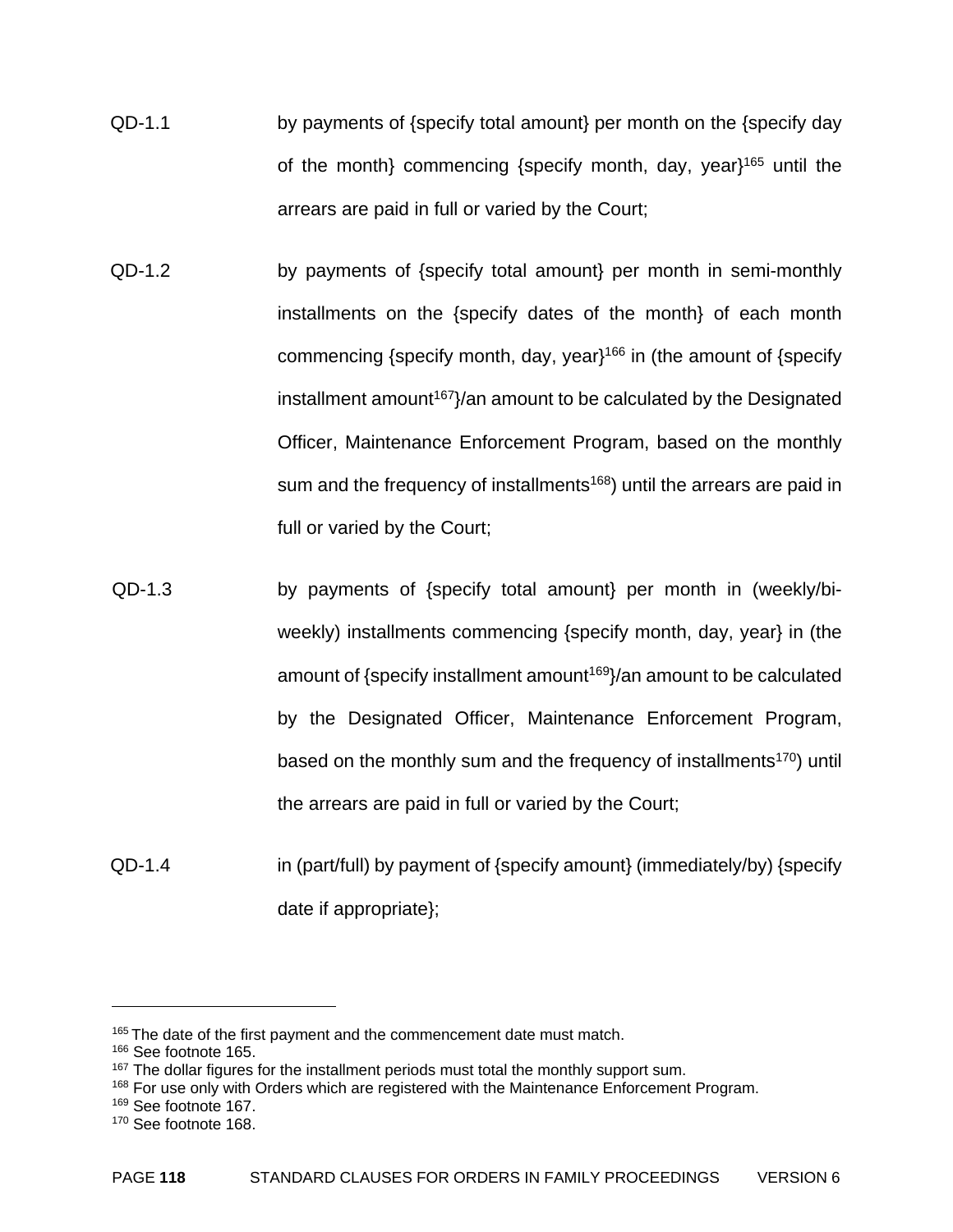- QD-1.1 by payments of {specify total amount} per month on the {specify day of the month} commencing {specify month, day, year}165 until the arrears are paid in full or varied by the Court;
- QD-1.2 by payments of {specify total amount} per month in semi-monthly installments on the {specify dates of the month} of each month commencing {specify month, day, year}<sup>166</sup> in (the amount of {specify  $installment amount<sup>167</sup> / an amount to be calculated by the Designated$ Officer, Maintenance Enforcement Program, based on the monthly sum and the frequency of installments<sup>168</sup>) until the arrears are paid in full or varied by the Court;
- QD-1.3 by payments of {specify total amount} per month in (weekly/biweekly) installments commencing {specify month, day, year} in (the amount of {specify installment amount<sup>169}</sup>/an amount to be calculated by the Designated Officer, Maintenance Enforcement Program, based on the monthly sum and the frequency of installments<sup>170</sup>) until the arrears are paid in full or varied by the Court;
- QD-1.4 in (part/full) by payment of {specify amount} (immediately/by) {specify date if appropriate};

1

169 See footnote 167.

<sup>&</sup>lt;sup>165</sup> The date of the first payment and the commencement date must match.

<sup>&</sup>lt;sup>166</sup> See footnote 165.

<sup>&</sup>lt;sup>167</sup> The dollar figures for the installment periods must total the monthly support sum.

 $168$  For use only with Orders which are registered with the Maintenance Enforcement Program.

<sup>170</sup> See footnote 168.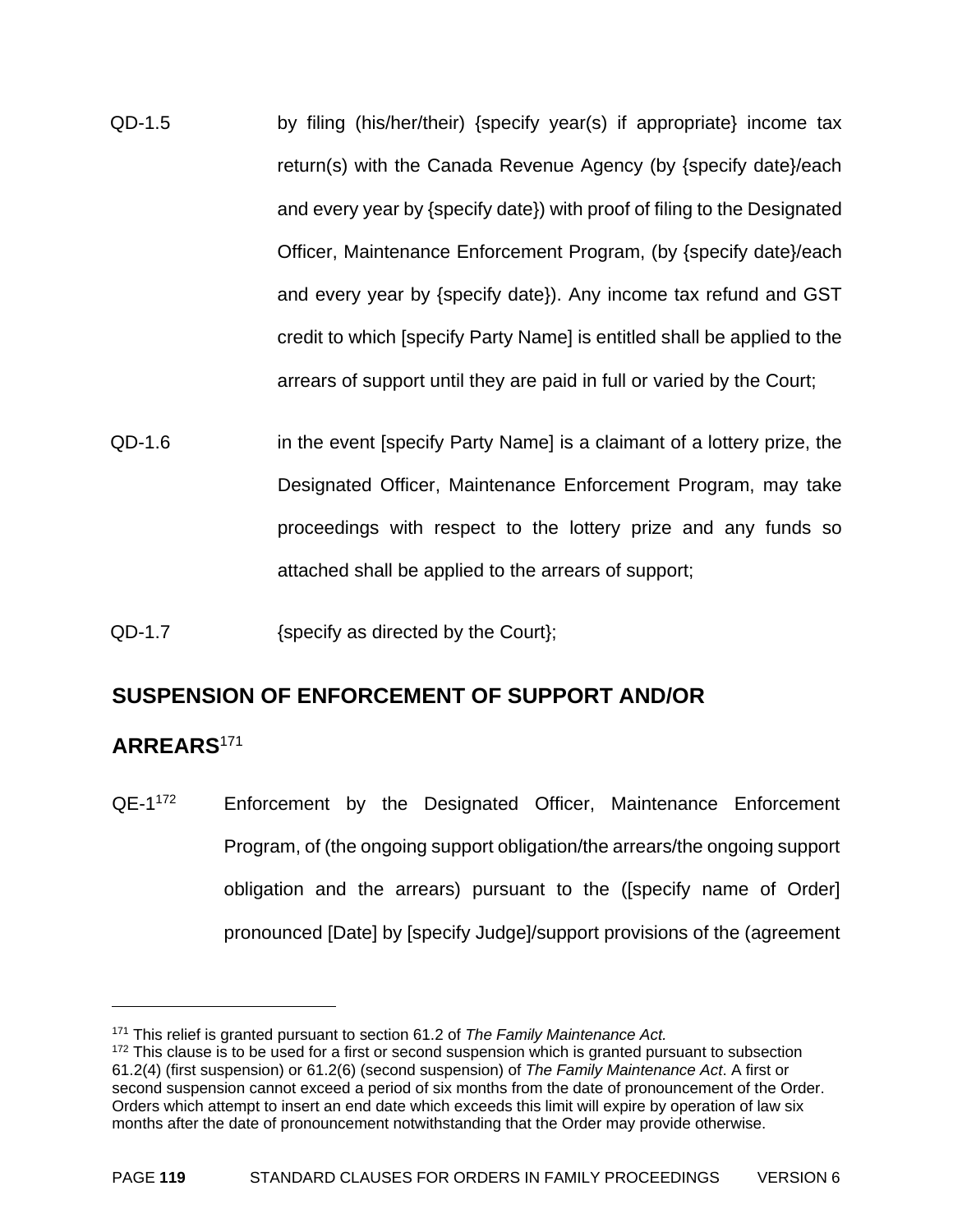- QD-1.5 by filing (his/her/their) {specify year(s) if appropriate} income tax return(s) with the Canada Revenue Agency (by {specify date}/each and every year by {specify date}) with proof of filing to the Designated Officer, Maintenance Enforcement Program, (by {specify date}/each and every year by {specify date}). Any income tax refund and GST credit to which [specify Party Name] is entitled shall be applied to the arrears of support until they are paid in full or varied by the Court;
- QD-1.6 in the event [specify Party Name] is a claimant of a lottery prize, the Designated Officer, Maintenance Enforcement Program, may take proceedings with respect to the lottery prize and any funds so attached shall be applied to the arrears of support;
- QD-1.7 {specify as directed by the Court};

#### **SUSPENSION OF ENFORCEMENT OF SUPPORT AND/OR**

#### **ARREARS**<sup>171</sup>

 $\overline{a}$ 

QE-1<sup>172</sup> Enforcement by the Designated Officer, Maintenance Enforcement Program, of (the ongoing support obligation/the arrears/the ongoing support obligation and the arrears) pursuant to the ([specify name of Order] pronounced [Date] by [specify Judge]/support provisions of the (agreement

<sup>171</sup> This relief is granted pursuant to section 61.2 of *The Family Maintenance Act.* 

 $172$  This clause is to be used for a first or second suspension which is granted pursuant to subsection 61.2(4) (first suspension) or 61.2(6) (second suspension) of *The Family Maintenance Act*. A first or second suspension cannot exceed a period of six months from the date of pronouncement of the Order. Orders which attempt to insert an end date which exceeds this limit will expire by operation of law six months after the date of pronouncement notwithstanding that the Order may provide otherwise.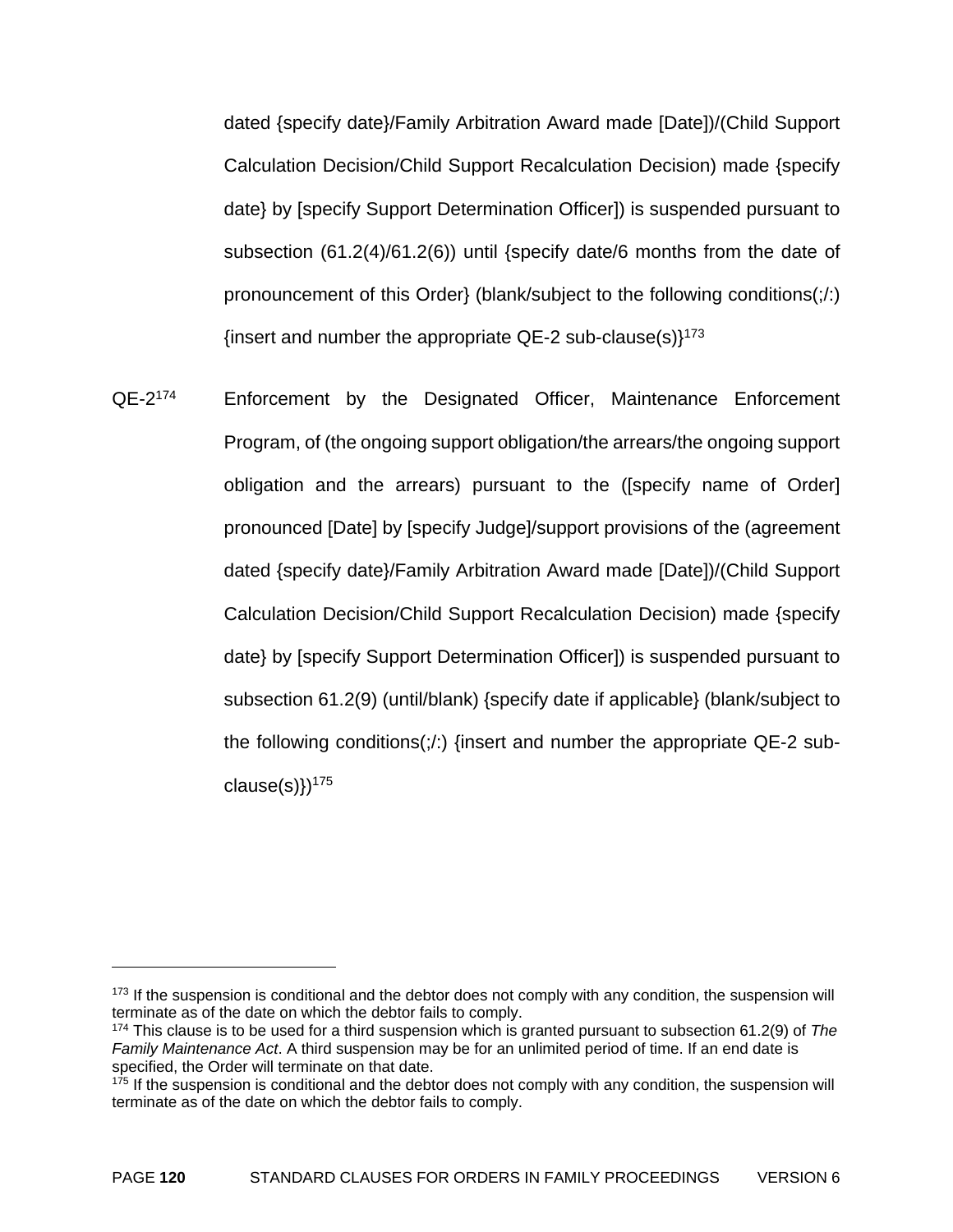dated {specify date}/Family Arbitration Award made [Date])/(Child Support Calculation Decision/Child Support Recalculation Decision) made {specify date} by [specify Support Determination Officer]) is suspended pursuant to subsection (61.2(4)/61.2(6)) until {specify date/6 months from the date of pronouncement of this Order} (blank/subject to the following conditions(;/:) {insert and number the appropriate  $QE-2$  sub-clause(s)}<sup>173</sup>

QE-2<sup>174</sup> Enforcement by the Designated Officer, Maintenance Enforcement Program, of (the ongoing support obligation/the arrears/the ongoing support obligation and the arrears) pursuant to the ([specify name of Order] pronounced [Date] by [specify Judge]/support provisions of the (agreement dated {specify date}/Family Arbitration Award made [Date])/(Child Support Calculation Decision/Child Support Recalculation Decision) made {specify date} by [specify Support Determination Officer]) is suspended pursuant to subsection 61.2(9) (until/blank) {specify date if applicable} (blank/subject to the following conditions(;/:) {insert and number the appropriate QE-2 subclause $(s)$ })<sup>175</sup>

<sup>&</sup>lt;sup>173</sup> If the suspension is conditional and the debtor does not comply with any condition, the suspension will terminate as of the date on which the debtor fails to comply.

<sup>174</sup> This clause is to be used for a third suspension which is granted pursuant to subsection 61.2(9) of *The Family Maintenance Act*. A third suspension may be for an unlimited period of time. If an end date is specified, the Order will terminate on that date.

<sup>&</sup>lt;sup>175</sup> If the suspension is conditional and the debtor does not comply with any condition, the suspension will terminate as of the date on which the debtor fails to comply.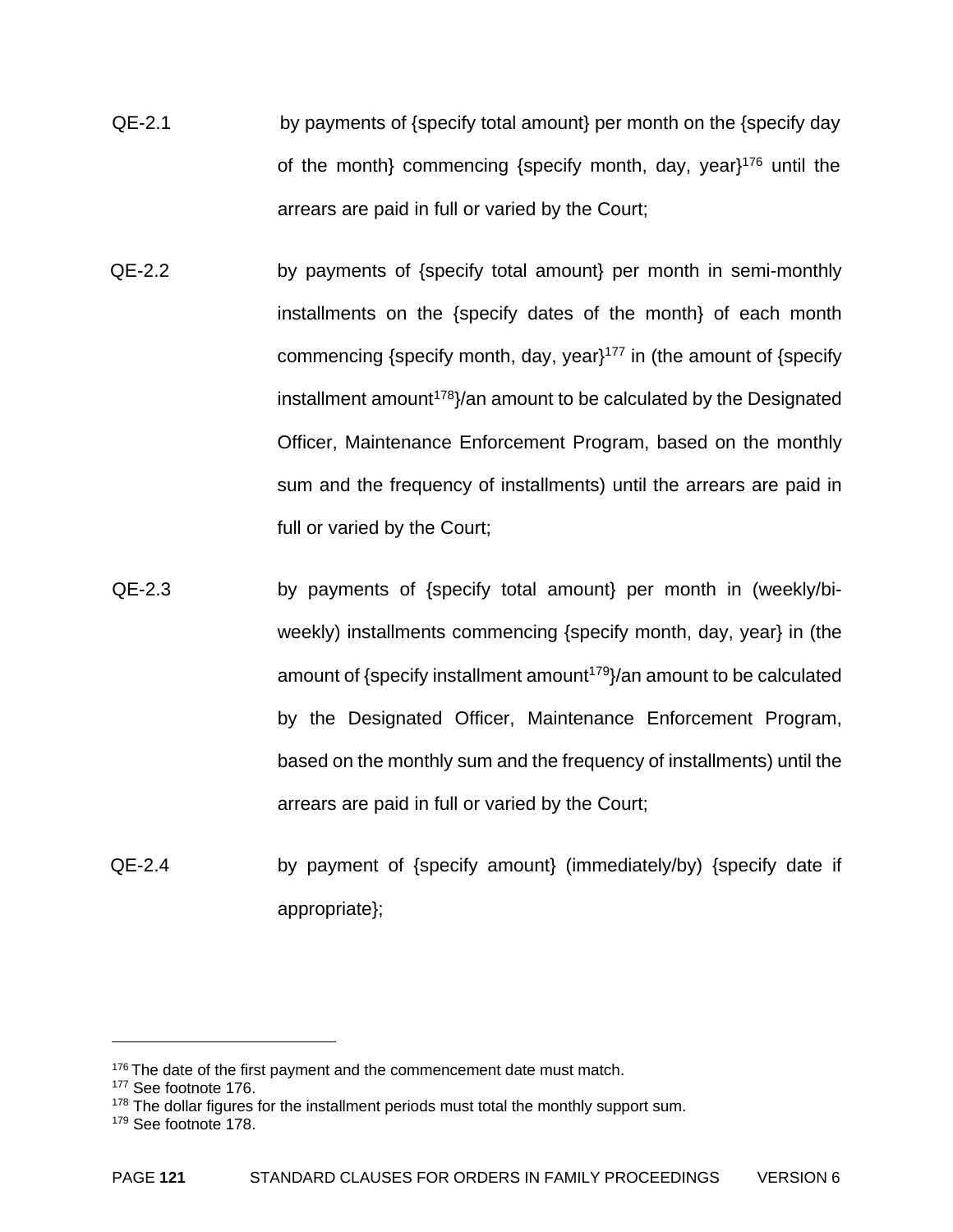- QE-2.1 by payments of {specify total amount} per month on the {specify day of the month} commencing {specify month, day, year}176 until the arrears are paid in full or varied by the Court;
- QE-2.2 by payments of {specify total amount} per month in semi-monthly installments on the {specify dates of the month} of each month commencing {specify month, day, year}<sup>177</sup> in (the amount of {specify installment amount<sup>178</sup> $\frac{1}{8}$  amount to be calculated by the Designated Officer, Maintenance Enforcement Program, based on the monthly sum and the frequency of installments) until the arrears are paid in full or varied by the Court;
- QE-2.3 by payments of {specify total amount} per month in (weekly/biweekly) installments commencing {specify month, day, year} in (the amount of {specify installment amount<sup>179</sup>}/an amount to be calculated by the Designated Officer, Maintenance Enforcement Program, based on the monthly sum and the frequency of installments) until the arrears are paid in full or varied by the Court;
- QE-2.4 by payment of {specify amount} (immediately/by) {specify date if appropriate};

<sup>&</sup>lt;sup>176</sup> The date of the first payment and the commencement date must match.

<sup>177</sup> See footnote 176.

 $178$  The dollar figures for the installment periods must total the monthly support sum.

<sup>179</sup> See footnote 178.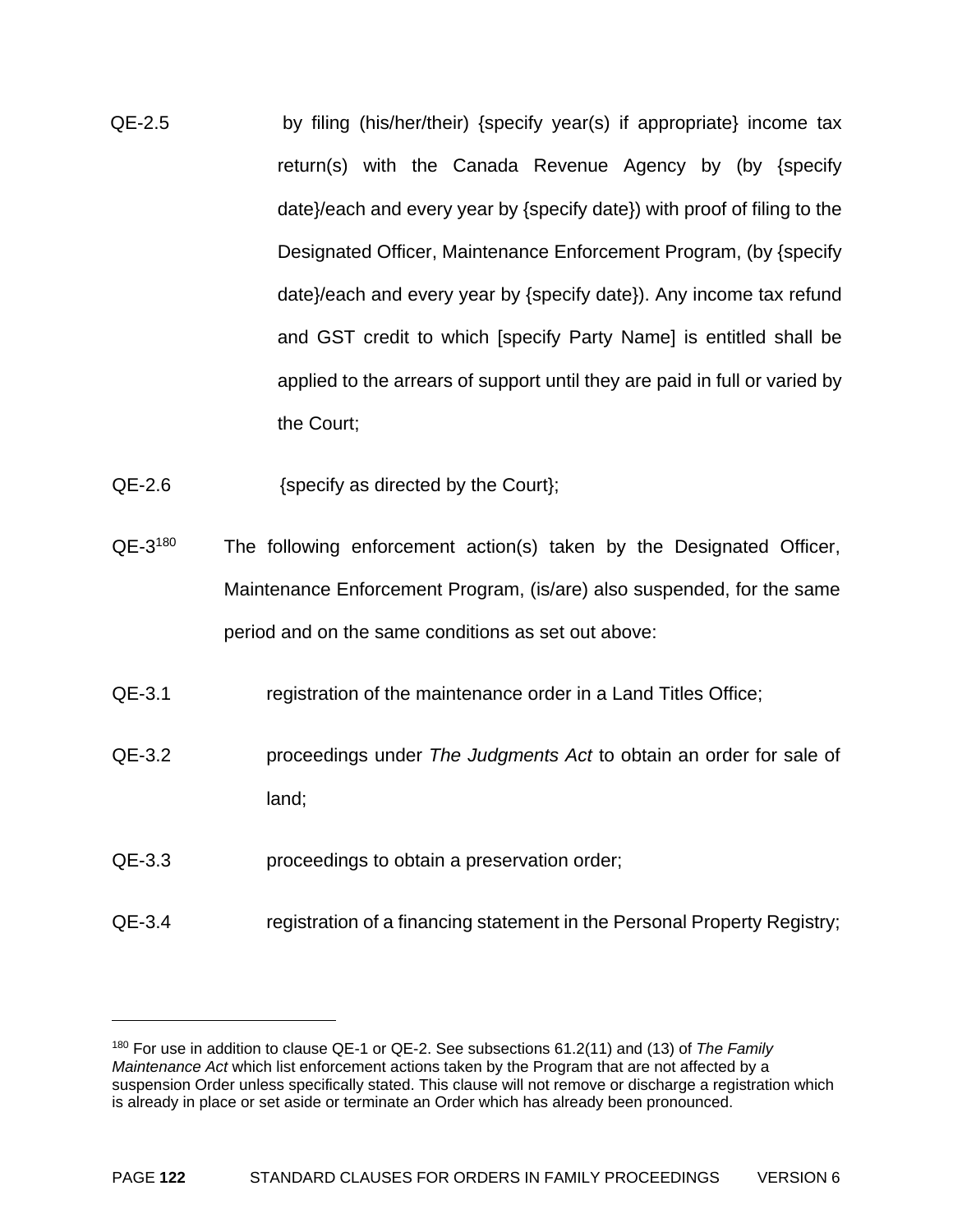- QE-2.5 by filing (his/her/their) {specify year(s) if appropriate} income tax return(s) with the Canada Revenue Agency by (by {specify date}/each and every year by {specify date}) with proof of filing to the Designated Officer, Maintenance Enforcement Program, (by {specify date}/each and every year by {specify date}). Any income tax refund and GST credit to which [specify Party Name] is entitled shall be applied to the arrears of support until they are paid in full or varied by the Court;
- QE-2.6 {specify as directed by the Court};
- QE-3<sup>180</sup> The following enforcement action(s) taken by the Designated Officer, Maintenance Enforcement Program, (is/are) also suspended, for the same period and on the same conditions as set out above:
- QE-3.1 registration of the maintenance order in a Land Titles Office;
- QE-3.2 proceedings under *The Judgments Act* to obtain an order for sale of land;
- QE-3.3 proceedings to obtain a preservation order;

<u>.</u>

QE-3.4 registration of a financing statement in the Personal Property Registry;

<sup>180</sup> For use in addition to clause QE-1 or QE-2. See subsections 61.2(11) and (13) of *The Family Maintenance Act* which list enforcement actions taken by the Program that are not affected by a suspension Order unless specifically stated. This clause will not remove or discharge a registration which is already in place or set aside or terminate an Order which has already been pronounced.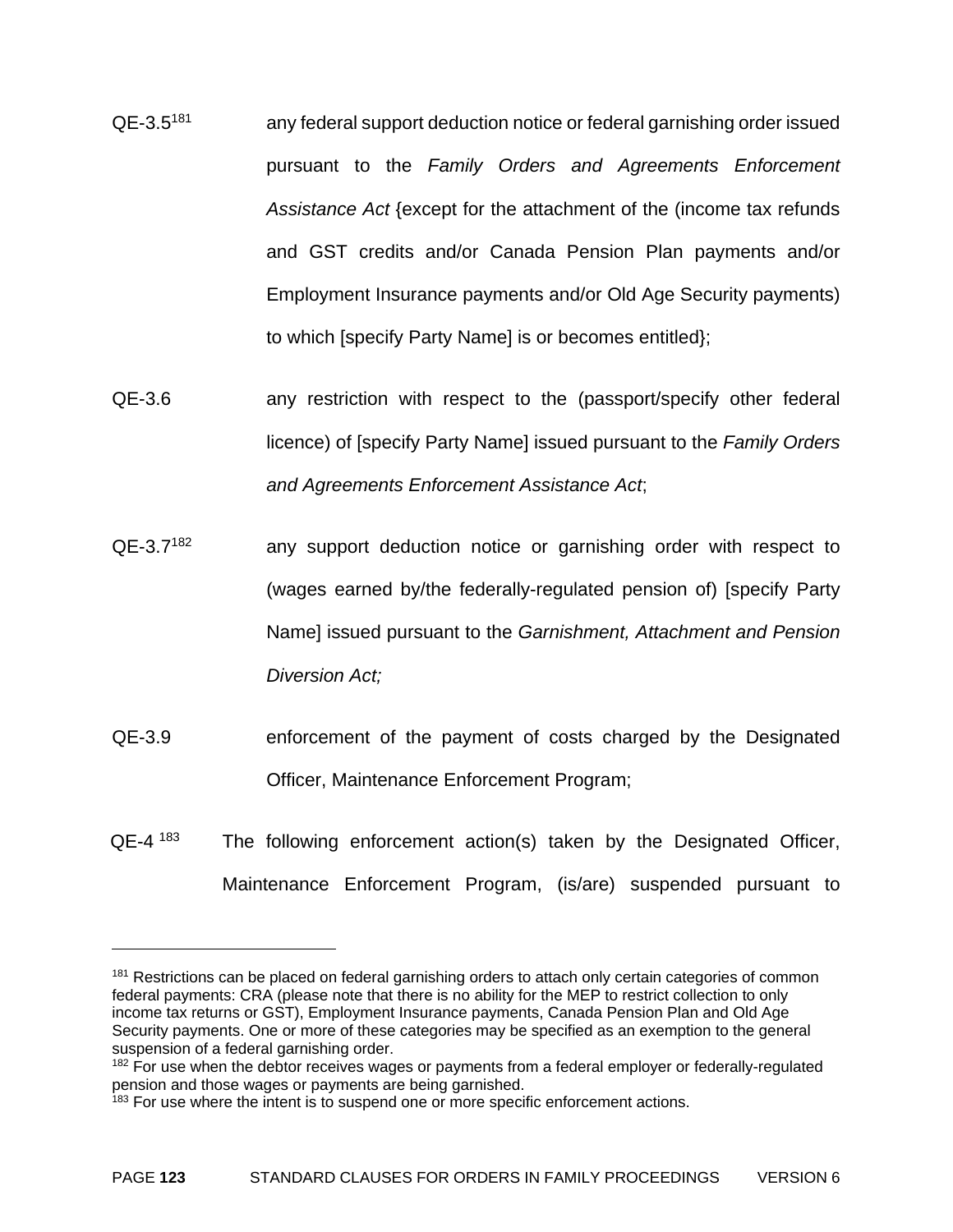- QE-3.5181 any federal support deduction notice or federal garnishing order issued pursuant to the *Family Orders and Agreements Enforcement Assistance Act* {except for the attachment of the (income tax refunds and GST credits and/or Canada Pension Plan payments and/or Employment Insurance payments and/or Old Age Security payments) to which [specify Party Name] is or becomes entitled};
- QE-3.6 any restriction with respect to the (passport/specify other federal licence) of [specify Party Name] issued pursuant to the *Family Orders and Agreements Enforcement Assistance Act*;
- QE-3.7<sup>182</sup> any support deduction notice or garnishing order with respect to (wages earned by/the federally-regulated pension of) [specify Party Name] issued pursuant to the *Garnishment, Attachment and Pension Diversion Act;*
- QE-3.9 enforcement of the payment of costs charged by the Designated Officer, Maintenance Enforcement Program;
- $QE-4$  <sup>183</sup> The following enforcement action(s) taken by the Designated Officer, Maintenance Enforcement Program, (is/are) suspended pursuant to

<sup>&</sup>lt;sup>181</sup> Restrictions can be placed on federal garnishing orders to attach only certain categories of common federal payments: CRA (please note that there is no ability for the MEP to restrict collection to only income tax returns or GST), Employment Insurance payments, Canada Pension Plan and Old Age Security payments. One or more of these categories may be specified as an exemption to the general suspension of a federal garnishing order.

<sup>&</sup>lt;sup>182</sup> For use when the debtor receives wages or payments from a federal employer or federally-regulated pension and those wages or payments are being garnished.

<sup>&</sup>lt;sup>183</sup> For use where the intent is to suspend one or more specific enforcement actions.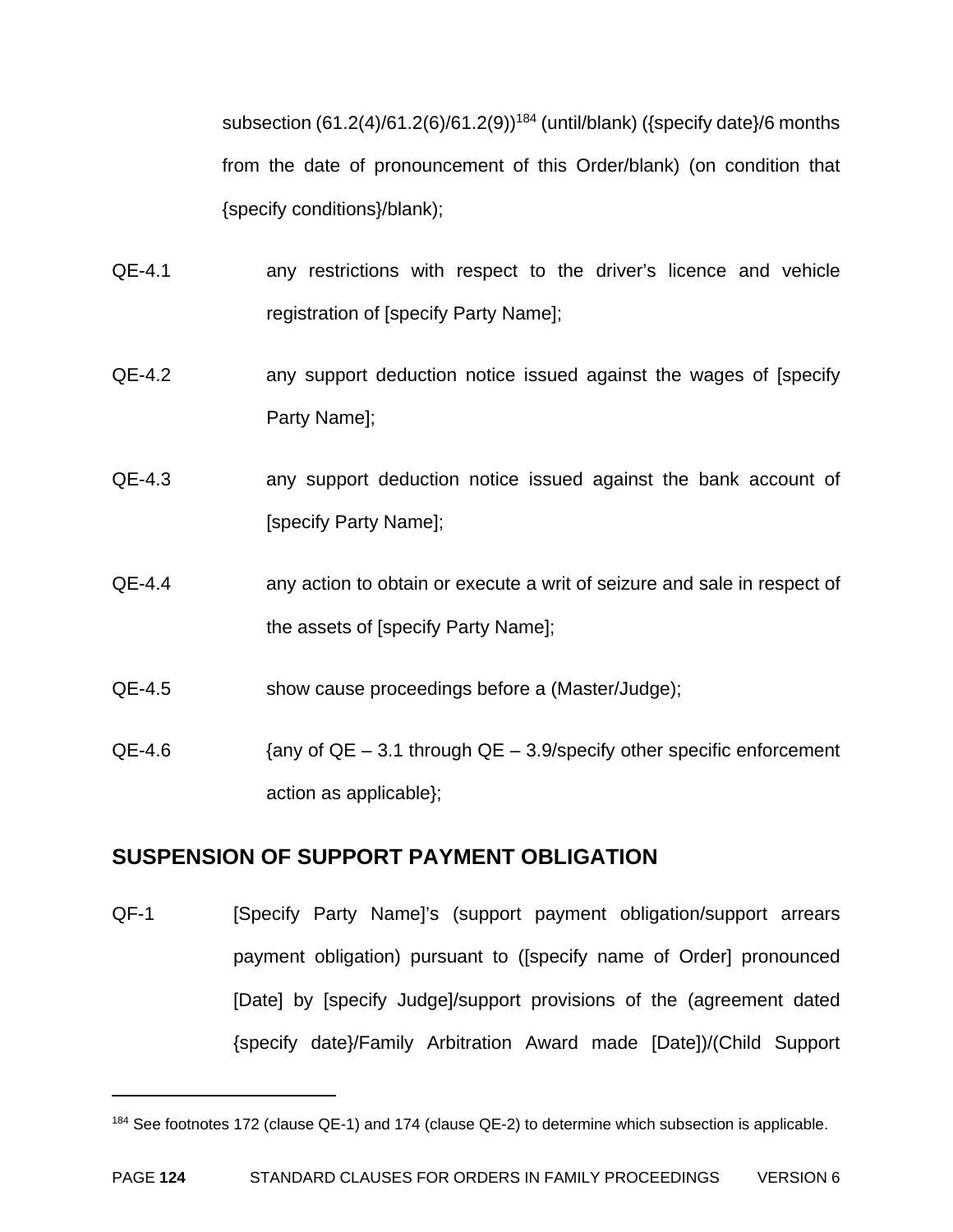subsection  $(61.2(4)/61.2(6)/61.2(9))$ <sup>184</sup> (until/blank) ({specify date}/6 months from the date of pronouncement of this Order/blank) (on condition that {specify conditions}/blank);

- QE-4.1 any restrictions with respect to the driver's licence and vehicle registration of [specify Party Name];
- QE-4.2 any support deduction notice issued against the wages of [specify Party Name];
- QE-4.3 any support deduction notice issued against the bank account of [specify Party Name];
- QE-4.4 any action to obtain or execute a writ of seizure and sale in respect of the assets of [specify Party Name];
- QE-4.5 show cause proceedings before a (Master/Judge);
- $QE-4.6$  {any of  $QE 3.1$  through  $QE 3.9$ /specify other specific enforcement action as applicable};

#### **SUSPENSION OF SUPPORT PAYMENT OBLIGATION**

1

QF-1 [Specify Party Name]'s (support payment obligation/support arrears payment obligation) pursuant to ([specify name of Order] pronounced [Date] by [specify Judge]/support provisions of the (agreement dated {specify date}/Family Arbitration Award made [Date])/(Child Support

<sup>&</sup>lt;sup>184</sup> See footnotes 172 (clause QE-1) and 174 (clause QE-2) to determine which subsection is applicable.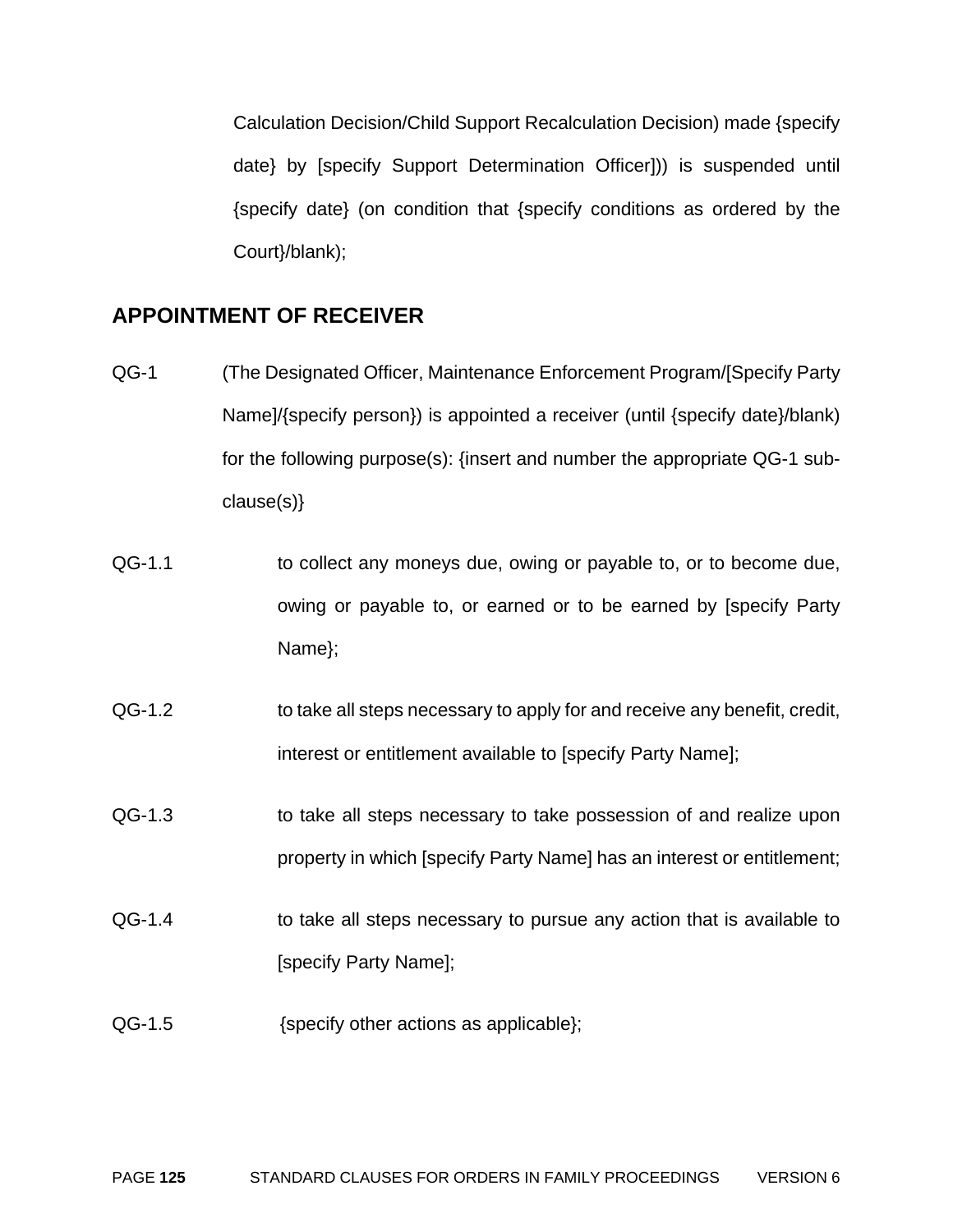Calculation Decision/Child Support Recalculation Decision) made {specify date} by [specify Support Determination Officer])) is suspended until {specify date} (on condition that {specify conditions as ordered by the Court}/blank);

#### **APPOINTMENT OF RECEIVER**

- QG-1 (The Designated Officer, Maintenance Enforcement Program/[Specify Party Name]/{specify person}) is appointed a receiver (until {specify date}/blank) for the following purpose(s): {insert and number the appropriate QG-1 subclause(s)}
- QG-1.1 to collect any moneys due, owing or payable to, or to become due, owing or payable to, or earned or to be earned by [specify Party Name};
- QG-1.2 to take all steps necessary to apply for and receive any benefit, credit, interest or entitlement available to [specify Party Name];
- QG-1.3 to take all steps necessary to take possession of and realize upon property in which [specify Party Name] has an interest or entitlement;
- QG-1.4 to take all steps necessary to pursue any action that is available to [specify Party Name];
- QG-1.5 {specify other actions as applicable};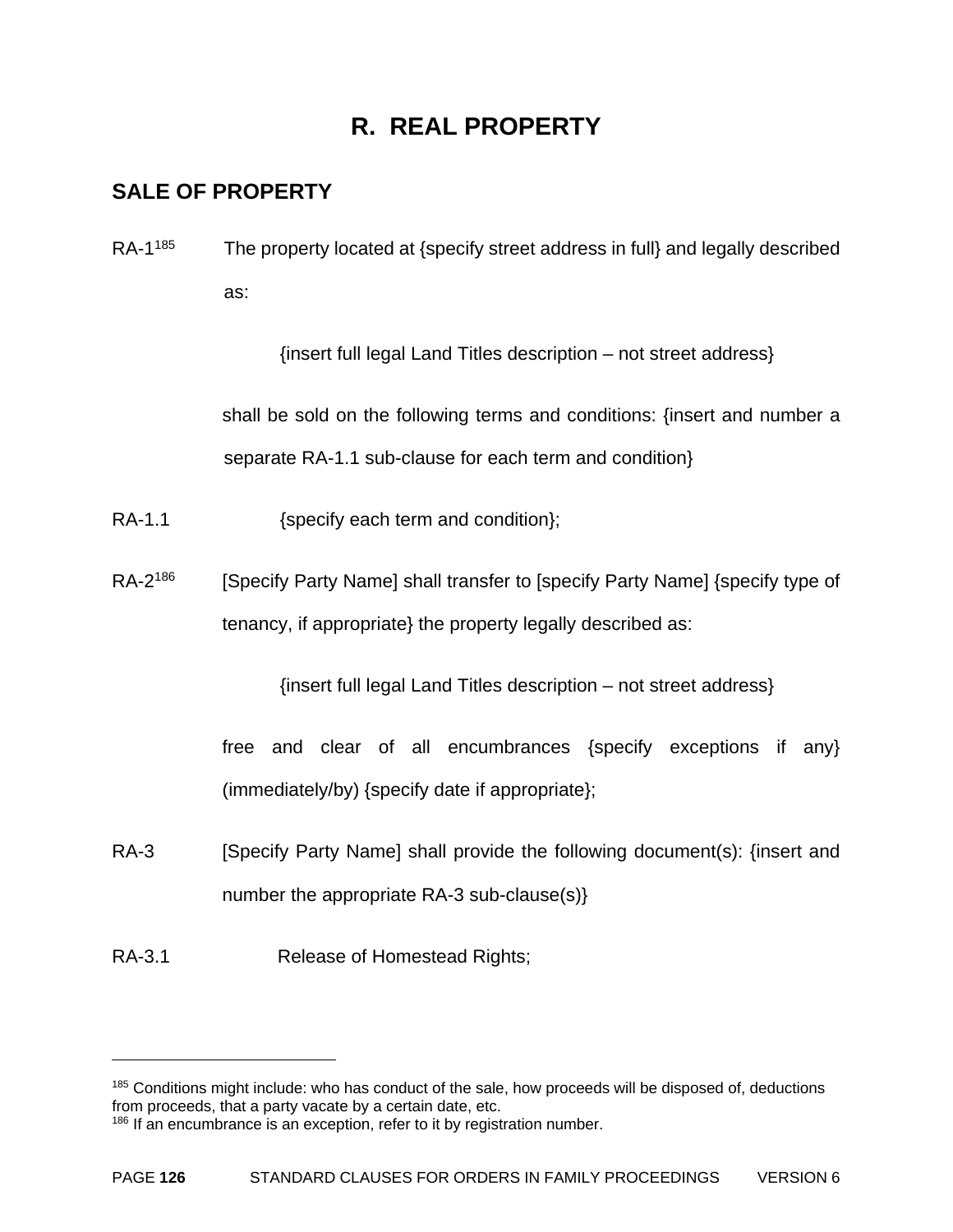## **R. REAL PROPERTY**

#### **SALE OF PROPERTY**

RA-1<sup>185</sup> The property located at {specify street address in full} and legally described as:

{insert full legal Land Titles description – not street address}

shall be sold on the following terms and conditions: {insert and number a separate RA-1.1 sub-clause for each term and condition}

- RA-1.1 {\text{specify each term and condition};
- RA-2<sup>186</sup> [Specify Party Name] shall transfer to [specify Party Name] {specify type of tenancy, if appropriate} the property legally described as:

{insert full legal Land Titles description – not street address}

free and clear of all encumbrances {specify exceptions if any} (immediately/by) {specify date if appropriate};

- RA-3 [Specify Party Name] shall provide the following document(s): {insert and number the appropriate RA-3 sub-clause(s)}
- RA-3.1 Release of Homestead Rights;

<sup>&</sup>lt;sup>185</sup> Conditions might include: who has conduct of the sale, how proceeds will be disposed of, deductions from proceeds, that a party vacate by a certain date, etc.

<sup>&</sup>lt;sup>186</sup> If an encumbrance is an exception, refer to it by registration number.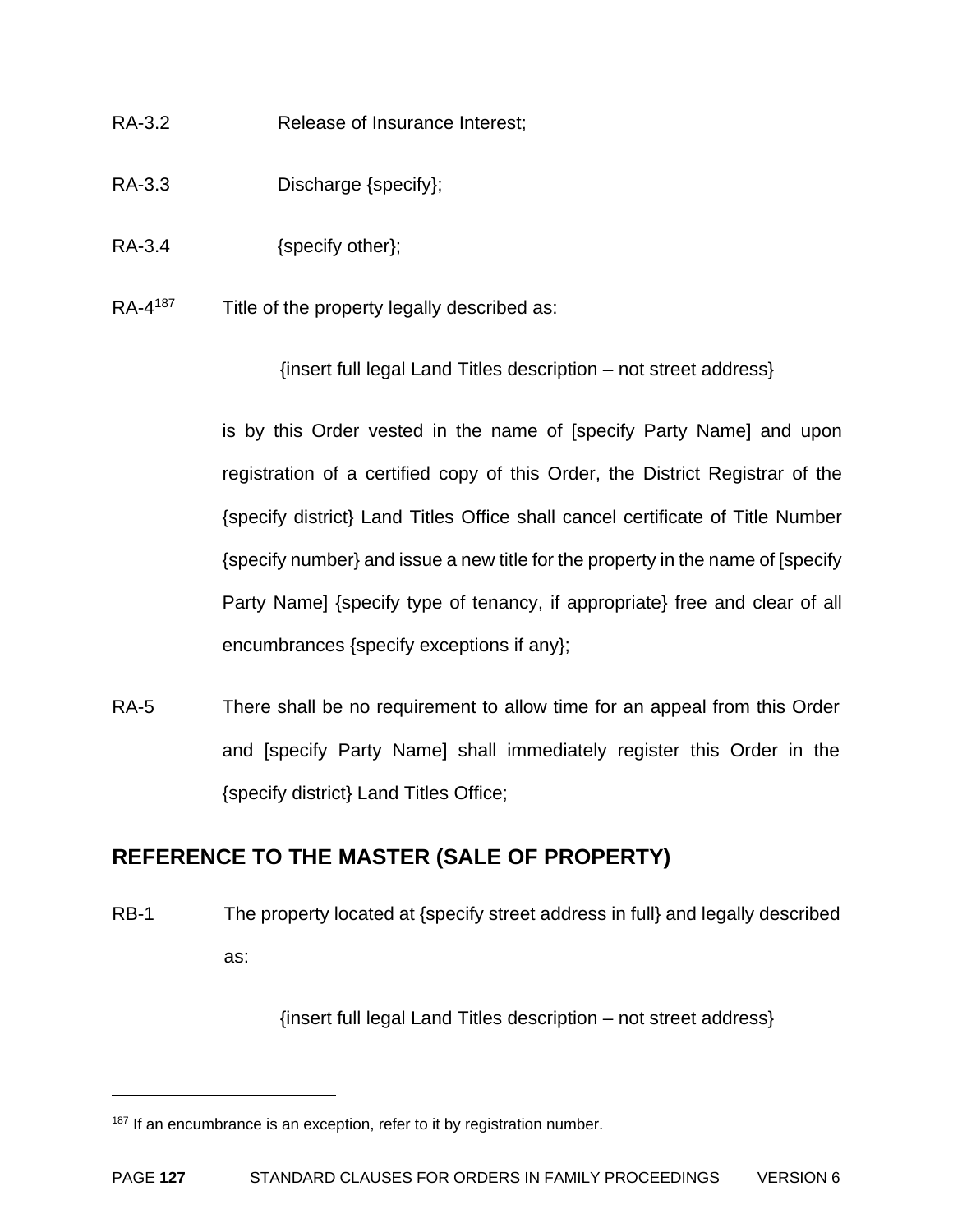- RA-3.2 Release of Insurance Interest:
- RA-3.3 Discharge {specify};
- RA-3.4 {specify other};
- RA-4<sup>187</sup> Title of the property legally described as:

{insert full legal Land Titles description – not street address}

is by this Order vested in the name of [specify Party Name] and upon registration of a certified copy of this Order, the District Registrar of the {specify district} Land Titles Office shall cancel certificate of Title Number {specify number} and issue a new title for the property in the name of [specify Party Name] {specify type of tenancy, if appropriate} free and clear of all encumbrances {specify exceptions if any};

RA-5 There shall be no requirement to allow time for an appeal from this Order and [specify Party Name] shall immediately register this Order in the {specify district} Land Titles Office;

#### **REFERENCE TO THE MASTER (SALE OF PROPERTY)**

RB-1 The property located at {specify street address in full} and legally described as:

{insert full legal Land Titles description – not street address}

 $187$  If an encumbrance is an exception, refer to it by registration number.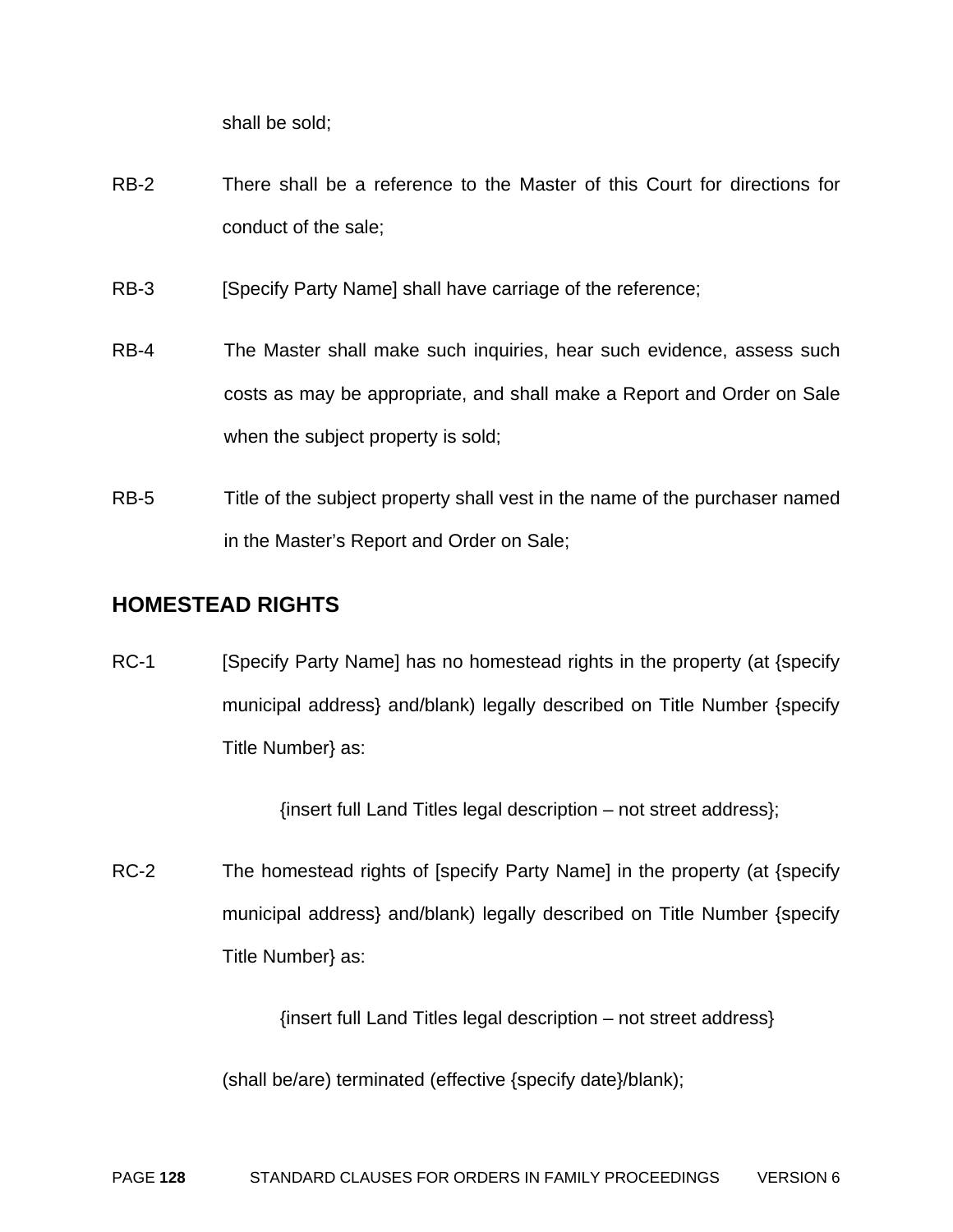shall be sold;

- RB-2 There shall be a reference to the Master of this Court for directions for conduct of the sale;
- RB-3 [Specify Party Name] shall have carriage of the reference;
- RB-4 The Master shall make such inquiries, hear such evidence, assess such costs as may be appropriate, and shall make a Report and Order on Sale when the subject property is sold;
- RB-5 Title of the subject property shall vest in the name of the purchaser named in the Master's Report and Order on Sale;

#### **HOMESTEAD RIGHTS**

RC-1 [Specify Party Name] has no homestead rights in the property (at {specify municipal address} and/blank) legally described on Title Number {specify Title Number} as:

{insert full Land Titles legal description – not street address};

RC-2 The homestead rights of [specify Party Name] in the property (at {specify municipal address} and/blank) legally described on Title Number {specify Title Number} as:

{insert full Land Titles legal description – not street address}

(shall be/are) terminated (effective {specify date}/blank);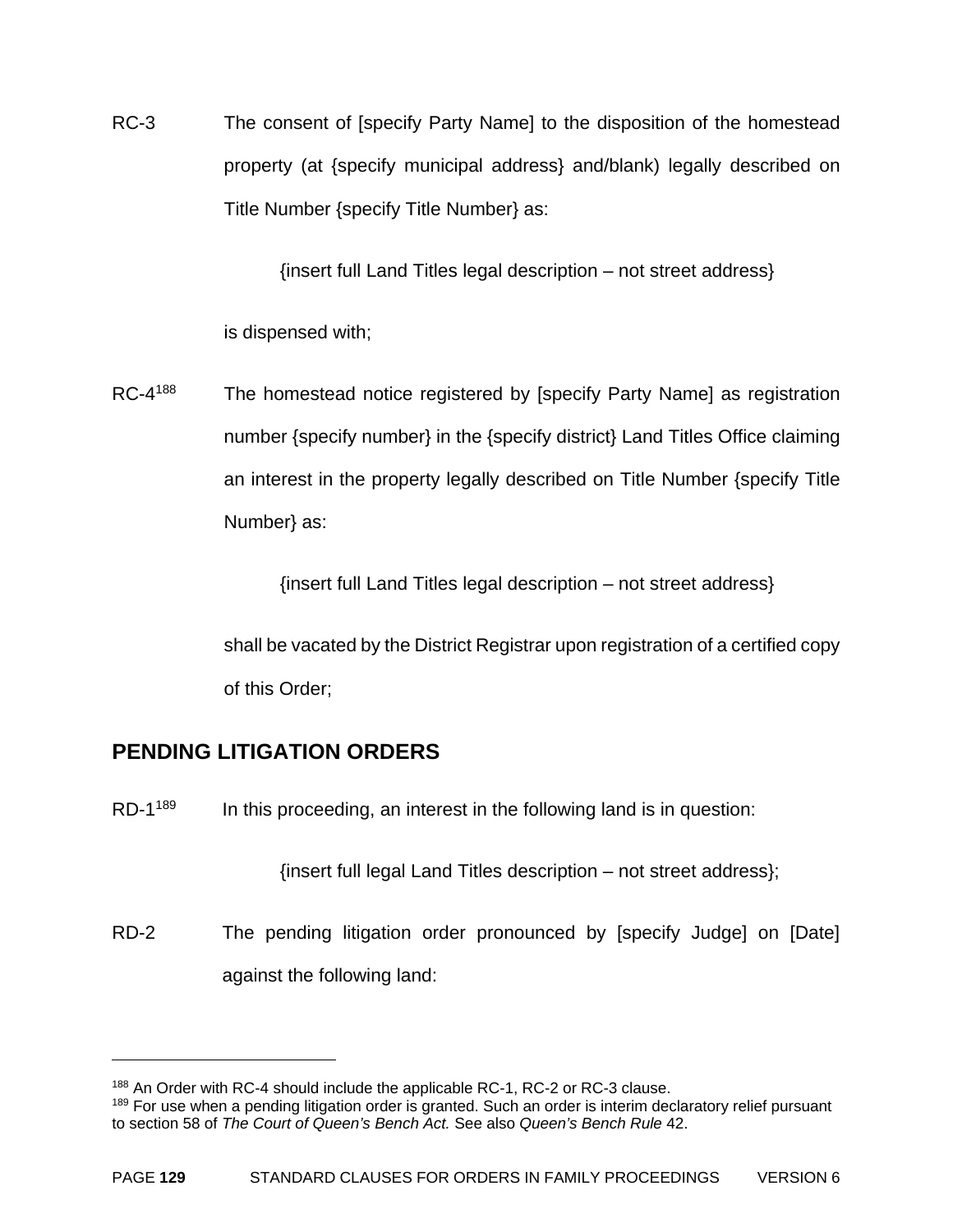RC-3 The consent of [specify Party Name] to the disposition of the homestead property (at {specify municipal address} and/blank) legally described on Title Number {specify Title Number} as:

{insert full Land Titles legal description – not street address}

is dispensed with;

RC-4<sup>188</sup> The homestead notice registered by [specify Party Name] as registration number {specify number} in the {specify district} Land Titles Office claiming an interest in the property legally described on Title Number {specify Title Number} as:

{insert full Land Titles legal description – not street address}

shall be vacated by the District Registrar upon registration of a certified copy of this Order;

#### **PENDING LITIGATION ORDERS**

 $\overline{a}$ 

 $RD-1^{189}$  In this proceeding, an interest in the following land is in question:

{insert full legal Land Titles description – not street address};

RD-2 The pending litigation order pronounced by [specify Judge] on [Date] against the following land:

<sup>&</sup>lt;sup>188</sup> An Order with RC-4 should include the applicable RC-1, RC-2 or RC-3 clause.

<sup>&</sup>lt;sup>189</sup> For use when a pending litigation order is granted. Such an order is interim declaratory relief pursuant to section 58 of *The Court of Queen's Bench Act.* See also *Queen's Bench Rule* 42.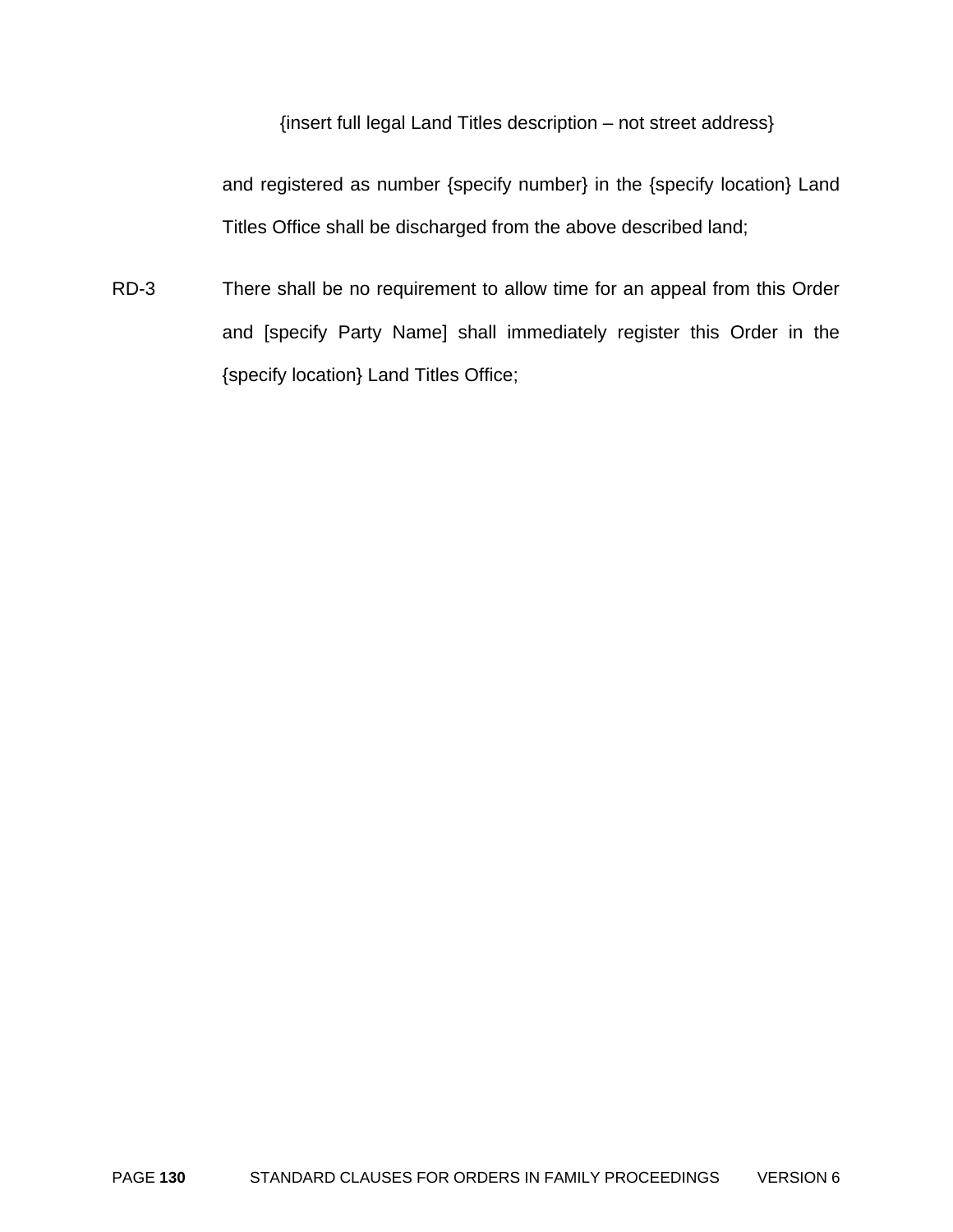{insert full legal Land Titles description – not street address}

and registered as number {specify number} in the {specify location} Land Titles Office shall be discharged from the above described land;

RD-3 There shall be no requirement to allow time for an appeal from this Order and [specify Party Name] shall immediately register this Order in the {specify location} Land Titles Office;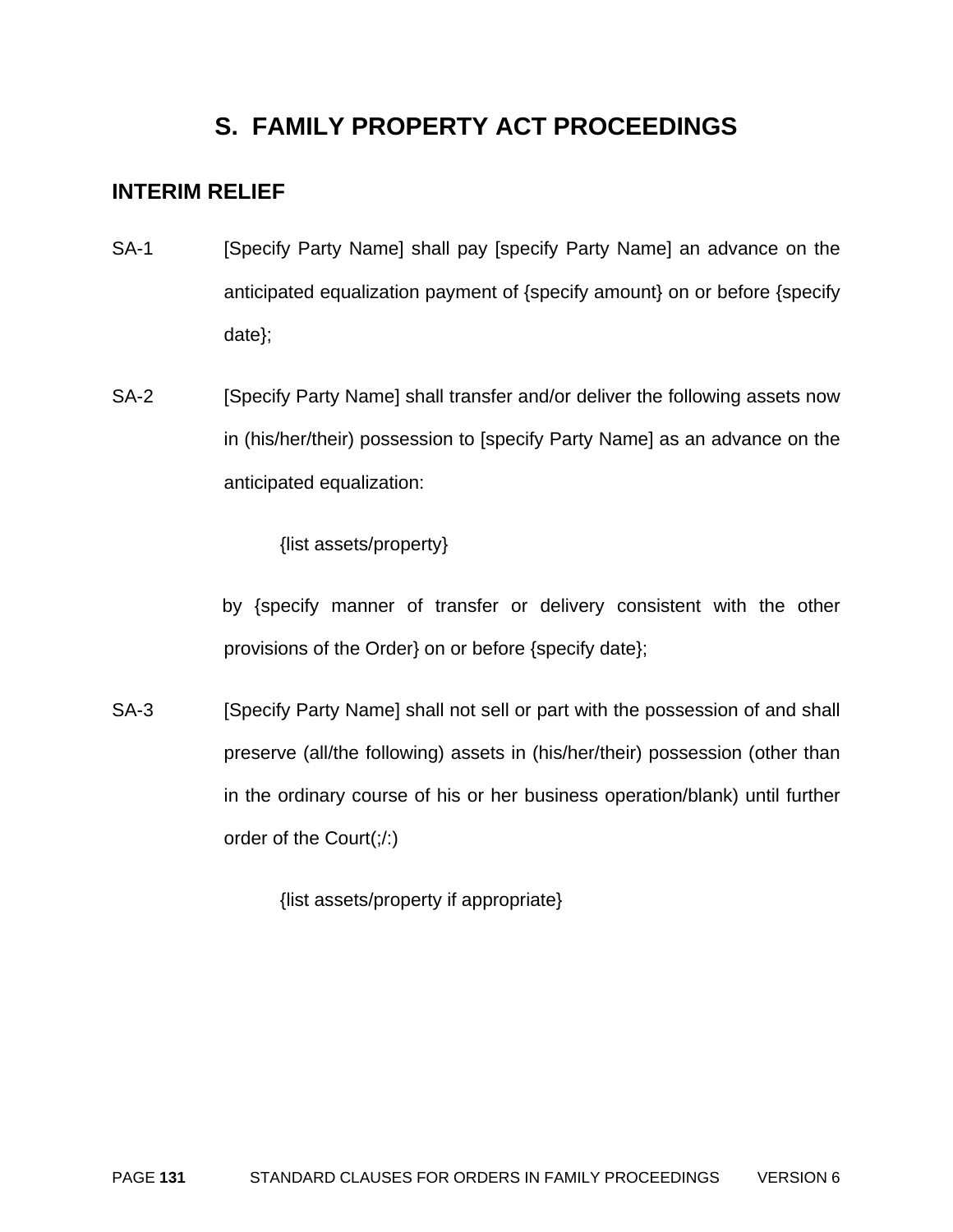### **S. FAMILY PROPERTY ACT PROCEEDINGS**

#### **INTERIM RELIEF**

- SA-1 [Specify Party Name] shall pay [specify Party Name] an advance on the anticipated equalization payment of {specify amount} on or before {specify date};
- SA-2 [Specify Party Name] shall transfer and/or deliver the following assets now in (his/her/their) possession to [specify Party Name] as an advance on the anticipated equalization:

{list assets/property}

by {specify manner of transfer or delivery consistent with the other provisions of the Order} on or before {specify date};

SA-3 [Specify Party Name] shall not sell or part with the possession of and shall preserve (all/the following) assets in (his/her/their) possession (other than in the ordinary course of his or her business operation/blank) until further order of the Court(;/:)

{list assets/property if appropriate}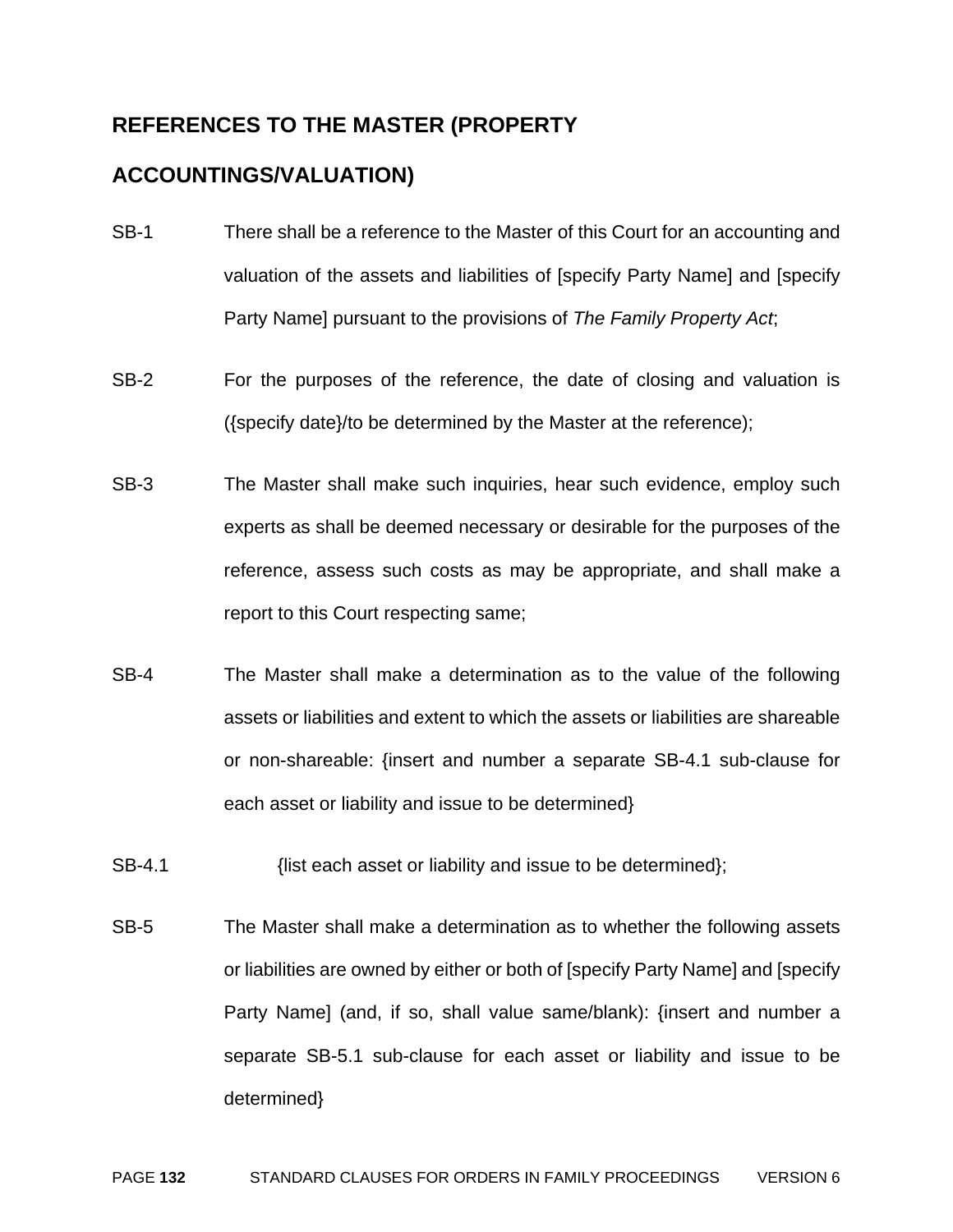#### **REFERENCES TO THE MASTER (PROPERTY**

#### **ACCOUNTINGS/VALUATION)**

- SB-1 There shall be a reference to the Master of this Court for an accounting and valuation of the assets and liabilities of [specify Party Name] and [specify Party Name] pursuant to the provisions of *The Family Property Act*;
- SB-2 For the purposes of the reference, the date of closing and valuation is ({specify date}/to be determined by the Master at the reference);
- SB-3 The Master shall make such inquiries, hear such evidence, employ such experts as shall be deemed necessary or desirable for the purposes of the reference, assess such costs as may be appropriate, and shall make a report to this Court respecting same;
- SB-4 The Master shall make a determination as to the value of the following assets or liabilities and extent to which the assets or liabilities are shareable or non-shareable: {insert and number a separate SB-4.1 sub-clause for each asset or liability and issue to be determined}
- SB-4.1 *SB-4.1* {list each asset or liability and issue to be determined};
- SB-5 The Master shall make a determination as to whether the following assets or liabilities are owned by either or both of [specify Party Name] and [specify Party Name] (and, if so, shall value same/blank): {insert and number a separate SB-5.1 sub-clause for each asset or liability and issue to be determined}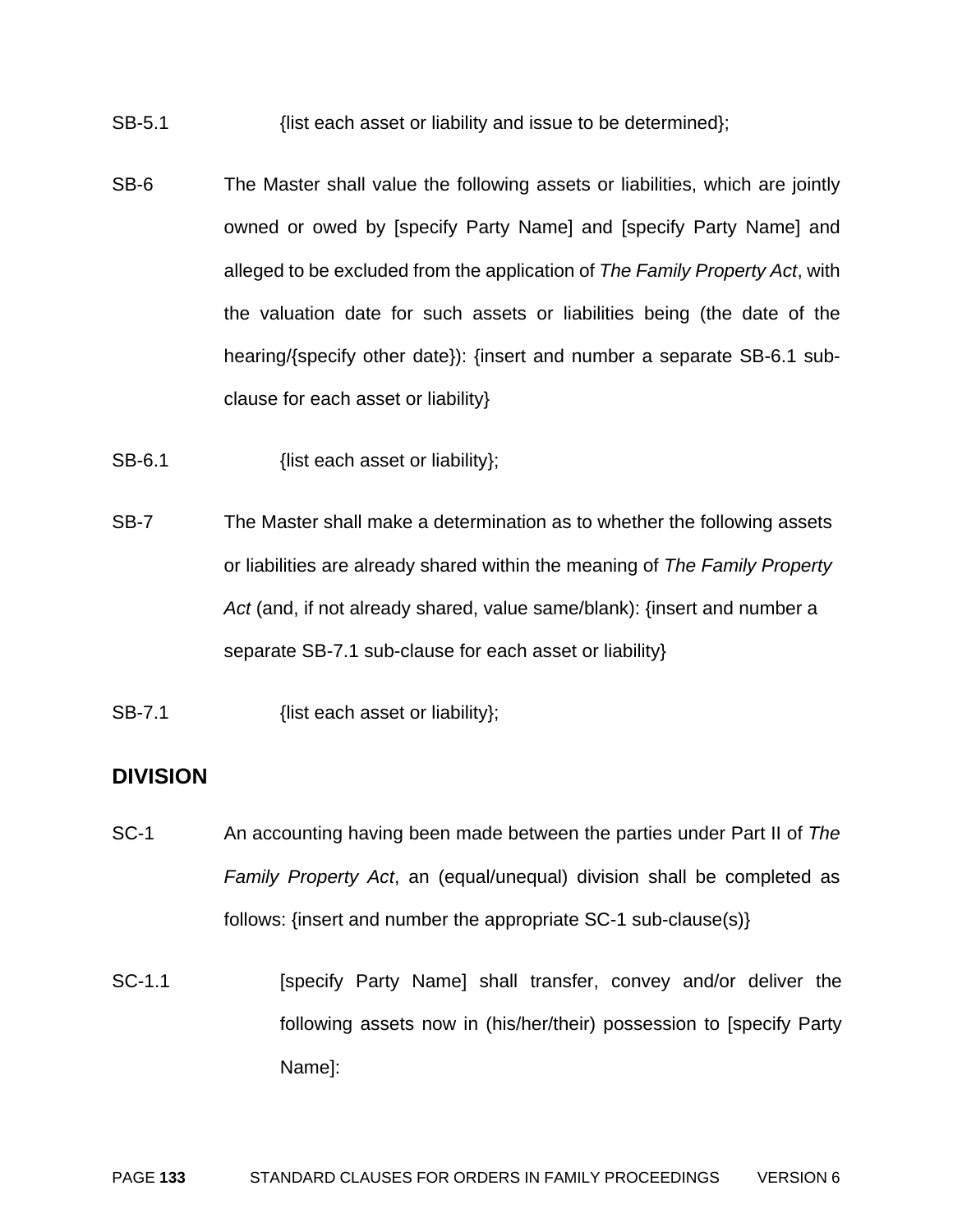- SB-5.1 *SB-5.1* {list each asset or liability and issue to be determined};
- SB-6 The Master shall value the following assets or liabilities, which are jointly owned or owed by [specify Party Name] and [specify Party Name] and alleged to be excluded from the application of *The Family Property Act*, with the valuation date for such assets or liabilities being (the date of the hearing/{specify other date}): {insert and number a separate SB-6.1 subclause for each asset or liability}
- SB-6.1 {list each asset or liability};
- SB-7 The Master shall make a determination as to whether the following assets or liabilities are already shared within the meaning of *The Family Property Act* (and, if not already shared, value same/blank): {insert and number a separate SB-7.1 sub-clause for each asset or liability}
- SB-7.1 {list each asset or liability};

#### **DIVISION**

- SC-1 An accounting having been made between the parties under Part II of *The Family Property Act*, an (equal/unequal) division shall be completed as follows: {insert and number the appropriate SC-1 sub-clause(s)}
- SC-1.1 [specify Party Name] shall transfer, convey and/or deliver the following assets now in (his/her/their) possession to [specify Party Name]: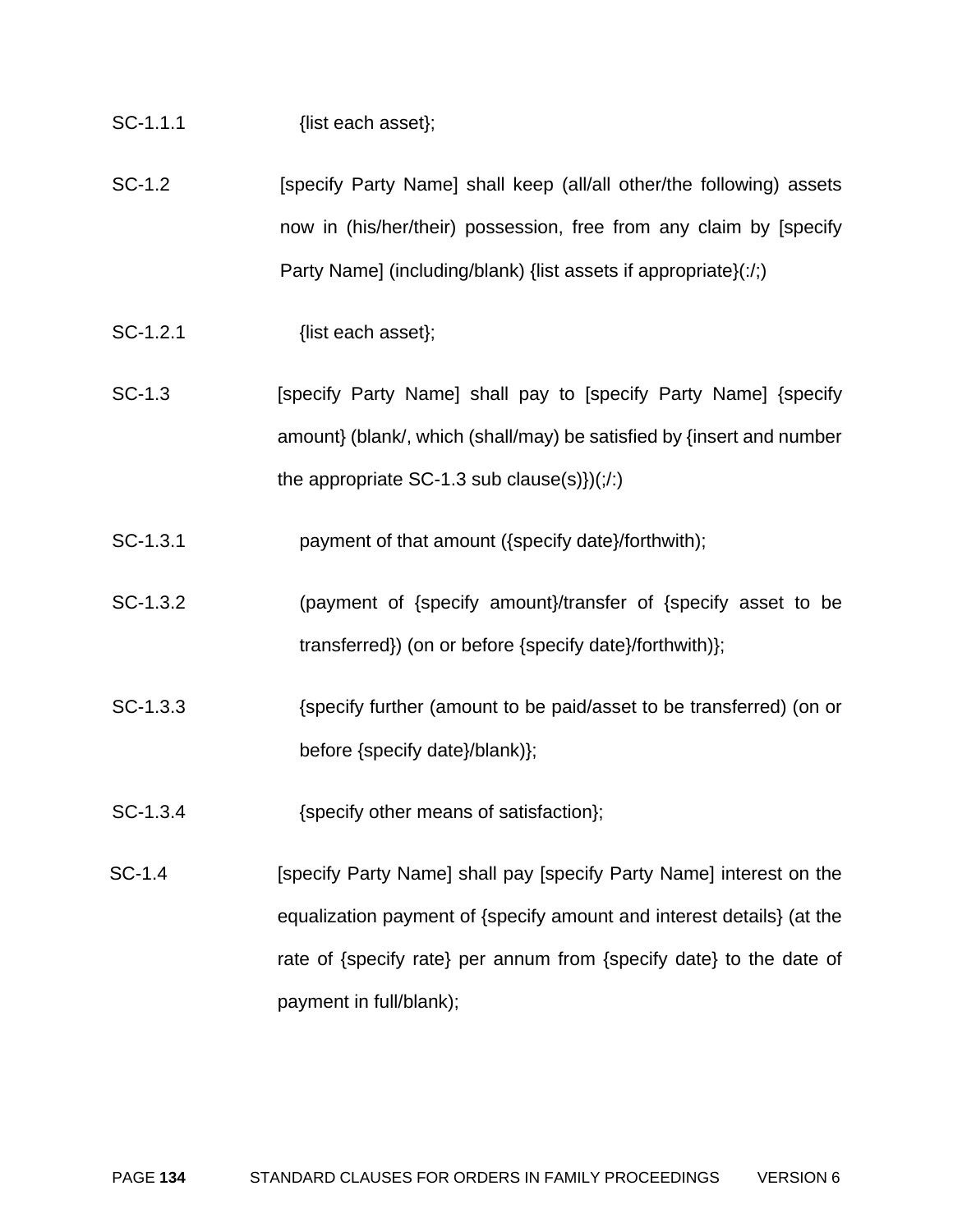| SC-1.1.1 | {list each asset}; |
|----------|--------------------|
|          |                    |

- SC-1.2 **[Specify Party Name] shall keep (all/all other/the following) assets** now in (his/her/their) possession, free from any claim by [specify Party Name] (including/blank) {list assets if appropriate} $(\cdot)$ ;
- SC-1.2.1 {list each asset};
- SC-1.3 **[Specify Party Name] shall pay to [specify Party Name] {specify** amount} (blank/, which (shall/may) be satisfied by {insert and number the appropriate SC-1.3 sub clause(s) $)(\cdot \cdot \cdot)$
- SC-1.3.1 payment of that amount ({specify date}/forthwith);
- SC-1.3.2 (payment of {specify amount}/transfer of {specify asset to be transferred}) (on or before {specify date}/forthwith)};
- SC-1.3.3 {specify further (amount to be paid/asset to be transferred) (on or before {specify date}/blank)};
- SC-1.3.4 {specify other means of satisfaction};
- SC-1.4 **[Specify Party Name] shall pay [Specify Party Name] interest on the** equalization payment of {specify amount and interest details} (at the rate of {specify rate} per annum from {specify date} to the date of payment in full/blank);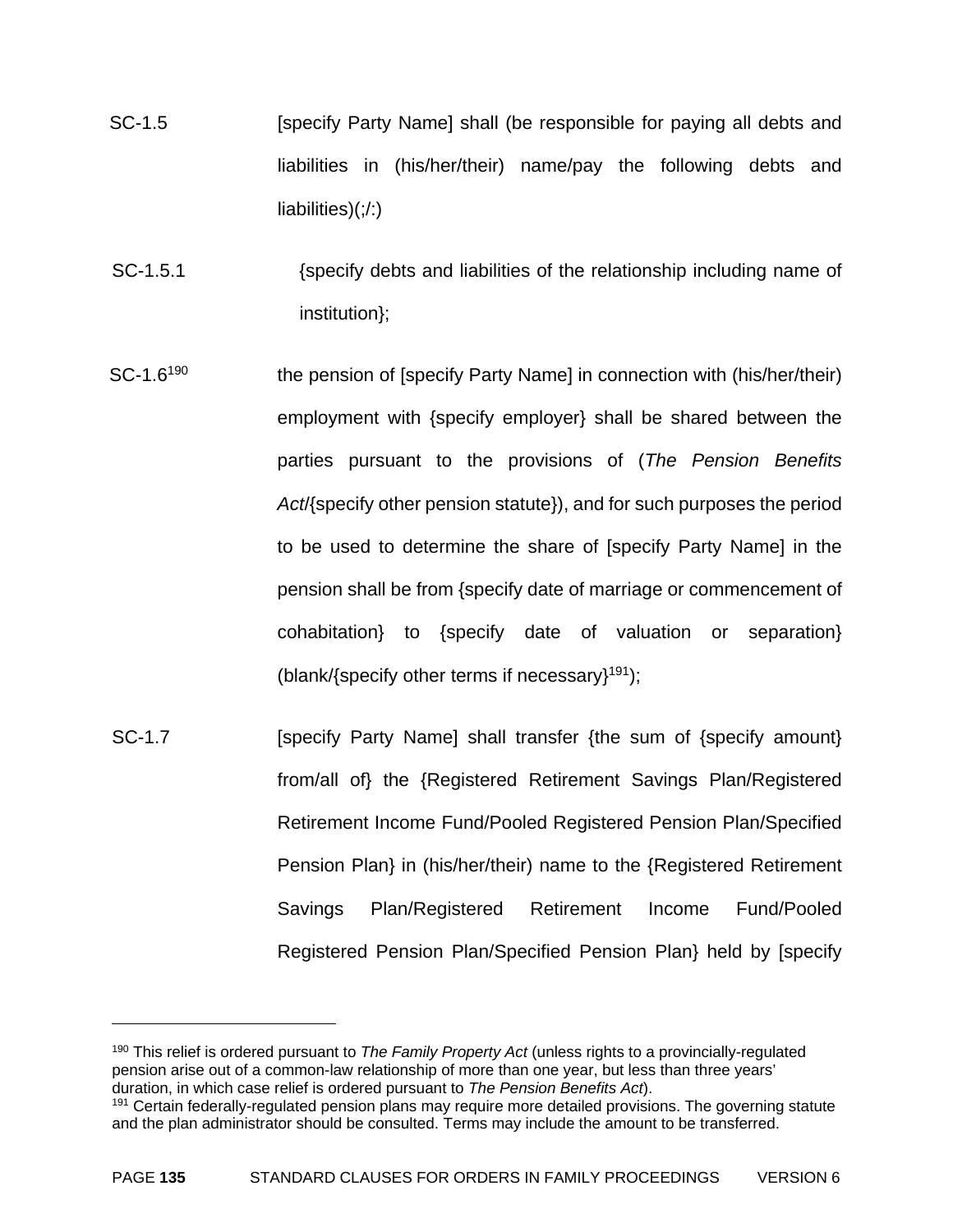- SC-1.5 **Example 2** [specify Party Name] shall (be responsible for paying all debts and liabilities in (his/her/their) name/pay the following debts and liabilities)(;/:)
- SC-1.5.1 {specify debts and liabilities of the relationship including name of institution};
- SC-1.6<sup>190</sup> the pension of [specify Party Name] in connection with (his/her/their) employment with {specify employer} shall be shared between the parties pursuant to the provisions of (*The Pension Benefits Act*/{specify other pension statute}), and for such purposes the period to be used to determine the share of [specify Party Name] in the pension shall be from {specify date of marriage or commencement of cohabitation} to {specify date of valuation or separation} (blank/{specify other terms if necessary}<sup>191</sup>);
- SC-1.7 **Example 1.5 [SECTER** [Specify Party Name] shall transfer {the sum of {specify amount} from/all of} the {Registered Retirement Savings Plan/Registered Retirement Income Fund/Pooled Registered Pension Plan/Specified Pension Plan} in (his/her/their) name to the {Registered Retirement Savings Plan/Registered Retirement Income Fund/Pooled Registered Pension Plan/Specified Pension Plan} held by [specify

<sup>190</sup> This relief is ordered pursuant to *The Family Property Act* (unless rights to a provincially-regulated pension arise out of a common-law relationship of more than one year, but less than three years' duration, in which case relief is ordered pursuant to *The Pension Benefits Act*).

<sup>&</sup>lt;sup>191</sup> Certain federally-regulated pension plans may require more detailed provisions. The governing statute and the plan administrator should be consulted. Terms may include the amount to be transferred.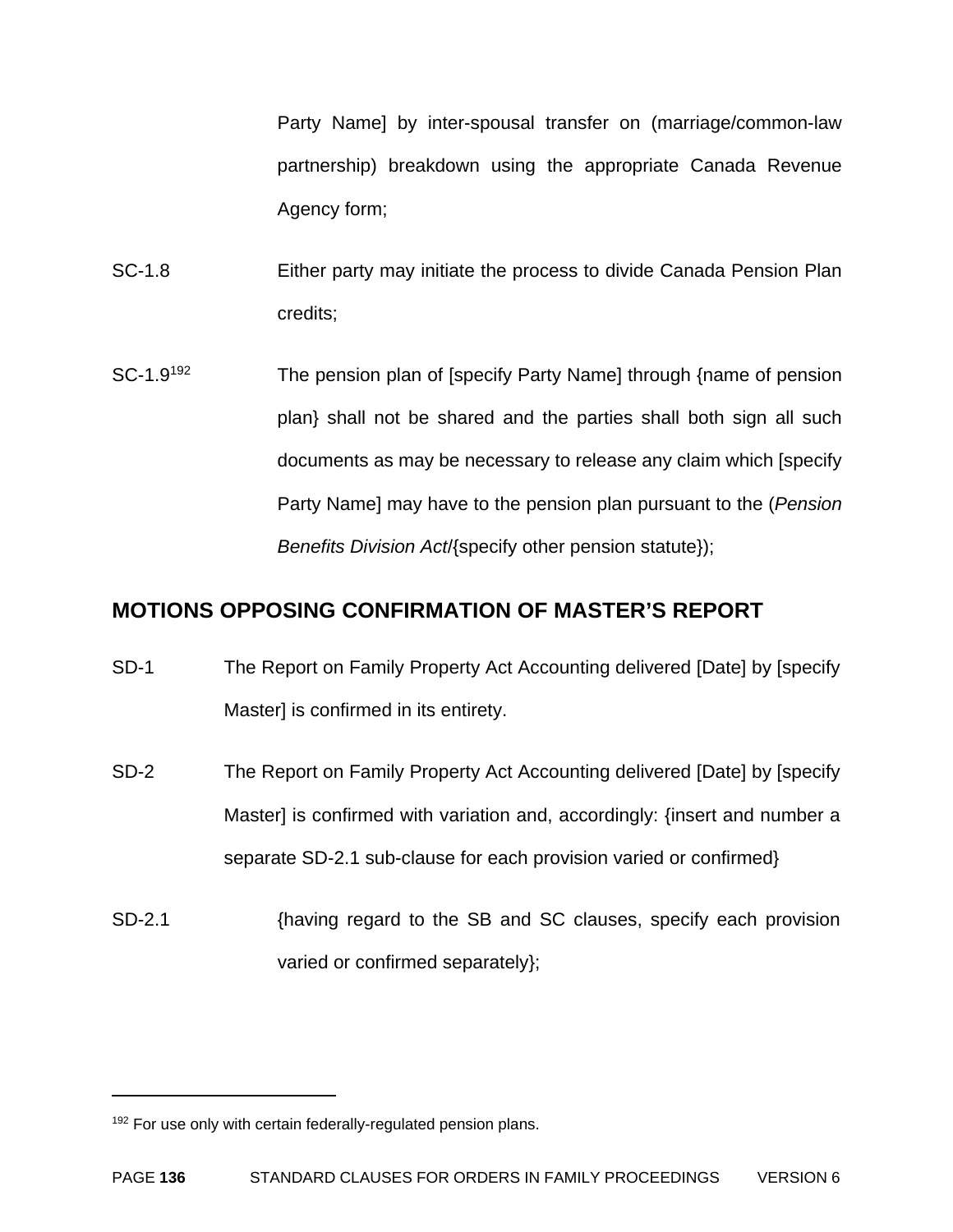Party Name] by inter-spousal transfer on (marriage/common-law partnership) breakdown using the appropriate Canada Revenue Agency form;

SC-1.8 Either party may initiate the process to divide Canada Pension Plan credits;

SC-1.9<sup>192</sup> The pension plan of [specify Party Name] through {name of pension plan} shall not be shared and the parties shall both sign all such documents as may be necessary to release any claim which [specify Party Name] may have to the pension plan pursuant to the (*Pension Benefits Division Act*/{specify other pension statute});

#### **MOTIONS OPPOSING CONFIRMATION OF MASTER'S REPORT**

- SD-1 The Report on Family Property Act Accounting delivered [Date] by [specify Master] is confirmed in its entirety.
- SD-2 The Report on Family Property Act Accounting delivered [Date] by [specify Master] is confirmed with variation and, accordingly: {insert and number a separate SD-2.1 sub-clause for each provision varied or confirmed}
- SD-2.1 {having regard to the SB and SC clauses, specify each provision varied or confirmed separately};

<sup>&</sup>lt;sup>192</sup> For use only with certain federally-regulated pension plans.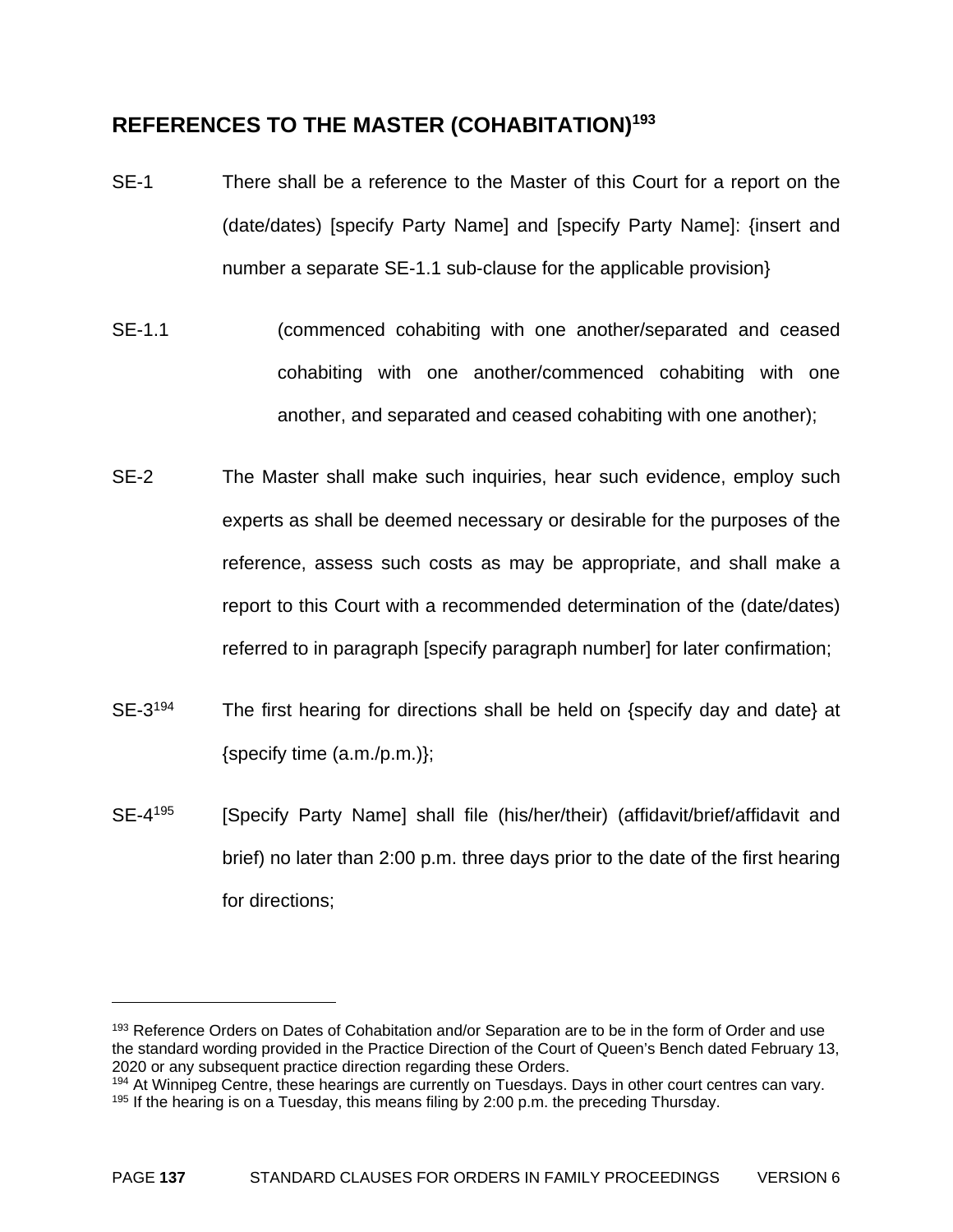#### **REFERENCES TO THE MASTER (COHABITATION)193**

- SE-1 There shall be a reference to the Master of this Court for a report on the (date/dates) [specify Party Name] and [specify Party Name]: {insert and number a separate SE-1.1 sub-clause for the applicable provision}
- SE-1.1 (commenced cohabiting with one another/separated and ceased cohabiting with one another/commenced cohabiting with one another, and separated and ceased cohabiting with one another);
- SE-2 The Master shall make such inquiries, hear such evidence, employ such experts as shall be deemed necessary or desirable for the purposes of the reference, assess such costs as may be appropriate, and shall make a report to this Court with a recommended determination of the (date/dates) referred to in paragraph [specify paragraph number] for later confirmation;
- SE-3<sup>194</sup> The first hearing for directions shall be held on {specify day and date} at {specify time (a.m./p.m.)};
- SE-4<sup>195</sup> [Specify Party Name] shall file (his/her/their) (affidavit/brief/affidavit and brief) no later than 2:00 p.m. three days prior to the date of the first hearing for directions;

1

<sup>&</sup>lt;sup>193</sup> Reference Orders on Dates of Cohabitation and/or Separation are to be in the form of Order and use the standard wording provided in the Practice Direction of the Court of Queen's Bench dated February 13, 2020 or any subsequent practice direction regarding these Orders.

<sup>&</sup>lt;sup>194</sup> At Winnipeg Centre, these hearings are currently on Tuesdays. Days in other court centres can vary. <sup>195</sup> If the hearing is on a Tuesday, this means filing by 2:00 p.m. the preceding Thursday.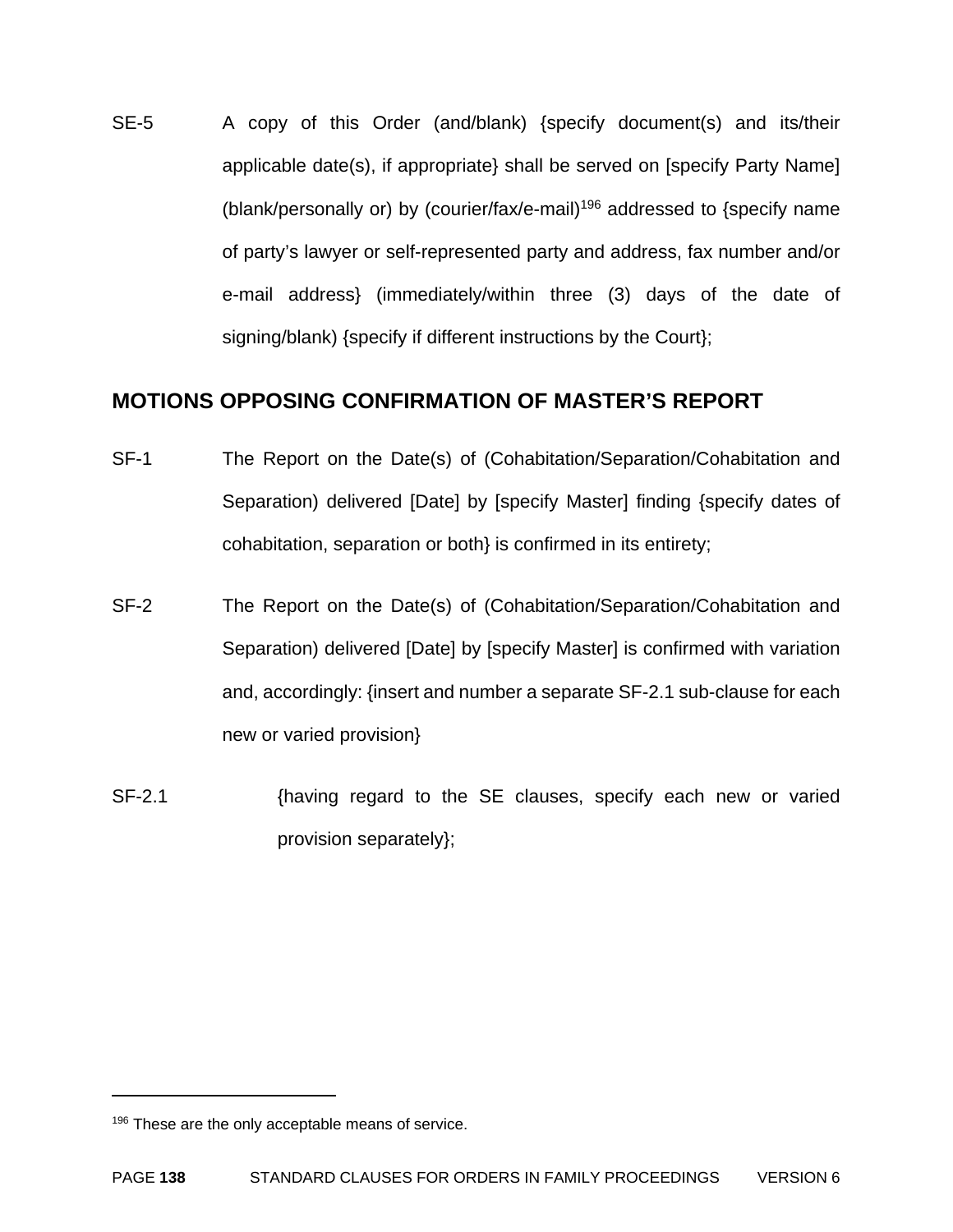SE-5 A copy of this Order (and/blank) {specify document(s) and its/their applicable date(s), if appropriate} shall be served on [specify Party Name] (blank/personally or) by (courier/fax/e-mail)<sup>196</sup> addressed to {specify name of party's lawyer or self-represented party and address, fax number and/or e-mail address} (immediately/within three (3) days of the date of signing/blank) {specify if different instructions by the Court};

#### **MOTIONS OPPOSING CONFIRMATION OF MASTER'S REPORT**

- SF-1 The Report on the Date(s) of (Cohabitation/Separation/Cohabitation and Separation) delivered [Date] by [specify Master] finding {specify dates of cohabitation, separation or both} is confirmed in its entirety;
- SF-2 The Report on the Date(s) of (Cohabitation/Separation/Cohabitation and Separation) delivered [Date] by [specify Master] is confirmed with variation and, accordingly: {insert and number a separate SF-2.1 sub-clause for each new or varied provision}
- SF-2.1 {having regard to the SE clauses, specify each new or varied provision separately};

1

<sup>&</sup>lt;sup>196</sup> These are the only acceptable means of service.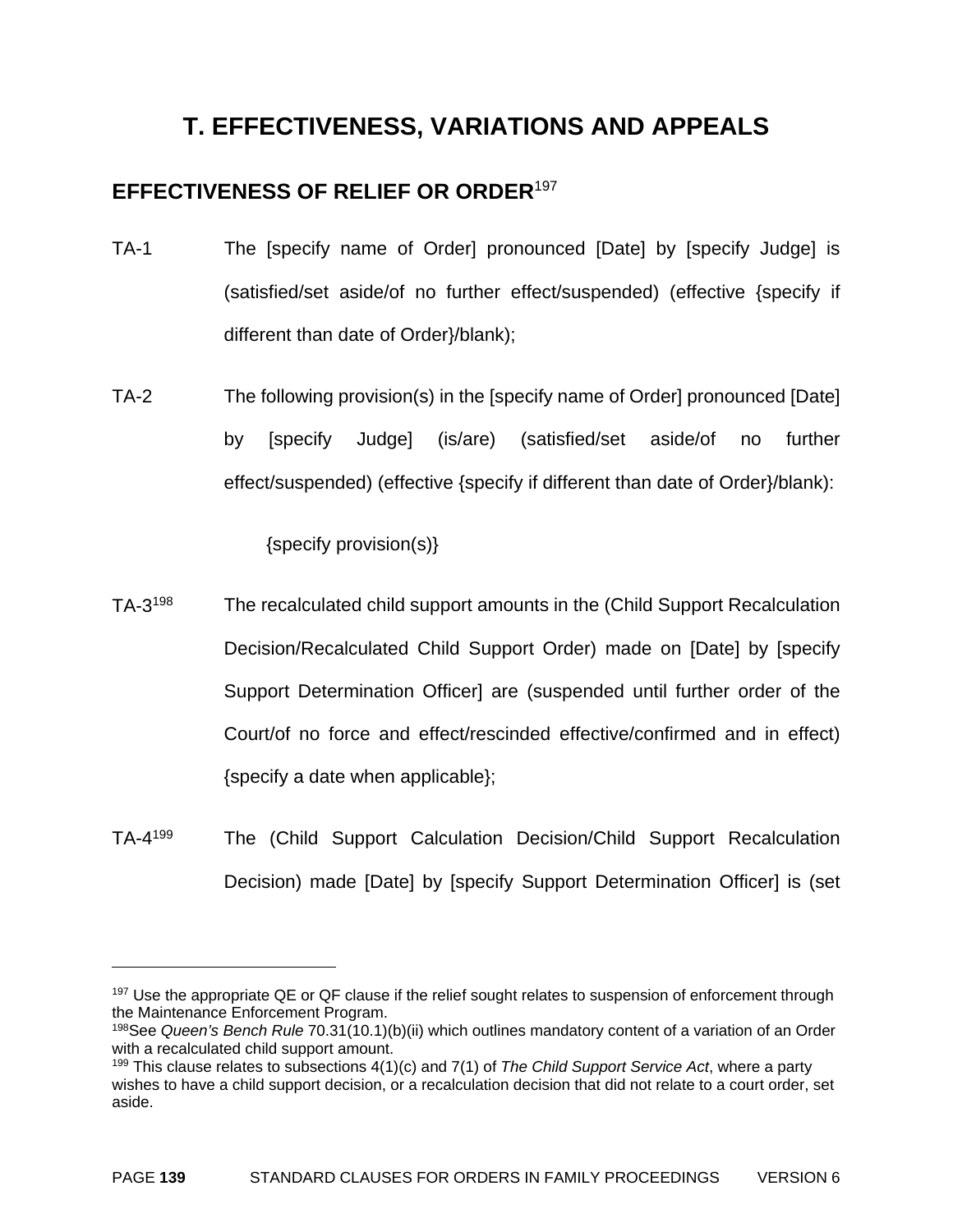### **T. EFFECTIVENESS, VARIATIONS AND APPEALS**

#### **EFFECTIVENESS OF RELIEF OR ORDER**<sup>197</sup>

- TA-1 The [specify name of Order] pronounced [Date] by [specify Judge] is (satisfied/set aside/of no further effect/suspended) (effective {specify if different than date of Order}/blank);
- TA-2 The following provision(s) in the [specify name of Order] pronounced [Date] by [specify Judge] (is/are) (satisfied/set aside/of no further effect/suspended) (effective {specify if different than date of Order}/blank):

{specify provision(s)}

- TA-3198 The recalculated child support amounts in the (Child Support Recalculation Decision/Recalculated Child Support Order) made on [Date] by [specify Support Determination Officer] are (suspended until further order of the Court/of no force and effect/rescinded effective/confirmed and in effect) {specify a date when applicable};
- TA-4199 The (Child Support Calculation Decision/Child Support Recalculation Decision) made [Date] by [specify Support Determination Officer] is (set

<sup>&</sup>lt;sup>197</sup> Use the appropriate QE or QF clause if the relief sought relates to suspension of enforcement through the Maintenance Enforcement Program.

<sup>198</sup>See *Queen's Bench Rule* 70.31(10.1)(b)(ii) which outlines mandatory content of a variation of an Order with a recalculated child support amount.

<sup>199</sup> This clause relates to subsections 4(1)(c) and 7(1) of *The Child Support Service Act*, where a party wishes to have a child support decision, or a recalculation decision that did not relate to a court order, set aside.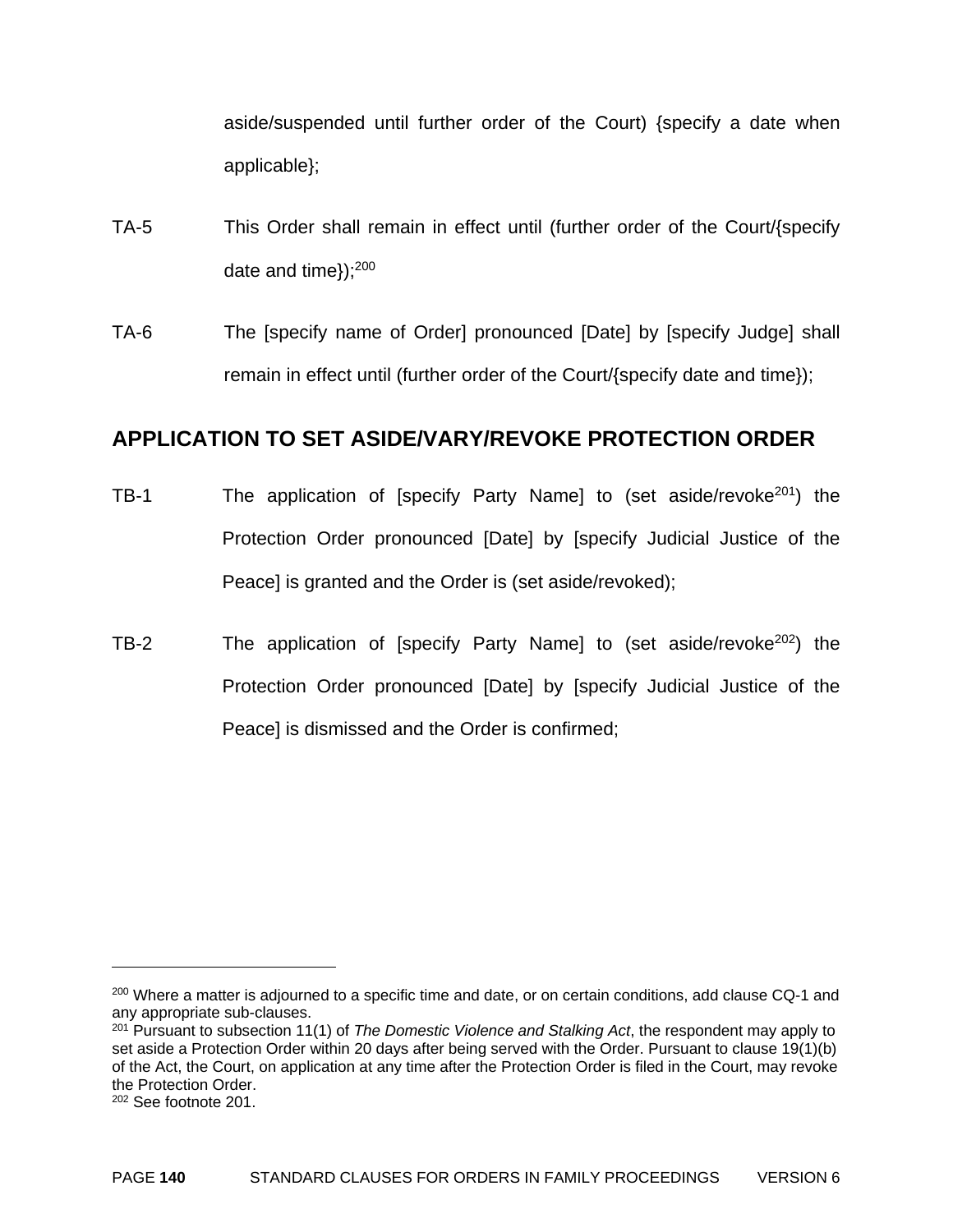aside/suspended until further order of the Court) {specify a date when applicable};

- TA-5 This Order shall remain in effect until (further order of the Court/{specify date and time});200
- TA-6 The [specify name of Order] pronounced [Date] by [specify Judge] shall remain in effect until (further order of the Court/{specify date and time});

#### **APPLICATION TO SET ASIDE/VARY/REVOKE PROTECTION ORDER**

- TB-1 The application of [specify Party Name] to (set aside/revoke<sup>201</sup>) the Protection Order pronounced [Date] by [specify Judicial Justice of the Peace] is granted and the Order is (set aside/revoked);
- TB-2 The application of [specify Party Name] to (set aside/revoke<sup>202</sup>) the Protection Order pronounced [Date] by [specify Judicial Justice of the Peace] is dismissed and the Order is confirmed;

<sup>&</sup>lt;sup>200</sup> Where a matter is adjourned to a specific time and date, or on certain conditions, add clause CQ-1 and any appropriate sub-clauses.

<sup>201</sup> Pursuant to subsection 11(1) of *The Domestic Violence and Stalking Act*, the respondent may apply to set aside a Protection Order within 20 days after being served with the Order. Pursuant to clause 19(1)(b) of the Act, the Court, on application at any time after the Protection Order is filed in the Court, may revoke the Protection Order.

<sup>202</sup> See footnote 201.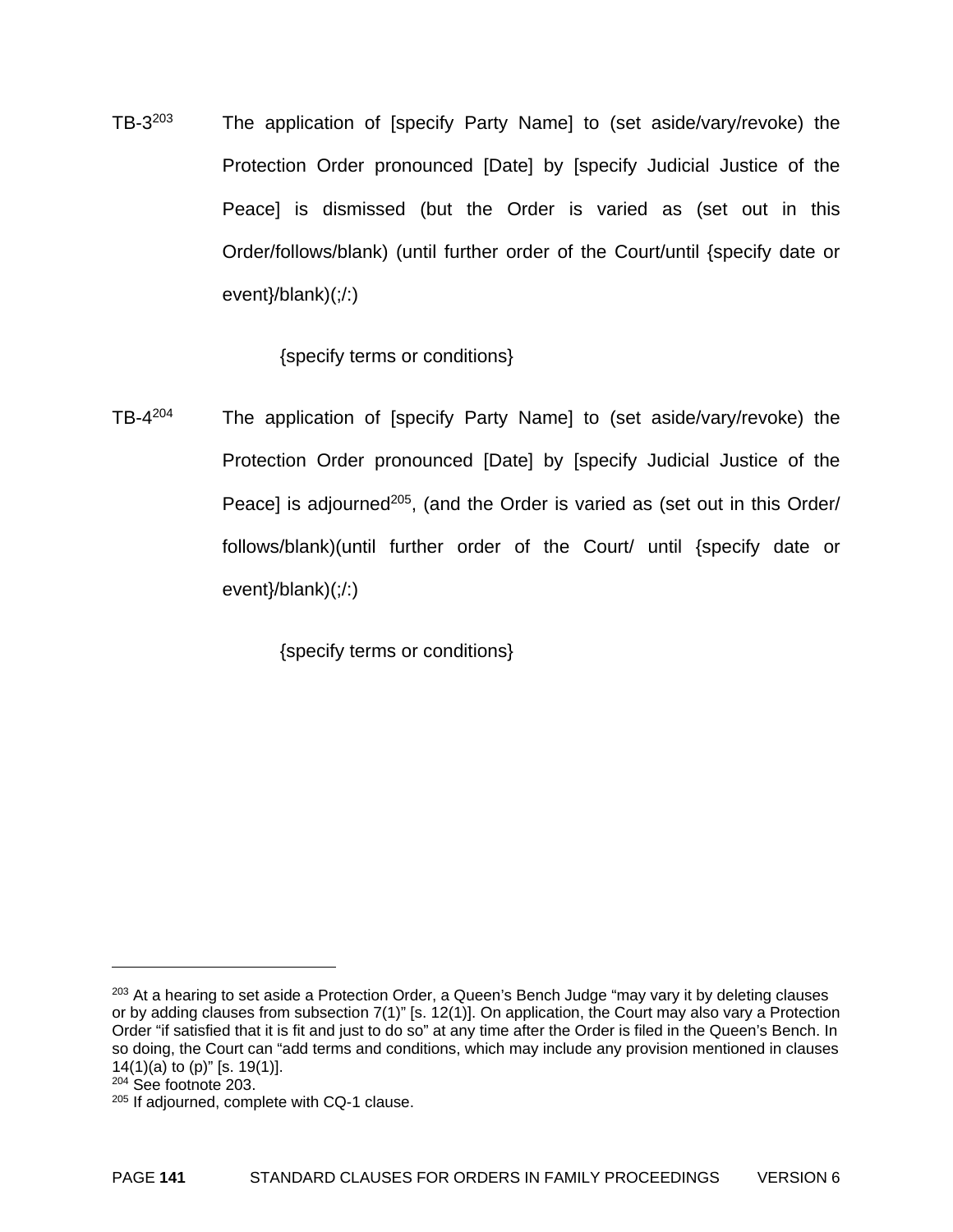TB-3203 The application of [specify Party Name] to (set aside/vary/revoke) the Protection Order pronounced [Date] by [specify Judicial Justice of the Peace] is dismissed (but the Order is varied as (set out in this Order/follows/blank) (until further order of the Court/until {specify date or event}/blank)(;/:)

{specify terms or conditions}

TB-4204 The application of [specify Party Name] to (set aside/vary/revoke) the Protection Order pronounced [Date] by [specify Judicial Justice of the Peace] is adjourned<sup>205</sup>, (and the Order is varied as (set out in this Order/ follows/blank)(until further order of the Court/ until {specify date or event}/blank)(;/:)

{specify terms or conditions}

<u>.</u>

<sup>&</sup>lt;sup>203</sup> At a hearing to set aside a Protection Order, a Queen's Bench Judge "may vary it by deleting clauses or by adding clauses from subsection 7(1)" [s. 12(1)]. On application, the Court may also vary a Protection Order "if satisfied that it is fit and just to do so" at any time after the Order is filed in the Queen's Bench. In so doing, the Court can "add terms and conditions, which may include any provision mentioned in clauses 14(1)(a) to (p)" [s. 19(1)].

<sup>204</sup> See footnote 203.

<sup>205</sup> If adjourned, complete with CQ-1 clause.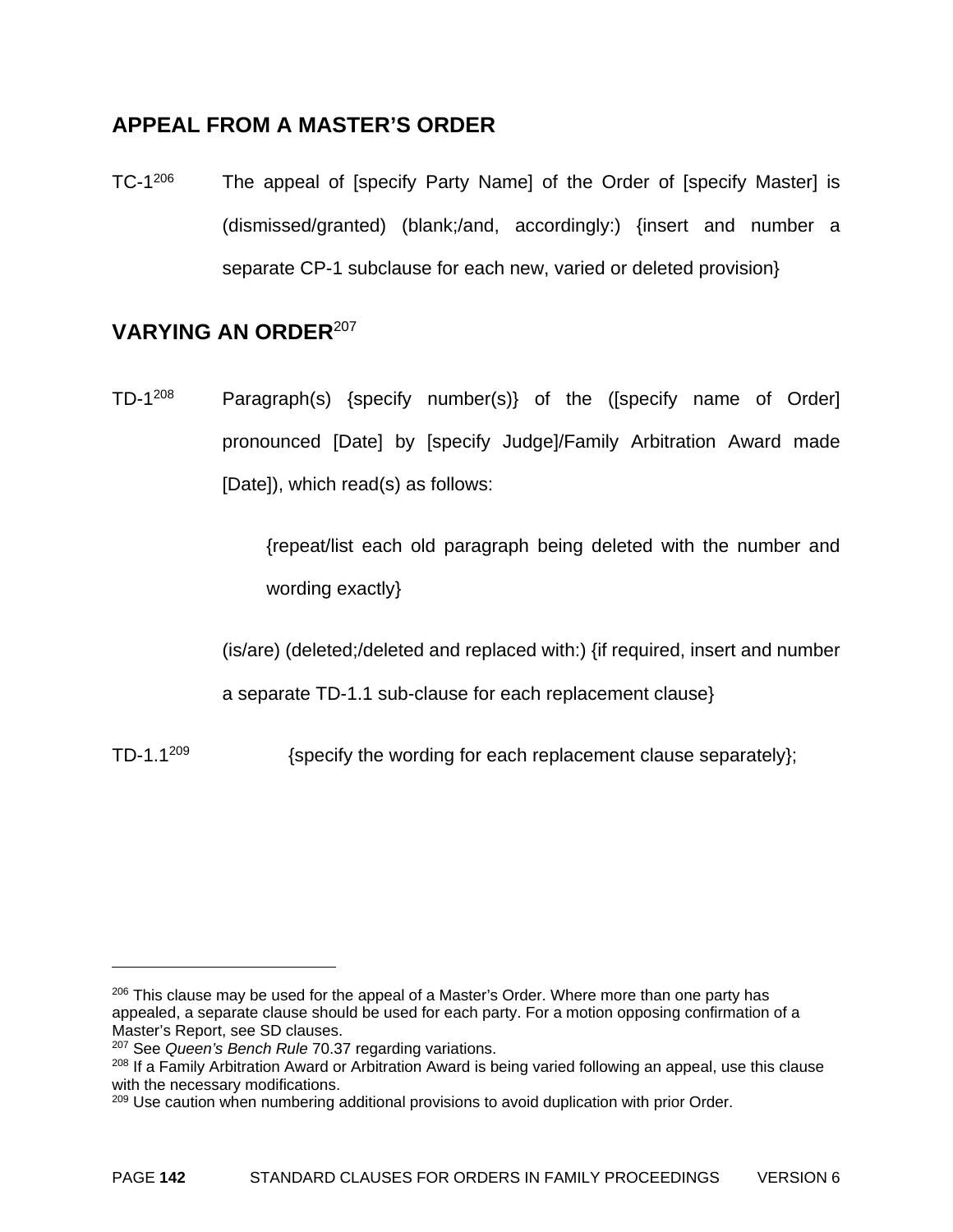#### **APPEAL FROM A MASTER'S ORDER**

TC-1<sup>206</sup> The appeal of [specify Party Name] of the Order of [specify Master] is (dismissed/granted) (blank;/and, accordingly:) {insert and number a separate CP-1 subclause for each new, varied or deleted provision}

#### **VARYING AN ORDER**<sup>207</sup>

TD-1208 Paragraph(s) {specify number(s)} of the ([specify name of Order] pronounced [Date] by [specify Judge]/Family Arbitration Award made [Date]), which read(s) as follows:

> {repeat/list each old paragraph being deleted with the number and wording exactly}

(is/are) (deleted;/deleted and replaced with:) {if required, insert and number

a separate TD-1.1 sub-clause for each replacement clause}

TD-1.1<sup>209</sup> {specify the wording for each replacement clause separately};

 $206$  This clause may be used for the appeal of a Master's Order. Where more than one party has appealed, a separate clause should be used for each party. For a motion opposing confirmation of a Master's Report, see SD clauses.

<sup>207</sup> See *Queen's Bench Rule* 70.37 regarding variations.

<sup>&</sup>lt;sup>208</sup> If a Family Arbitration Award or Arbitration Award is being varied following an appeal, use this clause with the necessary modifications.

<sup>&</sup>lt;sup>209</sup> Use caution when numbering additional provisions to avoid duplication with prior Order.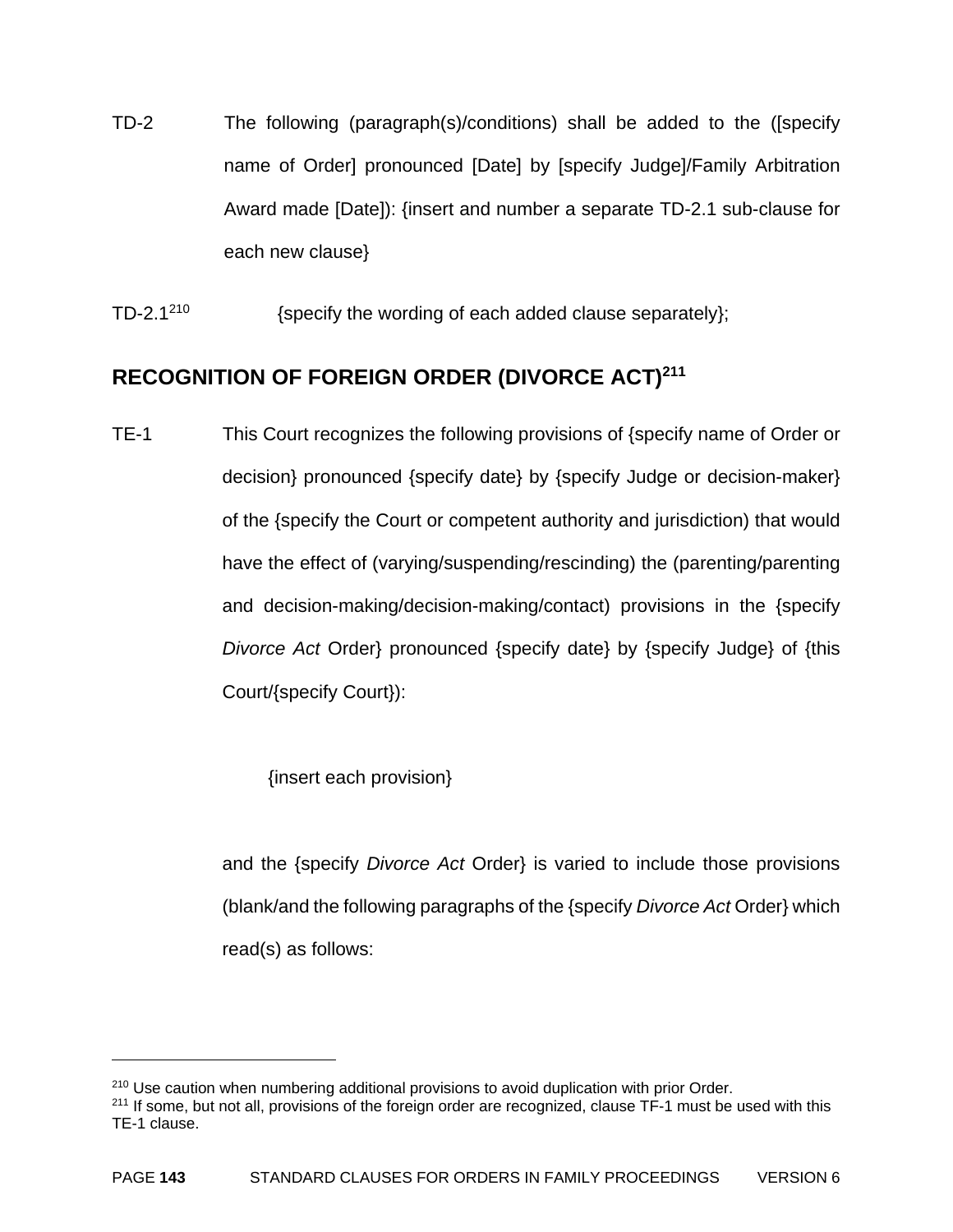- TD-2 The following (paragraph(s)/conditions) shall be added to the ([specify name of Order] pronounced [Date] by [specify Judge]/Family Arbitration Award made [Date]): {insert and number a separate TD-2.1 sub-clause for each new clause}
- TD-2.1<sup>210</sup>  $\{specific\ the\ word\ of\ each\ added\ clause\ separately\};$

#### **RECOGNITION OF FOREIGN ORDER (DIVORCE ACT)211**

TE-1 This Court recognizes the following provisions of {specify name of Order or decision} pronounced {specify date} by {specify Judge or decision-maker} of the {specify the Court or competent authority and jurisdiction) that would have the effect of (varying/suspending/rescinding) the (parenting/parenting and decision-making/decision-making/contact) provisions in the {specify *Divorce Act* Order} pronounced {specify date} by {specify Judge} of {this Court/{specify Court}):

{insert each provision}

 $\overline{a}$ 

 and the {specify *Divorce Act* Order} is varied to include those provisions (blank/and the following paragraphs of the {specify *Divorce Act* Order} which read(s) as follows:

<sup>&</sup>lt;sup>210</sup> Use caution when numbering additional provisions to avoid duplication with prior Order.

<sup>&</sup>lt;sup>211</sup> If some, but not all, provisions of the foreign order are recognized, clause TF-1 must be used with this TE-1 clause.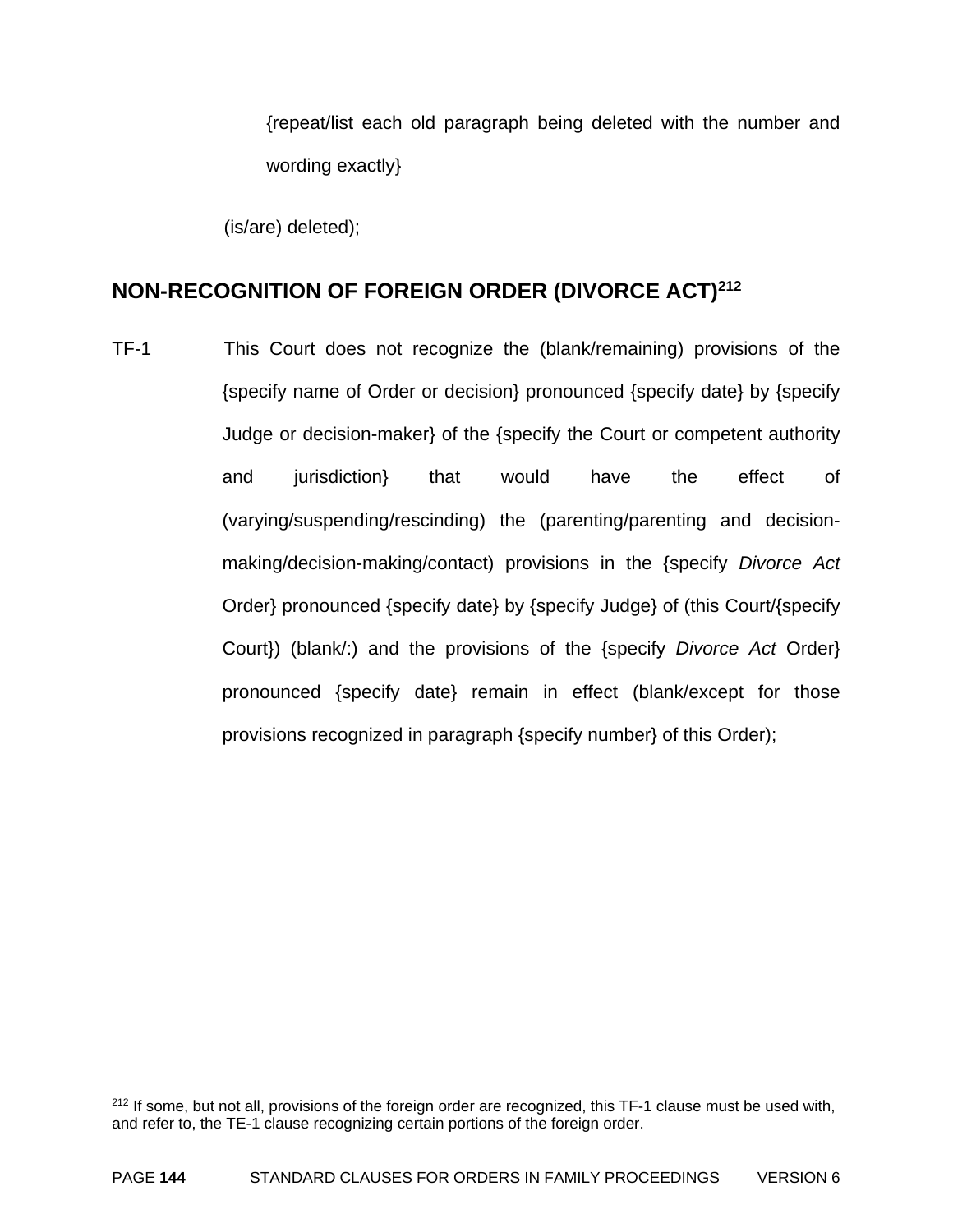{repeat/list each old paragraph being deleted with the number and wording exactly}

(is/are) deleted);

 $\overline{a}$ 

## **NON-RECOGNITION OF FOREIGN ORDER (DIVORCE ACT)212**

TF-1 This Court does not recognize the (blank/remaining) provisions of the {specify name of Order or decision} pronounced {specify date} by {specify Judge or decision-maker} of the {specify the Court or competent authority and jurisdiction} that would have the effect of (varying/suspending/rescinding) the (parenting/parenting and decisionmaking/decision-making/contact) provisions in the {specify *Divorce Act* Order} pronounced {specify date} by {specify Judge} of (this Court/{specify Court}) (blank/:) and the provisions of the {specify *Divorce Act* Order} pronounced {specify date} remain in effect (blank/except for those provisions recognized in paragraph {specify number} of this Order);

<sup>&</sup>lt;sup>212</sup> If some, but not all, provisions of the foreign order are recognized, this TF-1 clause must be used with, and refer to, the TE-1 clause recognizing certain portions of the foreign order.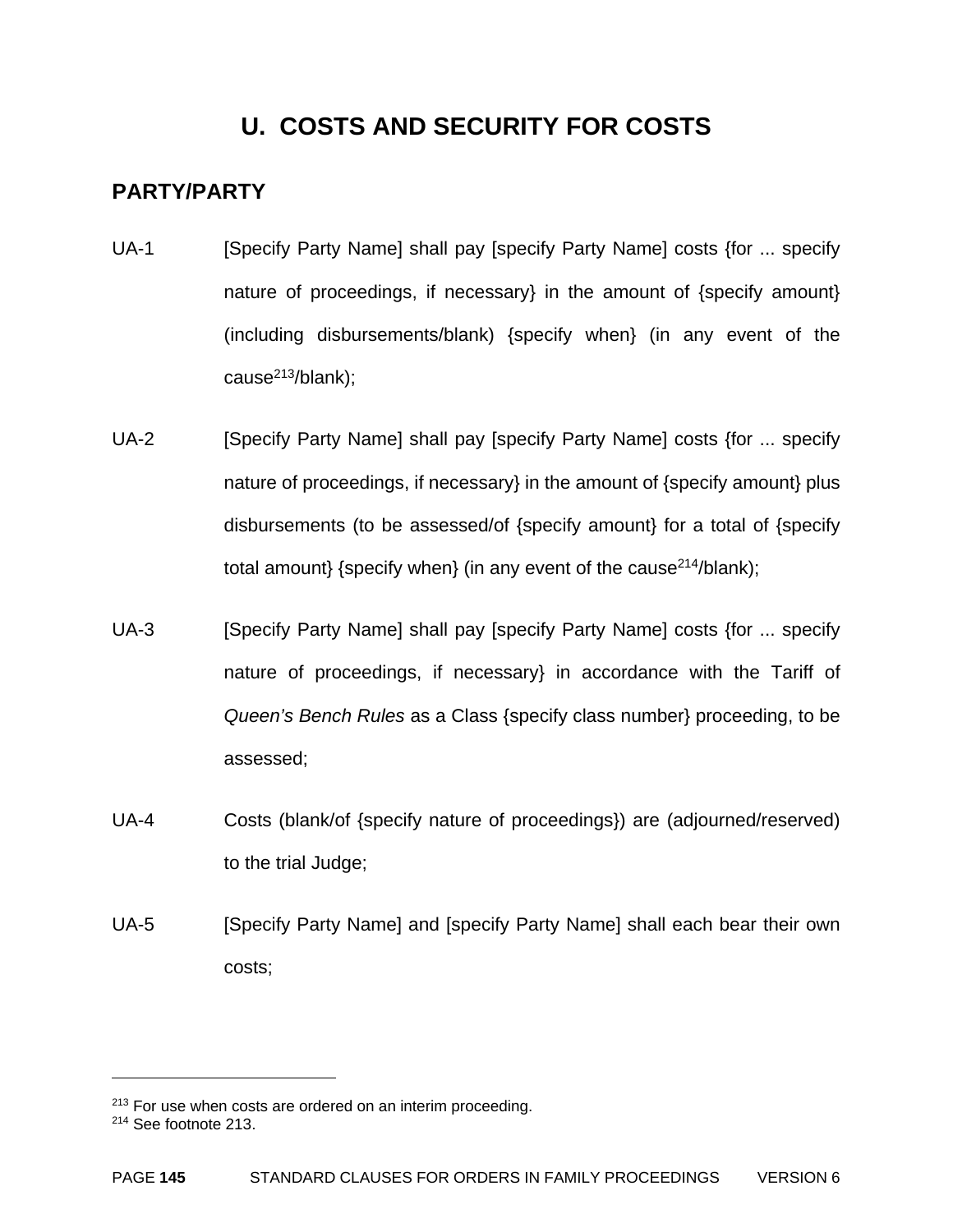## **U. COSTS AND SECURITY FOR COSTS**

### **PARTY/PARTY**

- UA-1 [Specify Party Name] shall pay [specify Party Name] costs {for ... specify nature of proceedings, if necessary} in the amount of {specify amount} (including disbursements/blank) {specify when} (in any event of the cause $^{213}$ /blank);
- UA-2 [Specify Party Name] shall pay [specify Party Name] costs {for ... specify nature of proceedings, if necessary} in the amount of {specify amount} plus disbursements (to be assessed/of {specify amount} for a total of {specify total amount} {specify when} (in any event of the cause<sup>214</sup>/blank);
- UA-3 [Specify Party Name] shall pay [specify Party Name] costs {for ... specify nature of proceedings, if necessary} in accordance with the Tariff of *Queen's Bench Rules* as a Class {specify class number} proceeding, to be assessed;
- UA-4 Costs (blank/of {specify nature of proceedings}) are (adjourned/reserved) to the trial Judge;
- UA-5 [Specify Party Name] and [specify Party Name] shall each bear their own costs;

 $\overline{a}$ 

<sup>&</sup>lt;sup>213</sup> For use when costs are ordered on an interim proceeding.

<sup>214</sup> See footnote 213.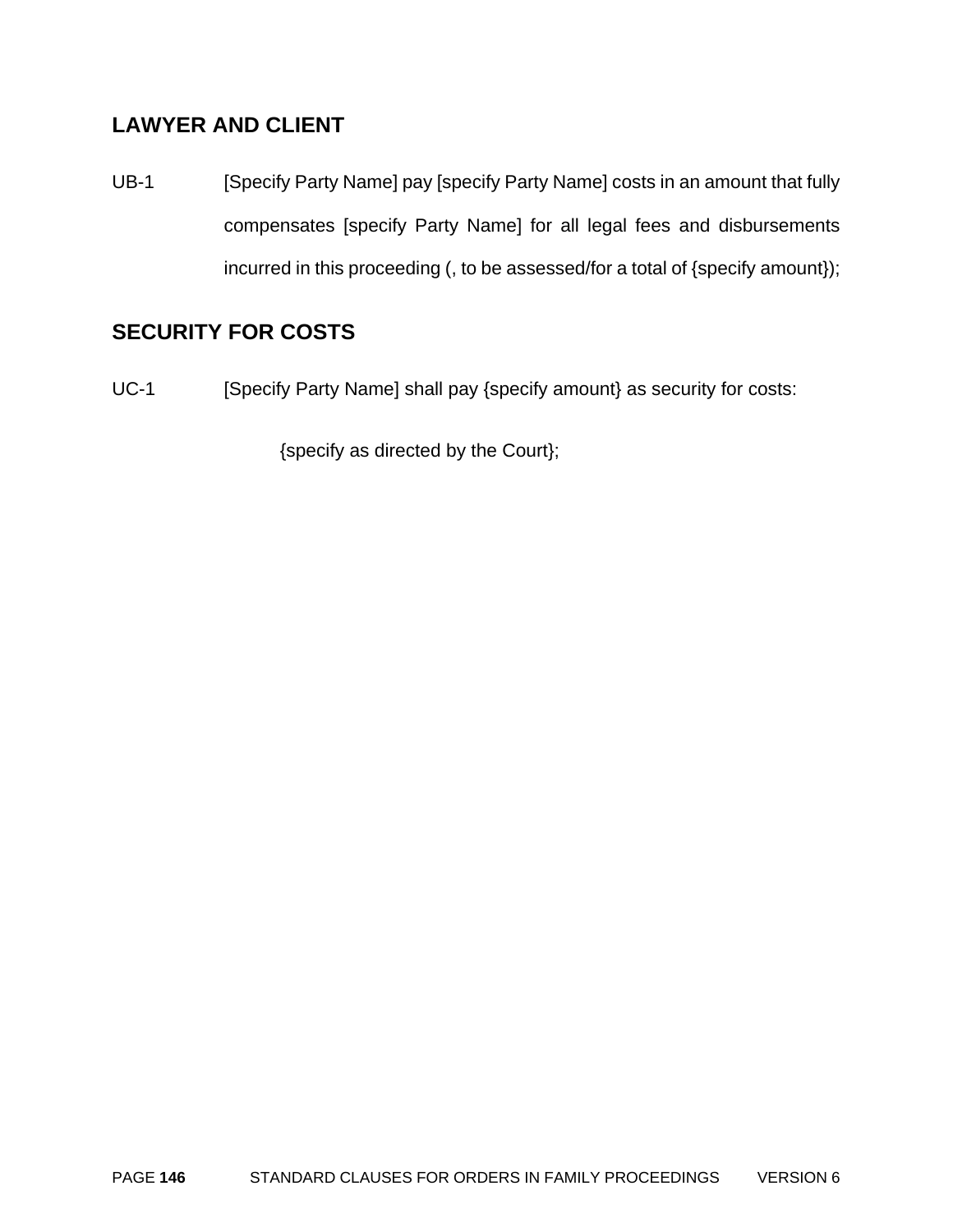### **LAWYER AND CLIENT**

UB-1 [Specify Party Name] pay [specify Party Name] costs in an amount that fully compensates [specify Party Name] for all legal fees and disbursements incurred in this proceeding (, to be assessed/for a total of {specify amount});

### **SECURITY FOR COSTS**

UC-1 [Specify Party Name] shall pay {specify amount} as security for costs:

{specify as directed by the Court};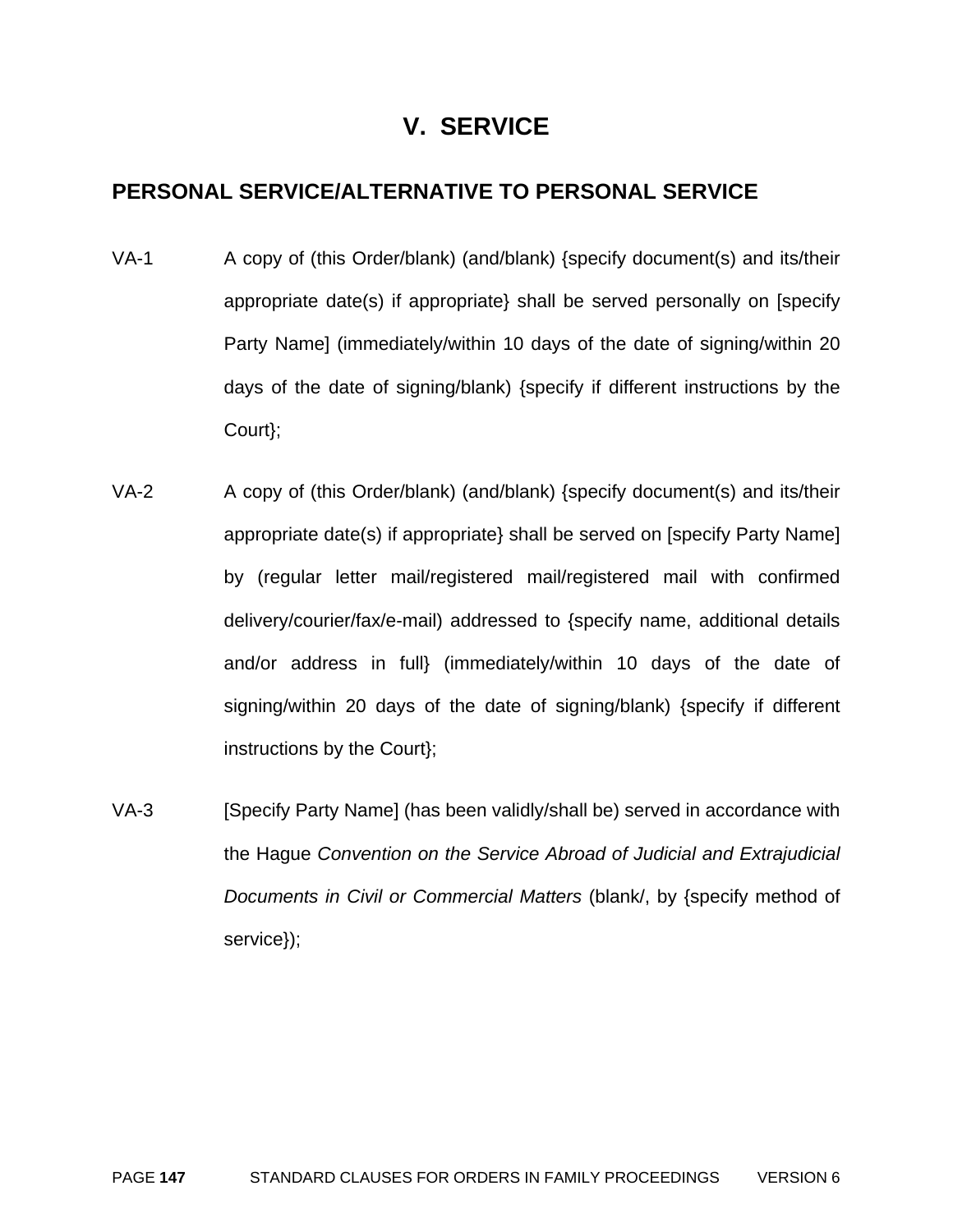## **V. SERVICE**

### **PERSONAL SERVICE/ALTERNATIVE TO PERSONAL SERVICE**

- VA-1 A copy of (this Order/blank) (and/blank) {specify document(s) and its/their appropriate date(s) if appropriate} shall be served personally on [specify Party Name] (immediately/within 10 days of the date of signing/within 20 days of the date of signing/blank) {specify if different instructions by the Court};
- VA-2 A copy of (this Order/blank) (and/blank) {specify document(s) and its/their appropriate date(s) if appropriate} shall be served on [specify Party Name] by (regular letter mail/registered mail/registered mail with confirmed delivery/courier/fax/e-mail) addressed to {specify name, additional details and/or address in full} (immediately/within 10 days of the date of signing/within 20 days of the date of signing/blank) {specify if different instructions by the Court};
- VA-3 [Specify Party Name] (has been validly/shall be) served in accordance with the Hague *Convention on the Service Abroad of Judicial and Extrajudicial Documents in Civil or Commercial Matters* (blank/, by {specify method of service});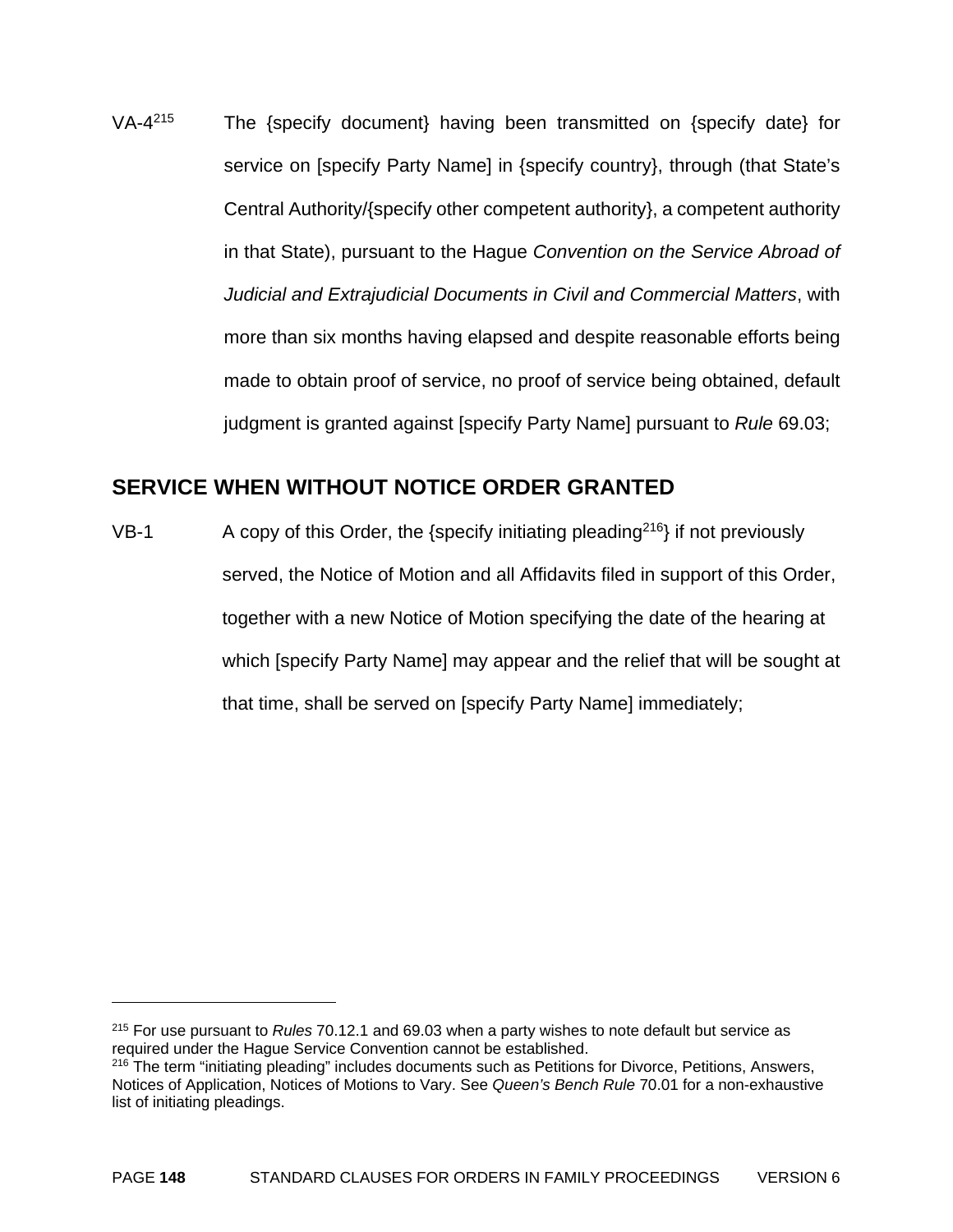VA-4215 The {specify document} having been transmitted on {specify date} for service on [specify Party Name] in {specify country}, through (that State's Central Authority/{specify other competent authority}, a competent authority in that State), pursuant to the Hague *Convention on the Service Abroad of Judicial and Extrajudicial Documents in Civil and Commercial Matters*, with more than six months having elapsed and despite reasonable efforts being made to obtain proof of service, no proof of service being obtained, default judgment is granted against [specify Party Name] pursuant to *Rule* 69.03;

#### **SERVICE WHEN WITHOUT NOTICE ORDER GRANTED**

VB-1 A copy of this Order, the {specify initiating pleading<sup>216</sup>} if not previously served, the Notice of Motion and all Affidavits filed in support of this Order, together with a new Notice of Motion specifying the date of the hearing at which [specify Party Name] may appear and the relief that will be sought at that time, shall be served on [specify Party Name] immediately;

 $\overline{a}$ 

<sup>215</sup> For use pursuant to *Rules* 70.12.1 and 69.03 when a party wishes to note default but service as required under the Hague Service Convention cannot be established.

<sup>&</sup>lt;sup>216</sup> The term "initiating pleading" includes documents such as Petitions for Divorce, Petitions, Answers, Notices of Application, Notices of Motions to Vary. See *Queen's Bench Rule* 70.01 for a non-exhaustive list of initiating pleadings.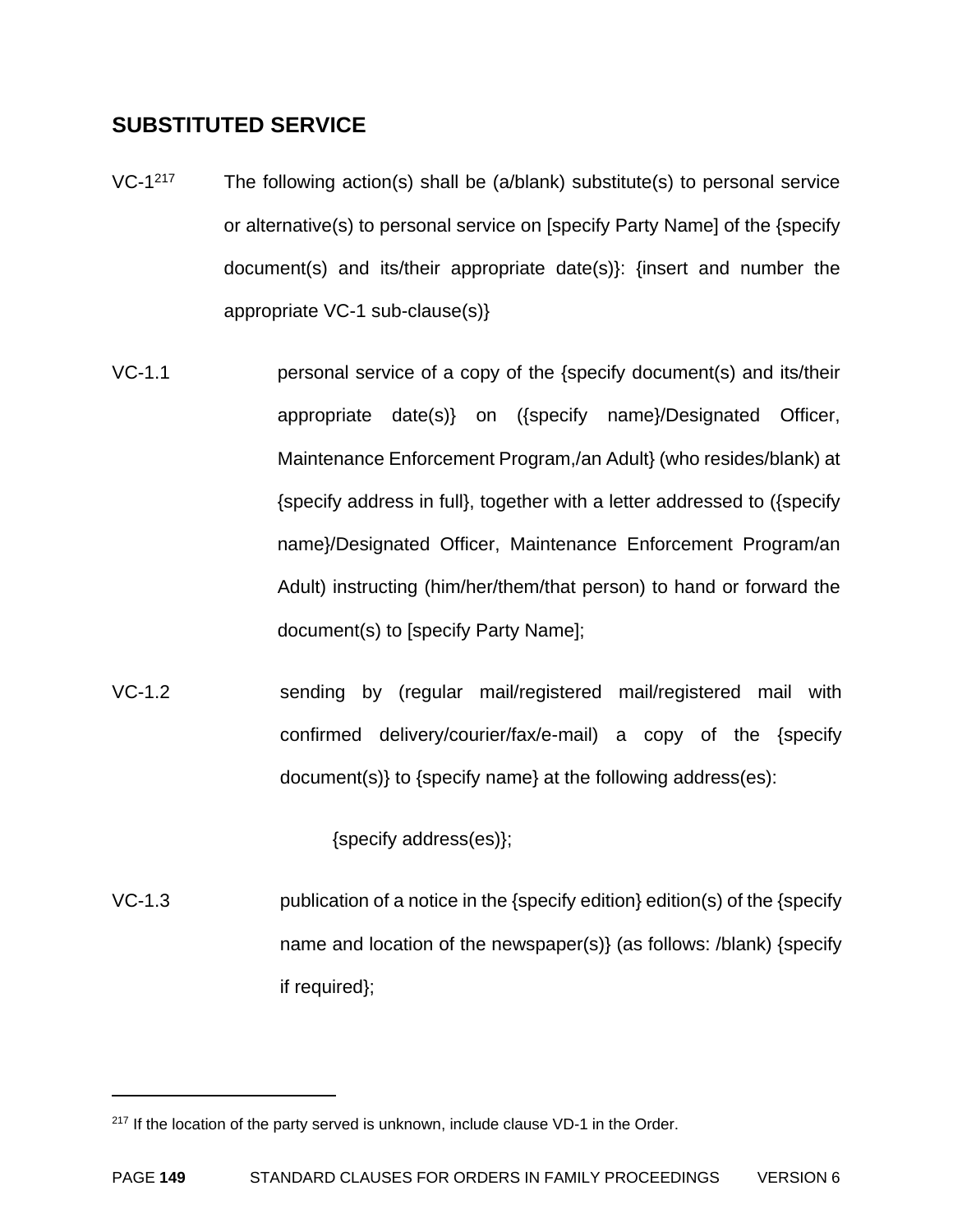### **SUBSTITUTED SERVICE**

- VC-1<sup>217</sup> The following action(s) shall be (a/blank) substitute(s) to personal service or alternative(s) to personal service on [specify Party Name] of the {specify document(s) and its/their appropriate date(s)}: {insert and number the appropriate VC-1 sub-clause(s)}
- VC-1.1 personal service of a copy of the {specify document(s) and its/their appropriate date(s)} on ({specify name}/Designated Officer, Maintenance Enforcement Program,/an Adult} (who resides/blank) at {specify address in full}, together with a letter addressed to ({specify name}/Designated Officer, Maintenance Enforcement Program/an Adult) instructing (him/her/them/that person) to hand or forward the document(s) to [specify Party Name];
- VC-1.2 sending by (regular mail/registered mail/registered mail with confirmed delivery/courier/fax/e-mail) a copy of the {specify document(s)} to {specify name} at the following address(es):

{specify address(es)};

VC-1.3 publication of a notice in the {specify edition} edition(s) of the {specify name and location of the newspaper(s)} (as follows: /blank) {specify if required};

1

<sup>&</sup>lt;sup>217</sup> If the location of the party served is unknown, include clause VD-1 in the Order.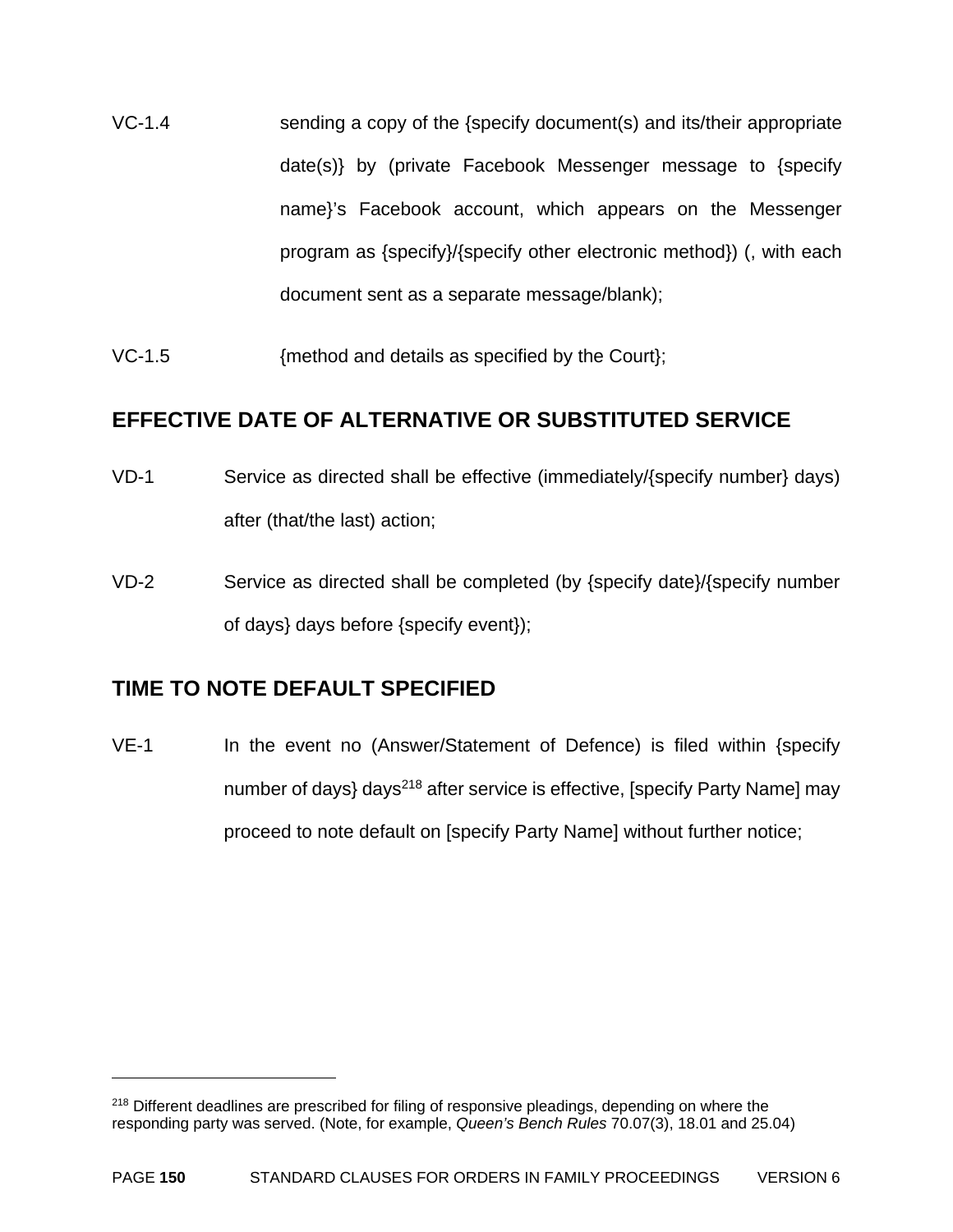- VC-1.4 sending a copy of the {specify document(s) and its/their appropriate date(s)} by (private Facebook Messenger message to {specify name}'s Facebook account, which appears on the Messenger program as {specify}/{specify other electronic method}) (, with each document sent as a separate message/blank);
- VC-1.5 {method and details as specified by the Court};

#### **EFFECTIVE DATE OF ALTERNATIVE OR SUBSTITUTED SERVICE**

- VD-1 Service as directed shall be effective (immediately/{specify number} days) after (that/the last) action;
- VD-2 Service as directed shall be completed (by {specify date}/{specify number of days} days before {specify event});

### **TIME TO NOTE DEFAULT SPECIFIED**

1

VE-1 In the event no (Answer/Statement of Defence) is filed within {specify number of days} days<sup>218</sup> after service is effective, [specify Party Name] may proceed to note default on [specify Party Name] without further notice;

<sup>&</sup>lt;sup>218</sup> Different deadlines are prescribed for filing of responsive pleadings, depending on where the responding party was served. (Note, for example, *Queen's Bench Rules* 70.07(3), 18.01 and 25.04)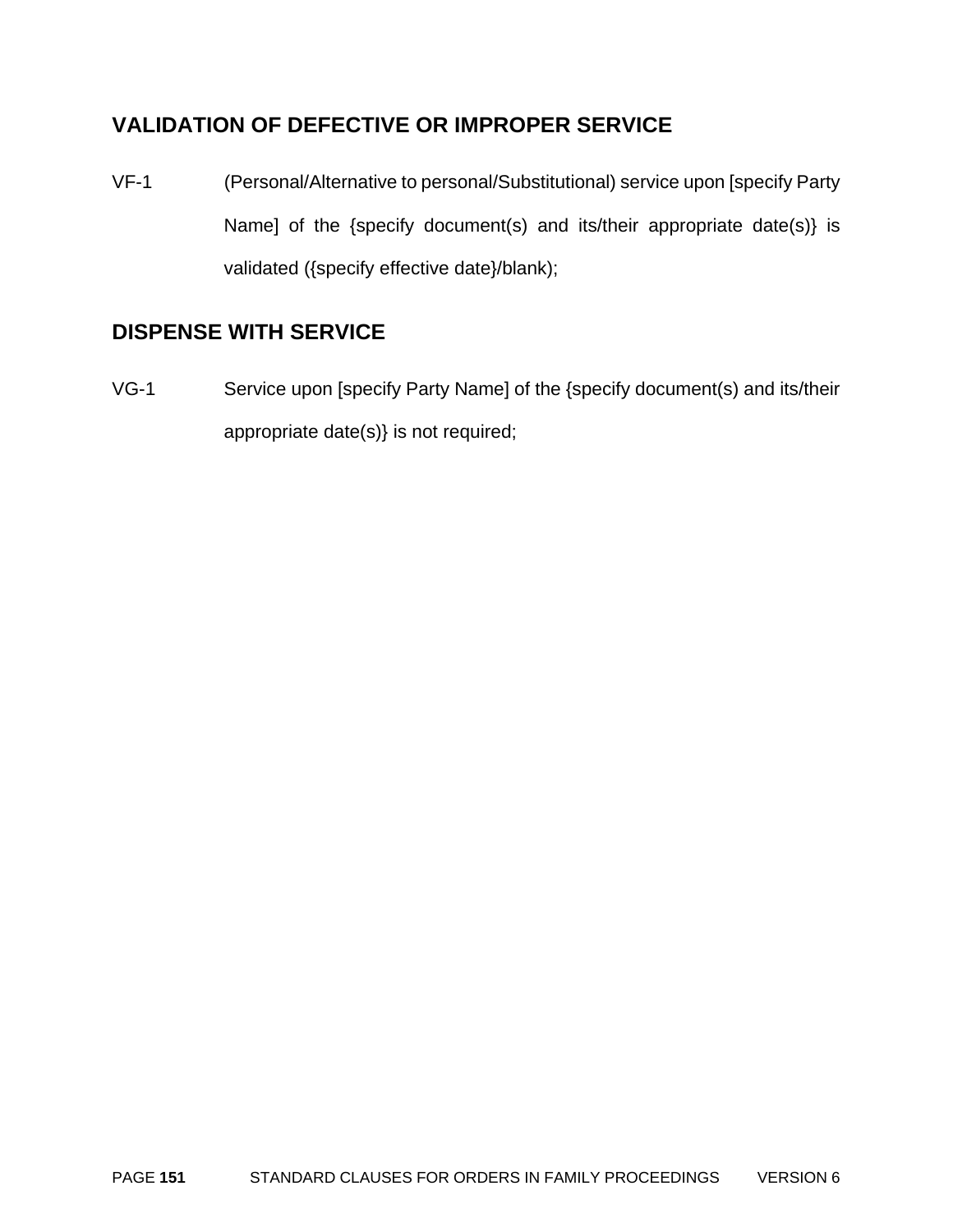## **VALIDATION OF DEFECTIVE OR IMPROPER SERVICE**

VF-1 (Personal/Alternative to personal/Substitutional) service upon [specify Party Name] of the {specify document(s) and its/their appropriate date(s)} is validated ({specify effective date}/blank);

## **DISPENSE WITH SERVICE**

VG-1 Service upon [specify Party Name] of the {specify document(s) and its/their appropriate date(s)} is not required;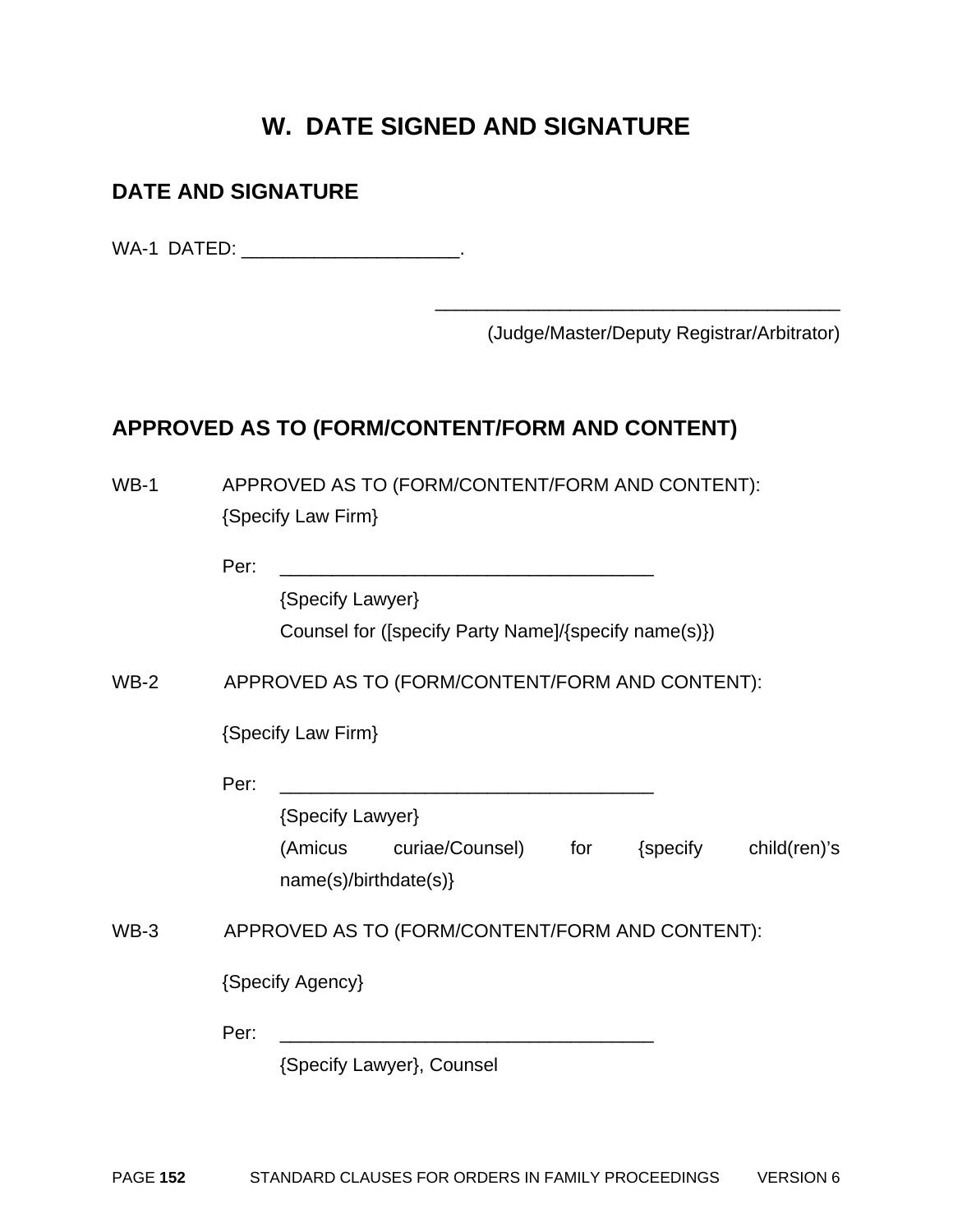# **W. DATE SIGNED AND SIGNATURE**

### **DATE AND SIGNATURE**

WA-1 DATED: \_\_\_\_\_\_\_\_\_\_\_\_\_\_\_\_\_\_\_\_\_\_\_\_\_.

(Judge/Master/Deputy Registrar/Arbitrator)

## **APPROVED AS TO (FORM/CONTENT/FORM AND CONTENT)**

| $WB-1$ | APPROVED AS TO (FORM/CONTENT/FORM AND CONTENT):<br>{Specify Law Firm}         |
|--------|-------------------------------------------------------------------------------|
|        | Per:                                                                          |
|        | {Specify Lawyer}                                                              |
|        | Counsel for ([specify Party Name]/{specify name(s)})                          |
| $WB-2$ | APPROVED AS TO (FORM/CONTENT/FORM AND CONTENT):                               |
|        | {Specify Law Firm}                                                            |
|        | Per:                                                                          |
|        | {Specify Lawyer}                                                              |
|        | (Amicus curiae/Counsel) for<br>{specify child(ren)'s<br>name(s)/birthdate(s)} |
| $WB-3$ | APPROVED AS TO (FORM/CONTENT/FORM AND CONTENT):                               |
|        | {Specify Agency}                                                              |
|        | Per:                                                                          |
|        | {Specify Lawyer}, Counsel                                                     |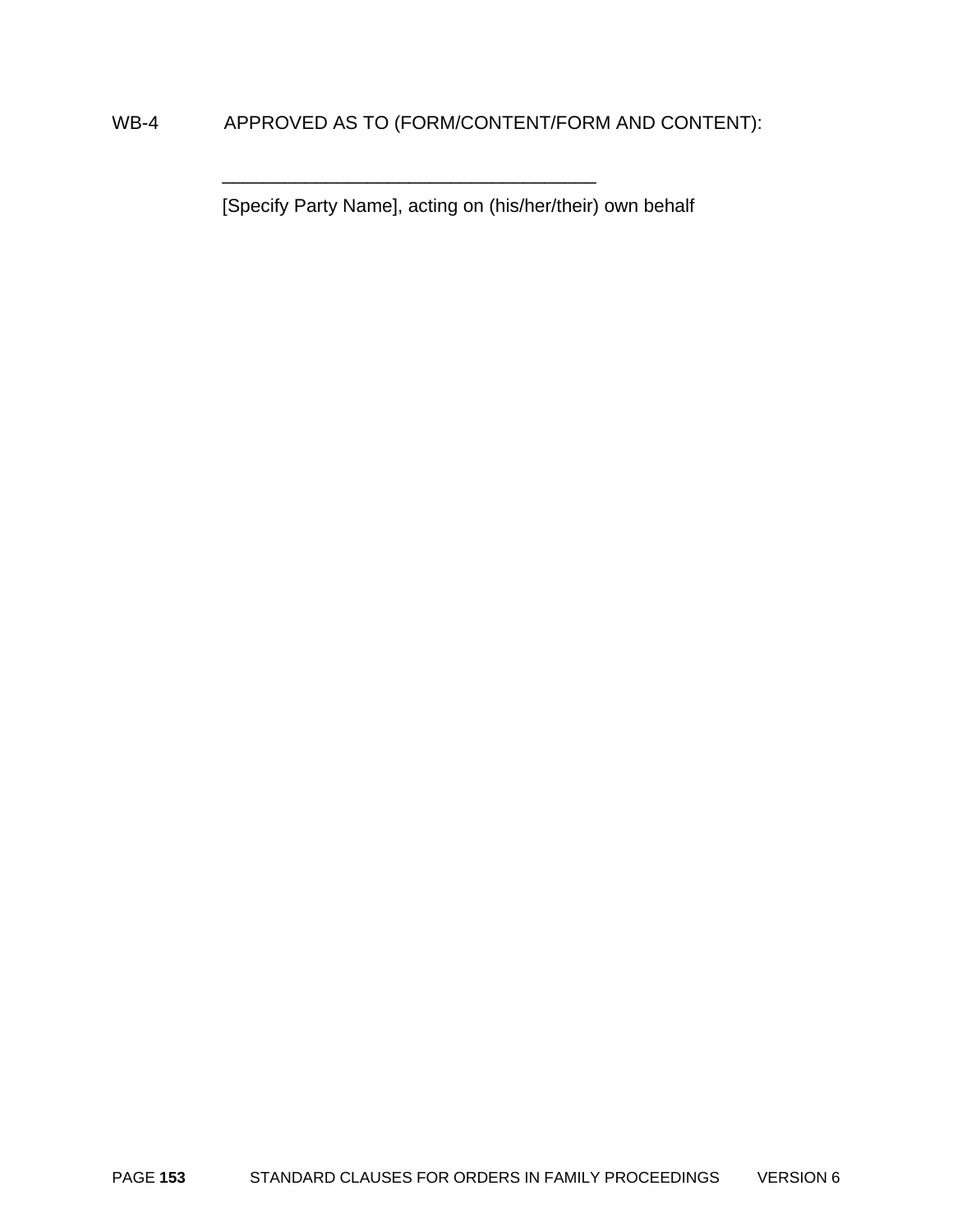### WB-4 APPROVED AS TO (FORM/CONTENT/FORM AND CONTENT):

\_\_\_\_\_\_\_\_\_\_\_\_\_\_\_\_\_\_\_\_\_\_\_\_\_\_\_\_\_\_\_\_\_\_\_\_

[Specify Party Name], acting on (his/her/their) own behalf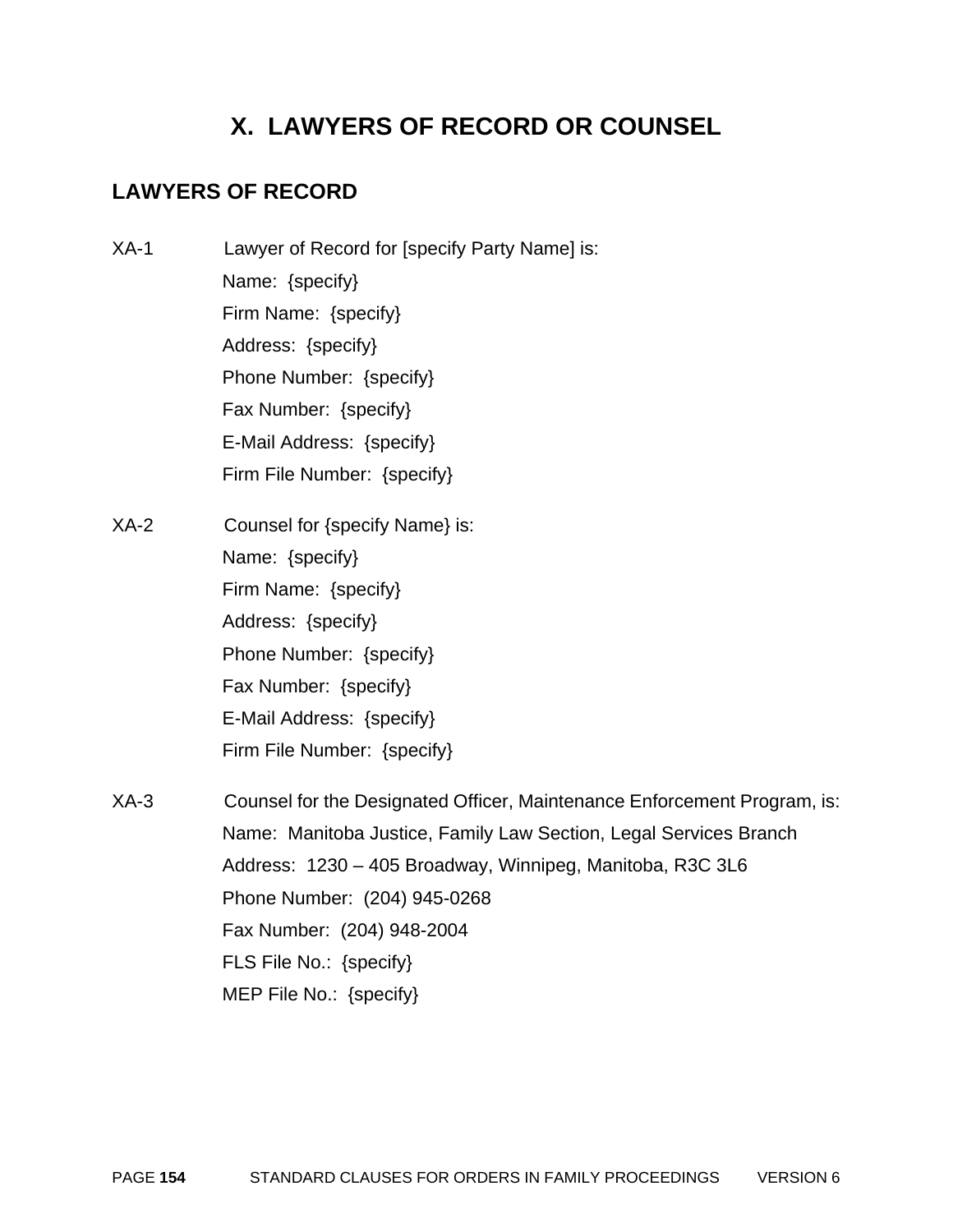# **X. LAWYERS OF RECORD OR COUNSEL**

## **LAWYERS OF RECORD**

- XA-1 Lawyer of Record for [specify Party Name] is: Name: {specify} Firm Name: {specify} Address: {specify} Phone Number: {specify} Fax Number: {specify} E-Mail Address: {specify} Firm File Number: {specify}
- XA-2 Counsel for {specify Name} is: Name: {specify} Firm Name: {specify} Address: {specify} Phone Number: {specify} Fax Number: {specify} E-Mail Address: {specify} Firm File Number: {specify}
- XA-3 Counsel for the Designated Officer, Maintenance Enforcement Program, is: Name: Manitoba Justice, Family Law Section, Legal Services Branch Address: 1230 – 405 Broadway, Winnipeg, Manitoba, R3C 3L6 Phone Number: (204) 945-0268 Fax Number: (204) 948-2004 FLS File No.: {specify} MEP File No.: {specify}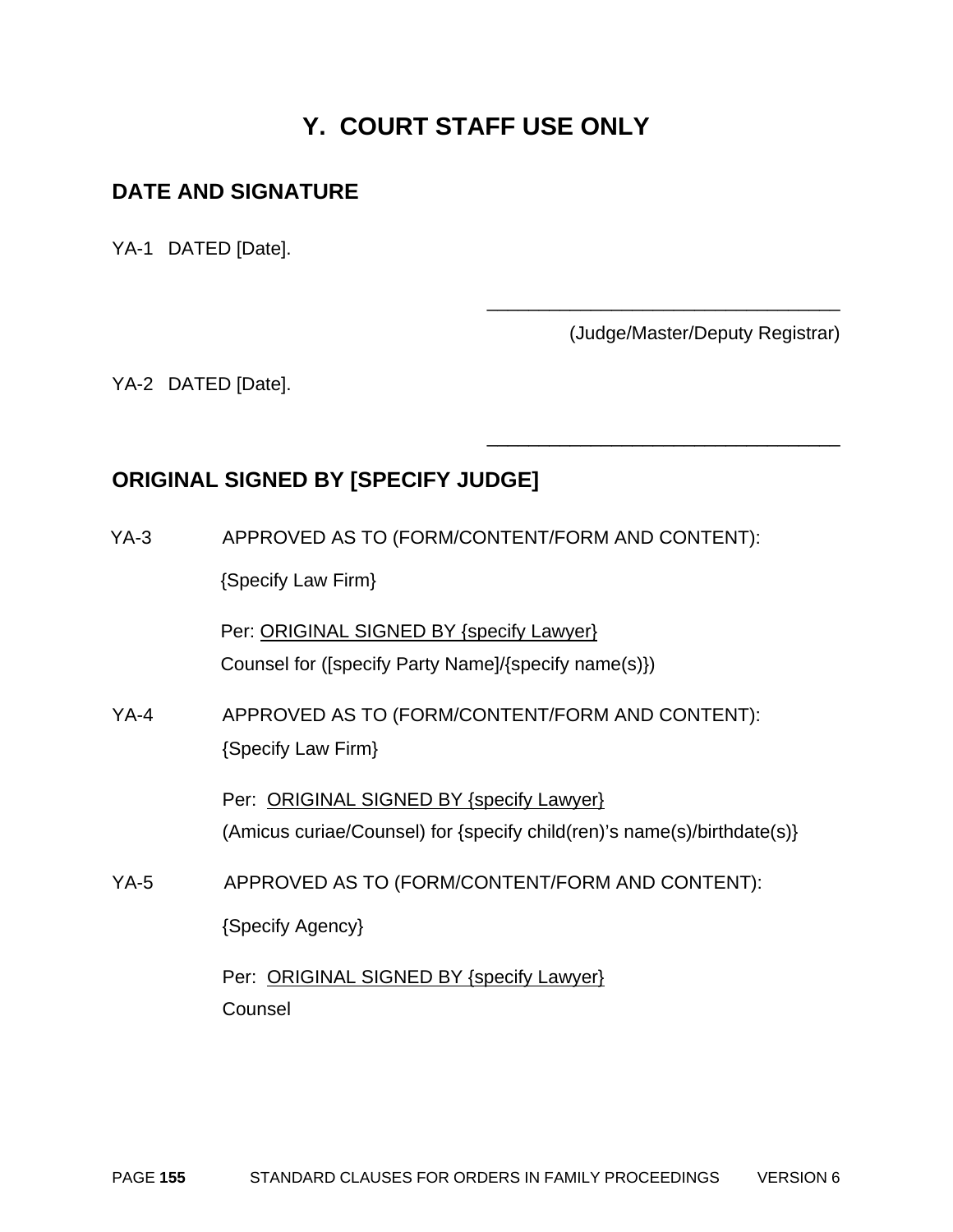# **Y. COURT STAFF USE ONLY**

### **DATE AND SIGNATURE**

YA-1 DATED [Date].

(Judge/Master/Deputy Registrar)

\_\_\_\_\_\_\_\_\_\_\_\_\_\_\_\_\_\_\_\_\_\_\_\_\_\_\_\_\_\_\_\_\_\_

\_\_\_\_\_\_\_\_\_\_\_\_\_\_\_\_\_\_\_\_\_\_\_\_\_\_\_\_\_\_\_\_\_\_

YA-2 DATED [Date].

## **ORIGINAL SIGNED BY [SPECIFY JUDGE]**

YA-3 APPROVED AS TO (FORM/CONTENT/FORM AND CONTENT):

{Specify Law Firm}

Per: ORIGINAL SIGNED BY {specify Lawyer} Counsel for ([specify Party Name]/{specify name(s)})

YA-4 APPROVED AS TO (FORM/CONTENT/FORM AND CONTENT): {Specify Law Firm}

> Per: ORIGINAL SIGNED BY {specify Lawyer} (Amicus curiae/Counsel) for {specify child(ren)'s name(s)/birthdate(s)}

YA-5 APPROVED AS TO (FORM/CONTENT/FORM AND CONTENT):

{Specify Agency}

Per: ORIGINAL SIGNED BY {specify Lawyer} **Counsel**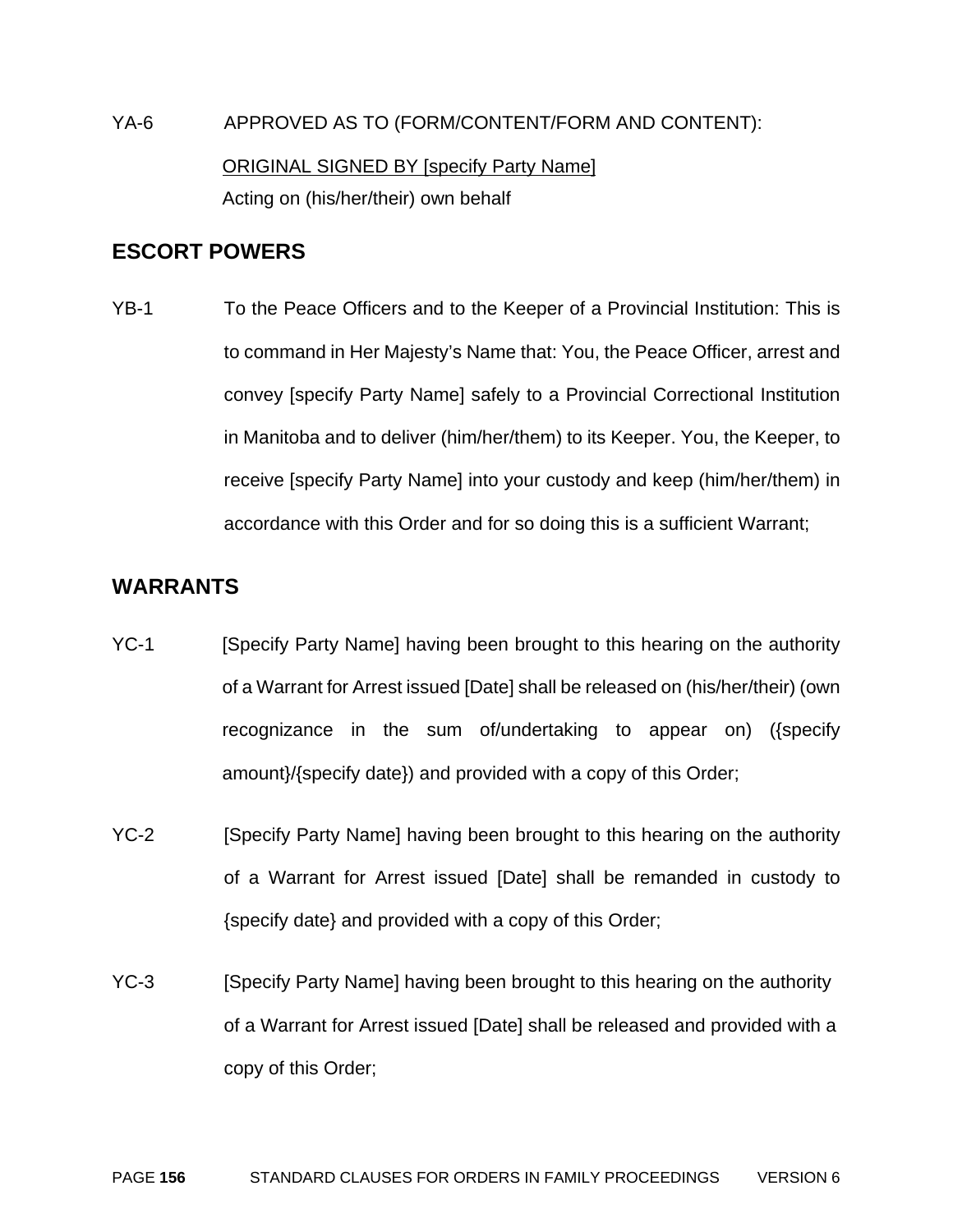YA-6 APPROVED AS TO (FORM/CONTENT/FORM AND CONTENT): ORIGINAL SIGNED BY [specify Party Name] Acting on (his/her/their) own behalf

#### **ESCORT POWERS**

YB-1 To the Peace Officers and to the Keeper of a Provincial Institution: This is to command in Her Majesty's Name that: You, the Peace Officer, arrest and convey [specify Party Name] safely to a Provincial Correctional Institution in Manitoba and to deliver (him/her/them) to its Keeper. You, the Keeper, to receive [specify Party Name] into your custody and keep (him/her/them) in accordance with this Order and for so doing this is a sufficient Warrant;

### **WARRANTS**

- YC-1 [Specify Party Name] having been brought to this hearing on the authority of a Warrant for Arrest issued [Date] shall be released on (his/her/their) (own recognizance in the sum of/undertaking to appear on) ({specify amount}/{specify date}) and provided with a copy of this Order;
- YC-2 [Specify Party Name] having been brought to this hearing on the authority of a Warrant for Arrest issued [Date] shall be remanded in custody to {specify date} and provided with a copy of this Order;
- YC-3 [Specify Party Name] having been brought to this hearing on the authority of a Warrant for Arrest issued [Date] shall be released and provided with a copy of this Order;